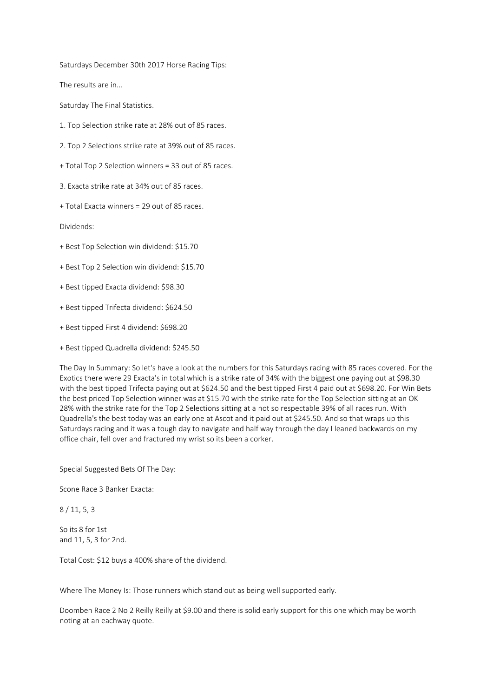Saturdays December 30th 2017 Horse Racing Tips:

The results are in...

Saturday The Final Statistics.

- 1. Top Selection strike rate at 28% out of 85 races.
- 2. Top 2 Selections strike rate at 39% out of 85 races.
- + Total Top 2 Selection winners = 33 out of 85 races.
- 3. Exacta strike rate at 34% out of 85 races.
- + Total Exacta winners = 29 out of 85 races.

Dividends:

- + Best Top Selection win dividend: \$15.70
- + Best Top 2 Selection win dividend: \$15.70
- + Best tipped Exacta dividend: \$98.30
- + Best tipped Trifecta dividend: \$624.50
- + Best tipped First 4 dividend: \$698.20
- + Best tipped Quadrella dividend: \$245.50

The Day In Summary: So let's have a look at the numbers for this Saturdays racing with 85 races covered. For the Exotics there were 29 Exacta's in total which is a strike rate of 34% with the biggest one paying out at \$98.30 with the best tipped Trifecta paying out at \$624.50 and the best tipped First 4 paid out at \$698.20. For Win Bets the best priced Top Selection winner was at \$15.70 with the strike rate for the Top Selection sitting at an OK 28% with the strike rate for the Top 2 Selections sitting at a not so respectable 39% of all races run. With Quadrella's the best today was an early one at Ascot and it paid out at \$245.50. And so that wraps up this Saturdays racing and it was a tough day to navigate and half way through the day I leaned backwards on my office chair, fell over and fractured my wrist so its been a corker.

Special Suggested Bets Of The Day:

Scone Race 3 Banker Exacta:

8 / 11, 5, 3

So its 8 for 1st and 11, 5, 3 for 2nd.

Total Cost: \$12 buys a 400% share of the dividend.

Where The Money Is: Those runners which stand out as being well supported early.

Doomben Race 2 No 2 Reilly Reilly at \$9.00 and there is solid early support for this one which may be worth noting at an eachway quote.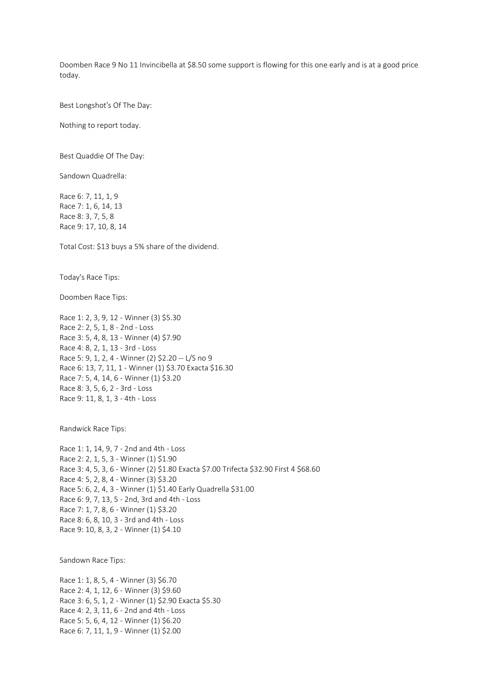Doomben Race 9 No 11 Invincibella at \$8.50 some support is flowing for this one early and is at a good price today.

Best Longshot's Of The Day:

Nothing to report today.

Best Quaddie Of The Day:

Sandown Quadrella:

Race 6: 7, 11, 1, 9 Race 7: 1, 6, 14, 13 Race 8: 3, 7, 5, 8 Race 9: 17, 10, 8, 14

Total Cost: \$13 buys a 5% share of the dividend.

Today's Race Tips:

Doomben Race Tips:

Race 1: 2, 3, 9, 12 - Winner (3) \$5.30 Race 2: 2, 5, 1, 8 - 2nd - Loss Race 3: 5, 4, 8, 13 - Winner (4) \$7.90 Race 4: 8, 2, 1, 13 - 3rd - Loss Race 5: 9, 1, 2, 4 - Winner (2) \$2.20 -- L/S no 9 Race 6: 13, 7, 11, 1 - Winner (1) \$3.70 Exacta \$16.30 Race 7: 5, 4, 14, 6 - Winner (1) \$3.20 Race 8: 3, 5, 6, 2 - 3rd - Loss Race 9: 11, 8, 1, 3 - 4th - Loss

Randwick Race Tips:

Race 1: 1, 14, 9, 7 - 2nd and 4th - Loss Race 2: 2, 1, 5, 3 - Winner (1) \$1.90 Race 3: 4, 5, 3, 6 - Winner (2) \$1.80 Exacta \$7.00 Trifecta \$32.90 First 4 \$68.60 Race 4: 5, 2, 8, 4 - Winner (3) \$3.20 Race 5: 6, 2, 4, 3 - Winner (1) \$1.40 Early Quadrella \$31.00 Race 6: 9, 7, 13, 5 - 2nd, 3rd and 4th - Loss Race 7: 1, 7, 8, 6 - Winner (1) \$3.20 Race 8: 6, 8, 10, 3 - 3rd and 4th - Loss Race 9: 10, 8, 3, 2 - Winner (1) \$4.10

Sandown Race Tips:

Race 1: 1, 8, 5, 4 - Winner (3) \$6.70 Race 2: 4, 1, 12, 6 - Winner (3) \$9.60 Race 3: 6, 5, 1, 2 - Winner (1) \$2.90 Exacta \$5.30 Race 4: 2, 3, 11, 6 - 2nd and 4th - Loss Race 5: 5, 6, 4, 12 - Winner (1) \$6.20 Race 6: 7, 11, 1, 9 - Winner (1) \$2.00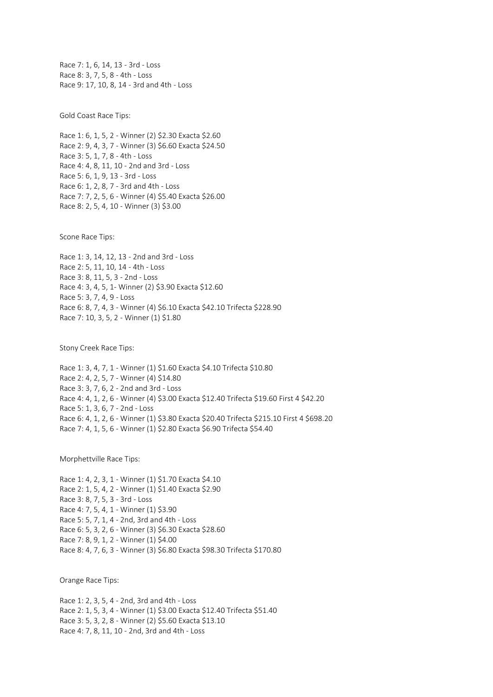Race 7: 1, 6, 14, 13 - 3rd - Loss Race 8: 3, 7, 5, 8 - 4th - Loss Race 9: 17, 10, 8, 14 - 3rd and 4th - Loss

Gold Coast Race Tips:

Race 1: 6, 1, 5, 2 - Winner (2) \$2.30 Exacta \$2.60 Race 2: 9, 4, 3, 7 - Winner (3) \$6.60 Exacta \$24.50 Race 3: 5, 1, 7, 8 - 4th - Loss Race 4: 4, 8, 11, 10 - 2nd and 3rd - Loss Race 5: 6, 1, 9, 13 - 3rd - Loss Race 6: 1, 2, 8, 7 - 3rd and 4th - Loss Race 7: 7, 2, 5, 6 - Winner (4) \$5.40 Exacta \$26.00 Race 8: 2, 5, 4, 10 - Winner (3) \$3.00

Scone Race Tips:

Race 1: 3, 14, 12, 13 - 2nd and 3rd - Loss Race 2: 5, 11, 10, 14 - 4th - Loss Race 3: 8, 11, 5, 3 - 2nd - Loss Race 4: 3, 4, 5, 1- Winner (2) \$3.90 Exacta \$12.60 Race 5: 3, 7, 4, 9 - Loss Race 6: 8, 7, 4, 3 - Winner (4) \$6.10 Exacta \$42.10 Trifecta \$228.90 Race 7: 10, 3, 5, 2 - Winner (1) \$1.80

Stony Creek Race Tips:

Race 1: 3, 4, 7, 1 - Winner (1) \$1.60 Exacta \$4.10 Trifecta \$10.80 Race 2: 4, 2, 5, 7 - Winner (4) \$14.80 Race 3: 3, 7, 6, 2 - 2nd and 3rd - Loss Race 4: 4, 1, 2, 6 - Winner (4) \$3.00 Exacta \$12.40 Trifecta \$19.60 First 4 \$42.20 Race 5: 1, 3, 6, 7 - 2nd - Loss Race 6: 4, 1, 2, 6 - Winner (1) \$3.80 Exacta \$20.40 Trifecta \$215.10 First 4 \$698.20 Race 7: 4, 1, 5, 6 - Winner (1) \$2.80 Exacta \$6.90 Trifecta \$54.40

Morphettville Race Tips:

Race 1: 4, 2, 3, 1 - Winner (1) \$1.70 Exacta \$4.10 Race 2: 1, 5, 4, 2 - Winner (1) \$1.40 Exacta \$2.90 Race 3: 8, 7, 5, 3 - 3rd - Loss Race 4: 7, 5, 4, 1 - Winner (1) \$3.90 Race 5: 5, 7, 1, 4 - 2nd, 3rd and 4th - Loss Race 6: 5, 3, 2, 6 - Winner (3) \$6.30 Exacta \$28.60 Race 7: 8, 9, 1, 2 - Winner (1) \$4.00 Race 8: 4, 7, 6, 3 - Winner (3) \$6.80 Exacta \$98.30 Trifecta \$170.80

Orange Race Tips:

Race 1: 2, 3, 5, 4 - 2nd, 3rd and 4th - Loss Race 2: 1, 5, 3, 4 - Winner (1) \$3.00 Exacta \$12.40 Trifecta \$51.40 Race 3: 5, 3, 2, 8 - Winner (2) \$5.60 Exacta \$13.10 Race 4: 7, 8, 11, 10 - 2nd, 3rd and 4th - Loss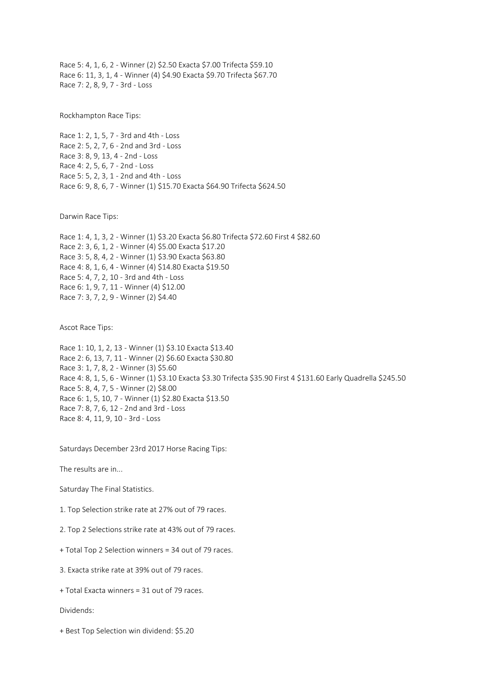Race 5: 4, 1, 6, 2 - Winner (2) \$2.50 Exacta \$7.00 Trifecta \$59.10 Race 6: 11, 3, 1, 4 - Winner (4) \$4.90 Exacta \$9.70 Trifecta \$67.70 Race 7: 2, 8, 9, 7 - 3rd - Loss

Rockhampton Race Tips:

Race 1: 2, 1, 5, 7 - 3rd and 4th - Loss Race 2: 5, 2, 7, 6 - 2nd and 3rd - Loss Race 3: 8, 9, 13, 4 - 2nd - Loss Race 4: 2, 5, 6, 7 - 2nd - Loss Race 5: 5, 2, 3, 1 - 2nd and 4th - Loss Race 6: 9, 8, 6, 7 - Winner (1) \$15.70 Exacta \$64.90 Trifecta \$624.50

Darwin Race Tips:

Race 1: 4, 1, 3, 2 - Winner (1) \$3.20 Exacta \$6.80 Trifecta \$72.60 First 4 \$82.60 Race 2: 3, 6, 1, 2 - Winner (4) \$5.00 Exacta \$17.20 Race 3: 5, 8, 4, 2 - Winner (1) \$3.90 Exacta \$63.80 Race 4: 8, 1, 6, 4 - Winner (4) \$14.80 Exacta \$19.50 Race 5: 4, 7, 2, 10 - 3rd and 4th - Loss Race 6: 1, 9, 7, 11 - Winner (4) \$12.00 Race 7: 3, 7, 2, 9 - Winner (2) \$4.40

Ascot Race Tips:

Race 1: 10, 1, 2, 13 - Winner (1) \$3.10 Exacta \$13.40 Race 2: 6, 13, 7, 11 - Winner (2) \$6.60 Exacta \$30.80 Race 3: 1, 7, 8, 2 - Winner (3) \$5.60 Race 4: 8, 1, 5, 6 - Winner (1) \$3.10 Exacta \$3.30 Trifecta \$35.90 First 4 \$131.60 Early Quadrella \$245.50 Race 5: 8, 4, 7, 5 - Winner (2) \$8.00 Race 6: 1, 5, 10, 7 - Winner (1) \$2.80 Exacta \$13.50 Race 7: 8, 7, 6, 12 - 2nd and 3rd - Loss Race 8: 4, 11, 9, 10 - 3rd - Loss

Saturdays December 23rd 2017 Horse Racing Tips:

The results are in...

Saturday The Final Statistics.

1. Top Selection strike rate at 27% out of 79 races.

2. Top 2 Selections strike rate at 43% out of 79 races.

+ Total Top 2 Selection winners = 34 out of 79 races.

3. Exacta strike rate at 39% out of 79 races.

+ Total Exacta winners = 31 out of 79 races.

Dividends:

+ Best Top Selection win dividend: \$5.20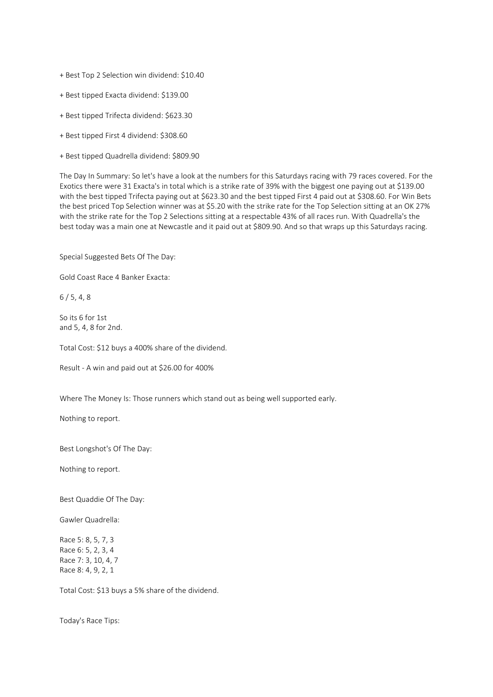- + Best Top 2 Selection win dividend: \$10.40
- + Best tipped Exacta dividend: \$139.00
- + Best tipped Trifecta dividend: \$623.30
- + Best tipped First 4 dividend: \$308.60
- + Best tipped Quadrella dividend: \$809.90

The Day In Summary: So let's have a look at the numbers for this Saturdays racing with 79 races covered. For the Exotics there were 31 Exacta's in total which is a strike rate of 39% with the biggest one paying out at \$139.00 with the best tipped Trifecta paying out at \$623.30 and the best tipped First 4 paid out at \$308.60. For Win Bets the best priced Top Selection winner was at \$5.20 with the strike rate for the Top Selection sitting at an OK 27% with the strike rate for the Top 2 Selections sitting at a respectable 43% of all races run. With Quadrella's the best today was a main one at Newcastle and it paid out at \$809.90. And so that wraps up this Saturdays racing.

Special Suggested Bets Of The Day:

Gold Coast Race 4 Banker Exacta:

 $6/5.4.8$ 

So its 6 for 1st and 5, 4, 8 for 2nd.

Total Cost: \$12 buys a 400% share of the dividend.

Result - A win and paid out at \$26.00 for 400%

Where The Money Is: Those runners which stand out as being well supported early.

Nothing to report.

Best Longshot's Of The Day:

Nothing to report.

Best Quaddie Of The Day:

Gawler Quadrella:

Race 5: 8, 5, 7, 3 Race 6: 5, 2, 3, 4 Race 7: 3, 10, 4, 7 Race 8: 4, 9, 2, 1

Total Cost: \$13 buys a 5% share of the dividend.

Today's Race Tips: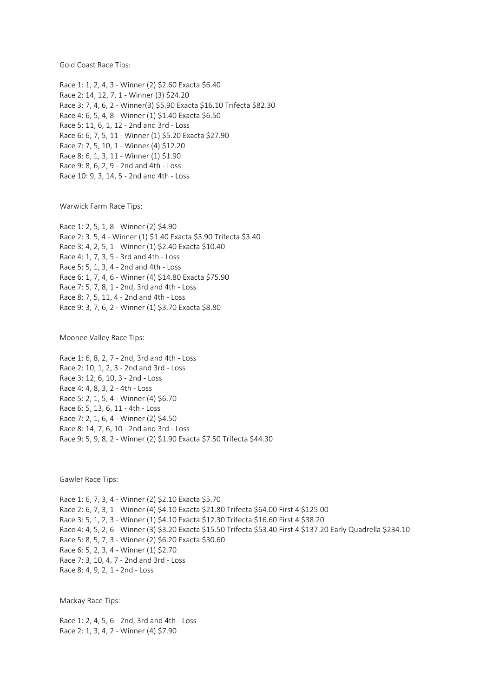Gold Coast Race Tips:

Race 1: 1, 2, 4, 3 - Winner (2) \$2.60 Exacta \$6.40 Race 2: 14, 12, 7, 1 - Winner (3) \$24.20 Race 3: 7, 4, 6, 2 - Winner(3) \$5.90 Exacta \$16.10 Trifecta \$82.30 Race 4: 6, 5, 4, 8 - Winner (1) \$1.40 Exacta \$6.50 Race 5: 11, 6, 1, 12 - 2nd and 3rd - Loss Race 6: 6, 7, 5, 11 - Winner (1) \$5.20 Exacta \$27.90 Race 7: 7, 5, 10, 1 - Winner (4) \$12.20 Race 8: 6, 1, 3, 11 - Winner (1) \$1.90 Race 9: 8, 6, 2, 9 - 2nd and 4th - Loss Race 10: 9, 3, 14, 5 - 2nd and 4th - Loss

Warwick Farm Race Tips:

Race 1: 2, 5, 1, 8 - Winner (2) \$4.90 Race 2: 3. 5, 4 - Winner (1) \$1.40 Exacta \$3.90 Trifecta \$3.40 Race 3: 4, 2, 5, 1 - Winner (1) \$2.40 Exacta \$10.40 Race 4: 1, 7, 3, 5 - 3rd and 4th - Loss Race 5: 5, 1, 3, 4 - 2nd and 4th - Loss Race 6: 1, 7, 4, 6 - Winner (4) \$14.80 Exacta \$75.90 Race 7: 5, 7, 8, 1 - 2nd, 3rd and 4th - Loss Race 8: 7, 5, 11, 4 - 2nd and 4th - Loss Race 9: 3, 7, 6, 2 - Winner (1) \$3.70 Exacta \$8.80

Moonee Valley Race Tips:

Race 1: 6, 8, 2, 7 - 2nd, 3rd and 4th - Loss Race 2: 10, 1, 2, 3 - 2nd and 3rd - Loss Race 3: 12, 6, 10, 3 - 2nd - Loss Race 4: 4, 8, 3, 2 - 4th - Loss Race 5: 2, 1, 5, 4 - Winner (4) \$6.70 Race 6: 5, 13, 6, 11 - 4th - Loss Race 7: 2, 1, 6, 4 - Winner (2) \$4.50 Race 8: 14, 7, 6, 10 - 2nd and 3rd - Loss Race 9: 5, 9, 8, 2 - Winner (2) \$1.90 Exacta \$7.50 Trifecta \$44.30

Gawler Race Tips:

Race 1: 6, 7, 3, 4 - Winner (2) \$2.10 Exacta \$5.70 Race 2: 6, 7, 3, 1 - Winner (4) \$4.10 Exacta \$21.80 Trifecta \$64.00 First 4 \$125.00 Race 3: 5, 1, 2, 3 - Winner (1) \$4.10 Exacta \$12.30 Trifecta \$16.60 First 4 \$38.20 Race 4: 4, 5, 2, 6 - Winner (3) \$3.20 Exacta \$15.50 Trifecta \$53.40 First 4 \$137.20 Early Quadrella \$234.10 Race 5: 8, 5, 7, 3 - Winner (2) \$6.20 Exacta \$30.60 Race 6: 5, 2, 3, 4 - Winner (1) \$2.70 Race 7: 3, 10, 4, 7 - 2nd and 3rd - Loss Race 8: 4, 9, 2, 1 - 2nd - Loss

Mackay Race Tips:

Race 1: 2, 4, 5, 6 - 2nd, 3rd and 4th - Loss Race 2: 1, 3, 4, 2 - Winner (4) \$7.90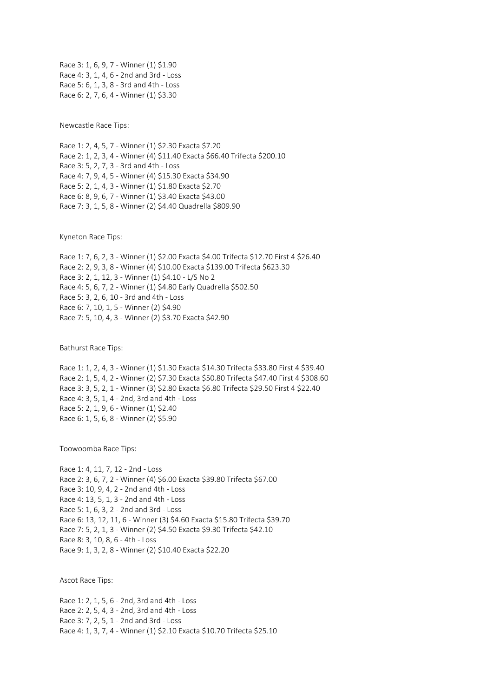Race 3: 1, 6, 9, 7 - Winner (1) \$1.90 Race 4: 3, 1, 4, 6 - 2nd and 3rd - Loss Race 5: 6, 1, 3, 8 - 3rd and 4th - Loss Race 6: 2, 7, 6, 4 - Winner (1) \$3.30

Newcastle Race Tips:

Race 1: 2, 4, 5, 7 - Winner (1) \$2.30 Exacta \$7.20 Race 2: 1, 2, 3, 4 - Winner (4) \$11.40 Exacta \$66.40 Trifecta \$200.10 Race 3: 5, 2, 7, 3 - 3rd and 4th - Loss Race 4: 7, 9, 4, 5 - Winner (4) \$15.30 Exacta \$34.90 Race 5: 2, 1, 4, 3 - Winner (1) \$1.80 Exacta \$2.70 Race 6: 8, 9, 6, 7 - Winner (1) \$3.40 Exacta \$43.00 Race 7: 3, 1, 5, 8 - Winner (2) \$4.40 Quadrella \$809.90

Kyneton Race Tips:

Race 1: 7, 6, 2, 3 - Winner (1) \$2.00 Exacta \$4.00 Trifecta \$12.70 First 4 \$26.40 Race 2: 2, 9, 3, 8 - Winner (4) \$10.00 Exacta \$139.00 Trifecta \$623.30 Race 3: 2, 1, 12, 3 - Winner (1) \$4.10 - L/S No 2 Race 4: 5, 6, 7, 2 - Winner (1) \$4.80 Early Quadrella \$502.50 Race 5: 3, 2, 6, 10 - 3rd and 4th - Loss Race 6: 7, 10, 1, 5 - Winner (2) \$4.90 Race 7: 5, 10, 4, 3 - Winner (2) \$3.70 Exacta \$42.90

Bathurst Race Tips:

Race 1: 1, 2, 4, 3 - Winner (1) \$1.30 Exacta \$14.30 Trifecta \$33.80 First 4 \$39.40 Race 2: 1, 5, 4, 2 - Winner (2) \$7.30 Exacta \$50.80 Trifecta \$47.40 First 4 \$308.60 Race 3: 3, 5, 2, 1 - Winner (3) \$2.80 Exacta \$6.80 Trifecta \$29.50 First 4 \$22.40 Race 4: 3, 5, 1, 4 - 2nd, 3rd and 4th - Loss Race 5: 2, 1, 9, 6 - Winner (1) \$2.40 Race 6: 1, 5, 6, 8 - Winner (2) \$5.90

Toowoomba Race Tips:

Race 1: 4, 11, 7, 12 - 2nd - Loss Race 2: 3, 6, 7, 2 - Winner (4) \$6.00 Exacta \$39.80 Trifecta \$67.00 Race 3: 10, 9, 4, 2 - 2nd and 4th - Loss Race 4: 13, 5, 1, 3 - 2nd and 4th - Loss Race 5: 1, 6, 3, 2 - 2nd and 3rd - Loss Race 6: 13, 12, 11, 6 - Winner (3) \$4.60 Exacta \$15.80 Trifecta \$39.70 Race 7: 5, 2, 1, 3 - Winner (2) \$4.50 Exacta \$9.30 Trifecta \$42.10 Race 8: 3, 10, 8, 6 - 4th - Loss Race 9: 1, 3, 2, 8 - Winner (2) \$10.40 Exacta \$22.20

Ascot Race Tips:

Race 1: 2, 1, 5, 6 - 2nd, 3rd and 4th - Loss Race 2: 2, 5, 4, 3 - 2nd, 3rd and 4th - Loss Race 3: 7, 2, 5, 1 - 2nd and 3rd - Loss Race 4: 1, 3, 7, 4 - Winner (1) \$2.10 Exacta \$10.70 Trifecta \$25.10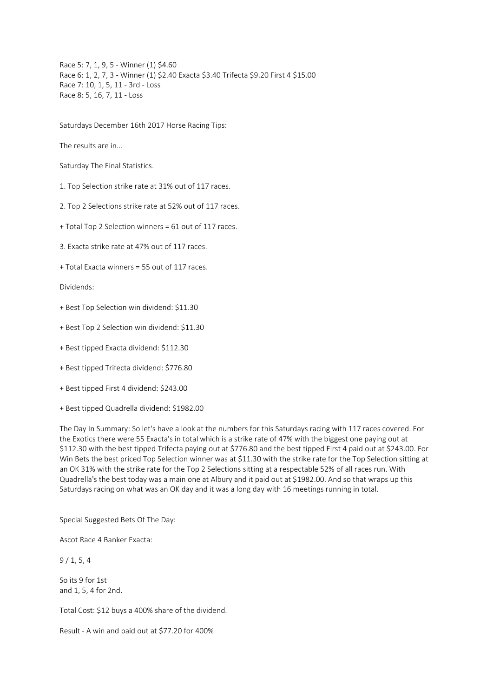Race 5: 7, 1, 9, 5 - Winner (1) \$4.60 Race 6: 1, 2, 7, 3 - Winner (1) \$2.40 Exacta \$3.40 Trifecta \$9.20 First 4 \$15.00 Race 7: 10, 1, 5, 11 - 3rd - Loss Race 8: 5, 16, 7, 11 - Loss

Saturdays December 16th 2017 Horse Racing Tips:

The results are in...

Saturday The Final Statistics.

1. Top Selection strike rate at 31% out of 117 races.

2. Top 2 Selections strike rate at 52% out of 117 races.

+ Total Top 2 Selection winners = 61 out of 117 races.

3. Exacta strike rate at 47% out of 117 races.

+ Total Exacta winners = 55 out of 117 races.

Dividends:

- + Best Top Selection win dividend: \$11.30
- + Best Top 2 Selection win dividend: \$11.30
- + Best tipped Exacta dividend: \$112.30
- + Best tipped Trifecta dividend: \$776.80
- + Best tipped First 4 dividend: \$243.00
- + Best tipped Quadrella dividend: \$1982.00

The Day In Summary: So let's have a look at the numbers for this Saturdays racing with 117 races covered. For the Exotics there were 55 Exacta's in total which is a strike rate of 47% with the biggest one paying out at \$112.30 with the best tipped Trifecta paying out at \$776.80 and the best tipped First 4 paid out at \$243.00. For Win Bets the best priced Top Selection winner was at \$11.30 with the strike rate for the Top Selection sitting at an OK 31% with the strike rate for the Top 2 Selections sitting at a respectable 52% of all races run. With Quadrella's the best today was a main one at Albury and it paid out at \$1982.00. And so that wraps up this Saturdays racing on what was an OK day and it was a long day with 16 meetings running in total.

Special Suggested Bets Of The Day:

Ascot Race 4 Banker Exacta:

9 / 1, 5, 4

So its 9 for 1st and 1, 5, 4 for 2nd.

Total Cost: \$12 buys a 400% share of the dividend.

Result - A win and paid out at \$77.20 for 400%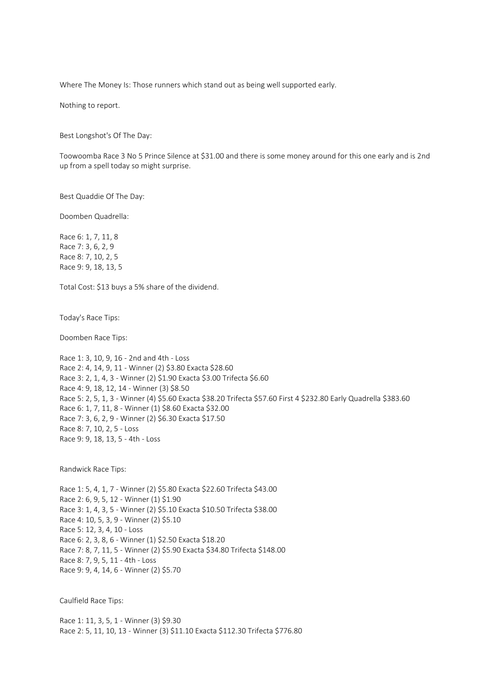Where The Money Is: Those runners which stand out as being well supported early.

Nothing to report.

Best Longshot's Of The Day:

Toowoomba Race 3 No 5 Prince Silence at \$31.00 and there is some money around for this one early and is 2nd up from a spell today so might surprise.

Best Quaddie Of The Day:

Doomben Quadrella:

Race 6: 1, 7, 11, 8 Race 7: 3, 6, 2, 9 Race 8: 7, 10, 2, 5 Race 9: 9, 18, 13, 5

Total Cost: \$13 buys a 5% share of the dividend.

Today's Race Tips:

Doomben Race Tips:

Race 1: 3, 10, 9, 16 - 2nd and 4th - Loss Race 2: 4, 14, 9, 11 - Winner (2) \$3.80 Exacta \$28.60 Race 3: 2, 1, 4, 3 - Winner (2) \$1.90 Exacta \$3.00 Trifecta \$6.60 Race 4: 9, 18, 12, 14 - Winner (3) \$8.50 Race 5: 2, 5, 1, 3 - Winner (4) \$5.60 Exacta \$38.20 Trifecta \$57.60 First 4 \$232.80 Early Quadrella \$383.60 Race 6: 1, 7, 11, 8 - Winner (1) \$8.60 Exacta \$32.00 Race 7: 3, 6, 2, 9 - Winner (2) \$6.30 Exacta \$17.50 Race 8: 7, 10, 2, 5 - Loss Race 9: 9, 18, 13, 5 - 4th - Loss

Randwick Race Tips:

Race 1: 5, 4, 1, 7 - Winner (2) \$5.80 Exacta \$22.60 Trifecta \$43.00 Race 2: 6, 9, 5, 12 - Winner (1) \$1.90 Race 3: 1, 4, 3, 5 - Winner (2) \$5.10 Exacta \$10.50 Trifecta \$38.00 Race 4: 10, 5, 3, 9 - Winner (2) \$5.10 Race 5: 12, 3, 4, 10 - Loss Race 6: 2, 3, 8, 6 - Winner (1) \$2.50 Exacta \$18.20 Race 7: 8, 7, 11, 5 - Winner (2) \$5.90 Exacta \$34.80 Trifecta \$148.00 Race 8: 7, 9, 5, 11 - 4th - Loss Race 9: 9, 4, 14, 6 - Winner (2) \$5.70

Caulfield Race Tips:

Race 1: 11, 3, 5, 1 - Winner (3) \$9.30 Race 2: 5, 11, 10, 13 - Winner (3) \$11.10 Exacta \$112.30 Trifecta \$776.80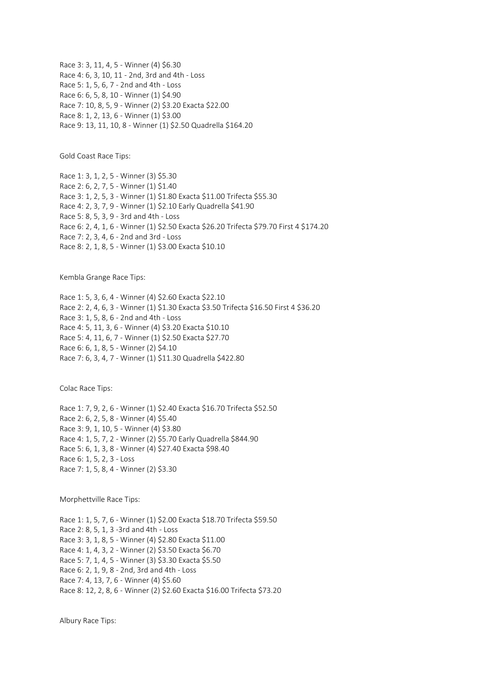Race 3: 3, 11, 4, 5 - Winner (4) \$6.30 Race 4: 6, 3, 10, 11 - 2nd, 3rd and 4th - Loss Race 5: 1, 5, 6, 7 - 2nd and 4th - Loss Race 6: 6, 5, 8, 10 - Winner (1) \$4.90 Race 7: 10, 8, 5, 9 - Winner (2) \$3.20 Exacta \$22.00 Race 8: 1, 2, 13, 6 - Winner (1) \$3.00 Race 9: 13, 11, 10, 8 - Winner (1) \$2.50 Quadrella \$164.20

Gold Coast Race Tips:

Race 1: 3, 1, 2, 5 - Winner (3) \$5.30 Race 2: 6, 2, 7, 5 - Winner (1) \$1.40 Race 3: 1, 2, 5, 3 - Winner (1) \$1.80 Exacta \$11.00 Trifecta \$55.30 Race 4: 2, 3, 7, 9 - Winner (1) \$2.10 Early Quadrella \$41.90 Race 5: 8, 5, 3, 9 - 3rd and 4th - Loss Race 6: 2, 4, 1, 6 - Winner (1) \$2.50 Exacta \$26.20 Trifecta \$79.70 First 4 \$174.20 Race 7: 2, 3, 4, 6 - 2nd and 3rd - Loss Race 8: 2, 1, 8, 5 - Winner (1) \$3.00 Exacta \$10.10

Kembla Grange Race Tips:

Race 1: 5, 3, 6, 4 - Winner (4) \$2.60 Exacta \$22.10 Race 2: 2, 4, 6, 3 - Winner (1) \$1.30 Exacta \$3.50 Trifecta \$16.50 First 4 \$36.20 Race 3: 1, 5, 8, 6 - 2nd and 4th - Loss Race 4: 5, 11, 3, 6 - Winner (4) \$3.20 Exacta \$10.10 Race 5: 4, 11, 6, 7 - Winner (1) \$2.50 Exacta \$27.70 Race 6: 6, 1, 8, 5 - Winner (2) \$4.10 Race 7: 6, 3, 4, 7 - Winner (1) \$11.30 Quadrella \$422.80

Colac Race Tips:

Race 1: 7, 9, 2, 6 - Winner (1) \$2.40 Exacta \$16.70 Trifecta \$52.50 Race 2: 6, 2, 5, 8 - Winner (4) \$5.40 Race 3: 9, 1, 10, 5 - Winner (4) \$3.80 Race 4: 1, 5, 7, 2 - Winner (2) \$5.70 Early Quadrella \$844.90 Race 5: 6, 1, 3, 8 - Winner (4) \$27.40 Exacta \$98.40 Race 6: 1, 5, 2, 3 - Loss Race 7: 1, 5, 8, 4 - Winner (2) \$3.30

Morphettville Race Tips:

Race 1: 1, 5, 7, 6 - Winner (1) \$2.00 Exacta \$18.70 Trifecta \$59.50 Race 2: 8, 5, 1, 3 -3rd and 4th - Loss Race 3: 3, 1, 8, 5 - Winner (4) \$2.80 Exacta \$11.00 Race 4: 1, 4, 3, 2 - Winner (2) \$3.50 Exacta \$6.70 Race 5: 7, 1, 4, 5 - Winner (3) \$3.30 Exacta \$5.50 Race 6: 2, 1, 9, 8 - 2nd, 3rd and 4th - Loss Race 7: 4, 13, 7, 6 - Winner (4) \$5.60 Race 8: 12, 2, 8, 6 - Winner (2) \$2.60 Exacta \$16.00 Trifecta \$73.20

Albury Race Tips: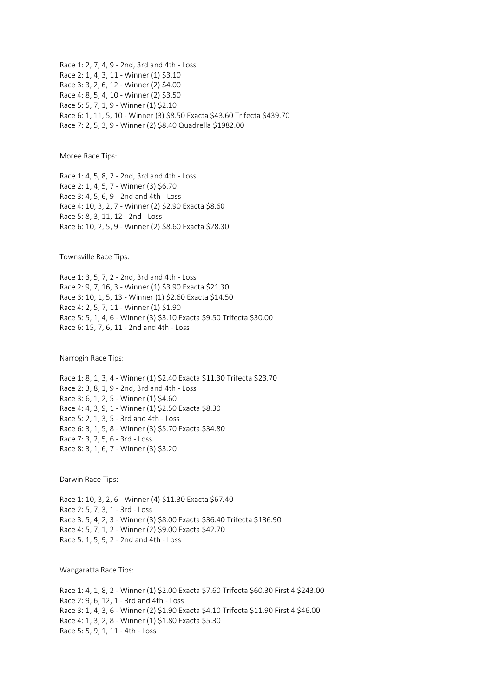Race 1: 2, 7, 4, 9 - 2nd, 3rd and 4th - Loss Race 2: 1, 4, 3, 11 - Winner (1) \$3.10 Race 3: 3, 2, 6, 12 - Winner (2) \$4.00 Race 4: 8, 5, 4, 10 - Winner (2) \$3.50 Race 5: 5, 7, 1, 9 - Winner (1) \$2.10 Race 6: 1, 11, 5, 10 - Winner (3) \$8.50 Exacta \$43.60 Trifecta \$439.70 Race 7: 2, 5, 3, 9 - Winner (2) \$8.40 Quadrella \$1982.00

Moree Race Tips:

Race 1: 4, 5, 8, 2 - 2nd, 3rd and 4th - Loss Race 2: 1, 4, 5, 7 - Winner (3) \$6.70 Race 3: 4, 5, 6, 9 - 2nd and 4th - Loss Race 4: 10, 3, 2, 7 - Winner (2) \$2.90 Exacta \$8.60 Race 5: 8, 3, 11, 12 - 2nd - Loss Race 6: 10, 2, 5, 9 - Winner (2) \$8.60 Exacta \$28.30

Townsville Race Tips:

Race 1: 3, 5, 7, 2 - 2nd, 3rd and 4th - Loss Race 2: 9, 7, 16, 3 - Winner (1) \$3.90 Exacta \$21.30 Race 3: 10, 1, 5, 13 - Winner (1) \$2.60 Exacta \$14.50 Race 4: 2, 5, 7, 11 - Winner (1) \$1.90 Race 5: 5, 1, 4, 6 - Winner (3) \$3.10 Exacta \$9.50 Trifecta \$30.00 Race 6: 15, 7, 6, 11 - 2nd and 4th - Loss

Narrogin Race Tips:

Race 1: 8, 1, 3, 4 - Winner (1) \$2.40 Exacta \$11.30 Trifecta \$23.70 Race 2: 3, 8, 1, 9 - 2nd, 3rd and 4th - Loss Race 3: 6, 1, 2, 5 - Winner (1) \$4.60 Race 4: 4, 3, 9, 1 - Winner (1) \$2.50 Exacta \$8.30 Race 5: 2, 1, 3, 5 - 3rd and 4th - Loss Race 6: 3, 1, 5, 8 - Winner (3) \$5.70 Exacta \$34.80 Race 7: 3, 2, 5, 6 - 3rd - Loss Race 8: 3, 1, 6, 7 - Winner (3) \$3.20

Darwin Race Tips:

Race 1: 10, 3, 2, 6 - Winner (4) \$11.30 Exacta \$67.40 Race 2: 5, 7, 3, 1 - 3rd - Loss Race 3: 5, 4, 2, 3 - Winner (3) \$8.00 Exacta \$36.40 Trifecta \$136.90 Race 4: 5, 7, 1, 2 - Winner (2) \$9.00 Exacta \$42.70 Race 5: 1, 5, 9, 2 - 2nd and 4th - Loss

Wangaratta Race Tips:

Race 1: 4, 1, 8, 2 - Winner (1) \$2.00 Exacta \$7.60 Trifecta \$60.30 First 4 \$243.00 Race 2: 9, 6, 12, 1 - 3rd and 4th - Loss Race 3: 1, 4, 3, 6 - Winner (2) \$1.90 Exacta \$4.10 Trifecta \$11.90 First 4 \$46.00 Race 4: 1, 3, 2, 8 - Winner (1) \$1.80 Exacta \$5.30 Race 5: 5, 9, 1, 11 - 4th - Loss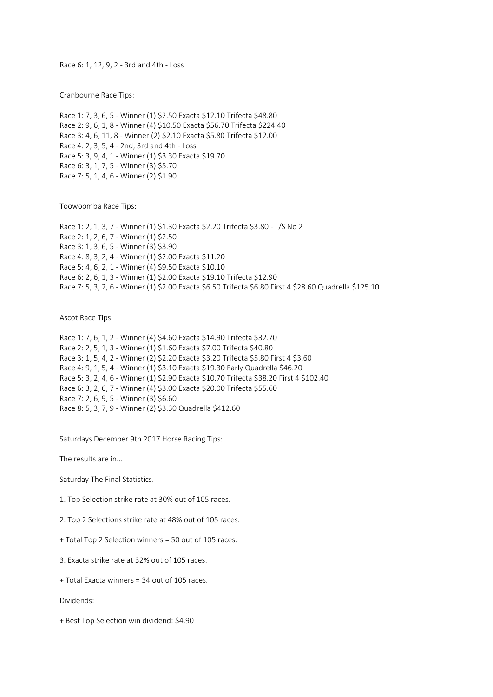Race 6: 1, 12, 9, 2 - 3rd and 4th - Loss

Cranbourne Race Tips:

Race 1: 7, 3, 6, 5 - Winner (1) \$2.50 Exacta \$12.10 Trifecta \$48.80 Race 2: 9, 6, 1, 8 - Winner (4) \$10.50 Exacta \$56.70 Trifecta \$224.40 Race 3: 4, 6, 11, 8 - Winner (2) \$2.10 Exacta \$5.80 Trifecta \$12.00 Race 4: 2, 3, 5, 4 - 2nd, 3rd and 4th - Loss Race 5: 3, 9, 4, 1 - Winner (1) \$3.30 Exacta \$19.70 Race 6: 3, 1, 7, 5 - Winner (3) \$5.70 Race 7: 5, 1, 4, 6 - Winner (2) \$1.90

Toowoomba Race Tips:

Race 1: 2, 1, 3, 7 - Winner (1) \$1.30 Exacta \$2.20 Trifecta \$3.80 - L/S No 2 Race 2: 1, 2, 6, 7 - Winner (1) \$2.50 Race 3: 1, 3, 6, 5 - Winner (3) \$3.90 Race 4: 8, 3, 2, 4 - Winner (1) \$2.00 Exacta \$11.20 Race 5: 4, 6, 2, 1 - Winner (4) \$9.50 Exacta \$10.10 Race 6: 2, 6, 1, 3 - Winner (1) \$2.00 Exacta \$19.10 Trifecta \$12.90 Race 7: 5, 3, 2, 6 - Winner (1) \$2.00 Exacta \$6.50 Trifecta \$6.80 First 4 \$28.60 Quadrella \$125.10

Ascot Race Tips:

Race 1: 7, 6, 1, 2 - Winner (4) \$4.60 Exacta \$14.90 Trifecta \$32.70 Race 2: 2, 5, 1, 3 - Winner (1) \$1.60 Exacta \$7.00 Trifecta \$40.80 Race 3: 1, 5, 4, 2 - Winner (2) \$2.20 Exacta \$3.20 Trifecta \$5.80 First 4 \$3.60 Race 4: 9, 1, 5, 4 - Winner (1) \$3.10 Exacta \$19.30 Early Quadrella \$46.20 Race 5: 3, 2, 4, 6 - Winner (1) \$2.90 Exacta \$10.70 Trifecta \$38.20 First 4 \$102.40 Race 6: 3, 2, 6, 7 - Winner (4) \$3.00 Exacta \$20.00 Trifecta \$55.60 Race 7: 2, 6, 9, 5 - Winner (3) \$6.60 Race 8: 5, 3, 7, 9 - Winner (2) \$3.30 Quadrella \$412.60

Saturdays December 9th 2017 Horse Racing Tips:

The results are in...

Saturday The Final Statistics.

1. Top Selection strike rate at 30% out of 105 races.

2. Top 2 Selections strike rate at 48% out of 105 races.

+ Total Top 2 Selection winners = 50 out of 105 races.

3. Exacta strike rate at 32% out of 105 races.

+ Total Exacta winners = 34 out of 105 races.

Dividends:

+ Best Top Selection win dividend: \$4.90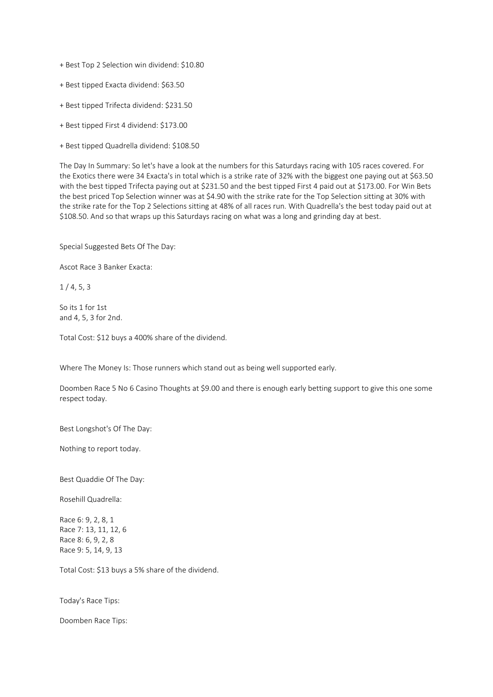+ Best Top 2 Selection win dividend: \$10.80

- + Best tipped Exacta dividend: \$63.50
- + Best tipped Trifecta dividend: \$231.50
- + Best tipped First 4 dividend: \$173.00
- + Best tipped Quadrella dividend: \$108.50

The Day In Summary: So let's have a look at the numbers for this Saturdays racing with 105 races covered. For the Exotics there were 34 Exacta's in total which is a strike rate of 32% with the biggest one paying out at \$63.50 with the best tipped Trifecta paying out at \$231.50 and the best tipped First 4 paid out at \$173.00. For Win Bets the best priced Top Selection winner was at \$4.90 with the strike rate for the Top Selection sitting at 30% with the strike rate for the Top 2 Selections sitting at 48% of all races run. With Quadrella's the best today paid out at \$108.50. And so that wraps up this Saturdays racing on what was a long and grinding day at best.

Special Suggested Bets Of The Day:

Ascot Race 3 Banker Exacta:

 $1/4, 5, 3$ 

So its 1 for 1st and 4, 5, 3 for 2nd.

Total Cost: \$12 buys a 400% share of the dividend.

Where The Money Is: Those runners which stand out as being well supported early.

Doomben Race 5 No 6 Casino Thoughts at \$9.00 and there is enough early betting support to give this one some respect today.

Best Longshot's Of The Day:

Nothing to report today.

Best Quaddie Of The Day:

Rosehill Quadrella:

Race 6: 9, 2, 8, 1 Race 7: 13, 11, 12, 6 Race 8: 6, 9, 2, 8 Race 9: 5, 14, 9, 13

Total Cost: \$13 buys a 5% share of the dividend.

Today's Race Tips:

Doomben Race Tips: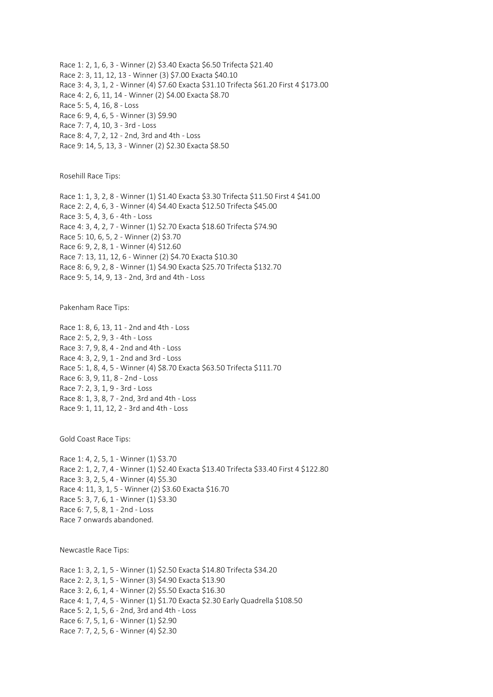Race 1: 2, 1, 6, 3 - Winner (2) \$3.40 Exacta \$6.50 Trifecta \$21.40 Race 2: 3, 11, 12, 13 - Winner (3) \$7.00 Exacta \$40.10 Race 3: 4, 3, 1, 2 - Winner (4) \$7.60 Exacta \$31.10 Trifecta \$61.20 First 4 \$173.00 Race 4: 2, 6, 11, 14 - Winner (2) \$4.00 Exacta \$8.70 Race 5: 5, 4, 16, 8 - Loss Race 6: 9, 4, 6, 5 - Winner (3) \$9.90 Race 7: 7, 4, 10, 3 - 3rd - Loss Race 8: 4, 7, 2, 12 - 2nd, 3rd and 4th - Loss Race 9: 14, 5, 13, 3 - Winner (2) \$2.30 Exacta \$8.50

Rosehill Race Tips:

Race 1: 1, 3, 2, 8 - Winner (1) \$1.40 Exacta \$3.30 Trifecta \$11.50 First 4 \$41.00 Race 2: 2, 4, 6, 3 - Winner (4) \$4.40 Exacta \$12.50 Trifecta \$45.00 Race 3: 5, 4, 3, 6 - 4th - Loss Race 4: 3, 4, 2, 7 - Winner (1) \$2.70 Exacta \$18.60 Trifecta \$74.90 Race 5: 10, 6, 5, 2 - Winner (2) \$3.70 Race 6: 9, 2, 8, 1 - Winner (4) \$12.60 Race 7: 13, 11, 12, 6 - Winner (2) \$4.70 Exacta \$10.30 Race 8: 6, 9, 2, 8 - Winner (1) \$4.90 Exacta \$25.70 Trifecta \$132.70 Race 9: 5, 14, 9, 13 - 2nd, 3rd and 4th - Loss

Pakenham Race Tips:

Race 1: 8, 6, 13, 11 - 2nd and 4th - Loss Race 2: 5, 2, 9, 3 - 4th - Loss Race 3: 7, 9, 8, 4 - 2nd and 4th - Loss Race 4: 3, 2, 9, 1 - 2nd and 3rd - Loss Race 5: 1, 8, 4, 5 - Winner (4) \$8.70 Exacta \$63.50 Trifecta \$111.70 Race 6: 3, 9, 11, 8 - 2nd - Loss Race 7: 2, 3, 1, 9 - 3rd - Loss Race 8: 1, 3, 8, 7 - 2nd, 3rd and 4th - Loss Race 9: 1, 11, 12, 2 - 3rd and 4th - Loss

Gold Coast Race Tips:

Race 1: 4, 2, 5, 1 - Winner (1) \$3.70 Race 2: 1, 2, 7, 4 - Winner (1) \$2.40 Exacta \$13.40 Trifecta \$33.40 First 4 \$122.80 Race 3: 3, 2, 5, 4 - Winner (4) \$5.30 Race 4: 11, 3, 1, 5 - Winner (2) \$3.60 Exacta \$16.70 Race 5: 3, 7, 6, 1 - Winner (1) \$3.30 Race 6: 7, 5, 8, 1 - 2nd - Loss Race 7 onwards abandoned.

Newcastle Race Tips:

Race 1: 3, 2, 1, 5 - Winner (1) \$2.50 Exacta \$14.80 Trifecta \$34.20 Race 2: 2, 3, 1, 5 - Winner (3) \$4.90 Exacta \$13.90 Race 3: 2, 6, 1, 4 - Winner (2) \$5.50 Exacta \$16.30 Race 4: 1, 7, 4, 5 - Winner (1) \$1.70 Exacta \$2.30 Early Quadrella \$108.50 Race 5: 2, 1, 5, 6 - 2nd, 3rd and 4th - Loss Race 6: 7, 5, 1, 6 - Winner (1) \$2.90 Race 7: 7, 2, 5, 6 - Winner (4) \$2.30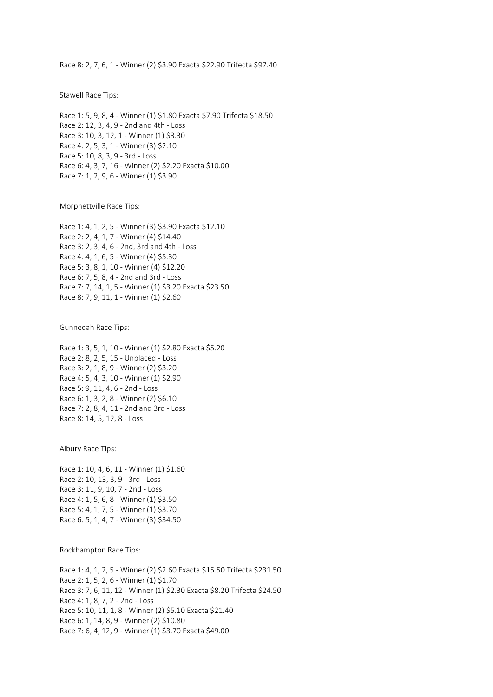Race 8: 2, 7, 6, 1 - Winner (2) \$3.90 Exacta \$22.90 Trifecta \$97.40

Stawell Race Tips:

Race 1: 5, 9, 8, 4 - Winner (1) \$1.80 Exacta \$7.90 Trifecta \$18.50 Race 2: 12, 3, 4, 9 - 2nd and 4th - Loss Race 3: 10, 3, 12, 1 - Winner (1) \$3.30 Race 4: 2, 5, 3, 1 - Winner (3) \$2.10 Race 5: 10, 8, 3, 9 - 3rd - Loss Race 6: 4, 3, 7, 16 - Winner (2) \$2.20 Exacta \$10.00 Race 7: 1, 2, 9, 6 - Winner (1) \$3.90

Morphettville Race Tips:

Race 1: 4, 1, 2, 5 - Winner (3) \$3.90 Exacta \$12.10 Race 2: 2, 4, 1, 7 - Winner (4) \$14.40 Race 3: 2, 3, 4, 6 - 2nd, 3rd and 4th - Loss Race 4: 4, 1, 6, 5 - Winner (4) \$5.30 Race 5: 3, 8, 1, 10 - Winner (4) \$12.20 Race 6: 7, 5, 8, 4 - 2nd and 3rd - Loss Race 7: 7, 14, 1, 5 - Winner (1) \$3.20 Exacta \$23.50 Race 8: 7, 9, 11, 1 - Winner (1) \$2.60

Gunnedah Race Tips:

Race 1: 3, 5, 1, 10 - Winner (1) \$2.80 Exacta \$5.20 Race 2: 8, 2, 5, 15 - Unplaced - Loss Race 3: 2, 1, 8, 9 - Winner (2) \$3.20 Race 4: 5, 4, 3, 10 - Winner (1) \$2.90 Race 5: 9, 11, 4, 6 - 2nd - Loss Race 6: 1, 3, 2, 8 - Winner (2) \$6.10 Race 7: 2, 8, 4, 11 - 2nd and 3rd - Loss Race 8: 14, 5, 12, 8 - Loss

Albury Race Tips:

Race 1: 10, 4, 6, 11 - Winner (1) \$1.60 Race 2: 10, 13, 3, 9 - 3rd - Loss Race 3: 11, 9, 10, 7 - 2nd - Loss Race 4: 1, 5, 6, 8 - Winner (1) \$3.50 Race 5: 4, 1, 7, 5 - Winner (1) \$3.70 Race 6: 5, 1, 4, 7 - Winner (3) \$34.50

Rockhampton Race Tips:

Race 1: 4, 1, 2, 5 - Winner (2) \$2.60 Exacta \$15.50 Trifecta \$231.50 Race 2: 1, 5, 2, 6 - Winner (1) \$1.70 Race 3: 7, 6, 11, 12 - Winner (1) \$2.30 Exacta \$8.20 Trifecta \$24.50 Race 4: 1, 8, 7, 2 - 2nd - Loss Race 5: 10, 11, 1, 8 - Winner (2) \$5.10 Exacta \$21.40 Race 6: 1, 14, 8, 9 - Winner (2) \$10.80 Race 7: 6, 4, 12, 9 - Winner (1) \$3.70 Exacta \$49.00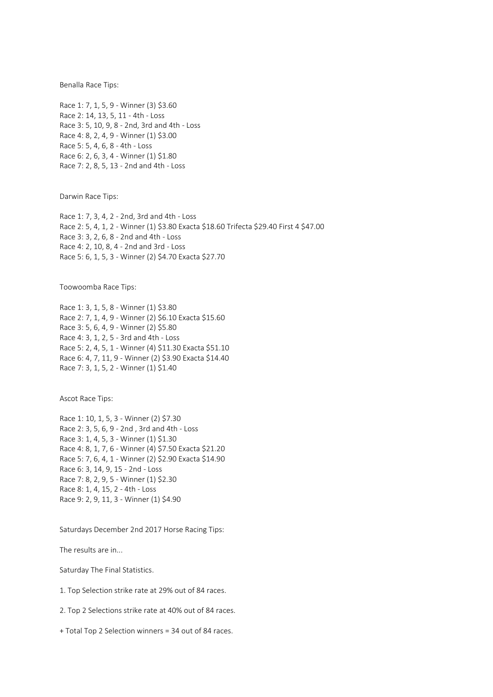Benalla Race Tips:

Race 1: 7, 1, 5, 9 - Winner (3) \$3.60 Race 2: 14, 13, 5, 11 - 4th - Loss Race 3: 5, 10, 9, 8 - 2nd, 3rd and 4th - Loss Race 4: 8, 2, 4, 9 - Winner (1) \$3.00 Race 5: 5, 4, 6, 8 - 4th - Loss Race 6: 2, 6, 3, 4 - Winner (1) \$1.80 Race 7: 2, 8, 5, 13 - 2nd and 4th - Loss

Darwin Race Tips:

Race 1: 7, 3, 4, 2 - 2nd, 3rd and 4th - Loss Race 2: 5, 4, 1, 2 - Winner (1) \$3.80 Exacta \$18.60 Trifecta \$29.40 First 4 \$47.00 Race 3: 3, 2, 6, 8 - 2nd and 4th - Loss Race 4: 2, 10, 8, 4 - 2nd and 3rd - Loss Race 5: 6, 1, 5, 3 - Winner (2) \$4.70 Exacta \$27.70

Toowoomba Race Tips:

Race 1: 3, 1, 5, 8 - Winner (1) \$3.80 Race 2: 7, 1, 4, 9 - Winner (2) \$6.10 Exacta \$15.60 Race 3: 5, 6, 4, 9 - Winner (2) \$5.80 Race 4: 3, 1, 2, 5 - 3rd and 4th - Loss Race 5: 2, 4, 5, 1 - Winner (4) \$11.30 Exacta \$51.10 Race 6: 4, 7, 11, 9 - Winner (2) \$3.90 Exacta \$14.40 Race 7: 3, 1, 5, 2 - Winner (1) \$1.40

Ascot Race Tips:

Race 1: 10, 1, 5, 3 - Winner (2) \$7.30 Race 2: 3, 5, 6, 9 - 2nd , 3rd and 4th - Loss Race 3: 1, 4, 5, 3 - Winner (1) \$1.30 Race 4: 8, 1, 7, 6 - Winner (4) \$7.50 Exacta \$21.20 Race 5: 7, 6, 4, 1 - Winner (2) \$2.90 Exacta \$14.90 Race 6: 3, 14, 9, 15 - 2nd - Loss Race 7: 8, 2, 9, 5 - Winner (1) \$2.30 Race 8: 1, 4, 15, 2 - 4th - Loss Race 9: 2, 9, 11, 3 - Winner (1) \$4.90

Saturdays December 2nd 2017 Horse Racing Tips:

The results are in...

Saturday The Final Statistics.

1. Top Selection strike rate at 29% out of 84 races.

2. Top 2 Selections strike rate at 40% out of 84 races.

+ Total Top 2 Selection winners = 34 out of 84 races.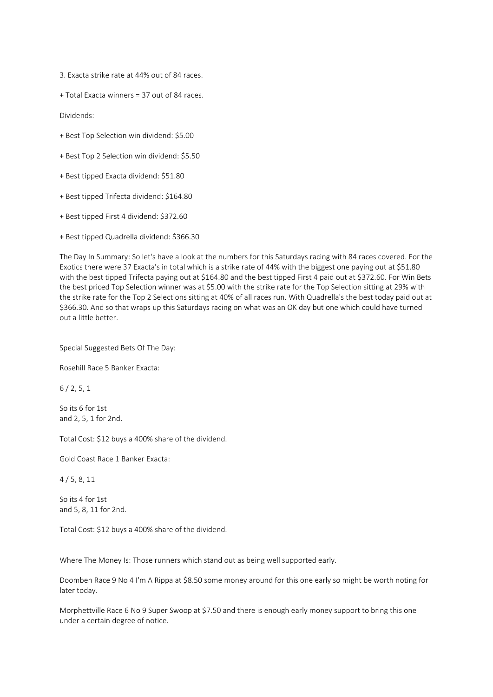3. Exacta strike rate at 44% out of 84 races.

+ Total Exacta winners = 37 out of 84 races.

Dividends:

- + Best Top Selection win dividend: \$5.00
- + Best Top 2 Selection win dividend: \$5.50
- + Best tipped Exacta dividend: \$51.80
- + Best tipped Trifecta dividend: \$164.80
- + Best tipped First 4 dividend: \$372.60
- + Best tipped Quadrella dividend: \$366.30

The Day In Summary: So let's have a look at the numbers for this Saturdays racing with 84 races covered. For the Exotics there were 37 Exacta's in total which is a strike rate of 44% with the biggest one paying out at \$51.80 with the best tipped Trifecta paying out at \$164.80 and the best tipped First 4 paid out at \$372.60. For Win Bets the best priced Top Selection winner was at \$5.00 with the strike rate for the Top Selection sitting at 29% with the strike rate for the Top 2 Selections sitting at 40% of all races run. With Quadrella's the best today paid out at \$366.30. And so that wraps up this Saturdays racing on what was an OK day but one which could have turned out a little better.

Special Suggested Bets Of The Day:

Rosehill Race 5 Banker Exacta:

6 / 2, 5, 1

So its 6 for 1st and 2, 5, 1 for 2nd.

Total Cost: \$12 buys a 400% share of the dividend.

Gold Coast Race 1 Banker Exacta:

4 / 5, 8, 11

So its 4 for 1st and 5, 8, 11 for 2nd.

Total Cost: \$12 buys a 400% share of the dividend.

Where The Money Is: Those runners which stand out as being well supported early.

Doomben Race 9 No 4 I'm A Rippa at \$8.50 some money around for this one early so might be worth noting for later today.

Morphettville Race 6 No 9 Super Swoop at \$7.50 and there is enough early money support to bring this one under a certain degree of notice.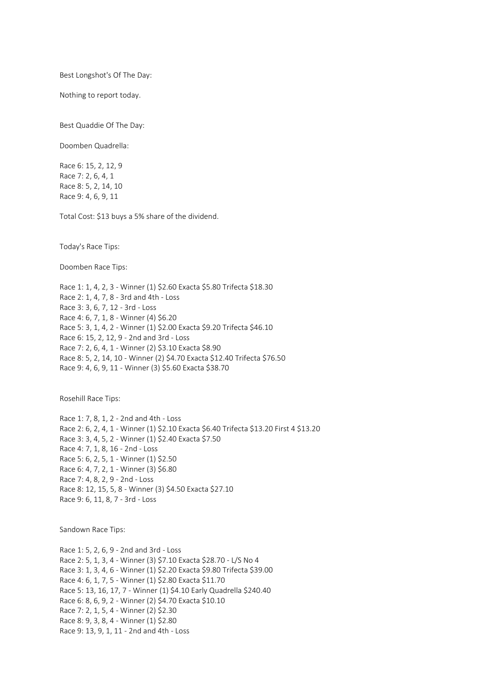Best Longshot's Of The Day:

Nothing to report today.

Best Quaddie Of The Day:

Doomben Quadrella:

Race 6: 15, 2, 12, 9 Race 7: 2, 6, 4, 1 Race 8: 5, 2, 14, 10 Race 9: 4, 6, 9, 11

Total Cost: \$13 buys a 5% share of the dividend.

Today's Race Tips:

Doomben Race Tips:

Race 1: 1, 4, 2, 3 - Winner (1) \$2.60 Exacta \$5.80 Trifecta \$18.30 Race 2: 1, 4, 7, 8 - 3rd and 4th - Loss Race 3: 3, 6, 7, 12 - 3rd - Loss Race 4: 6, 7, 1, 8 - Winner (4) \$6.20 Race 5: 3, 1, 4, 2 - Winner (1) \$2.00 Exacta \$9.20 Trifecta \$46.10 Race 6: 15, 2, 12, 9 - 2nd and 3rd - Loss Race 7: 2, 6, 4, 1 - Winner (2) \$3.10 Exacta \$8.90 Race 8: 5, 2, 14, 10 - Winner (2) \$4.70 Exacta \$12.40 Trifecta \$76.50 Race 9: 4, 6, 9, 11 - Winner (3) \$5.60 Exacta \$38.70

Rosehill Race Tips:

Race 1: 7, 8, 1, 2 - 2nd and 4th - Loss Race 2: 6, 2, 4, 1 - Winner (1) \$2.10 Exacta \$6.40 Trifecta \$13.20 First 4 \$13.20 Race 3: 3, 4, 5, 2 - Winner (1) \$2.40 Exacta \$7.50 Race 4: 7, 1, 8, 16 - 2nd - Loss Race 5: 6, 2, 5, 1 - Winner (1) \$2.50 Race 6: 4, 7, 2, 1 - Winner (3) \$6.80 Race 7: 4, 8, 2, 9 - 2nd - Loss Race 8: 12, 15, 5, 8 - Winner (3) \$4.50 Exacta \$27.10 Race 9: 6, 11, 8, 7 - 3rd - Loss

Sandown Race Tips:

Race 1: 5, 2, 6, 9 - 2nd and 3rd - Loss Race 2: 5, 1, 3, 4 - Winner (3) \$7.10 Exacta \$28.70 - L/S No 4 Race 3: 1, 3, 4, 6 - Winner (1) \$2.20 Exacta \$9.80 Trifecta \$39.00 Race 4: 6, 1, 7, 5 - Winner (1) \$2.80 Exacta \$11.70 Race 5: 13, 16, 17, 7 - Winner (1) \$4.10 Early Quadrella \$240.40 Race 6: 8, 6, 9, 2 - Winner (2) \$4.70 Exacta \$10.10 Race 7: 2, 1, 5, 4 - Winner (2) \$2.30 Race 8: 9, 3, 8, 4 - Winner (1) \$2.80 Race 9: 13, 9, 1, 11 - 2nd and 4th - Loss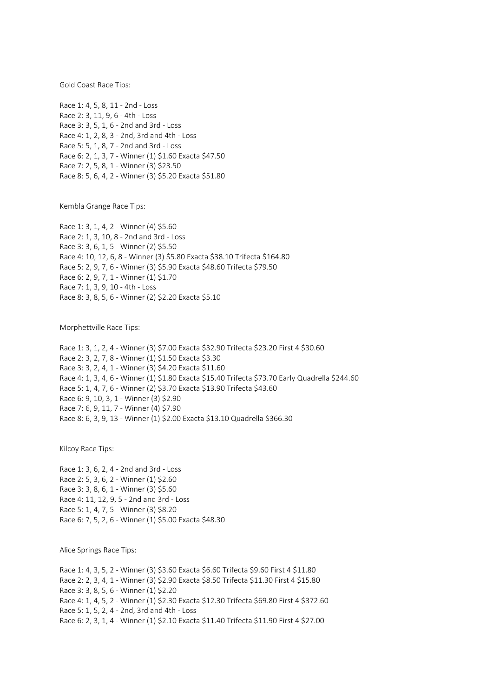Gold Coast Race Tips:

Race 1: 4, 5, 8, 11 - 2nd - Loss Race 2: 3, 11, 9, 6 - 4th - Loss Race 3: 3, 5, 1, 6 - 2nd and 3rd - Loss Race 4: 1, 2, 8, 3 - 2nd, 3rd and 4th - Loss Race 5: 5, 1, 8, 7 - 2nd and 3rd - Loss Race 6: 2, 1, 3, 7 - Winner (1) \$1.60 Exacta \$47.50 Race 7: 2, 5, 8, 1 - Winner (3) \$23.50 Race 8: 5, 6, 4, 2 - Winner (3) \$5.20 Exacta \$51.80

Kembla Grange Race Tips:

Race 1: 3, 1, 4, 2 - Winner (4) \$5.60 Race 2: 1, 3, 10, 8 - 2nd and 3rd - Loss Race 3: 3, 6, 1, 5 - Winner (2) \$5.50 Race 4: 10, 12, 6, 8 - Winner (3) \$5.80 Exacta \$38.10 Trifecta \$164.80 Race 5: 2, 9, 7, 6 - Winner (3) \$5.90 Exacta \$48.60 Trifecta \$79.50 Race 6: 2, 9, 7, 1 - Winner (1) \$1.70 Race 7: 1, 3, 9, 10 - 4th - Loss Race 8: 3, 8, 5, 6 - Winner (2) \$2.20 Exacta \$5.10

Morphettville Race Tips:

Race 1: 3, 1, 2, 4 - Winner (3) \$7.00 Exacta \$32.90 Trifecta \$23.20 First 4 \$30.60 Race 2: 3, 2, 7, 8 - Winner (1) \$1.50 Exacta \$3.30 Race 3: 3, 2, 4, 1 - Winner (3) \$4.20 Exacta \$11.60 Race 4: 1, 3, 4, 6 - Winner (1) \$1.80 Exacta \$15.40 Trifecta \$73.70 Early Quadrella \$244.60 Race 5: 1, 4, 7, 6 - Winner (2) \$3.70 Exacta \$13.90 Trifecta \$43.60 Race 6: 9, 10, 3, 1 - Winner (3) \$2.90 Race 7: 6, 9, 11, 7 - Winner (4) \$7.90 Race 8: 6, 3, 9, 13 - Winner (1) \$2.00 Exacta \$13.10 Quadrella \$366.30

Kilcoy Race Tips:

Race 1: 3, 6, 2, 4 - 2nd and 3rd - Loss Race 2: 5, 3, 6, 2 - Winner (1) \$2.60 Race 3: 3, 8, 6, 1 - Winner (3) \$5.60 Race 4: 11, 12, 9, 5 - 2nd and 3rd - Loss Race 5: 1, 4, 7, 5 - Winner (3) \$8.20 Race 6: 7, 5, 2, 6 - Winner (1) \$5.00 Exacta \$48.30

Alice Springs Race Tips:

Race 1: 4, 3, 5, 2 - Winner (3) \$3.60 Exacta \$6.60 Trifecta \$9.60 First 4 \$11.80 Race 2: 2, 3, 4, 1 - Winner (3) \$2.90 Exacta \$8.50 Trifecta \$11.30 First 4 \$15.80 Race 3: 3, 8, 5, 6 - Winner (1) \$2.20 Race 4: 1, 4, 5, 2 - Winner (1) \$2.30 Exacta \$12.30 Trifecta \$69.80 First 4 \$372.60 Race 5: 1, 5, 2, 4 - 2nd, 3rd and 4th - Loss Race 6: 2, 3, 1, 4 - Winner (1) \$2.10 Exacta \$11.40 Trifecta \$11.90 First 4 \$27.00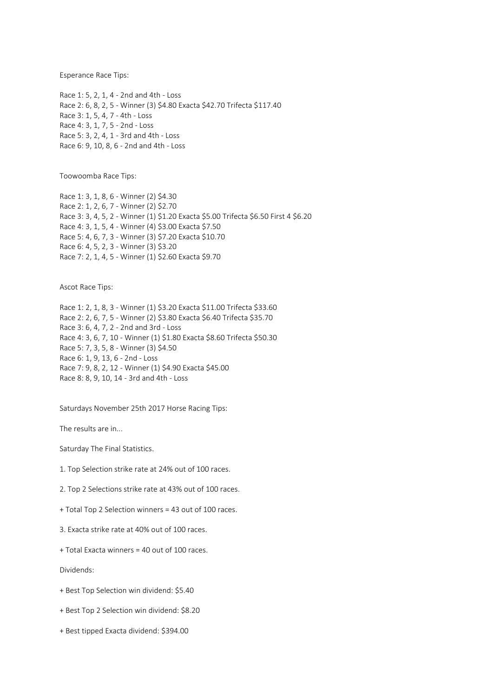Esperance Race Tips:

Race 1: 5, 2, 1, 4 - 2nd and 4th - Loss Race 2: 6, 8, 2, 5 - Winner (3) \$4.80 Exacta \$42.70 Trifecta \$117.40 Race 3: 1, 5, 4, 7 - 4th - Loss Race 4: 3, 1, 7, 5 - 2nd - Loss Race 5: 3, 2, 4, 1 - 3rd and 4th - Loss Race 6: 9, 10, 8, 6 - 2nd and 4th - Loss

Toowoomba Race Tips:

Race 1: 3, 1, 8, 6 - Winner (2) \$4.30 Race 2: 1, 2, 6, 7 - Winner (2) \$2.70 Race 3: 3, 4, 5, 2 - Winner (1) \$1.20 Exacta \$5.00 Trifecta \$6.50 First 4 \$6.20 Race 4: 3, 1, 5, 4 - Winner (4) \$3.00 Exacta \$7.50 Race 5: 4, 6, 7, 3 - Winner (3) \$7.20 Exacta \$10.70 Race 6: 4, 5, 2, 3 - Winner (3) \$3.20 Race 7: 2, 1, 4, 5 - Winner (1) \$2.60 Exacta \$9.70

Ascot Race Tips:

Race 1: 2, 1, 8, 3 - Winner (1) \$3.20 Exacta \$11.00 Trifecta \$33.60 Race 2: 2, 6, 7, 5 - Winner (2) \$3.80 Exacta \$6.40 Trifecta \$35.70 Race 3: 6, 4, 7, 2 - 2nd and 3rd - Loss Race 4: 3, 6, 7, 10 - Winner (1) \$1.80 Exacta \$8.60 Trifecta \$50.30 Race 5: 7, 3, 5, 8 - Winner (3) \$4.50 Race 6: 1, 9, 13, 6 - 2nd - Loss Race 7: 9, 8, 2, 12 - Winner (1) \$4.90 Exacta \$45.00 Race 8: 8, 9, 10, 14 - 3rd and 4th - Loss

Saturdays November 25th 2017 Horse Racing Tips:

The results are in...

Saturday The Final Statistics.

1. Top Selection strike rate at 24% out of 100 races.

2. Top 2 Selections strike rate at 43% out of 100 races.

- + Total Top 2 Selection winners = 43 out of 100 races.
- 3. Exacta strike rate at 40% out of 100 races.
- + Total Exacta winners = 40 out of 100 races.

Dividends:

- + Best Top Selection win dividend: \$5.40
- + Best Top 2 Selection win dividend: \$8.20
- + Best tipped Exacta dividend: \$394.00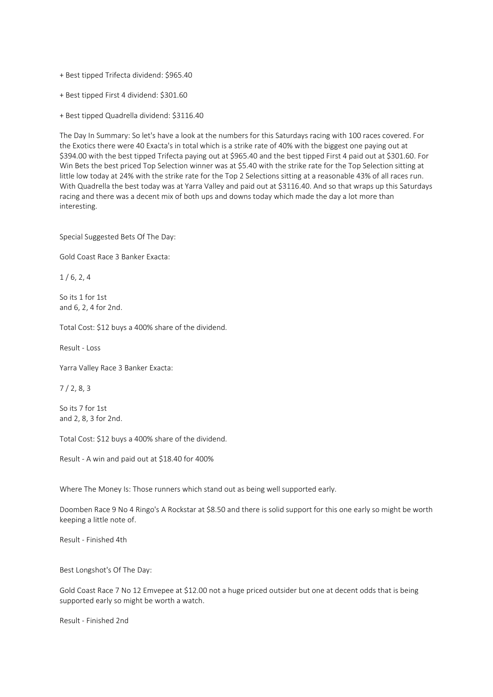+ Best tipped Trifecta dividend: \$965.40

+ Best tipped First 4 dividend: \$301.60

+ Best tipped Quadrella dividend: \$3116.40

The Day In Summary: So let's have a look at the numbers for this Saturdays racing with 100 races covered. For the Exotics there were 40 Exacta's in total which is a strike rate of 40% with the biggest one paying out at \$394.00 with the best tipped Trifecta paying out at \$965.40 and the best tipped First 4 paid out at \$301.60. For Win Bets the best priced Top Selection winner was at \$5.40 with the strike rate for the Top Selection sitting at little low today at 24% with the strike rate for the Top 2 Selections sitting at a reasonable 43% of all races run. With Quadrella the best today was at Yarra Valley and paid out at \$3116.40. And so that wraps up this Saturdays racing and there was a decent mix of both ups and downs today which made the day a lot more than interesting.

Special Suggested Bets Of The Day:

Gold Coast Race 3 Banker Exacta:

 $1/6, 2, 4$ 

So its 1 for 1st and 6, 2, 4 for 2nd.

Total Cost: \$12 buys a 400% share of the dividend.

Result - Loss

Yarra Valley Race 3 Banker Exacta:

7 / 2, 8, 3

So its 7 for 1st and 2, 8, 3 for 2nd.

Total Cost: \$12 buys a 400% share of the dividend.

Result - A win and paid out at \$18.40 for 400%

Where The Money Is: Those runners which stand out as being well supported early.

Doomben Race 9 No 4 Ringo's A Rockstar at \$8.50 and there is solid support for this one early so might be worth keeping a little note of.

Result - Finished 4th

Best Longshot's Of The Day:

Gold Coast Race 7 No 12 Emvepee at \$12.00 not a huge priced outsider but one at decent odds that is being supported early so might be worth a watch.

Result - Finished 2nd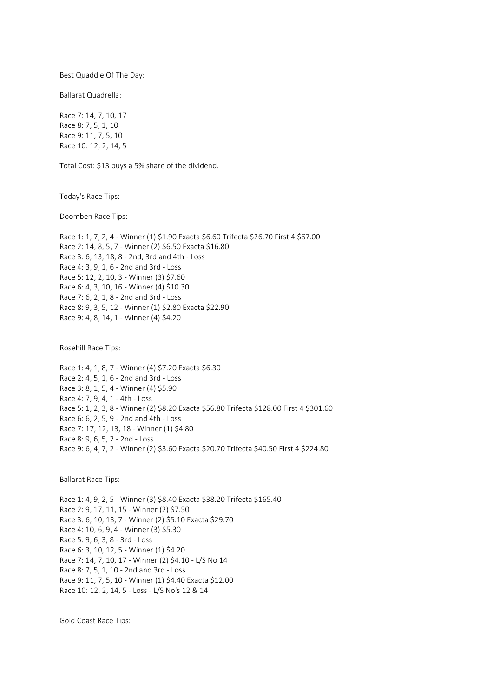Best Quaddie Of The Day:

Ballarat Quadrella:

Race 7: 14, 7, 10, 17 Race 8: 7, 5, 1, 10 Race 9: 11, 7, 5, 10 Race 10: 12, 2, 14, 5

Total Cost: \$13 buys a 5% share of the dividend.

Today's Race Tips:

Doomben Race Tips:

Race 1: 1, 7, 2, 4 - Winner (1) \$1.90 Exacta \$6.60 Trifecta \$26.70 First 4 \$67.00 Race 2: 14, 8, 5, 7 - Winner (2) \$6.50 Exacta \$16.80 Race 3: 6, 13, 18, 8 - 2nd, 3rd and 4th - Loss Race 4: 3, 9, 1, 6 - 2nd and 3rd - Loss Race 5: 12, 2, 10, 3 - Winner (3) \$7.60 Race 6: 4, 3, 10, 16 - Winner (4) \$10.30 Race 7: 6, 2, 1, 8 - 2nd and 3rd - Loss Race 8: 9, 3, 5, 12 - Winner (1) \$2.80 Exacta \$22.90 Race 9: 4, 8, 14, 1 - Winner (4) \$4.20

Rosehill Race Tips:

Race 1: 4, 1, 8, 7 - Winner (4) \$7.20 Exacta \$6.30 Race 2: 4, 5, 1, 6 - 2nd and 3rd - Loss Race 3: 8, 1, 5, 4 - Winner (4) \$5.90 Race 4: 7, 9, 4, 1 - 4th - Loss Race 5: 1, 2, 3, 8 - Winner (2) \$8.20 Exacta \$56.80 Trifecta \$128.00 First 4 \$301.60 Race 6: 6, 2, 5, 9 - 2nd and 4th - Loss Race 7: 17, 12, 13, 18 - Winner (1) \$4.80 Race 8: 9, 6, 5, 2 - 2nd - Loss Race 9: 6, 4, 7, 2 - Winner (2) \$3.60 Exacta \$20.70 Trifecta \$40.50 First 4 \$224.80

Ballarat Race Tips:

Race 1: 4, 9, 2, 5 - Winner (3) \$8.40 Exacta \$38.20 Trifecta \$165.40 Race 2: 9, 17, 11, 15 - Winner (2) \$7.50 Race 3: 6, 10, 13, 7 - Winner (2) \$5.10 Exacta \$29.70 Race 4: 10, 6, 9, 4 - Winner (3) \$5.30 Race 5: 9, 6, 3, 8 - 3rd - Loss Race 6: 3, 10, 12, 5 - Winner (1) \$4.20 Race 7: 14, 7, 10, 17 - Winner (2) \$4.10 - L/S No 14 Race 8: 7, 5, 1, 10 - 2nd and 3rd - Loss Race 9: 11, 7, 5, 10 - Winner (1) \$4.40 Exacta \$12.00 Race 10: 12, 2, 14, 5 - Loss - L/S No's 12 & 14

Gold Coast Race Tips: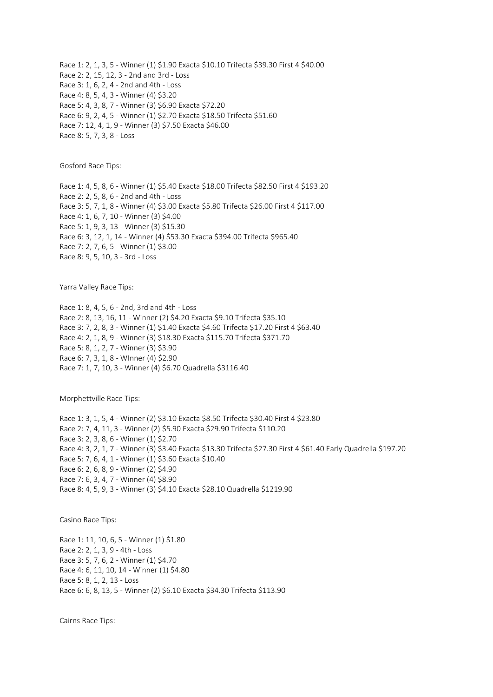Race 1: 2, 1, 3, 5 - Winner (1) \$1.90 Exacta \$10.10 Trifecta \$39.30 First 4 \$40.00 Race 2: 2, 15, 12, 3 - 2nd and 3rd - Loss Race 3: 1, 6, 2, 4 - 2nd and 4th - Loss Race 4: 8, 5, 4, 3 - Winner (4) \$3.20 Race 5: 4, 3, 8, 7 - Winner (3) \$6.90 Exacta \$72.20 Race 6: 9, 2, 4, 5 - Winner (1) \$2.70 Exacta \$18.50 Trifecta \$51.60 Race 7: 12, 4, 1, 9 - Winner (3) \$7.50 Exacta \$46.00 Race 8: 5, 7, 3, 8 - Loss

Gosford Race Tips:

Race 1: 4, 5, 8, 6 - Winner (1) \$5.40 Exacta \$18.00 Trifecta \$82.50 First 4 \$193.20 Race 2: 2, 5, 8, 6 - 2nd and 4th - Loss Race 3: 5, 7, 1, 8 - Winner (4) \$3.00 Exacta \$5.80 Trifecta \$26.00 First 4 \$117.00 Race 4: 1, 6, 7, 10 - Winner (3) \$4.00 Race 5: 1, 9, 3, 13 - Winner (3) \$15.30 Race 6: 3, 12, 1, 14 - Winner (4) \$53.30 Exacta \$394.00 Trifecta \$965.40 Race 7: 2, 7, 6, 5 - Winner (1) \$3.00 Race 8: 9, 5, 10, 3 - 3rd - Loss

Yarra Valley Race Tips:

Race 1: 8, 4, 5, 6 - 2nd, 3rd and 4th - Loss Race 2: 8, 13, 16, 11 - Winner (2) \$4.20 Exacta \$9.10 Trifecta \$35.10 Race 3: 7, 2, 8, 3 - Winner (1) \$1.40 Exacta \$4.60 Trifecta \$17.20 First 4 \$63.40 Race 4: 2, 1, 8, 9 - Winner (3) \$18.30 Exacta \$115.70 Trifecta \$371.70 Race 5: 8, 1, 2, 7 - Winner (3) \$3.90 Race 6: 7, 3, 1, 8 - WInner (4) \$2.90 Race 7: 1, 7, 10, 3 - Winner (4) \$6.70 Quadrella \$3116.40

Morphettville Race Tips:

Race 1: 3, 1, 5, 4 - Winner (2) \$3.10 Exacta \$8.50 Trifecta \$30.40 First 4 \$23.80 Race 2: 7, 4, 11, 3 - Winner (2) \$5.90 Exacta \$29.90 Trifecta \$110.20 Race 3: 2, 3, 8, 6 - Winner (1) \$2.70 Race 4: 3, 2, 1, 7 - Winner (3) \$3.40 Exacta \$13.30 Trifecta \$27.30 First 4 \$61.40 Early Quadrella \$197.20 Race 5: 7, 6, 4, 1 - Winner (1) \$3.60 Exacta \$10.40 Race 6: 2, 6, 8, 9 - Winner (2) \$4.90 Race 7: 6, 3, 4, 7 - Winner (4) \$8.90 Race 8: 4, 5, 9, 3 - Winner (3) \$4.10 Exacta \$28.10 Quadrella \$1219.90

Casino Race Tips:

Race 1: 11, 10, 6, 5 - Winner (1) \$1.80 Race 2: 2, 1, 3, 9 - 4th - Loss Race 3: 5, 7, 6, 2 - Winner (1) \$4.70 Race 4: 6, 11, 10, 14 - Winner (1) \$4.80 Race 5: 8, 1, 2, 13 - Loss Race 6: 6, 8, 13, 5 - Winner (2) \$6.10 Exacta \$34.30 Trifecta \$113.90

Cairns Race Tips: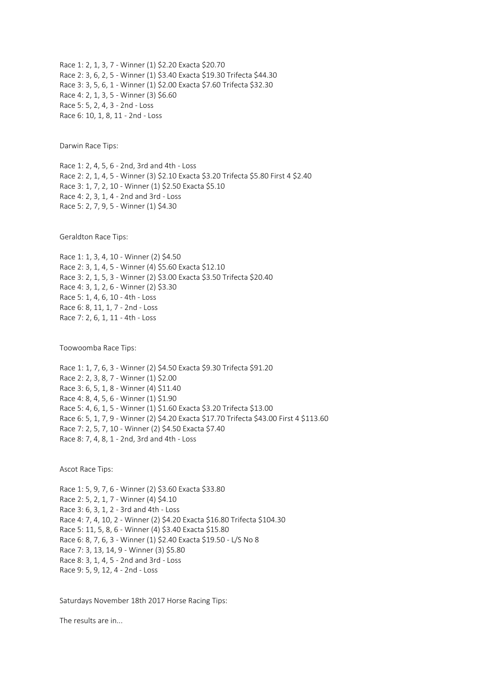Race 1: 2, 1, 3, 7 - Winner (1) \$2.20 Exacta \$20.70 Race 2: 3, 6, 2, 5 - Winner (1) \$3.40 Exacta \$19.30 Trifecta \$44.30 Race 3: 3, 5, 6, 1 - Winner (1) \$2.00 Exacta \$7.60 Trifecta \$32.30 Race 4: 2, 1, 3, 5 - Winner (3) \$6.60 Race 5: 5, 2, 4, 3 - 2nd - Loss Race 6: 10, 1, 8, 11 - 2nd - Loss

Darwin Race Tips:

Race 1: 2, 4, 5, 6 - 2nd, 3rd and 4th - Loss Race 2: 2, 1, 4, 5 - Winner (3) \$2.10 Exacta \$3.20 Trifecta \$5.80 First 4 \$2.40 Race 3: 1, 7, 2, 10 - Winner (1) \$2.50 Exacta \$5.10 Race 4: 2, 3, 1, 4 - 2nd and 3rd - Loss Race 5: 2, 7, 9, 5 - Winner (1) \$4.30

Geraldton Race Tips:

Race 1: 1, 3, 4, 10 - Winner (2) \$4.50 Race 2: 3, 1, 4, 5 - Winner (4) \$5.60 Exacta \$12.10 Race 3: 2, 1, 5, 3 - Winner (2) \$3.00 Exacta \$3.50 Trifecta \$20.40 Race 4: 3, 1, 2, 6 - Winner (2) \$3.30 Race 5: 1, 4, 6, 10 - 4th - Loss Race 6: 8, 11, 1, 7 - 2nd - Loss Race 7: 2, 6, 1, 11 - 4th - Loss

Toowoomba Race Tips:

Race 1: 1, 7, 6, 3 - Winner (2) \$4.50 Exacta \$9.30 Trifecta \$91.20 Race 2: 2, 3, 8, 7 - Winner (1) \$2.00 Race 3: 6, 5, 1, 8 - Winner (4) \$11.40 Race 4: 8, 4, 5, 6 - Winner (1) \$1.90 Race 5: 4, 6, 1, 5 - Winner (1) \$1.60 Exacta \$3.20 Trifecta \$13.00 Race 6: 5, 1, 7, 9 - Winner (2) \$4.20 Exacta \$17.70 Trifecta \$43.00 First 4 \$113.60 Race 7: 2, 5, 7, 10 - Winner (2) \$4.50 Exacta \$7.40 Race 8: 7, 4, 8, 1 - 2nd, 3rd and 4th - Loss

Ascot Race Tips:

Race 1: 5, 9, 7, 6 - Winner (2) \$3.60 Exacta \$33.80 Race 2: 5, 2, 1, 7 - Winner (4) \$4.10 Race 3: 6, 3, 1, 2 - 3rd and 4th - Loss Race 4: 7, 4, 10, 2 - Winner (2) \$4.20 Exacta \$16.80 Trifecta \$104.30 Race 5: 11, 5, 8, 6 - Winner (4) \$3.40 Exacta \$15.80 Race 6: 8, 7, 6, 3 - Winner (1) \$2.40 Exacta \$19.50 - L/S No 8 Race 7: 3, 13, 14, 9 - Winner (3) \$5.80 Race 8: 3, 1, 4, 5 - 2nd and 3rd - Loss Race 9: 5, 9, 12, 4 - 2nd - Loss

Saturdays November 18th 2017 Horse Racing Tips:

The results are in...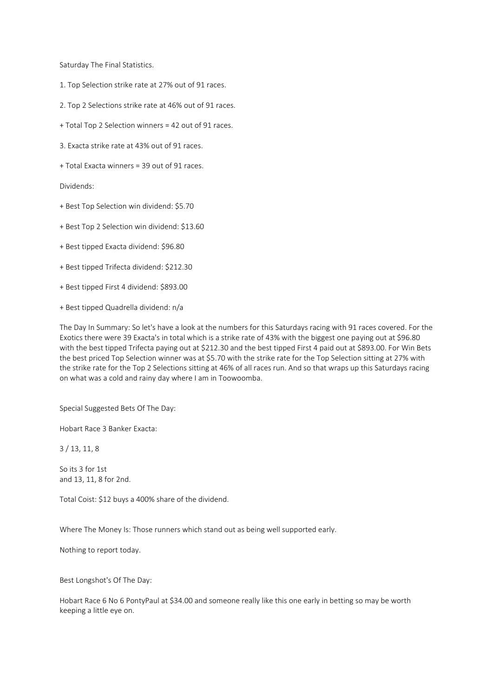Saturday The Final Statistics.

- 1. Top Selection strike rate at 27% out of 91 races.
- 2. Top 2 Selections strike rate at 46% out of 91 races.
- + Total Top 2 Selection winners = 42 out of 91 races.
- 3. Exacta strike rate at 43% out of 91 races.
- + Total Exacta winners = 39 out of 91 races.

Dividends:

- + Best Top Selection win dividend: \$5.70
- + Best Top 2 Selection win dividend: \$13.60
- + Best tipped Exacta dividend: \$96.80
- + Best tipped Trifecta dividend: \$212.30
- + Best tipped First 4 dividend: \$893.00
- + Best tipped Quadrella dividend: n/a

The Day In Summary: So let's have a look at the numbers for this Saturdays racing with 91 races covered. For the Exotics there were 39 Exacta's in total which is a strike rate of 43% with the biggest one paying out at \$96.80 with the best tipped Trifecta paying out at \$212.30 and the best tipped First 4 paid out at \$893.00. For Win Bets the best priced Top Selection winner was at \$5.70 with the strike rate for the Top Selection sitting at 27% with the strike rate for the Top 2 Selections sitting at 46% of all races run. And so that wraps up this Saturdays racing on what was a cold and rainy day where I am in Toowoomba.

Special Suggested Bets Of The Day:

Hobart Race 3 Banker Exacta:

3 / 13, 11, 8

So its 3 for 1st and 13, 11, 8 for 2nd.

Total Coist: \$12 buys a 400% share of the dividend.

Where The Money Is: Those runners which stand out as being well supported early.

Nothing to report today.

Best Longshot's Of The Day:

Hobart Race 6 No 6 PontyPaul at \$34.00 and someone really like this one early in betting so may be worth keeping a little eye on.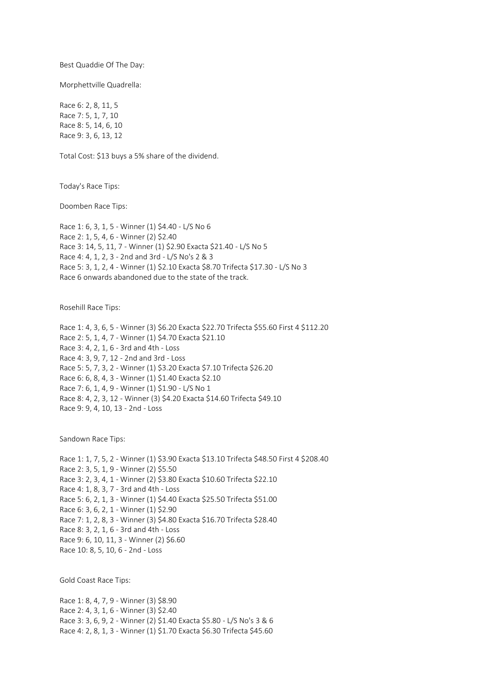Best Quaddie Of The Day:

Morphettville Quadrella:

Race 6: 2, 8, 11, 5 Race 7: 5, 1, 7, 10 Race 8: 5, 14, 6, 10 Race 9: 3, 6, 13, 12

Total Cost: \$13 buys a 5% share of the dividend.

Today's Race Tips:

Doomben Race Tips:

Race 1: 6, 3, 1, 5 - Winner (1) \$4.40 - L/S No 6 Race 2: 1, 5, 4, 6 - Winner (2) \$2.40 Race 3: 14, 5, 11, 7 - Winner (1) \$2.90 Exacta \$21.40 - L/S No 5 Race 4: 4, 1, 2, 3 - 2nd and 3rd - L/S No's 2 & 3 Race 5: 3, 1, 2, 4 - Winner (1) \$2.10 Exacta \$8.70 Trifecta \$17.30 - L/S No 3 Race 6 onwards abandoned due to the state of the track.

Rosehill Race Tips:

Race 1: 4, 3, 6, 5 - Winner (3) \$6.20 Exacta \$22.70 Trifecta \$55.60 First 4 \$112.20 Race 2: 5, 1, 4, 7 - Winner (1) \$4.70 Exacta \$21.10 Race 3: 4, 2, 1, 6 - 3rd and 4th - Loss Race 4: 3, 9, 7, 12 - 2nd and 3rd - Loss Race 5: 5, 7, 3, 2 - Winner (1) \$3.20 Exacta \$7.10 Trifecta \$26.20 Race 6: 6, 8, 4, 3 - Winner (1) \$1.40 Exacta \$2.10 Race 7: 6, 1, 4, 9 - Winner (1) \$1.90 - L/S No 1 Race 8: 4, 2, 3, 12 - Winner (3) \$4.20 Exacta \$14.60 Trifecta \$49.10 Race 9: 9, 4, 10, 13 - 2nd - Loss

Sandown Race Tips:

Race 1: 1, 7, 5, 2 - Winner (1) \$3.90 Exacta \$13.10 Trifecta \$48.50 First 4 \$208.40 Race 2: 3, 5, 1, 9 - Winner (2) \$5.50 Race 3: 2, 3, 4, 1 - Winner (2) \$3.80 Exacta \$10.60 Trifecta \$22.10 Race 4: 1, 8, 3, 7 - 3rd and 4th - Loss Race 5: 6, 2, 1, 3 - Winner (1) \$4.40 Exacta \$25.50 Trifecta \$51.00 Race 6: 3, 6, 2, 1 - Winner (1) \$2.90 Race 7: 1, 2, 8, 3 - Winner (3) \$4.80 Exacta \$16.70 Trifecta \$28.40 Race 8: 3, 2, 1, 6 - 3rd and 4th - Loss Race 9: 6, 10, 11, 3 - Winner (2) \$6.60 Race 10: 8, 5, 10, 6 - 2nd - Loss

Gold Coast Race Tips:

Race 1: 8, 4, 7, 9 - Winner (3) \$8.90 Race 2: 4, 3, 1, 6 - Winner (3) \$2.40 Race 3: 3, 6, 9, 2 - Winner (2) \$1.40 Exacta \$5.80 - L/S No's 3 & 6 Race 4: 2, 8, 1, 3 - Winner (1) \$1.70 Exacta \$6.30 Trifecta \$45.60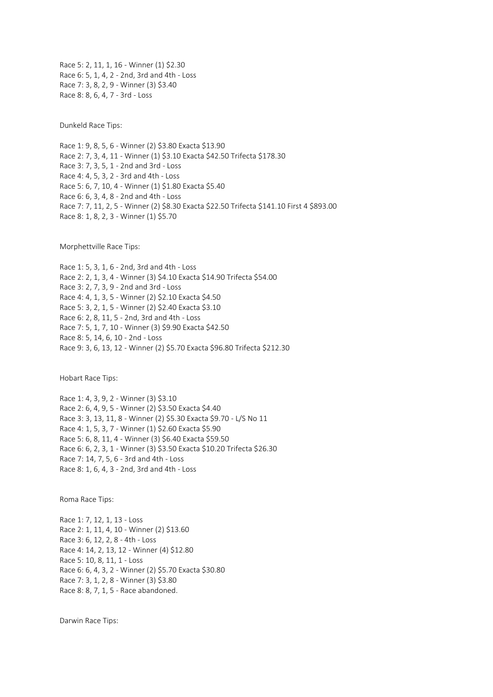Race 5: 2, 11, 1, 16 - Winner (1) \$2.30 Race 6: 5, 1, 4, 2 - 2nd, 3rd and 4th - Loss Race 7: 3, 8, 2, 9 - Winner (3) \$3.40 Race 8: 8, 6, 4, 7 - 3rd - Loss

Dunkeld Race Tips:

Race 1: 9, 8, 5, 6 - Winner (2) \$3.80 Exacta \$13.90 Race 2: 7, 3, 4, 11 - Winner (1) \$3.10 Exacta \$42.50 Trifecta \$178.30 Race 3: 7, 3, 5, 1 - 2nd and 3rd - Loss Race 4: 4, 5, 3, 2 - 3rd and 4th - Loss Race 5: 6, 7, 10, 4 - Winner (1) \$1.80 Exacta \$5.40 Race 6: 6, 3, 4, 8 - 2nd and 4th - Loss Race 7: 7, 11, 2, 5 - Winner (2) \$8.30 Exacta \$22.50 Trifecta \$141.10 First 4 \$893.00 Race 8: 1, 8, 2, 3 - Winner (1) \$5.70

Morphettville Race Tips:

Race 1: 5, 3, 1, 6 - 2nd, 3rd and 4th - Loss Race 2: 2, 1, 3, 4 - Winner (3) \$4.10 Exacta \$14.90 Trifecta \$54.00 Race 3: 2, 7, 3, 9 - 2nd and 3rd - Loss Race 4: 4, 1, 3, 5 - Winner (2) \$2.10 Exacta \$4.50 Race 5: 3, 2, 1, 5 - Winner (2) \$2.40 Exacta \$3.10 Race 6: 2, 8, 11, 5 - 2nd, 3rd and 4th - Loss Race 7: 5, 1, 7, 10 - Winner (3) \$9.90 Exacta \$42.50 Race 8: 5, 14, 6, 10 - 2nd - Loss Race 9: 3, 6, 13, 12 - Winner (2) \$5.70 Exacta \$96.80 Trifecta \$212.30

Hobart Race Tips:

Race 1: 4, 3, 9, 2 - Winner (3) \$3.10 Race 2: 6, 4, 9, 5 - Winner (2) \$3.50 Exacta \$4.40 Race 3: 3, 13, 11, 8 - Winner (2) \$5.30 Exacta \$9.70 - L/S No 11 Race 4: 1, 5, 3, 7 - Winner (1) \$2.60 Exacta \$5.90 Race 5: 6, 8, 11, 4 - Winner (3) \$6.40 Exacta \$59.50 Race 6: 6, 2, 3, 1 - Winner (3) \$3.50 Exacta \$10.20 Trifecta \$26.30 Race 7: 14, 7, 5, 6 - 3rd and 4th - Loss Race 8: 1, 6, 4, 3 - 2nd, 3rd and 4th - Loss

Roma Race Tips:

Race 1: 7, 12, 1, 13 - Loss Race 2: 1, 11, 4, 10 - Winner (2) \$13.60 Race 3: 6, 12, 2, 8 - 4th - Loss Race 4: 14, 2, 13, 12 - Winner (4) \$12.80 Race 5: 10, 8, 11, 1 - Loss Race 6: 6, 4, 3, 2 - Winner (2) \$5.70 Exacta \$30.80 Race 7: 3, 1, 2, 8 - Winner (3) \$3.80 Race 8: 8, 7, 1, 5 - Race abandoned.

Darwin Race Tips: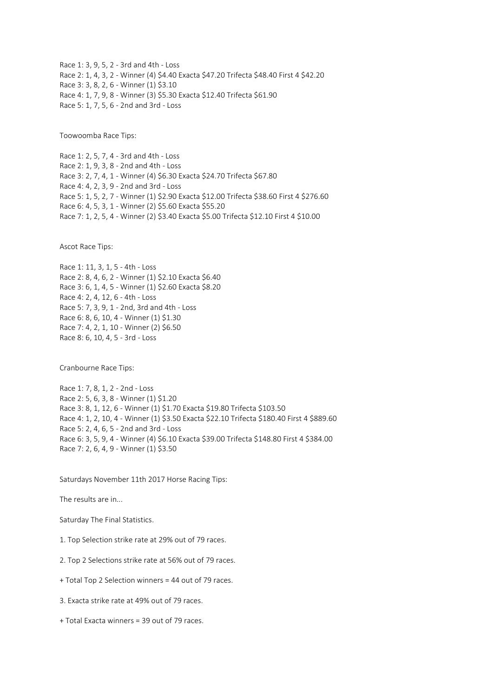Race 1: 3, 9, 5, 2 - 3rd and 4th - Loss Race 2: 1, 4, 3, 2 - Winner (4) \$4.40 Exacta \$47.20 Trifecta \$48.40 First 4 \$42.20 Race 3: 3, 8, 2, 6 - Winner (1) \$3.10 Race 4: 1, 7, 9, 8 - Winner (3) \$5.30 Exacta \$12.40 Trifecta \$61.90 Race 5: 1, 7, 5, 6 - 2nd and 3rd - Loss

Toowoomba Race Tips:

Race 1: 2, 5, 7, 4 - 3rd and 4th - Loss Race 2: 1, 9, 3, 8 - 2nd and 4th - Loss Race 3: 2, 7, 4, 1 - Winner (4) \$6.30 Exacta \$24.70 Trifecta \$67.80 Race 4: 4, 2, 3, 9 - 2nd and 3rd - Loss Race 5: 1, 5, 2, 7 - Winner (1) \$2.90 Exacta \$12.00 Trifecta \$38.60 First 4 \$276.60 Race 6: 4, 5, 3, 1 - Winner (2) \$5.60 Exacta \$55.20 Race 7: 1, 2, 5, 4 - Winner (2) \$3.40 Exacta \$5.00 Trifecta \$12.10 First 4 \$10.00

Ascot Race Tips:

Race 1: 11, 3, 1, 5 - 4th - Loss Race 2: 8, 4, 6, 2 - Winner (1) \$2.10 Exacta \$6.40 Race 3: 6, 1, 4, 5 - Winner (1) \$2.60 Exacta \$8.20 Race 4: 2, 4, 12, 6 - 4th - Loss Race 5: 7, 3, 9, 1 - 2nd, 3rd and 4th - Loss Race 6: 8, 6, 10, 4 - Winner (1) \$1.30 Race 7: 4, 2, 1, 10 - Winner (2) \$6.50 Race 8: 6, 10, 4, 5 - 3rd - Loss

Cranbourne Race Tips:

Race 1: 7, 8, 1, 2 - 2nd - Loss Race 2: 5, 6, 3, 8 - Winner (1) \$1.20 Race 3: 8, 1, 12, 6 - Winner (1) \$1.70 Exacta \$19.80 Trifecta \$103.50 Race 4: 1, 2, 10, 4 - Winner (1) \$3.50 Exacta \$22.10 Trifecta \$180.40 First 4 \$889.60 Race 5: 2, 4, 6, 5 - 2nd and 3rd - Loss Race 6: 3, 5, 9, 4 - Winner (4) \$6.10 Exacta \$39.00 Trifecta \$148.80 First 4 \$384.00 Race 7: 2, 6, 4, 9 - Winner (1) \$3.50

Saturdays November 11th 2017 Horse Racing Tips:

The results are in...

Saturday The Final Statistics.

1. Top Selection strike rate at 29% out of 79 races.

2. Top 2 Selections strike rate at 56% out of 79 races.

+ Total Top 2 Selection winners = 44 out of 79 races.

3. Exacta strike rate at 49% out of 79 races.

+ Total Exacta winners = 39 out of 79 races.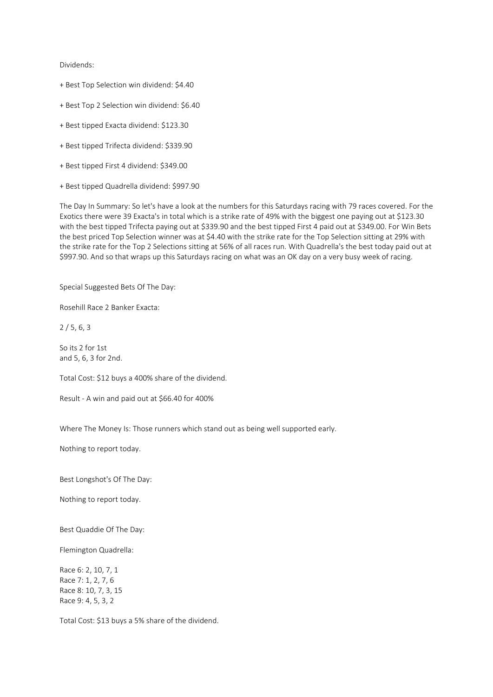## Dividends:

- + Best Top Selection win dividend: \$4.40
- + Best Top 2 Selection win dividend: \$6.40
- + Best tipped Exacta dividend: \$123.30
- + Best tipped Trifecta dividend: \$339.90
- + Best tipped First 4 dividend: \$349.00
- + Best tipped Quadrella dividend: \$997.90

The Day In Summary: So let's have a look at the numbers for this Saturdays racing with 79 races covered. For the Exotics there were 39 Exacta's in total which is a strike rate of 49% with the biggest one paying out at \$123.30 with the best tipped Trifecta paying out at \$339.90 and the best tipped First 4 paid out at \$349.00. For Win Bets the best priced Top Selection winner was at \$4.40 with the strike rate for the Top Selection sitting at 29% with the strike rate for the Top 2 Selections sitting at 56% of all races run. With Quadrella's the best today paid out at \$997.90. And so that wraps up this Saturdays racing on what was an OK day on a very busy week of racing.

Special Suggested Bets Of The Day:

Rosehill Race 2 Banker Exacta:

 $2/5.6.3$ 

So its 2 for 1st and 5, 6, 3 for 2nd.

Total Cost: \$12 buys a 400% share of the dividend.

Result - A win and paid out at \$66.40 for 400%

Where The Money Is: Those runners which stand out as being well supported early.

Nothing to report today.

Best Longshot's Of The Day:

Nothing to report today.

Best Quaddie Of The Day:

Flemington Quadrella:

Race 6: 2, 10, 7, 1 Race 7: 1, 2, 7, 6 Race 8: 10, 7, 3, 15 Race 9: 4, 5, 3, 2

Total Cost: \$13 buys a 5% share of the dividend.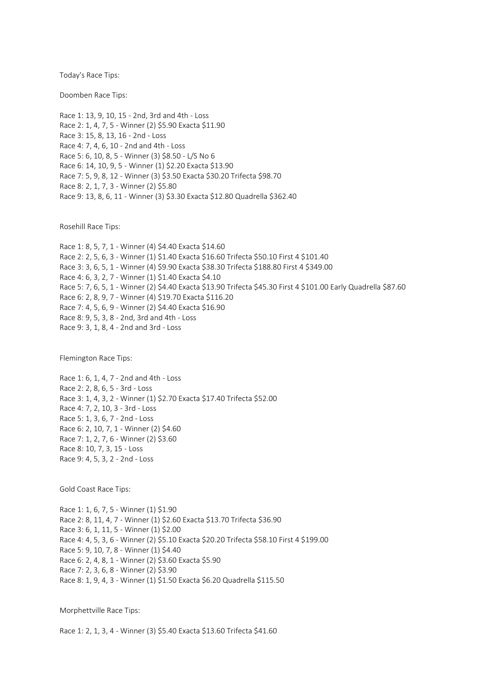Today's Race Tips:

Doomben Race Tips:

Race 1: 13, 9, 10, 15 - 2nd, 3rd and 4th - Loss Race 2: 1, 4, 7, 5 - Winner (2) \$5.90 Exacta \$11.90 Race 3: 15, 8, 13, 16 - 2nd - Loss Race 4: 7, 4, 6, 10 - 2nd and 4th - Loss Race 5: 6, 10, 8, 5 - Winner (3) \$8.50 - L/S No 6 Race 6: 14, 10, 9, 5 - Winner (1) \$2.20 Exacta \$13.90 Race 7: 5, 9, 8, 12 - Winner (3) \$3.50 Exacta \$30.20 Trifecta \$98.70 Race 8: 2, 1, 7, 3 - Winner (2) \$5.80 Race 9: 13, 8, 6, 11 - Winner (3) \$3.30 Exacta \$12.80 Quadrella \$362.40

Rosehill Race Tips:

Race 1: 8, 5, 7, 1 - Winner (4) \$4.40 Exacta \$14.60 Race 2: 2, 5, 6, 3 - Winner (1) \$1.40 Exacta \$16.60 Trifecta \$50.10 First 4 \$101.40 Race 3: 3, 6, 5, 1 - Winner (4) \$9.90 Exacta \$38.30 Trifecta \$188.80 First 4 \$349.00 Race 4: 6, 3, 2, 7 - Winner (1) \$1.40 Exacta \$4.10 Race 5: 7, 6, 5, 1 - Winner (2) \$4.40 Exacta \$13.90 Trifecta \$45.30 First 4 \$101.00 Early Quadrella \$87.60 Race 6: 2, 8, 9, 7 - Winner (4) \$19.70 Exacta \$116.20 Race 7: 4, 5, 6, 9 - Winner (2) \$4.40 Exacta \$16.90 Race 8: 9, 5, 3, 8 - 2nd, 3rd and 4th - Loss Race 9: 3, 1, 8, 4 - 2nd and 3rd - Loss

Flemington Race Tips:

Race 1: 6, 1, 4, 7 - 2nd and 4th - Loss Race 2: 2, 8, 6, 5 - 3rd - Loss Race 3: 1, 4, 3, 2 - Winner (1) \$2.70 Exacta \$17.40 Trifecta \$52.00 Race 4: 7, 2, 10, 3 - 3rd - Loss Race 5: 1, 3, 6, 7 - 2nd - Loss Race 6: 2, 10, 7, 1 - Winner (2) \$4.60 Race 7: 1, 2, 7, 6 - Winner (2) \$3.60 Race 8: 10, 7, 3, 15 - Loss Race 9: 4, 5, 3, 2 - 2nd - Loss

Gold Coast Race Tips:

Race 1: 1, 6, 7, 5 - Winner (1) \$1.90 Race 2: 8, 11, 4, 7 - Winner (1) \$2.60 Exacta \$13.70 Trifecta \$36.90 Race 3: 6, 1, 11, 5 - Winner (1) \$2.00 Race 4: 4, 5, 3, 6 - Winner (2) \$5.10 Exacta \$20.20 Trifecta \$58.10 First 4 \$199.00 Race 5: 9, 10, 7, 8 - Winner (1) \$4.40 Race 6: 2, 4, 8, 1 - Winner (2) \$3.60 Exacta \$5.90 Race 7: 2, 3, 6, 8 - Winner (2) \$3.90 Race 8: 1, 9, 4, 3 - Winner (1) \$1.50 Exacta \$6.20 Quadrella \$115.50

Morphettville Race Tips:

Race 1: 2, 1, 3, 4 - Winner (3) \$5.40 Exacta \$13.60 Trifecta \$41.60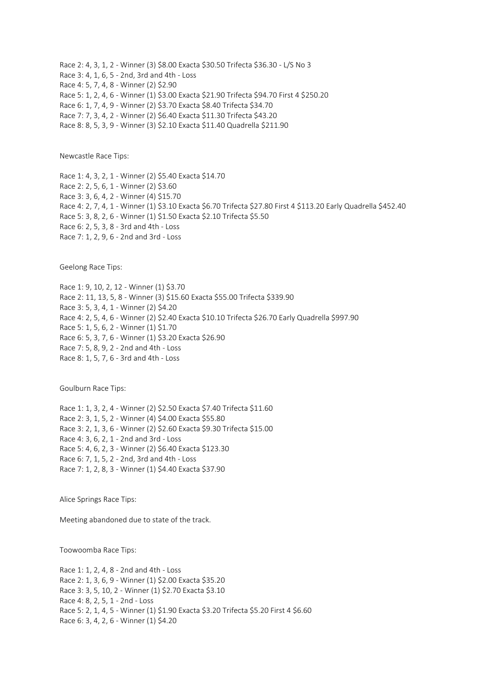Race 2: 4, 3, 1, 2 - Winner (3) \$8.00 Exacta \$30.50 Trifecta \$36.30 - L/S No 3 Race 3: 4, 1, 6, 5 - 2nd, 3rd and 4th - Loss Race 4: 5, 7, 4, 8 - Winner (2) \$2.90 Race 5: 1, 2, 4, 6 - Winner (1) \$3.00 Exacta \$21.90 Trifecta \$94.70 First 4 \$250.20 Race 6: 1, 7, 4, 9 - Winner (2) \$3.70 Exacta \$8.40 Trifecta \$34.70 Race 7: 7, 3, 4, 2 - Winner (2) \$6.40 Exacta \$11.30 Trifecta \$43.20 Race 8: 8, 5, 3, 9 - Winner (3) \$2.10 Exacta \$11.40 Quadrella \$211.90

Newcastle Race Tips:

Race 1: 4, 3, 2, 1 - Winner (2) \$5.40 Exacta \$14.70 Race 2: 2, 5, 6, 1 - Winner (2) \$3.60 Race 3: 3, 6, 4, 2 - Winner (4) \$15.70 Race 4: 2, 7, 4, 1 - Winner (1) \$3.10 Exacta \$6.70 Trifecta \$27.80 First 4 \$113.20 Early Quadrella \$452.40 Race 5: 3, 8, 2, 6 - Winner (1) \$1.50 Exacta \$2.10 Trifecta \$5.50 Race 6: 2, 5, 3, 8 - 3rd and 4th - Loss Race 7: 1, 2, 9, 6 - 2nd and 3rd - Loss

Geelong Race Tips:

Race 1: 9, 10, 2, 12 - Winner (1) \$3.70 Race 2: 11, 13, 5, 8 - Winner (3) \$15.60 Exacta \$55.00 Trifecta \$339.90 Race 3: 5, 3, 4, 1 - Winner (2) \$4.20 Race 4: 2, 5, 4, 6 - Winner (2) \$2.40 Exacta \$10.10 Trifecta \$26.70 Early Quadrella \$997.90 Race 5: 1, 5, 6, 2 - Winner (1) \$1.70 Race 6: 5, 3, 7, 6 - Winner (1) \$3.20 Exacta \$26.90 Race 7: 5, 8, 9, 2 - 2nd and 4th - Loss Race 8: 1, 5, 7, 6 - 3rd and 4th - Loss

Goulburn Race Tips:

Race 1: 1, 3, 2, 4 - Winner (2) \$2.50 Exacta \$7.40 Trifecta \$11.60 Race 2: 3, 1, 5, 2 - Winner (4) \$4.00 Exacta \$55.80 Race 3: 2, 1, 3, 6 - Winner (2) \$2.60 Exacta \$9.30 Trifecta \$15.00 Race 4: 3, 6, 2, 1 - 2nd and 3rd - Loss Race 5: 4, 6, 2, 3 - Winner (2) \$6.40 Exacta \$123.30 Race 6: 7, 1, 5, 2 - 2nd, 3rd and 4th - Loss Race 7: 1, 2, 8, 3 - Winner (1) \$4.40 Exacta \$37.90

Alice Springs Race Tips:

Meeting abandoned due to state of the track.

Toowoomba Race Tips:

Race 1: 1, 2, 4, 8 - 2nd and 4th - Loss Race 2: 1, 3, 6, 9 - Winner (1) \$2.00 Exacta \$35.20 Race 3: 3, 5, 10, 2 - Winner (1) \$2.70 Exacta \$3.10 Race 4: 8, 2, 5, 1 - 2nd - Loss Race 5: 2, 1, 4, 5 - Winner (1) \$1.90 Exacta \$3.20 Trifecta \$5.20 First 4 \$6.60 Race 6: 3, 4, 2, 6 - Winner (1) \$4.20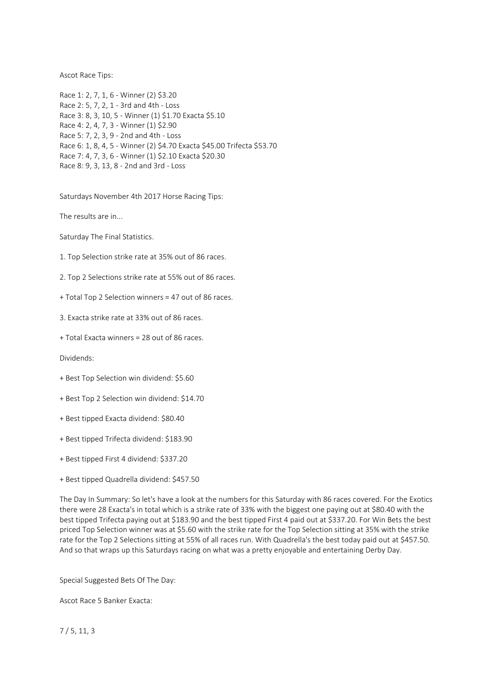Ascot Race Tips:

Race 1: 2, 7, 1, 6 - Winner (2) \$3.20 Race 2: 5, 7, 2, 1 - 3rd and 4th - Loss Race 3: 8, 3, 10, 5 - Winner (1) \$1.70 Exacta \$5.10 Race 4: 2, 4, 7, 3 - Winner (1) \$2.90 Race 5: 7, 2, 3, 9 - 2nd and 4th - Loss Race 6: 1, 8, 4, 5 - Winner (2) \$4.70 Exacta \$45.00 Trifecta \$53.70 Race 7: 4, 7, 3, 6 - Winner (1) \$2.10 Exacta \$20.30 Race 8: 9, 3, 13, 8 - 2nd and 3rd - Loss

Saturdays November 4th 2017 Horse Racing Tips:

The results are in...

Saturday The Final Statistics.

1. Top Selection strike rate at 35% out of 86 races.

2. Top 2 Selections strike rate at 55% out of 86 races.

+ Total Top 2 Selection winners = 47 out of 86 races.

3. Exacta strike rate at 33% out of 86 races.

+ Total Exacta winners = 28 out of 86 races.

Dividends:

- + Best Top Selection win dividend: \$5.60
- + Best Top 2 Selection win dividend: \$14.70
- + Best tipped Exacta dividend: \$80.40
- + Best tipped Trifecta dividend: \$183.90
- + Best tipped First 4 dividend: \$337.20
- + Best tipped Quadrella dividend: \$457.50

The Day In Summary: So let's have a look at the numbers for this Saturday with 86 races covered. For the Exotics there were 28 Exacta's in total which is a strike rate of 33% with the biggest one paying out at \$80.40 with the best tipped Trifecta paying out at \$183.90 and the best tipped First 4 paid out at \$337.20. For Win Bets the best priced Top Selection winner was at \$5.60 with the strike rate for the Top Selection sitting at 35% with the strike rate for the Top 2 Selections sitting at 55% of all races run. With Quadrella's the best today paid out at \$457.50. And so that wraps up this Saturdays racing on what was a pretty enjoyable and entertaining Derby Day.

Special Suggested Bets Of The Day:

Ascot Race 5 Banker Exacta:

7 / 5, 11, 3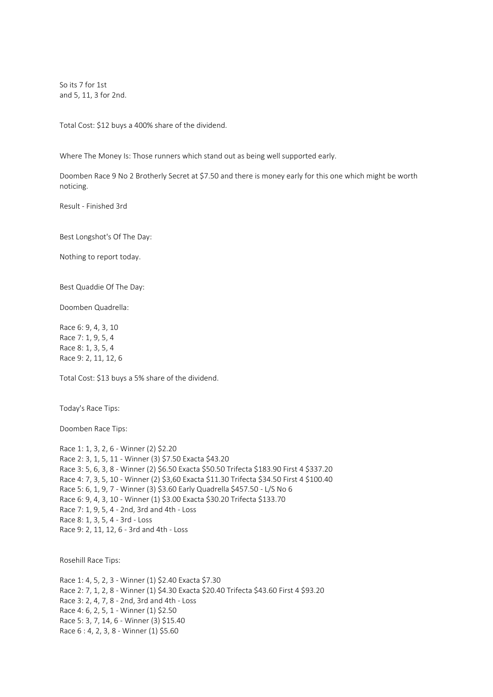So its 7 for 1st and 5, 11, 3 for 2nd.

Total Cost: \$12 buys a 400% share of the dividend.

Where The Money Is: Those runners which stand out as being well supported early.

Doomben Race 9 No 2 Brotherly Secret at \$7.50 and there is money early for this one which might be worth noticing.

Result - Finished 3rd

Best Longshot's Of The Day:

Nothing to report today.

Best Quaddie Of The Day:

Doomben Quadrella:

Race 6: 9, 4, 3, 10 Race 7: 1, 9, 5, 4 Race 8: 1, 3, 5, 4 Race 9: 2, 11, 12, 6

Total Cost: \$13 buys a 5% share of the dividend.

Today's Race Tips:

Doomben Race Tips:

Race 1: 1, 3, 2, 6 - Winner (2) \$2.20 Race 2: 3, 1, 5, 11 - Winner (3) \$7.50 Exacta \$43.20 Race 3: 5, 6, 3, 8 - Winner (2) \$6.50 Exacta \$50.50 Trifecta \$183.90 First 4 \$337.20 Race 4: 7, 3, 5, 10 - Winner (2) \$3,60 Exacta \$11.30 Trifecta \$34.50 First 4 \$100.40 Race 5: 6, 1, 9, 7 - Winner (3) \$3.60 Early Quadrella \$457.50 - L/S No 6 Race 6: 9, 4, 3, 10 - Winner (1) \$3.00 Exacta \$30.20 Trifecta \$133.70 Race 7: 1, 9, 5, 4 - 2nd, 3rd and 4th - Loss Race 8: 1, 3, 5, 4 - 3rd - Loss Race 9: 2, 11, 12, 6 - 3rd and 4th - Loss

Rosehill Race Tips:

Race 1: 4, 5, 2, 3 - Winner (1) \$2.40 Exacta \$7.30 Race 2: 7, 1, 2, 8 - Winner (1) \$4.30 Exacta \$20.40 Trifecta \$43.60 First 4 \$93.20 Race 3: 2, 4, 7, 8 - 2nd, 3rd and 4th - Loss Race 4: 6, 2, 5, 1 - Winner (1) \$2.50 Race 5: 3, 7, 14, 6 - Winner (3) \$15.40 Race 6 : 4, 2, 3, 8 - Winner (1) \$5.60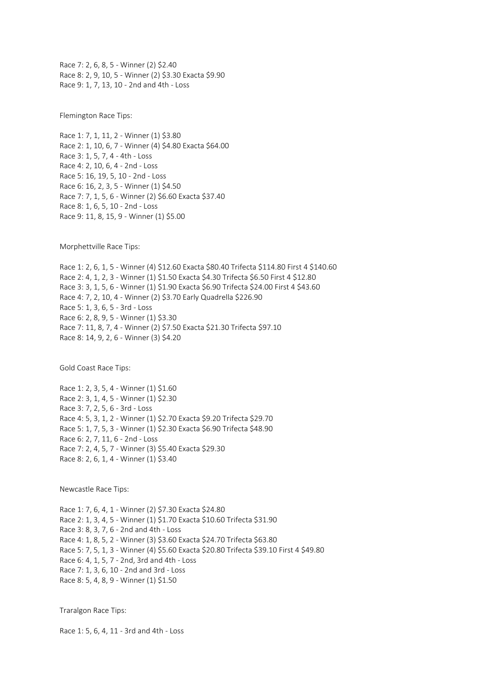Race 7: 2, 6, 8, 5 - Winner (2) \$2.40 Race 8: 2, 9, 10, 5 - Winner (2) \$3.30 Exacta \$9.90 Race 9: 1, 7, 13, 10 - 2nd and 4th - Loss

Flemington Race Tips:

Race 1: 7, 1, 11, 2 - Winner (1) \$3.80 Race 2: 1, 10, 6, 7 - Winner (4) \$4.80 Exacta \$64.00 Race 3: 1, 5, 7, 4 - 4th - Loss Race 4: 2, 10, 6, 4 - 2nd - Loss Race 5: 16, 19, 5, 10 - 2nd - Loss Race 6: 16, 2, 3, 5 - Winner (1) \$4.50 Race 7: 7, 1, 5, 6 - Winner (2) \$6.60 Exacta \$37.40 Race 8: 1, 6, 5, 10 - 2nd - Loss Race 9: 11, 8, 15, 9 - Winner (1) \$5.00

Morphettville Race Tips:

Race 1: 2, 6, 1, 5 - Winner (4) \$12.60 Exacta \$80.40 Trifecta \$114.80 First 4 \$140.60 Race 2: 4, 1, 2, 3 - Winner (1) \$1.50 Exacta \$4.30 Trifecta \$6.50 First 4 \$12.80 Race 3: 3, 1, 5, 6 - Winner (1) \$1.90 Exacta \$6.90 Trifecta \$24.00 First 4 \$43.60 Race 4: 7, 2, 10, 4 - Winner (2) \$3.70 Early Quadrella \$226.90 Race 5: 1, 3, 6, 5 - 3rd - Loss Race 6: 2, 8, 9, 5 - Winner (1) \$3.30 Race 7: 11, 8, 7, 4 - Winner (2) \$7.50 Exacta \$21.30 Trifecta \$97.10 Race 8: 14, 9, 2, 6 - Winner (3) \$4.20

Gold Coast Race Tips:

Race 1: 2, 3, 5, 4 - Winner (1) \$1.60 Race 2: 3, 1, 4, 5 - Winner (1) \$2.30 Race 3: 7, 2, 5, 6 - 3rd - Loss Race 4: 5, 3, 1, 2 - Winner (1) \$2.70 Exacta \$9.20 Trifecta \$29.70 Race 5: 1, 7, 5, 3 - Winner (1) \$2.30 Exacta \$6.90 Trifecta \$48.90 Race 6: 2, 7, 11, 6 - 2nd - Loss Race 7: 2, 4, 5, 7 - Winner (3) \$5.40 Exacta \$29.30 Race 8: 2, 6, 1, 4 - Winner (1) \$3.40

Newcastle Race Tips:

Race 1: 7, 6, 4, 1 - Winner (2) \$7.30 Exacta \$24.80 Race 2: 1, 3, 4, 5 - Winner (1) \$1.70 Exacta \$10.60 Trifecta \$31.90 Race 3: 8, 3, 7, 6 - 2nd and 4th - Loss Race 4: 1, 8, 5, 2 - Winner (3) \$3.60 Exacta \$24.70 Trifecta \$63.80 Race 5: 7, 5, 1, 3 - Winner (4) \$5.60 Exacta \$20.80 Trifecta \$39.10 First 4 \$49.80 Race 6: 4, 1, 5, 7 - 2nd, 3rd and 4th - Loss Race 7: 1, 3, 6, 10 - 2nd and 3rd - Loss Race 8: 5, 4, 8, 9 - Winner (1) \$1.50

Traralgon Race Tips:

Race 1: 5, 6, 4, 11 - 3rd and 4th - Loss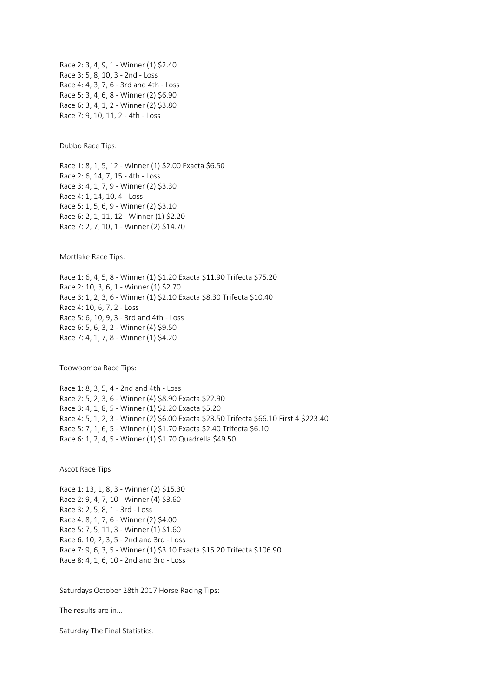Race 2: 3, 4, 9, 1 - Winner (1) \$2.40 Race 3: 5, 8, 10, 3 - 2nd - Loss Race 4: 4, 3, 7, 6 - 3rd and 4th - Loss Race 5: 3, 4, 6, 8 - Winner (2) \$6.90 Race 6: 3, 4, 1, 2 - Winner (2) \$3.80 Race 7: 9, 10, 11, 2 - 4th - Loss

Dubbo Race Tips:

Race 1: 8, 1, 5, 12 - Winner (1) \$2.00 Exacta \$6.50 Race 2: 6, 14, 7, 15 - 4th - Loss Race 3: 4, 1, 7, 9 - Winner (2) \$3.30 Race 4: 1, 14, 10, 4 - Loss Race 5: 1, 5, 6, 9 - Winner (2) \$3.10 Race 6: 2, 1, 11, 12 - Winner (1) \$2.20 Race 7: 2, 7, 10, 1 - Winner (2) \$14.70

Mortlake Race Tips:

Race 1: 6, 4, 5, 8 - Winner (1) \$1.20 Exacta \$11.90 Trifecta \$75.20 Race 2: 10, 3, 6, 1 - Winner (1) \$2.70 Race 3: 1, 2, 3, 6 - Winner (1) \$2.10 Exacta \$8.30 Trifecta \$10.40 Race 4: 10, 6, 7, 2 - Loss Race 5: 6, 10, 9, 3 - 3rd and 4th - Loss Race 6: 5, 6, 3, 2 - Winner (4) \$9.50 Race 7: 4, 1, 7, 8 - Winner (1) \$4.20

Toowoomba Race Tips:

Race 1: 8, 3, 5, 4 - 2nd and 4th - Loss Race 2: 5, 2, 3, 6 - Winner (4) \$8.90 Exacta \$22.90 Race 3: 4, 1, 8, 5 - Winner (1) \$2.20 Exacta \$5.20 Race 4: 5, 1, 2, 3 - Winner (2) \$6.00 Exacta \$23.50 Trifecta \$66.10 First 4 \$223.40 Race 5: 7, 1, 6, 5 - Winner (1) \$1.70 Exacta \$2.40 Trifecta \$6.10 Race 6: 1, 2, 4, 5 - Winner (1) \$1.70 Quadrella \$49.50

Ascot Race Tips:

Race 1: 13, 1, 8, 3 - Winner (2) \$15.30 Race 2: 9, 4, 7, 10 - Winner (4) \$3.60 Race 3: 2, 5, 8, 1 - 3rd - Loss Race 4: 8, 1, 7, 6 - Winner (2) \$4.00 Race 5: 7, 5, 11, 3 - Winner (1) \$1.60 Race 6: 10, 2, 3, 5 - 2nd and 3rd - Loss Race 7: 9, 6, 3, 5 - Winner (1) \$3.10 Exacta \$15.20 Trifecta \$106.90 Race 8: 4, 1, 6, 10 - 2nd and 3rd - Loss

Saturdays October 28th 2017 Horse Racing Tips:

The results are in...

Saturday The Final Statistics.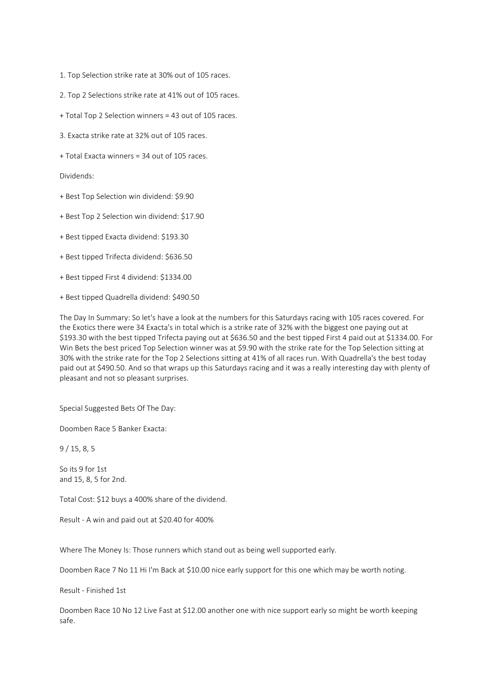- 1. Top Selection strike rate at 30% out of 105 races.
- 2. Top 2 Selections strike rate at 41% out of 105 races.
- + Total Top 2 Selection winners = 43 out of 105 races.
- 3. Exacta strike rate at 32% out of 105 races.
- + Total Exacta winners = 34 out of 105 races.

Dividends:

- + Best Top Selection win dividend: \$9.90
- + Best Top 2 Selection win dividend: \$17.90
- + Best tipped Exacta dividend: \$193.30
- + Best tipped Trifecta dividend: \$636.50
- + Best tipped First 4 dividend: \$1334.00
- + Best tipped Quadrella dividend: \$490.50

The Day In Summary: So let's have a look at the numbers for this Saturdays racing with 105 races covered. For the Exotics there were 34 Exacta's in total which is a strike rate of 32% with the biggest one paying out at \$193.30 with the best tipped Trifecta paying out at \$636.50 and the best tipped First 4 paid out at \$1334.00. For Win Bets the best priced Top Selection winner was at \$9.90 with the strike rate for the Top Selection sitting at 30% with the strike rate for the Top 2 Selections sitting at 41% of all races run. With Quadrella's the best today paid out at \$490.50. And so that wraps up this Saturdays racing and it was a really interesting day with plenty of pleasant and not so pleasant surprises.

Special Suggested Bets Of The Day:

Doomben Race 5 Banker Exacta:

9 / 15, 8, 5

So its 9 for 1st and 15, 8, 5 for 2nd.

Total Cost: \$12 buys a 400% share of the dividend.

Result - A win and paid out at \$20.40 for 400%

Where The Money Is: Those runners which stand out as being well supported early.

Doomben Race 7 No 11 Hi I'm Back at \$10.00 nice early support for this one which may be worth noting.

Result - Finished 1st

Doomben Race 10 No 12 Live Fast at \$12.00 another one with nice support early so might be worth keeping safe.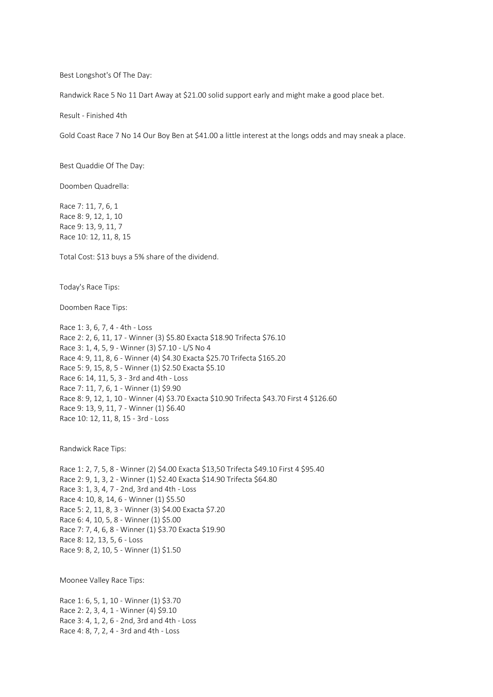Best Longshot's Of The Day:

Randwick Race 5 No 11 Dart Away at \$21.00 solid support early and might make a good place bet.

Result - Finished 4th

Gold Coast Race 7 No 14 Our Boy Ben at \$41.00 a little interest at the longs odds and may sneak a place.

Best Quaddie Of The Day:

Doomben Quadrella:

Race 7: 11, 7, 6, 1 Race 8: 9, 12, 1, 10 Race 9: 13, 9, 11, 7 Race 10: 12, 11, 8, 15

Total Cost: \$13 buys a 5% share of the dividend.

Today's Race Tips:

Doomben Race Tips:

Race 1: 3, 6, 7, 4 - 4th - Loss Race 2: 2, 6, 11, 17 - Winner (3) \$5.80 Exacta \$18.90 Trifecta \$76.10 Race 3: 1, 4, 5, 9 - Winner (3) \$7.10 - L/S No 4 Race 4: 9, 11, 8, 6 - Winner (4) \$4.30 Exacta \$25.70 Trifecta \$165.20 Race 5: 9, 15, 8, 5 - Winner (1) \$2.50 Exacta \$5.10 Race 6: 14, 11, 5, 3 - 3rd and 4th - Loss Race 7: 11, 7, 6, 1 - Winner (1) \$9.90 Race 8: 9, 12, 1, 10 - Winner (4) \$3.70 Exacta \$10.90 Trifecta \$43.70 First 4 \$126.60 Race 9: 13, 9, 11, 7 - Winner (1) \$6.40 Race 10: 12, 11, 8, 15 - 3rd - Loss

Randwick Race Tips:

Race 1: 2, 7, 5, 8 - Winner (2) \$4.00 Exacta \$13,50 Trifecta \$49.10 First 4 \$95.40 Race 2: 9, 1, 3, 2 - Winner (1) \$2.40 Exacta \$14.90 Trifecta \$64.80 Race 3: 1, 3, 4, 7 - 2nd, 3rd and 4th - Loss Race 4: 10, 8, 14, 6 - Winner (1) \$5.50 Race 5: 2, 11, 8, 3 - Winner (3) \$4.00 Exacta \$7.20 Race 6: 4, 10, 5, 8 - Winner (1) \$5.00 Race 7: 7, 4, 6, 8 - Winner (1) \$3.70 Exacta \$19.90 Race 8: 12, 13, 5, 6 - Loss Race 9: 8, 2, 10, 5 - Winner (1) \$1.50

Moonee Valley Race Tips:

Race 1: 6, 5, 1, 10 - Winner (1) \$3.70 Race 2: 2, 3, 4, 1 - Winner (4) \$9.10 Race 3: 4, 1, 2, 6 - 2nd, 3rd and 4th - Loss Race 4: 8, 7, 2, 4 - 3rd and 4th - Loss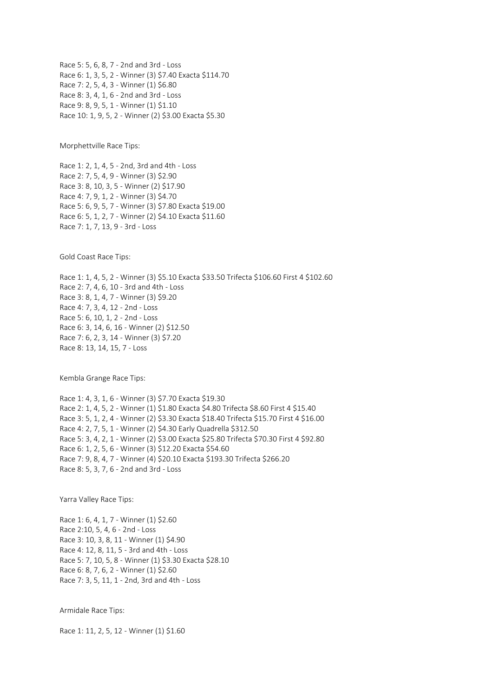Race 5: 5, 6, 8, 7 - 2nd and 3rd - Loss Race 6: 1, 3, 5, 2 - Winner (3) \$7.40 Exacta \$114.70 Race 7: 2, 5, 4, 3 - Winner (1) \$6.80 Race 8: 3, 4, 1, 6 - 2nd and 3rd - Loss Race 9: 8, 9, 5, 1 - Winner (1) \$1.10 Race 10: 1, 9, 5, 2 - Winner (2) \$3.00 Exacta \$5.30

Morphettville Race Tips:

Race 1: 2, 1, 4, 5 - 2nd, 3rd and 4th - Loss Race 2: 7, 5, 4, 9 - Winner (3) \$2.90 Race 3: 8, 10, 3, 5 - Winner (2) \$17.90 Race 4: 7, 9, 1, 2 - Winner (3) \$4.70 Race 5: 6, 9, 5, 7 - Winner (3) \$7.80 Exacta \$19.00 Race 6: 5, 1, 2, 7 - Winner (2) \$4.10 Exacta \$11.60 Race 7: 1, 7, 13, 9 - 3rd - Loss

Gold Coast Race Tips:

Race 1: 1, 4, 5, 2 - Winner (3) \$5.10 Exacta \$33.50 Trifecta \$106.60 First 4 \$102.60 Race 2: 7, 4, 6, 10 - 3rd and 4th - Loss Race 3: 8, 1, 4, 7 - Winner (3) \$9.20 Race 4: 7, 3, 4, 12 - 2nd - Loss Race 5: 6, 10, 1, 2 - 2nd - Loss Race 6: 3, 14, 6, 16 - Winner (2) \$12.50 Race 7: 6, 2, 3, 14 - Winner (3) \$7.20 Race 8: 13, 14, 15, 7 - Loss

Kembla Grange Race Tips:

Race 1: 4, 3, 1, 6 - Winner (3) \$7.70 Exacta \$19.30 Race 2: 1, 4, 5, 2 - Winner (1) \$1.80 Exacta \$4.80 Trifecta \$8.60 First 4 \$15.40 Race 3: 5, 1, 2, 4 - Winner (2) \$3.30 Exacta \$18.40 Trifecta \$15.70 First 4 \$16.00 Race 4: 2, 7, 5, 1 - Winner (2) \$4.30 Early Quadrella \$312.50 Race 5: 3, 4, 2, 1 - Winner (2) \$3.00 Exacta \$25.80 Trifecta \$70.30 First 4 \$92.80 Race 6: 1, 2, 5, 6 - Winner (3) \$12.20 Exacta \$54.60 Race 7: 9, 8, 4, 7 - Winner (4) \$20.10 Exacta \$193.30 Trifecta \$266.20 Race 8: 5, 3, 7, 6 - 2nd and 3rd - Loss

Yarra Valley Race Tips:

Race 1: 6, 4, 1, 7 - Winner (1) \$2.60 Race 2:10, 5, 4, 6 - 2nd - Loss Race 3: 10, 3, 8, 11 - Winner (1) \$4.90 Race 4: 12, 8, 11, 5 - 3rd and 4th - Loss Race 5: 7, 10, 5, 8 - Winner (1) \$3.30 Exacta \$28.10 Race 6: 8, 7, 6, 2 - Winner (1) \$2.60 Race 7: 3, 5, 11, 1 - 2nd, 3rd and 4th - Loss

Armidale Race Tips:

Race 1: 11, 2, 5, 12 - Winner (1) \$1.60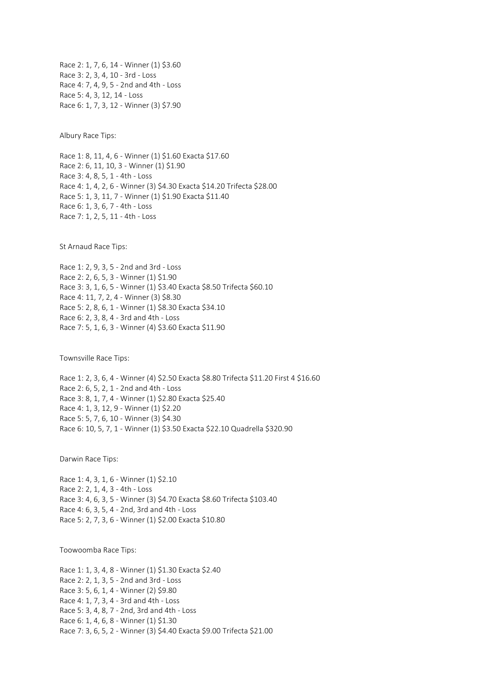Race 2: 1, 7, 6, 14 - Winner (1) \$3.60 Race 3: 2, 3, 4, 10 - 3rd - Loss Race 4: 7, 4, 9, 5 - 2nd and 4th - Loss Race 5: 4, 3, 12, 14 - Loss Race 6: 1, 7, 3, 12 - Winner (3) \$7.90

Albury Race Tips:

Race 1: 8, 11, 4, 6 - Winner (1) \$1.60 Exacta \$17.60 Race 2: 6, 11, 10, 3 - Winner (1) \$1.90 Race 3: 4, 8, 5, 1 - 4th - Loss Race 4: 1, 4, 2, 6 - Winner (3) \$4.30 Exacta \$14.20 Trifecta \$28.00 Race 5: 1, 3, 11, 7 - Winner (1) \$1.90 Exacta \$11.40 Race 6: 1, 3, 6, 7 - 4th - Loss Race 7: 1, 2, 5, 11 - 4th - Loss

St Arnaud Race Tips:

Race 1: 2, 9, 3, 5 - 2nd and 3rd - Loss Race 2: 2, 6, 5, 3 - Winner (1) \$1.90 Race 3: 3, 1, 6, 5 - Winner (1) \$3.40 Exacta \$8.50 Trifecta \$60.10 Race 4: 11, 7, 2, 4 - Winner (3) \$8.30 Race 5: 2, 8, 6, 1 - Winner (1) \$8.30 Exacta \$34.10 Race 6: 2, 3, 8, 4 - 3rd and 4th - Loss Race 7: 5, 1, 6, 3 - Winner (4) \$3.60 Exacta \$11.90

Townsville Race Tips:

Race 1: 2, 3, 6, 4 - Winner (4) \$2.50 Exacta \$8.80 Trifecta \$11.20 First 4 \$16.60 Race 2: 6, 5, 2, 1 - 2nd and 4th - Loss Race 3: 8, 1, 7, 4 - Winner (1) \$2.80 Exacta \$25.40 Race 4: 1, 3, 12, 9 - Winner (1) \$2.20 Race 5: 5, 7, 6, 10 - Winner (3) \$4.30 Race 6: 10, 5, 7, 1 - Winner (1) \$3.50 Exacta \$22.10 Quadrella \$320.90

Darwin Race Tips:

Race 1: 4, 3, 1, 6 - Winner (1) \$2.10 Race 2: 2, 1, 4, 3 - 4th - Loss Race 3: 4, 6, 3, 5 - Winner (3) \$4.70 Exacta \$8.60 Trifecta \$103.40 Race 4: 6, 3, 5, 4 - 2nd, 3rd and 4th - Loss Race 5: 2, 7, 3, 6 - Winner (1) \$2.00 Exacta \$10.80

Toowoomba Race Tips:

Race 1: 1, 3, 4, 8 - Winner (1) \$1.30 Exacta \$2.40 Race 2: 2, 1, 3, 5 - 2nd and 3rd - Loss Race 3: 5, 6, 1, 4 - Winner (2) \$9.80 Race 4: 1, 7, 3, 4 - 3rd and 4th - Loss Race 5: 3, 4, 8, 7 - 2nd, 3rd and 4th - Loss Race 6: 1, 4, 6, 8 - Winner (1) \$1.30 Race 7: 3, 6, 5, 2 - Winner (3) \$4.40 Exacta \$9.00 Trifecta \$21.00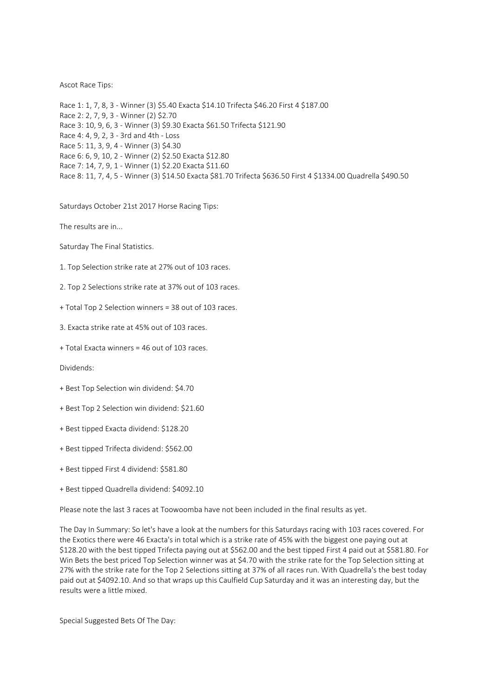## Ascot Race Tips:

Race 1: 1, 7, 8, 3 - Winner (3) \$5.40 Exacta \$14.10 Trifecta \$46.20 First 4 \$187.00 Race 2: 2, 7, 9, 3 - Winner (2) \$2.70 Race 3: 10, 9, 6, 3 - Winner (3) \$9.30 Exacta \$61.50 Trifecta \$121.90 Race 4: 4, 9, 2, 3 - 3rd and 4th - Loss Race 5: 11, 3, 9, 4 - Winner (3) \$4.30 Race 6: 6, 9, 10, 2 - Winner (2) \$2.50 Exacta \$12.80 Race 7: 14, 7, 9, 1 - Winner (1) \$2.20 Exacta \$11.60 Race 8: 11, 7, 4, 5 - Winner (3) \$14.50 Exacta \$81.70 Trifecta \$636.50 First 4 \$1334.00 Quadrella \$490.50

Saturdays October 21st 2017 Horse Racing Tips:

The results are in...

Saturday The Final Statistics.

1. Top Selection strike rate at 27% out of 103 races.

2. Top 2 Selections strike rate at 37% out of 103 races.

+ Total Top 2 Selection winners = 38 out of 103 races.

3. Exacta strike rate at 45% out of 103 races.

+ Total Exacta winners = 46 out of 103 races.

Dividends:

+ Best Top Selection win dividend: \$4.70

+ Best Top 2 Selection win dividend: \$21.60

+ Best tipped Exacta dividend: \$128.20

+ Best tipped Trifecta dividend: \$562.00

+ Best tipped First 4 dividend: \$581.80

+ Best tipped Quadrella dividend: \$4092.10

Please note the last 3 races at Toowoomba have not been included in the final results as yet.

The Day In Summary: So let's have a look at the numbers for this Saturdays racing with 103 races covered. For the Exotics there were 46 Exacta's in total which is a strike rate of 45% with the biggest one paying out at \$128.20 with the best tipped Trifecta paying out at \$562.00 and the best tipped First 4 paid out at \$581.80. For Win Bets the best priced Top Selection winner was at \$4.70 with the strike rate for the Top Selection sitting at 27% with the strike rate for the Top 2 Selections sitting at 37% of all races run. With Quadrella's the best today paid out at \$4092.10. And so that wraps up this Caulfield Cup Saturday and it was an interesting day, but the results were a little mixed.

Special Suggested Bets Of The Day: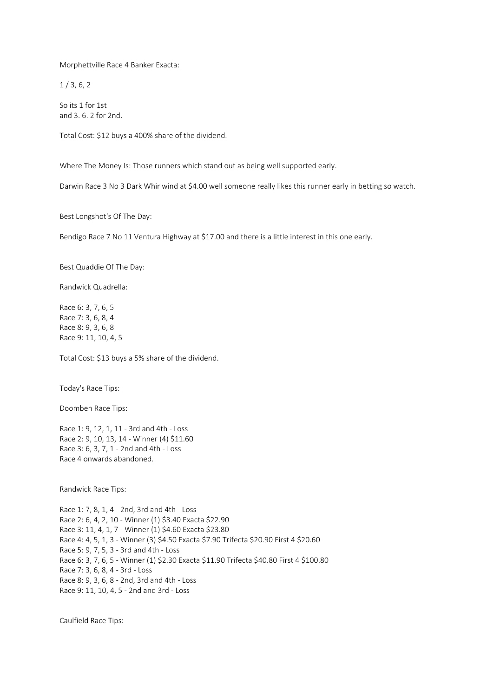Morphettville Race 4 Banker Exacta:

 $1/3, 6, 2$ 

So its 1 for 1st and 3. 6. 2 for 2nd.

Total Cost: \$12 buys a 400% share of the dividend.

Where The Money Is: Those runners which stand out as being well supported early.

Darwin Race 3 No 3 Dark Whirlwind at \$4.00 well someone really likes this runner early in betting so watch.

Best Longshot's Of The Day:

Bendigo Race 7 No 11 Ventura Highway at \$17.00 and there is a little interest in this one early.

Best Quaddie Of The Day:

Randwick Quadrella:

Race 6: 3, 7, 6, 5 Race 7: 3, 6, 8, 4 Race 8: 9, 3, 6, 8 Race 9: 11, 10, 4, 5

Total Cost: \$13 buys a 5% share of the dividend.

Today's Race Tips:

Doomben Race Tips:

Race 1: 9, 12, 1, 11 - 3rd and 4th - Loss Race 2: 9, 10, 13, 14 - Winner (4) \$11.60 Race 3: 6, 3, 7, 1 - 2nd and 4th - Loss Race 4 onwards abandoned.

Randwick Race Tips:

Race 1: 7, 8, 1, 4 - 2nd, 3rd and 4th - Loss Race 2: 6, 4, 2, 10 - Winner (1) \$3.40 Exacta \$22.90 Race 3: 11, 4, 1, 7 - Winner (1) \$4.60 Exacta \$23.80 Race 4: 4, 5, 1, 3 - Winner (3) \$4.50 Exacta \$7.90 Trifecta \$20.90 First 4 \$20.60 Race 5: 9, 7, 5, 3 - 3rd and 4th - Loss Race 6: 3, 7, 6, 5 - Winner (1) \$2.30 Exacta \$11.90 Trifecta \$40.80 First 4 \$100.80 Race 7: 3, 6, 8, 4 - 3rd - Loss Race 8: 9, 3, 6, 8 - 2nd, 3rd and 4th - Loss Race 9: 11, 10, 4, 5 - 2nd and 3rd - Loss

Caulfield Race Tips: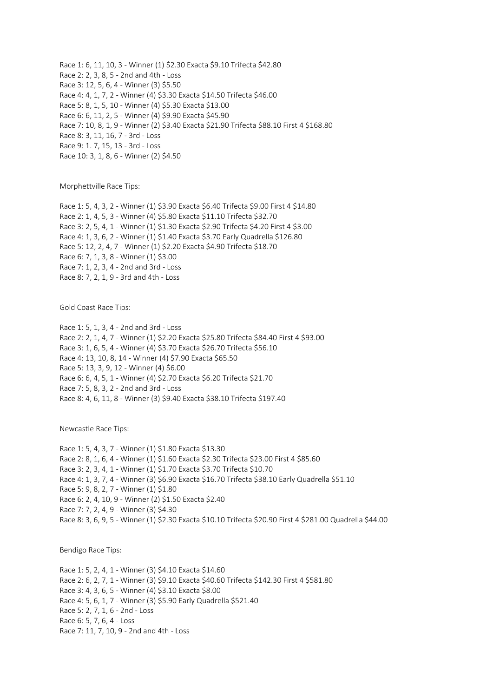Race 1: 6, 11, 10, 3 - Winner (1) \$2.30 Exacta \$9.10 Trifecta \$42.80 Race 2: 2, 3, 8, 5 - 2nd and 4th - Loss Race 3: 12, 5, 6, 4 - Winner (3) \$5.50 Race 4: 4, 1, 7, 2 - Winner (4) \$3.30 Exacta \$14.50 Trifecta \$46.00 Race 5: 8, 1, 5, 10 - Winner (4) \$5.30 Exacta \$13.00 Race 6: 6, 11, 2, 5 - Winner (4) \$9.90 Exacta \$45.90 Race 7: 10, 8, 1, 9 - Winner (2) \$3.40 Exacta \$21.90 Trifecta \$88.10 First 4 \$168.80 Race 8: 3, 11, 16, 7 - 3rd - Loss Race 9: 1. 7, 15, 13 - 3rd - Loss Race 10: 3, 1, 8, 6 - Winner (2) \$4.50

Morphettville Race Tips:

Race 1: 5, 4, 3, 2 - Winner (1) \$3.90 Exacta \$6.40 Trifecta \$9.00 First 4 \$14.80 Race 2: 1, 4, 5, 3 - Winner (4) \$5.80 Exacta \$11.10 Trifecta \$32.70 Race 3: 2, 5, 4, 1 - Winner (1) \$1.30 Exacta \$2.90 Trifecta \$4.20 First 4 \$3.00 Race 4: 1, 3, 6, 2 - Winner (1) \$1.40 Exacta \$3.70 Early Quadrella \$126.80 Race 5: 12, 2, 4, 7 - Winner (1) \$2.20 Exacta \$4.90 Trifecta \$18.70 Race 6: 7, 1, 3, 8 - Winner (1) \$3.00 Race 7: 1, 2, 3, 4 - 2nd and 3rd - Loss Race 8: 7, 2, 1, 9 - 3rd and 4th - Loss

Gold Coast Race Tips:

Race 1: 5, 1, 3, 4 - 2nd and 3rd - Loss Race 2: 2, 1, 4, 7 - Winner (1) \$2.20 Exacta \$25.80 Trifecta \$84.40 First 4 \$93.00 Race 3: 1, 6, 5, 4 - Winner (4) \$3.70 Exacta \$26.70 Trifecta \$56.10 Race 4: 13, 10, 8, 14 - Winner (4) \$7.90 Exacta \$65.50 Race 5: 13, 3, 9, 12 - Winner (4) \$6.00 Race 6: 6, 4, 5, 1 - Winner (4) \$2.70 Exacta \$6.20 Trifecta \$21.70 Race 7: 5, 8, 3, 2 - 2nd and 3rd - Loss Race 8: 4, 6, 11, 8 - Winner (3) \$9.40 Exacta \$38.10 Trifecta \$197.40

Newcastle Race Tips:

Race 1: 5, 4, 3, 7 - Winner (1) \$1.80 Exacta \$13.30 Race 2: 8, 1, 6, 4 - Winner (1) \$1.60 Exacta \$2.30 Trifecta \$23.00 First 4 \$85.60 Race 3: 2, 3, 4, 1 - Winner (1) \$1.70 Exacta \$3.70 Trifecta \$10.70 Race 4: 1, 3, 7, 4 - Winner (3) \$6.90 Exacta \$16.70 Trifecta \$38.10 Early Quadrella \$51.10 Race 5: 9, 8, 2, 7 - Winner (1) \$1.80 Race 6: 2, 4, 10, 9 - Winner (2) \$1.50 Exacta \$2.40 Race 7: 7, 2, 4, 9 - Winner (3) \$4.30 Race 8: 3, 6, 9, 5 - Winner (1) \$2.30 Exacta \$10.10 Trifecta \$20.90 First 4 \$281.00 Quadrella \$44.00

Bendigo Race Tips:

Race 1: 5, 2, 4, 1 - Winner (3) \$4.10 Exacta \$14.60 Race 2: 6, 2, 7, 1 - Winner (3) \$9.10 Exacta \$40.60 Trifecta \$142.30 First 4 \$581.80 Race 3: 4, 3, 6, 5 - Winner (4) \$3.10 Exacta \$8.00 Race 4: 5, 6, 1, 7 - Winner (3) \$5.90 Early Quadrella \$521.40 Race 5: 2, 7, 1, 6 - 2nd - Loss Race 6: 5, 7, 6, 4 - Loss Race 7: 11, 7, 10, 9 - 2nd and 4th - Loss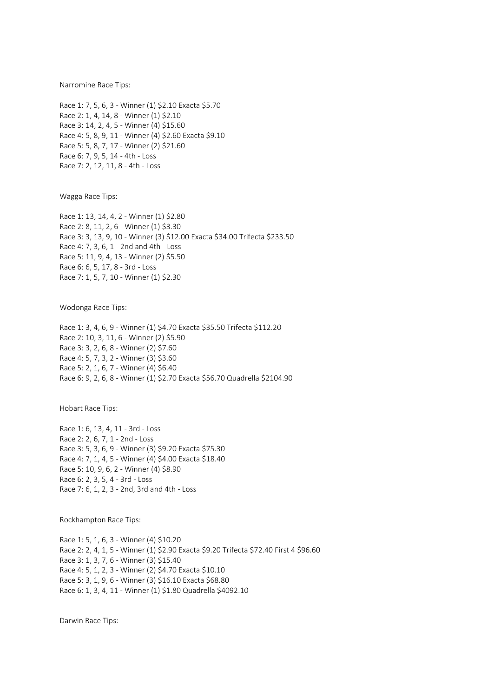Narromine Race Tips:

Race 1: 7, 5, 6, 3 - Winner (1) \$2.10 Exacta \$5.70 Race 2: 1, 4, 14, 8 - Winner (1) \$2.10 Race 3: 14, 2, 4, 5 - Winner (4) \$15.60 Race 4: 5, 8, 9, 11 - Winner (4) \$2.60 Exacta \$9.10 Race 5: 5, 8, 7, 17 - Winner (2) \$21.60 Race 6: 7, 9, 5, 14 - 4th - Loss Race 7: 2, 12, 11, 8 - 4th - Loss

Wagga Race Tips:

Race 1: 13, 14, 4, 2 - Winner (1) \$2.80 Race 2: 8, 11, 2, 6 - Winner (1) \$3.30 Race 3: 3, 13, 9, 10 - Winner (3) \$12.00 Exacta \$34.00 Trifecta \$233.50 Race 4: 7, 3, 6, 1 - 2nd and 4th - Loss Race 5: 11, 9, 4, 13 - Winner (2) \$5.50 Race 6: 6, 5, 17, 8 - 3rd - Loss Race 7: 1, 5, 7, 10 - Winner (1) \$2.30

Wodonga Race Tips:

Race 1: 3, 4, 6, 9 - Winner (1) \$4.70 Exacta \$35.50 Trifecta \$112.20 Race 2: 10, 3, 11, 6 - Winner (2) \$5.90 Race 3: 3, 2, 6, 8 - Winner (2) \$7.60 Race 4: 5, 7, 3, 2 - Winner (3) \$3.60 Race 5: 2, 1, 6, 7 - Winner (4) \$6.40 Race 6: 9, 2, 6, 8 - Winner (1) \$2.70 Exacta \$56.70 Quadrella \$2104.90

Hobart Race Tips:

Race 1: 6, 13, 4, 11 - 3rd - Loss Race 2: 2, 6, 7, 1 - 2nd - Loss Race 3: 5, 3, 6, 9 - Winner (3) \$9.20 Exacta \$75.30 Race 4: 7, 1, 4, 5 - Winner (4) \$4.00 Exacta \$18.40 Race 5: 10, 9, 6, 2 - Winner (4) \$8.90 Race 6: 2, 3, 5, 4 - 3rd - Loss Race 7: 6, 1, 2, 3 - 2nd, 3rd and 4th - Loss

Rockhampton Race Tips:

Race 1: 5, 1, 6, 3 - Winner (4) \$10.20 Race 2: 2, 4, 1, 5 - Winner (1) \$2.90 Exacta \$9.20 Trifecta \$72.40 First 4 \$96.60 Race 3: 1, 3, 7, 6 - Winner (3) \$15.40 Race 4: 5, 1, 2, 3 - Winner (2) \$4.70 Exacta \$10.10 Race 5: 3, 1, 9, 6 - Winner (3) \$16.10 Exacta \$68.80 Race 6: 1, 3, 4, 11 - Winner (1) \$1.80 Quadrella \$4092.10

Darwin Race Tips: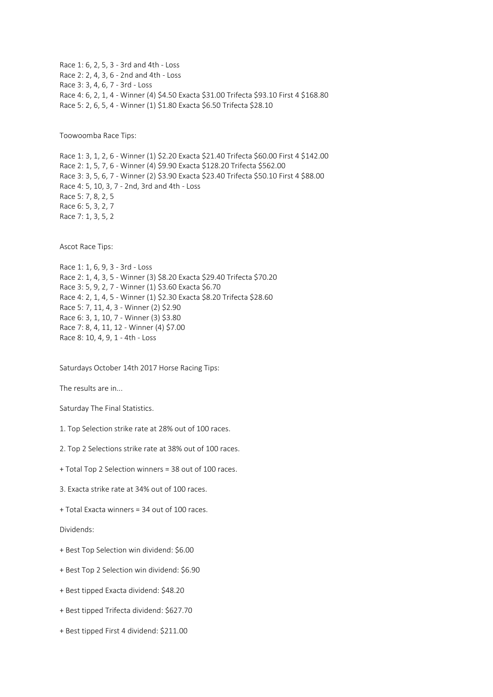Race 1: 6, 2, 5, 3 - 3rd and 4th - Loss Race 2: 2, 4, 3, 6 - 2nd and 4th - Loss Race 3: 3, 4, 6, 7 - 3rd - Loss Race 4: 6, 2, 1, 4 - Winner (4) \$4.50 Exacta \$31.00 Trifecta \$93.10 First 4 \$168.80 Race 5: 2, 6, 5, 4 - Winner (1) \$1.80 Exacta \$6.50 Trifecta \$28.10

Toowoomba Race Tips:

Race 1: 3, 1, 2, 6 - Winner (1) \$2.20 Exacta \$21.40 Trifecta \$60.00 First 4 \$142.00 Race 2: 1, 5, 7, 6 - Winner (4) \$9.90 Exacta \$128.20 Trifecta \$562.00 Race 3: 3, 5, 6, 7 - Winner (2) \$3.90 Exacta \$23.40 Trifecta \$50.10 First 4 \$88.00 Race 4: 5, 10, 3, 7 - 2nd, 3rd and 4th - Loss Race 5: 7, 8, 2, 5 Race 6: 5, 3, 2, 7 Race 7: 1, 3, 5, 2

Ascot Race Tips:

Race 1: 1, 6, 9, 3 - 3rd - Loss Race 2: 1, 4, 3, 5 - Winner (3) \$8.20 Exacta \$29.40 Trifecta \$70.20 Race 3: 5, 9, 2, 7 - Winner (1) \$3.60 Exacta \$6.70 Race 4: 2, 1, 4, 5 - Winner (1) \$2.30 Exacta \$8.20 Trifecta \$28.60 Race 5: 7, 11, 4, 3 - Winner (2) \$2.90 Race 6: 3, 1, 10, 7 - Winner (3) \$3.80 Race 7: 8, 4, 11, 12 - Winner (4) \$7.00 Race 8: 10, 4, 9, 1 - 4th - Loss

Saturdays October 14th 2017 Horse Racing Tips:

The results are in...

Saturday The Final Statistics.

- 1. Top Selection strike rate at 28% out of 100 races.
- 2. Top 2 Selections strike rate at 38% out of 100 races.
- + Total Top 2 Selection winners = 38 out of 100 races.
- 3. Exacta strike rate at 34% out of 100 races.
- + Total Exacta winners = 34 out of 100 races.

Dividends:

- + Best Top Selection win dividend: \$6.00
- + Best Top 2 Selection win dividend: \$6.90
- + Best tipped Exacta dividend: \$48.20
- + Best tipped Trifecta dividend: \$627.70
- + Best tipped First 4 dividend: \$211.00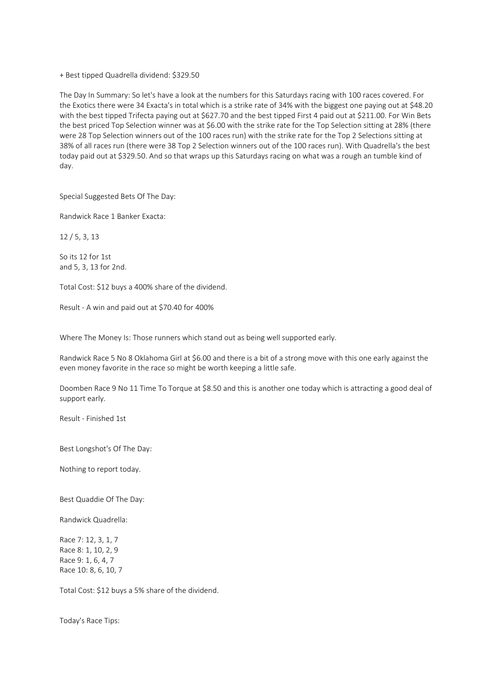## + Best tipped Quadrella dividend: \$329.50

The Day In Summary: So let's have a look at the numbers for this Saturdays racing with 100 races covered. For the Exotics there were 34 Exacta's in total which is a strike rate of 34% with the biggest one paying out at \$48.20 with the best tipped Trifecta paying out at \$627.70 and the best tipped First 4 paid out at \$211.00. For Win Bets the best priced Top Selection winner was at \$6.00 with the strike rate for the Top Selection sitting at 28% (there were 28 Top Selection winners out of the 100 races run) with the strike rate for the Top 2 Selections sitting at 38% of all races run (there were 38 Top 2 Selection winners out of the 100 races run). With Quadrella's the best today paid out at \$329.50. And so that wraps up this Saturdays racing on what was a rough an tumble kind of day.

Special Suggested Bets Of The Day:

Randwick Race 1 Banker Exacta:

12 / 5, 3, 13

So its 12 for 1st and 5, 3, 13 for 2nd.

Total Cost: \$12 buys a 400% share of the dividend.

Result - A win and paid out at \$70.40 for 400%

Where The Money Is: Those runners which stand out as being well supported early.

Randwick Race 5 No 8 Oklahoma Girl at \$6.00 and there is a bit of a strong move with this one early against the even money favorite in the race so might be worth keeping a little safe.

Doomben Race 9 No 11 Time To Torque at \$8.50 and this is another one today which is attracting a good deal of support early.

Result - Finished 1st

Best Longshot's Of The Day:

Nothing to report today.

Best Quaddie Of The Day:

Randwick Quadrella:

Race 7: 12, 3, 1, 7 Race 8: 1, 10, 2, 9 Race 9: 1, 6, 4, 7 Race 10: 8, 6, 10, 7

Total Cost: \$12 buys a 5% share of the dividend.

Today's Race Tips: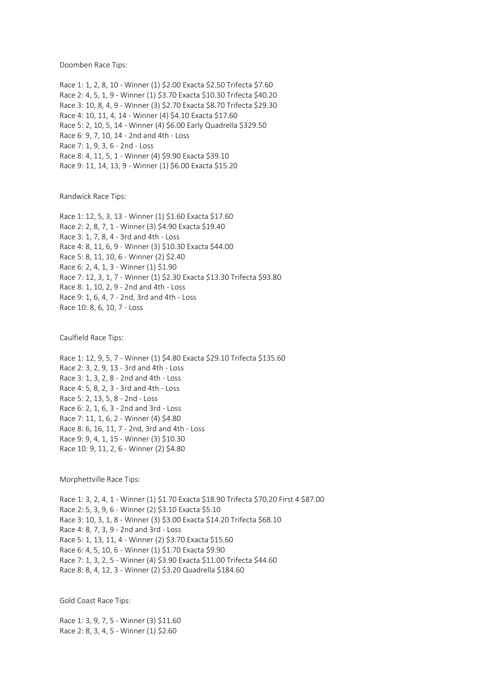Doomben Race Tips:

Race 1: 1, 2, 8, 10 - Winner (1) \$2.00 Exacta \$2.50 Trifecta \$7.60 Race 2: 4, 5, 1, 9 - Winner (1) \$3.70 Exacta \$10.30 Trifecta \$40.20 Race 3: 10, 8, 4, 9 - Winner (3) \$2.70 Exacta \$8.70 Trifecta \$29.30 Race 4: 10, 11, 4, 14 - Winner (4) \$4.10 Exacta \$17.60 Race 5: 2, 10, 5, 14 - Winner (4) \$6.00 Early Quadrella \$329.50 Race 6: 9, 7, 10, 14 - 2nd and 4th - Loss Race 7: 1, 9, 3, 6 - 2nd - Loss Race 8: 4, 11, 5, 1 - Winner (4) \$9.90 Exacta \$39.10 Race 9: 11, 14, 13, 9 - Winner (1) \$6.00 Exacta \$15.20

Randwick Race Tips:

Race 1: 12, 5, 3, 13 - Winner (1) \$1.60 Exacta \$17.60 Race 2: 2, 8, 7, 1 - Winner (3) \$4.90 Exacta \$19.40 Race 3: 1, 7, 8, 4 - 3rd and 4th - Loss Race 4: 8, 11, 6, 9 - Winner (3) \$10.30 Exacta \$44.00 Race 5: 8, 11, 10, 6 - Winner (2) \$2.40 Race 6: 2, 4, 1, 3 - Winner (1) \$1.90 Race 7: 12, 3, 1, 7 - Winner (1) \$2.30 Exacta \$13.30 Trifecta \$93.80 Race 8: 1, 10, 2, 9 - 2nd and 4th - Loss Race 9: 1, 6, 4, 7 - 2nd, 3rd and 4th - Loss Race 10: 8, 6, 10, 7 - Loss

Caulfield Race Tips:

Race 1: 12, 9, 5, 7 - Winner (1) \$4.80 Exacta \$29.10 Trifecta \$135.60 Race 2: 3, 2, 9, 13 - 3rd and 4th - Loss Race 3: 1, 3, 2, 8 - 2nd and 4th - Loss Race 4: 5, 8, 2, 3 - 3rd and 4th - Loss Race 5: 2, 13, 5, 8 - 2nd - Loss Race 6: 2, 1, 6, 3 - 2nd and 3rd - Loss Race 7: 11, 1, 6, 2 - Winner (4) \$4.80 Race 8: 6, 16, 11, 7 - 2nd, 3rd and 4th - Loss Race 9: 9, 4, 1, 15 - Winner (3) \$10.30 Race 10: 9, 11, 2, 6 - Winner (2) \$4.80

Morphettville Race Tips:

Race 1: 3, 2, 4, 1 - Winner (1) \$1.70 Exacta \$18.90 Trifecta \$70.20 First 4 \$87.00 Race 2: 5, 3, 9, 6 - Winner (2) \$3.10 Exacta \$5.10 Race 3: 10, 3, 1, 8 - Winner (3) \$3.00 Exacta \$14.20 Trifecta \$68.10 Race 4: 8, 7, 3, 9 - 2nd and 3rd - Loss Race 5: 1, 13, 11, 4 - Winner (2) \$3.70 Exacta \$15.60 Race 6: 4, 5, 10, 6 - Winner (1) \$1.70 Exacta \$9.90 Race 7: 1, 3, 2, 5 - Winner (4) \$3.90 Exacta \$11.00 Trifecta \$44.60 Race 8: 8, 4, 12, 3 - Winner (2) \$3.20 Quadrella \$184.60

Gold Coast Race Tips:

Race 1: 3, 9, 7, 5 - Winner (3) \$11.60 Race 2: 8, 3, 4, 5 - Winner (1) \$2.60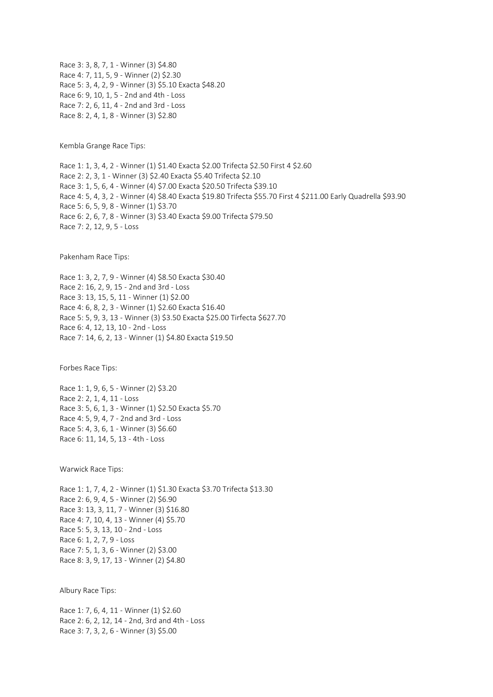Race 3: 3, 8, 7, 1 - Winner (3) \$4.80 Race 4: 7, 11, 5, 9 - Winner (2) \$2.30 Race 5: 3, 4, 2, 9 - Winner (3) \$5.10 Exacta \$48.20 Race 6: 9, 10, 1, 5 - 2nd and 4th - Loss Race 7: 2, 6, 11, 4 - 2nd and 3rd - Loss Race 8: 2, 4, 1, 8 - Winner (3) \$2.80

Kembla Grange Race Tips:

Race 1: 1, 3, 4, 2 - Winner (1) \$1.40 Exacta \$2.00 Trifecta \$2.50 First 4 \$2.60 Race 2: 2, 3, 1 - Winner (3) \$2.40 Exacta \$5.40 Trifecta \$2.10 Race 3: 1, 5, 6, 4 - Winner (4) \$7.00 Exacta \$20.50 Trifecta \$39.10 Race 4: 5, 4, 3, 2 - Winner (4) \$8.40 Exacta \$19.80 Trifecta \$55.70 First 4 \$211.00 Early Quadrella \$93.90 Race 5: 6, 5, 9, 8 - Winner (1) \$3.70 Race 6: 2, 6, 7, 8 - Winner (3) \$3.40 Exacta \$9.00 Trifecta \$79.50 Race 7: 2, 12, 9, 5 - Loss

Pakenham Race Tips:

Race 1: 3, 2, 7, 9 - Winner (4) \$8.50 Exacta \$30.40 Race 2: 16, 2, 9, 15 - 2nd and 3rd - Loss Race 3: 13, 15, 5, 11 - Winner (1) \$2.00 Race 4: 6, 8, 2, 3 - Winner (1) \$2.60 Exacta \$16.40 Race 5: 5, 9, 3, 13 - Winner (3) \$3.50 Exacta \$25.00 Tirfecta \$627.70 Race 6: 4, 12, 13, 10 - 2nd - Loss Race 7: 14, 6, 2, 13 - Winner (1) \$4.80 Exacta \$19.50

Forbes Race Tips:

Race 1: 1, 9, 6, 5 - Winner (2) \$3.20 Race 2: 2, 1, 4, 11 - Loss Race 3: 5, 6, 1, 3 - Winner (1) \$2.50 Exacta \$5.70 Race 4: 5, 9, 4, 7 - 2nd and 3rd - Loss Race 5: 4, 3, 6, 1 - Winner (3) \$6.60 Race 6: 11, 14, 5, 13 - 4th - Loss

Warwick Race Tips:

Race 1: 1, 7, 4, 2 - Winner (1) \$1.30 Exacta \$3.70 Trifecta \$13.30 Race 2: 6, 9, 4, 5 - Winner (2) \$6.90 Race 3: 13, 3, 11, 7 - Winner (3) \$16.80 Race 4: 7, 10, 4, 13 - Winner (4) \$5.70 Race 5: 5, 3, 13, 10 - 2nd - Loss Race 6: 1, 2, 7, 9 - Loss Race 7: 5, 1, 3, 6 - Winner (2) \$3.00 Race 8: 3, 9, 17, 13 - Winner (2) \$4.80

Albury Race Tips:

Race 1: 7, 6, 4, 11 - Winner (1) \$2.60 Race 2: 6, 2, 12, 14 - 2nd, 3rd and 4th - Loss Race 3: 7, 3, 2, 6 - Winner (3) \$5.00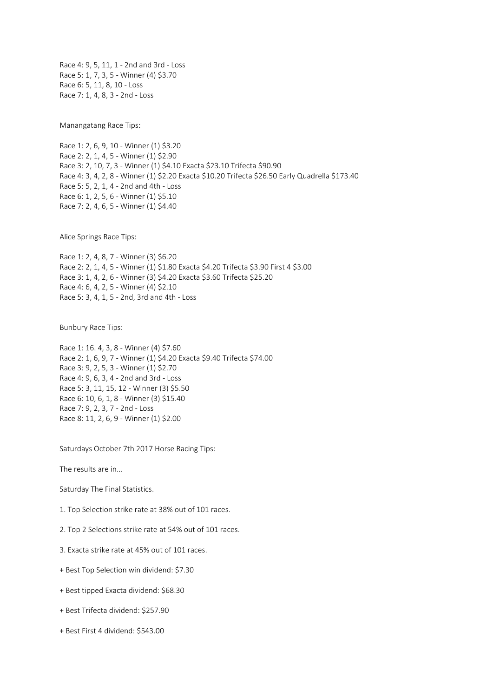Race 4: 9, 5, 11, 1 - 2nd and 3rd - Loss Race 5: 1, 7, 3, 5 - Winner (4) \$3.70 Race 6: 5, 11, 8, 10 - Loss Race 7: 1, 4, 8, 3 - 2nd - Loss

Manangatang Race Tips:

Race 1: 2, 6, 9, 10 - Winner (1) \$3.20 Race 2: 2, 1, 4, 5 - Winner (1) \$2.90 Race 3: 2, 10, 7, 3 - Winner (1) \$4.10 Exacta \$23.10 Trifecta \$90.90 Race 4: 3, 4, 2, 8 - Winner (1) \$2.20 Exacta \$10.20 Trifecta \$26.50 Early Quadrella \$173.40 Race 5: 5, 2, 1, 4 - 2nd and 4th - Loss Race 6: 1, 2, 5, 6 - Winner (1) \$5.10 Race 7: 2, 4, 6, 5 - Winner (1) \$4.40

Alice Springs Race Tips:

Race 1: 2, 4, 8, 7 - Winner (3) \$6.20 Race 2: 2, 1, 4, 5 - Winner (1) \$1.80 Exacta \$4.20 Trifecta \$3.90 First 4 \$3.00 Race 3: 1, 4, 2, 6 - Winner (3) \$4.20 Exacta \$3.60 Trifecta \$25.20 Race 4: 6, 4, 2, 5 - Winner (4) \$2.10 Race 5: 3, 4, 1, 5 - 2nd, 3rd and 4th - Loss

Bunbury Race Tips:

Race 1: 16. 4, 3, 8 - Winner (4) \$7.60 Race 2: 1, 6, 9, 7 - Winner (1) \$4.20 Exacta \$9.40 Trifecta \$74.00 Race 3: 9, 2, 5, 3 - Winner (1) \$2.70 Race 4: 9, 6, 3, 4 - 2nd and 3rd - Loss Race 5: 3, 11, 15, 12 - Winner (3) \$5.50 Race 6: 10, 6, 1, 8 - Winner (3) \$15.40 Race 7: 9, 2, 3, 7 - 2nd - Loss Race 8: 11, 2, 6, 9 - Winner (1) \$2.00

Saturdays October 7th 2017 Horse Racing Tips:

The results are in...

Saturday The Final Statistics.

1. Top Selection strike rate at 38% out of 101 races.

2. Top 2 Selections strike rate at 54% out of 101 races.

3. Exacta strike rate at 45% out of 101 races.

+ Best Top Selection win dividend: \$7.30

+ Best tipped Exacta dividend: \$68.30

+ Best Trifecta dividend: \$257.90

+ Best First 4 dividend: \$543.00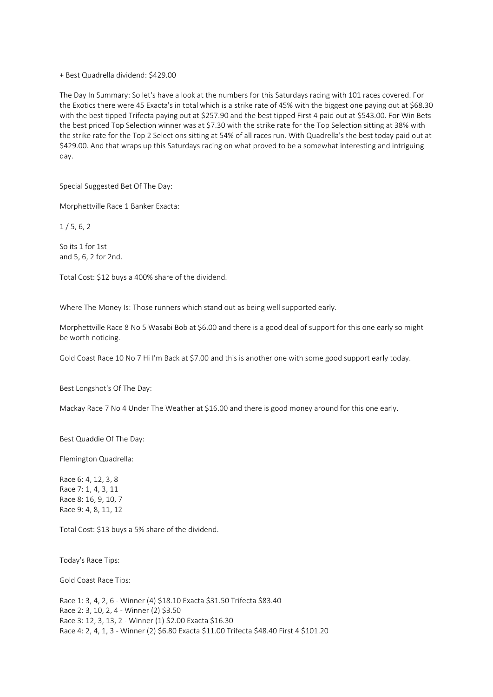+ Best Quadrella dividend: \$429.00

The Day In Summary: So let's have a look at the numbers for this Saturdays racing with 101 races covered. For the Exotics there were 45 Exacta's in total which is a strike rate of 45% with the biggest one paying out at \$68.30 with the best tipped Trifecta paying out at \$257.90 and the best tipped First 4 paid out at \$543.00. For Win Bets the best priced Top Selection winner was at \$7.30 with the strike rate for the Top Selection sitting at 38% with the strike rate for the Top 2 Selections sitting at 54% of all races run. With Quadrella's the best today paid out at \$429.00. And that wraps up this Saturdays racing on what proved to be a somewhat interesting and intriguing day.

Special Suggested Bet Of The Day:

Morphettville Race 1 Banker Exacta:

 $1/5, 6, 2$ 

So its 1 for 1st and 5, 6, 2 for 2nd.

Total Cost: \$12 buys a 400% share of the dividend.

Where The Money Is: Those runners which stand out as being well supported early.

Morphettville Race 8 No 5 Wasabi Bob at \$6.00 and there is a good deal of support for this one early so might be worth noticing.

Gold Coast Race 10 No 7 Hi I'm Back at \$7.00 and this is another one with some good support early today.

Best Longshot's Of The Day:

Mackay Race 7 No 4 Under The Weather at \$16.00 and there is good money around for this one early.

Best Quaddie Of The Day:

Flemington Quadrella:

Race 6: 4, 12, 3, 8 Race 7: 1, 4, 3, 11 Race 8: 16, 9, 10, 7 Race 9: 4, 8, 11, 12

Total Cost: \$13 buys a 5% share of the dividend.

Today's Race Tips:

Gold Coast Race Tips:

Race 1: 3, 4, 2, 6 - Winner (4) \$18.10 Exacta \$31.50 Trifecta \$83.40 Race 2: 3, 10, 2, 4 - Winner (2) \$3.50 Race 3: 12, 3, 13, 2 - Winner (1) \$2.00 Exacta \$16.30 Race 4: 2, 4, 1, 3 - Winner (2) \$6.80 Exacta \$11.00 Trifecta \$48.40 First 4 \$101.20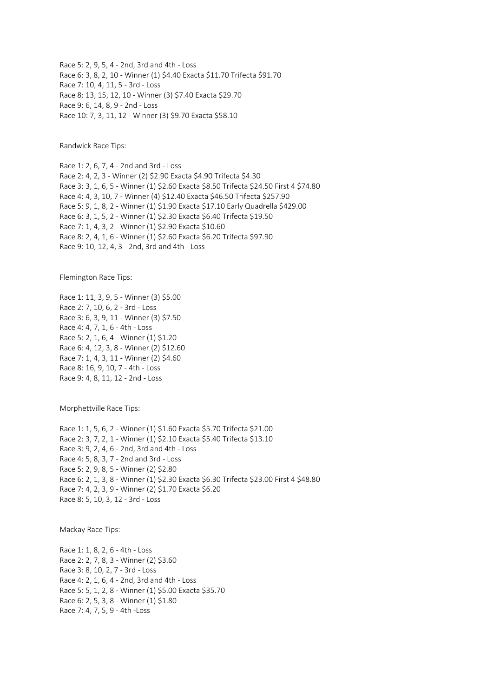Race 5: 2, 9, 5, 4 - 2nd, 3rd and 4th - Loss Race 6: 3, 8, 2, 10 - Winner (1) \$4.40 Exacta \$11.70 Trifecta \$91.70 Race 7: 10, 4, 11, 5 - 3rd - Loss Race 8: 13, 15, 12, 10 - Winner (3) \$7.40 Exacta \$29.70 Race 9: 6, 14, 8, 9 - 2nd - Loss Race 10: 7, 3, 11, 12 - Winner (3) \$9.70 Exacta \$58.10

Randwick Race Tips:

Race 1: 2, 6, 7, 4 - 2nd and 3rd - Loss Race 2: 4, 2, 3 - Winner (2) \$2.90 Exacta \$4.90 Trifecta \$4.30 Race 3: 3, 1, 6, 5 - Winner (1) \$2.60 Exacta \$8.50 Trifecta \$24.50 First 4 \$74.80 Race 4: 4, 3, 10, 7 - Winner (4) \$12.40 Exacta \$46.50 Trifecta \$257.90 Race 5: 9, 1, 8, 2 - Winner (1) \$1.90 Exacta \$17.10 Early Quadrella \$429.00 Race 6: 3, 1, 5, 2 - Winner (1) \$2.30 Exacta \$6.40 Trifecta \$19.50 Race 7: 1, 4, 3, 2 - Winner (1) \$2.90 Exacta \$10.60 Race 8: 2, 4, 1, 6 - Winner (1) \$2.60 Exacta \$6.20 Trifecta \$97.90 Race 9: 10, 12, 4, 3 - 2nd, 3rd and 4th - Loss

Flemington Race Tips:

Race 1: 11, 3, 9, 5 - Winner (3) \$5.00 Race 2: 7, 10, 6, 2 - 3rd - Loss Race 3: 6, 3, 9, 11 - Winner (3) \$7.50 Race 4: 4, 7, 1, 6 - 4th - Loss Race 5: 2, 1, 6, 4 - Winner (1) \$1.20 Race 6: 4, 12, 3, 8 - Winner (2) \$12.60 Race 7: 1, 4, 3, 11 - Winner (2) \$4.60 Race 8: 16, 9, 10, 7 - 4th - Loss Race 9: 4, 8, 11, 12 - 2nd - Loss

Morphettville Race Tips:

Race 1: 1, 5, 6, 2 - Winner (1) \$1.60 Exacta \$5.70 Trifecta \$21.00 Race 2: 3, 7, 2, 1 - Winner (1) \$2.10 Exacta \$5.40 Trifecta \$13.10 Race 3: 9, 2, 4, 6 - 2nd, 3rd and 4th - Loss Race 4: 5, 8, 3, 7 - 2nd and 3rd - Loss Race 5: 2, 9, 8, 5 - Winner (2) \$2.80 Race 6: 2, 1, 3, 8 - Winner (1) \$2.30 Exacta \$6.30 Trifecta \$23.00 First 4 \$48.80 Race 7: 4, 2, 3, 9 - Winner (2) \$1.70 Exacta \$6.20 Race 8: 5, 10, 3, 12 - 3rd - Loss

Mackay Race Tips:

Race 1: 1, 8, 2, 6 - 4th - Loss Race 2: 2, 7, 8, 3 - Winner (2) \$3.60 Race 3: 8, 10, 2, 7 - 3rd - Loss Race 4: 2, 1, 6, 4 - 2nd, 3rd and 4th - Loss Race 5: 5, 1, 2, 8 - Winner (1) \$5.00 Exacta \$35.70 Race 6: 2, 5, 3, 8 - Winner (1) \$1.80 Race 7: 4, 7, 5, 9 - 4th -Loss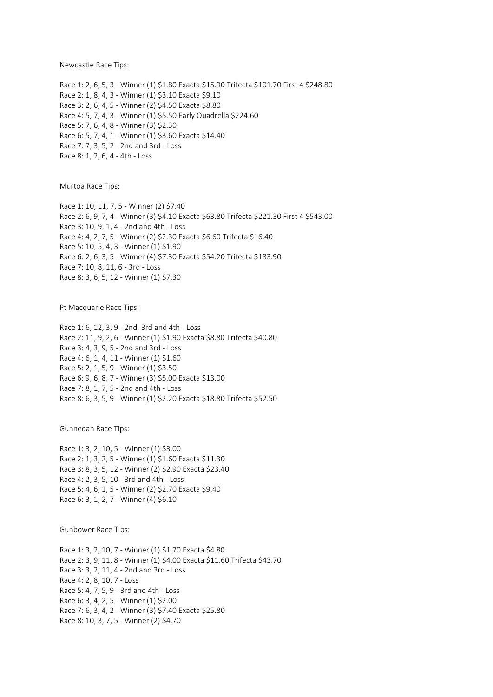Newcastle Race Tips:

Race 1: 2, 6, 5, 3 - Winner (1) \$1.80 Exacta \$15.90 Trifecta \$101.70 First 4 \$248.80 Race 2: 1, 8, 4, 3 - Winner (1) \$3.10 Exacta \$9.10 Race 3: 2, 6, 4, 5 - Winner (2) \$4.50 Exacta \$8.80 Race 4: 5, 7, 4, 3 - Winner (1) \$5.50 Early Quadrella \$224.60 Race 5: 7, 6, 4, 8 - Winner (3) \$2.30 Race 6: 5, 7, 4, 1 - Winner (1) \$3.60 Exacta \$14.40 Race 7: 7, 3, 5, 2 - 2nd and 3rd - Loss Race 8: 1, 2, 6, 4 - 4th - Loss

Murtoa Race Tips:

Race 1: 10, 11, 7, 5 - Winner (2) \$7.40 Race 2: 6, 9, 7, 4 - Winner (3) \$4.10 Exacta \$63.80 Trifecta \$221.30 First 4 \$543.00 Race 3: 10, 9, 1, 4 - 2nd and 4th - Loss Race 4: 4, 2, 7, 5 - Winner (2) \$2.30 Exacta \$6.60 Trifecta \$16.40 Race 5: 10, 5, 4, 3 - Winner (1) \$1.90 Race 6: 2, 6, 3, 5 - Winner (4) \$7.30 Exacta \$54.20 Trifecta \$183.90 Race 7: 10, 8, 11, 6 - 3rd - Loss Race 8: 3, 6, 5, 12 - Winner (1) \$7.30

Pt Macquarie Race Tips:

Race 1: 6, 12, 3, 9 - 2nd, 3rd and 4th - Loss Race 2: 11, 9, 2, 6 - Winner (1) \$1.90 Exacta \$8.80 Trifecta \$40.80 Race 3: 4, 3, 9, 5 - 2nd and 3rd - Loss Race 4: 6, 1, 4, 11 - Winner (1) \$1.60 Race 5: 2, 1, 5, 9 - Winner (1) \$3.50 Race 6: 9, 6, 8, 7 - Winner (3) \$5.00 Exacta \$13.00 Race 7: 8, 1, 7, 5 - 2nd and 4th - Loss Race 8: 6, 3, 5, 9 - Winner (1) \$2.20 Exacta \$18.80 Trifecta \$52.50

Gunnedah Race Tips:

Race 1: 3, 2, 10, 5 - Winner (1) \$3.00 Race 2: 1, 3, 2, 5 - Winner (1) \$1.60 Exacta \$11.30 Race 3: 8, 3, 5, 12 - Winner (2) \$2.90 Exacta \$23.40 Race 4: 2, 3, 5, 10 - 3rd and 4th - Loss Race 5: 4, 6, 1, 5 - Winner (2) \$2.70 Exacta \$9.40 Race 6: 3, 1, 2, 7 - Winner (4) \$6.10

Gunbower Race Tips:

Race 1: 3, 2, 10, 7 - Winner (1) \$1.70 Exacta \$4.80 Race 2: 3, 9, 11, 8 - Winner (1) \$4.00 Exacta \$11.60 Trifecta \$43.70 Race 3: 3, 2, 11, 4 - 2nd and 3rd - Loss Race 4: 2, 8, 10, 7 - Loss Race 5: 4, 7, 5, 9 - 3rd and 4th - Loss Race 6: 3, 4, 2, 5 - Winner (1) \$2.00 Race 7: 6, 3, 4, 2 - Winner (3) \$7.40 Exacta \$25.80 Race 8: 10, 3, 7, 5 - Winner (2) \$4.70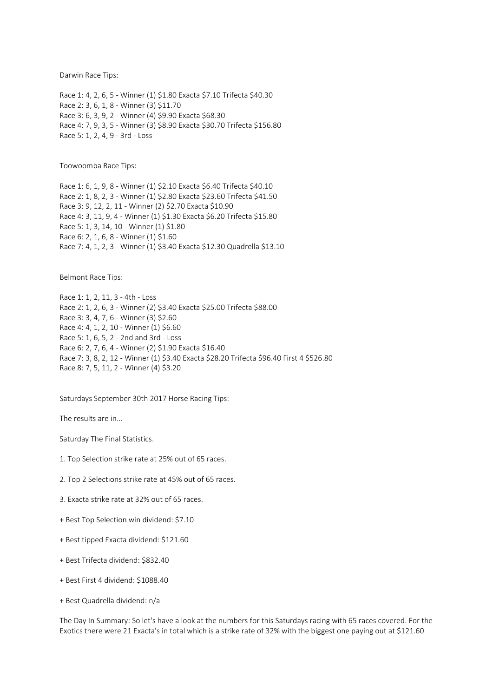Darwin Race Tips:

Race 1: 4, 2, 6, 5 - Winner (1) \$1.80 Exacta \$7.10 Trifecta \$40.30 Race 2: 3, 6, 1, 8 - Winner (3) \$11.70 Race 3: 6, 3, 9, 2 - Winner (4) \$9.90 Exacta \$68.30 Race 4: 7, 9, 3, 5 - Winner (3) \$8.90 Exacta \$30.70 Trifecta \$156.80 Race 5: 1, 2, 4, 9 - 3rd - Loss

Toowoomba Race Tips:

Race 1: 6, 1, 9, 8 - Winner (1) \$2.10 Exacta \$6.40 Trifecta \$40.10 Race 2: 1, 8, 2, 3 - Winner (1) \$2.80 Exacta \$23.60 Trifecta \$41.50 Race 3: 9, 12, 2, 11 - Winner (2) \$2.70 Exacta \$10.90 Race 4: 3, 11, 9, 4 - Winner (1) \$1.30 Exacta \$6.20 Trifecta \$15.80 Race 5: 1, 3, 14, 10 - Winner (1) \$1.80 Race 6: 2, 1, 6, 8 - Winner (1) \$1.60 Race 7: 4, 1, 2, 3 - Winner (1) \$3.40 Exacta \$12.30 Quadrella \$13.10

Belmont Race Tips:

Race 1: 1, 2, 11, 3 - 4th - Loss Race 2: 1, 2, 6, 3 - Winner (2) \$3.40 Exacta \$25.00 Trifecta \$88.00 Race 3: 3, 4, 7, 6 - Winner (3) \$2.60 Race 4: 4, 1, 2, 10 - Winner (1) \$6.60 Race 5: 1, 6, 5, 2 - 2nd and 3rd - Loss Race 6: 2, 7, 6, 4 - Winner (2) \$1.90 Exacta \$16.40 Race 7: 3, 8, 2, 12 - Winner (1) \$3.40 Exacta \$28.20 Trifecta \$96.40 First 4 \$526.80 Race 8: 7, 5, 11, 2 - Winner (4) \$3.20

Saturdays September 30th 2017 Horse Racing Tips:

The results are in...

Saturday The Final Statistics.

- 1. Top Selection strike rate at 25% out of 65 races.
- 2. Top 2 Selections strike rate at 45% out of 65 races.
- 3. Exacta strike rate at 32% out of 65 races.
- + Best Top Selection win dividend: \$7.10
- + Best tipped Exacta dividend: \$121.60
- + Best Trifecta dividend: \$832.40
- + Best First 4 dividend: \$1088.40
- + Best Quadrella dividend: n/a

The Day In Summary: So let's have a look at the numbers for this Saturdays racing with 65 races covered. For the Exotics there were 21 Exacta's in total which is a strike rate of 32% with the biggest one paying out at \$121.60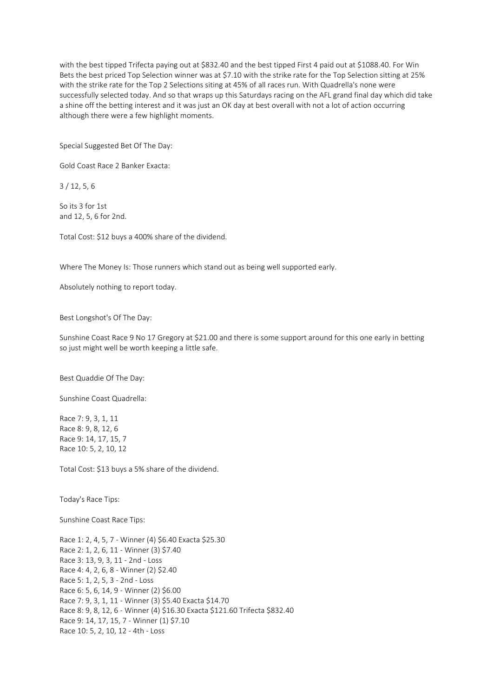with the best tipped Trifecta paying out at \$832.40 and the best tipped First 4 paid out at \$1088.40. For Win Bets the best priced Top Selection winner was at \$7.10 with the strike rate for the Top Selection sitting at 25% with the strike rate for the Top 2 Selections siting at 45% of all races run. With Quadrella's none were successfully selected today. And so that wraps up this Saturdays racing on the AFL grand final day which did take a shine off the betting interest and it was just an OK day at best overall with not a lot of action occurring although there were a few highlight moments.

Special Suggested Bet Of The Day:

Gold Coast Race 2 Banker Exacta:

3 / 12, 5, 6

So its 3 for 1st and 12, 5, 6 for 2nd.

Total Cost: \$12 buys a 400% share of the dividend.

Where The Money Is: Those runners which stand out as being well supported early.

Absolutely nothing to report today.

Best Longshot's Of The Day:

Sunshine Coast Race 9 No 17 Gregory at \$21.00 and there is some support around for this one early in betting so just might well be worth keeping a little safe.

Best Quaddie Of The Day:

Sunshine Coast Quadrella:

Race 7: 9, 3, 1, 11 Race 8: 9, 8, 12, 6 Race 9: 14, 17, 15, 7 Race 10: 5, 2, 10, 12

Total Cost: \$13 buys a 5% share of the dividend.

Today's Race Tips:

Sunshine Coast Race Tips:

Race 1: 2, 4, 5, 7 - Winner (4) \$6.40 Exacta \$25.30 Race 2: 1, 2, 6, 11 - Winner (3) \$7.40 Race 3: 13, 9, 3, 11 - 2nd - Loss Race 4: 4, 2, 6, 8 - Winner (2) \$2.40 Race 5: 1, 2, 5, 3 - 2nd - Loss Race 6: 5, 6, 14, 9 - Winner (2) \$6.00 Race 7: 9, 3, 1, 11 - Winner (3) \$5.40 Exacta \$14.70 Race 8: 9, 8, 12, 6 - Winner (4) \$16.30 Exacta \$121.60 Trifecta \$832.40 Race 9: 14, 17, 15, 7 - Winner (1) \$7.10 Race 10: 5, 2, 10, 12 - 4th - Loss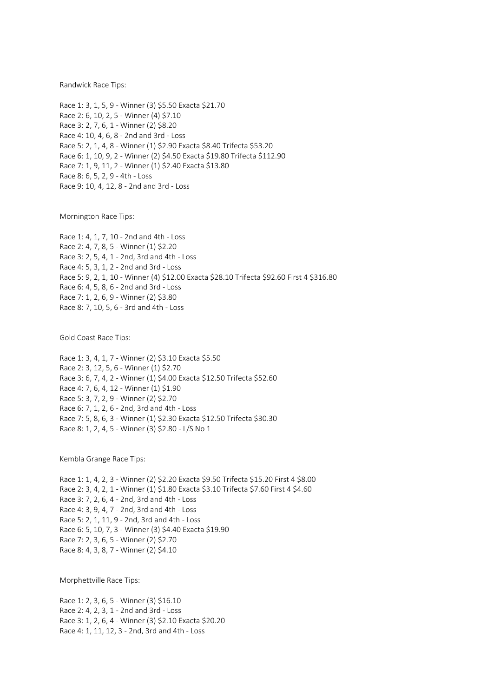Randwick Race Tips:

Race 1: 3, 1, 5, 9 - Winner (3) \$5.50 Exacta \$21.70 Race 2: 6, 10, 2, 5 - Winner (4) \$7.10 Race 3: 2, 7, 6, 1 - Winner (2) \$8.20 Race 4: 10, 4, 6, 8 - 2nd and 3rd - Loss Race 5: 2, 1, 4, 8 - Winner (1) \$2.90 Exacta \$8.40 Trifecta \$53.20 Race 6: 1, 10, 9, 2 - Winner (2) \$4.50 Exacta \$19.80 Trifecta \$112.90 Race 7: 1, 9, 11, 2 - Winner (1) \$2.40 Exacta \$13.80 Race 8: 6, 5, 2, 9 - 4th - Loss Race 9: 10, 4, 12, 8 - 2nd and 3rd - Loss

Mornington Race Tips:

Race 1: 4, 1, 7, 10 - 2nd and 4th - Loss Race 2: 4, 7, 8, 5 - Winner (1) \$2.20 Race 3: 2, 5, 4, 1 - 2nd, 3rd and 4th - Loss Race 4: 5, 3, 1, 2 - 2nd and 3rd - Loss Race 5: 9, 2, 1, 10 - Winner (4) \$12.00 Exacta \$28.10 Trifecta \$92.60 First 4 \$316.80 Race 6: 4, 5, 8, 6 - 2nd and 3rd - Loss Race 7: 1, 2, 6, 9 - Winner (2) \$3.80 Race 8: 7, 10, 5, 6 - 3rd and 4th - Loss

Gold Coast Race Tips:

Race 1: 3, 4, 1, 7 - Winner (2) \$3.10 Exacta \$5.50 Race 2: 3, 12, 5, 6 - Winner (1) \$2.70 Race 3: 6, 7, 4, 2 - Winner (1) \$4.00 Exacta \$12.50 Trifecta \$52.60 Race 4: 7, 6, 4, 12 - Winner (1) \$1.90 Race 5: 3, 7, 2, 9 - Winner (2) \$2.70 Race 6: 7, 1, 2, 6 - 2nd, 3rd and 4th - Loss Race 7: 5, 8, 6, 3 - Winner (1) \$2.30 Exacta \$12.50 Trifecta \$30.30 Race 8: 1, 2, 4, 5 - Winner (3) \$2.80 - L/S No 1

Kembla Grange Race Tips:

Race 1: 1, 4, 2, 3 - Winner (2) \$2.20 Exacta \$9.50 Trifecta \$15.20 First 4 \$8.00 Race 2: 3, 4, 2, 1 - Winner (1) \$1.80 Exacta \$3.10 Trifecta \$7.60 First 4 \$4.60 Race 3: 7, 2, 6, 4 - 2nd, 3rd and 4th - Loss Race 4: 3, 9, 4, 7 - 2nd, 3rd and 4th - Loss Race 5: 2, 1, 11, 9 - 2nd, 3rd and 4th - Loss Race 6: 5, 10, 7, 3 - Winner (3) \$4.40 Exacta \$19.90 Race 7: 2, 3, 6, 5 - Winner (2) \$2.70 Race 8: 4, 3, 8, 7 - Winner (2) \$4.10

Morphettville Race Tips:

Race 1: 2, 3, 6, 5 - Winner (3) \$16.10 Race 2: 4, 2, 3, 1 - 2nd and 3rd - Loss Race 3: 1, 2, 6, 4 - Winner (3) \$2.10 Exacta \$20.20 Race 4: 1, 11, 12, 3 - 2nd, 3rd and 4th - Loss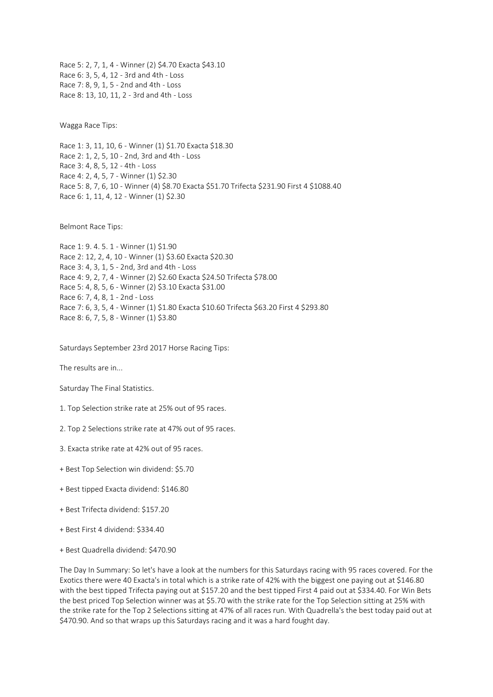Race 5: 2, 7, 1, 4 - Winner (2) \$4.70 Exacta \$43.10 Race 6: 3, 5, 4, 12 - 3rd and 4th - Loss Race 7: 8, 9, 1, 5 - 2nd and 4th - Loss Race 8: 13, 10, 11, 2 - 3rd and 4th - Loss

Wagga Race Tips:

Race 1: 3, 11, 10, 6 - Winner (1) \$1.70 Exacta \$18.30 Race 2: 1, 2, 5, 10 - 2nd, 3rd and 4th - Loss Race 3: 4, 8, 5, 12 - 4th - Loss Race 4: 2, 4, 5, 7 - Winner (1) \$2.30 Race 5: 8, 7, 6, 10 - Winner (4) \$8.70 Exacta \$51.70 Trifecta \$231.90 First 4 \$1088.40 Race 6: 1, 11, 4, 12 - Winner (1) \$2.30

Belmont Race Tips:

```
Race 1: 9. 4. 5. 1 - Winner (1) $1.90
Race 2: 12, 2, 4, 10 - Winner (1) $3.60 Exacta $20.30
Race 3: 4, 3, 1, 5 - 2nd, 3rd and 4th - Loss
Race 4: 9, 2, 7, 4 - Winner (2) $2.60 Exacta $24.50 Trifecta $78.00
Race 5: 4, 8, 5, 6 - Winner (2) $3.10 Exacta $31.00
Race 6: 7, 4, 8, 1 - 2nd - Loss
Race 7: 6, 3, 5, 4 - Winner (1) $1.80 Exacta $10.60 Trifecta $63.20 First 4 $293.80
Race 8: 6, 7, 5, 8 - Winner (1) $3.80
```
Saturdays September 23rd 2017 Horse Racing Tips:

The results are in...

Saturday The Final Statistics.

- 1. Top Selection strike rate at 25% out of 95 races.
- 2. Top 2 Selections strike rate at 47% out of 95 races.
- 3. Exacta strike rate at 42% out of 95 races.
- + Best Top Selection win dividend: \$5.70
- + Best tipped Exacta dividend: \$146.80
- + Best Trifecta dividend: \$157.20
- + Best First 4 dividend: \$334.40
- + Best Quadrella dividend: \$470.90

The Day In Summary: So let's have a look at the numbers for this Saturdays racing with 95 races covered. For the Exotics there were 40 Exacta's in total which is a strike rate of 42% with the biggest one paying out at \$146.80 with the best tipped Trifecta paying out at \$157.20 and the best tipped First 4 paid out at \$334.40. For Win Bets the best priced Top Selection winner was at \$5.70 with the strike rate for the Top Selection sitting at 25% with the strike rate for the Top 2 Selections sitting at 47% of all races run. With Quadrella's the best today paid out at \$470.90. And so that wraps up this Saturdays racing and it was a hard fought day.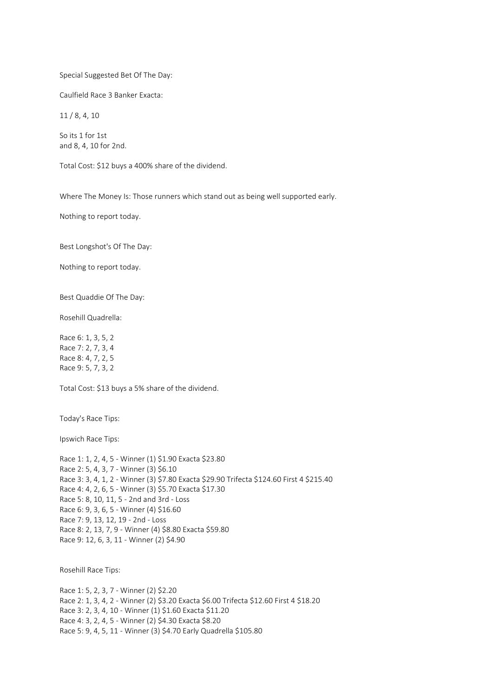## Special Suggested Bet Of The Day:

Caulfield Race 3 Banker Exacta:

11 / 8, 4, 10

So its 1 for 1st and 8, 4, 10 for 2nd.

Total Cost: \$12 buys a 400% share of the dividend.

Where The Money Is: Those runners which stand out as being well supported early.

Nothing to report today.

Best Longshot's Of The Day:

Nothing to report today.

Best Quaddie Of The Day:

Rosehill Quadrella:

Race 6: 1, 3, 5, 2 Race 7: 2, 7, 3, 4 Race 8: 4, 7, 2, 5 Race 9: 5, 7, 3, 2

Total Cost: \$13 buys a 5% share of the dividend.

Today's Race Tips:

Ipswich Race Tips:

| Race 1: 1, 2, 4, 5 - Winner (1) \$1.90 Exacta \$23.80                                    |
|------------------------------------------------------------------------------------------|
| Race 2: 5, 4, 3, 7 - Winner (3) \$6.10                                                   |
| Race 3: 3, 4, 1, 2 - Winner (3) \$7.80 Exacta \$29.90 Trifecta \$124.60 First 4 \$215.40 |
| Race 4: 4, 2, 6, 5 - Winner (3) \$5.70 Exacta \$17.30                                    |
| Race 5: 8, 10, 11, 5 - 2nd and 3rd - Loss                                                |
| Race 6: 9, 3, 6, 5 - Winner (4) \$16.60                                                  |
| Race 7: 9, 13, 12, 19 - 2nd - Loss                                                       |
| Race 8: 2, 13, 7, 9 - Winner (4) \$8.80 Exacta \$59.80                                   |
| Race 9: 12, 6, 3, 11 - Winner (2) \$4.90                                                 |
|                                                                                          |

Rosehill Race Tips:

Race 1: 5, 2, 3, 7 - Winner (2) \$2.20 Race 2: 1, 3, 4, 2 - Winner (2) \$3.20 Exacta \$6.00 Trifecta \$12.60 First 4 \$18.20 Race 3: 2, 3, 4, 10 - Winner (1) \$1.60 Exacta \$11.20 Race 4: 3, 2, 4, 5 - Winner (2) \$4.30 Exacta \$8.20 Race 5: 9, 4, 5, 11 - Winner (3) \$4.70 Early Quadrella \$105.80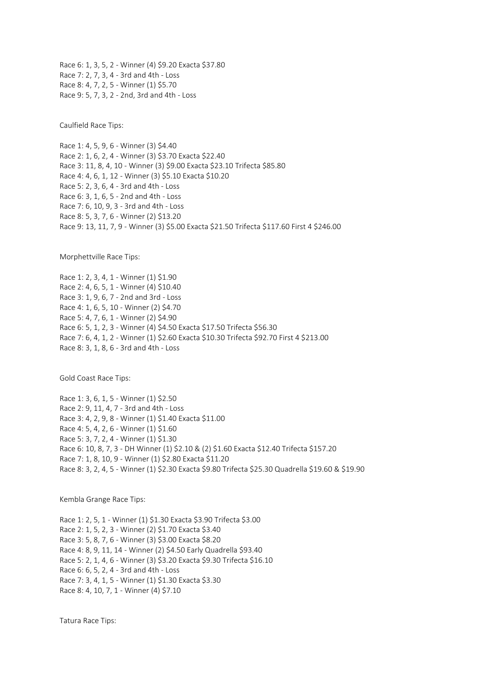Race 6: 1, 3, 5, 2 - Winner (4) \$9.20 Exacta \$37.80 Race 7: 2, 7, 3, 4 - 3rd and 4th - Loss Race 8: 4, 7, 2, 5 - Winner (1) \$5.70 Race 9: 5, 7, 3, 2 - 2nd, 3rd and 4th - Loss

Caulfield Race Tips:

Race 1: 4, 5, 9, 6 - Winner (3) \$4.40 Race 2: 1, 6, 2, 4 - Winner (3) \$3.70 Exacta \$22.40 Race 3: 11, 8, 4, 10 - Winner (3) \$9.00 Exacta \$23.10 Trifecta \$85.80 Race 4: 4, 6, 1, 12 - Winner (3) \$5.10 Exacta \$10.20 Race 5: 2, 3, 6, 4 - 3rd and 4th - Loss Race 6: 3, 1, 6, 5 - 2nd and 4th - Loss Race 7: 6, 10, 9, 3 - 3rd and 4th - Loss Race 8: 5, 3, 7, 6 - Winner (2) \$13.20 Race 9: 13, 11, 7, 9 - Winner (3) \$5.00 Exacta \$21.50 Trifecta \$117.60 First 4 \$246.00

Morphettville Race Tips:

Race 1: 2, 3, 4, 1 - Winner (1) \$1.90 Race 2: 4, 6, 5, 1 - Winner (4) \$10.40 Race 3: 1, 9, 6, 7 - 2nd and 3rd - Loss Race 4: 1, 6, 5, 10 - Winner (2) \$4.70 Race 5: 4, 7, 6, 1 - Winner (2) \$4.90 Race 6: 5, 1, 2, 3 - Winner (4) \$4.50 Exacta \$17.50 Trifecta \$56.30 Race 7: 6, 4, 1, 2 - Winner (1) \$2.60 Exacta \$10.30 Trifecta \$92.70 First 4 \$213.00 Race 8: 3, 1, 8, 6 - 3rd and 4th - Loss

Gold Coast Race Tips:

Race 1: 3, 6, 1, 5 - Winner (1) \$2.50 Race 2: 9, 11, 4, 7 - 3rd and 4th - Loss Race 3: 4, 2, 9, 8 - Winner (1) \$1.40 Exacta \$11.00 Race 4: 5, 4, 2, 6 - Winner (1) \$1.60 Race 5: 3, 7, 2, 4 - Winner (1) \$1.30 Race 6: 10, 8, 7, 3 - DH Winner (1) \$2.10 & (2) \$1.60 Exacta \$12.40 Trifecta \$157.20 Race 7: 1, 8, 10, 9 - Winner (1) \$2.80 Exacta \$11.20 Race 8: 3, 2, 4, 5 - Winner (1) \$2.30 Exacta \$9.80 Trifecta \$25.30 Quadrella \$19.60 & \$19.90

Kembla Grange Race Tips:

Race 1: 2, 5, 1 - Winner (1) \$1.30 Exacta \$3.90 Trifecta \$3.00 Race 2: 1, 5, 2, 3 - Winner (2) \$1.70 Exacta \$3.40 Race 3: 5, 8, 7, 6 - Winner (3) \$3.00 Exacta \$8.20 Race 4: 8, 9, 11, 14 - Winner (2) \$4.50 Early Quadrella \$93.40 Race 5: 2, 1, 4, 6 - Winner (3) \$3.20 Exacta \$9.30 Trifecta \$16.10 Race 6: 6, 5, 2, 4 - 3rd and 4th - Loss Race 7: 3, 4, 1, 5 - Winner (1) \$1.30 Exacta \$3.30 Race 8: 4, 10, 7, 1 - Winner (4) \$7.10

Tatura Race Tips: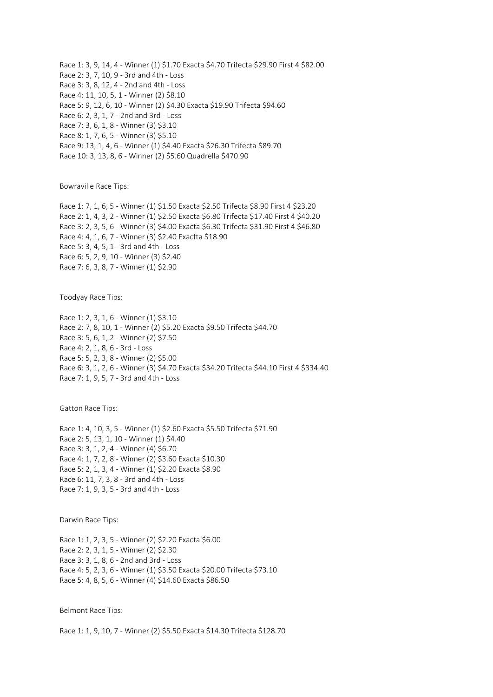Race 1: 3, 9, 14, 4 - Winner (1) \$1.70 Exacta \$4.70 Trifecta \$29.90 First 4 \$82.00 Race 2: 3, 7, 10, 9 - 3rd and 4th - Loss Race 3: 3, 8, 12, 4 - 2nd and 4th - Loss Race 4: 11, 10, 5, 1 - Winner (2) \$8.10 Race 5: 9, 12, 6, 10 - Winner (2) \$4.30 Exacta \$19.90 Trifecta \$94.60 Race 6: 2, 3, 1, 7 - 2nd and 3rd - Loss Race 7: 3, 6, 1, 8 - Winner (3) \$3.10 Race 8: 1, 7, 6, 5 - Winner (3) \$5.10 Race 9: 13, 1, 4, 6 - Winner (1) \$4.40 Exacta \$26.30 Trifecta \$89.70 Race 10: 3, 13, 8, 6 - Winner (2) \$5.60 Quadrella \$470.90

Bowraville Race Tips:

Race 1: 7, 1, 6, 5 - Winner (1) \$1.50 Exacta \$2.50 Trifecta \$8.90 First 4 \$23.20 Race 2: 1, 4, 3, 2 - Winner (1) \$2.50 Exacta \$6.80 Trifecta \$17.40 First 4 \$40.20 Race 3: 2, 3, 5, 6 - Winner (3) \$4.00 Exacta \$6.30 Trifecta \$31.90 First 4 \$46.80 Race 4: 4, 1, 6, 7 - Winner (3) \$2.40 Exacfta \$18.90 Race 5: 3, 4, 5, 1 - 3rd and 4th - Loss Race 6: 5, 2, 9, 10 - Winner (3) \$2.40 Race 7: 6, 3, 8, 7 - Winner (1) \$2.90

Toodyay Race Tips:

Race 1: 2, 3, 1, 6 - Winner (1) \$3.10 Race 2: 7, 8, 10, 1 - Winner (2) \$5.20 Exacta \$9.50 Trifecta \$44.70 Race 3: 5, 6, 1, 2 - Winner (2) \$7.50 Race 4: 2, 1, 8, 6 - 3rd - Loss Race 5: 5, 2, 3, 8 - Winner (2) \$5.00 Race 6: 3, 1, 2, 6 - Winner (3) \$4.70 Exacta \$34.20 Trifecta \$44.10 First 4 \$334.40 Race 7: 1, 9, 5, 7 - 3rd and 4th - Loss

Gatton Race Tips:

Race 1: 4, 10, 3, 5 - Winner (1) \$2.60 Exacta \$5.50 Trifecta \$71.90 Race 2: 5, 13, 1, 10 - Winner (1) \$4.40 Race 3: 3, 1, 2, 4 - Winner (4) \$6.70 Race 4: 1, 7, 2, 8 - Winner (2) \$3.60 Exacta \$10.30 Race 5: 2, 1, 3, 4 - Winner (1) \$2.20 Exacta \$8.90 Race 6: 11, 7, 3, 8 - 3rd and 4th - Loss Race 7: 1, 9, 3, 5 - 3rd and 4th - Loss

Darwin Race Tips:

Race 1: 1, 2, 3, 5 - Winner (2) \$2.20 Exacta \$6.00 Race 2: 2, 3, 1, 5 - Winner (2) \$2.30 Race 3: 3, 1, 8, 6 - 2nd and 3rd - Loss Race 4: 5, 2, 3, 6 - Winner (1) \$3.50 Exacta \$20.00 Trifecta \$73.10 Race 5: 4, 8, 5, 6 - Winner (4) \$14.60 Exacta \$86.50

Belmont Race Tips:

Race 1: 1, 9, 10, 7 - Winner (2) \$5.50 Exacta \$14.30 Trifecta \$128.70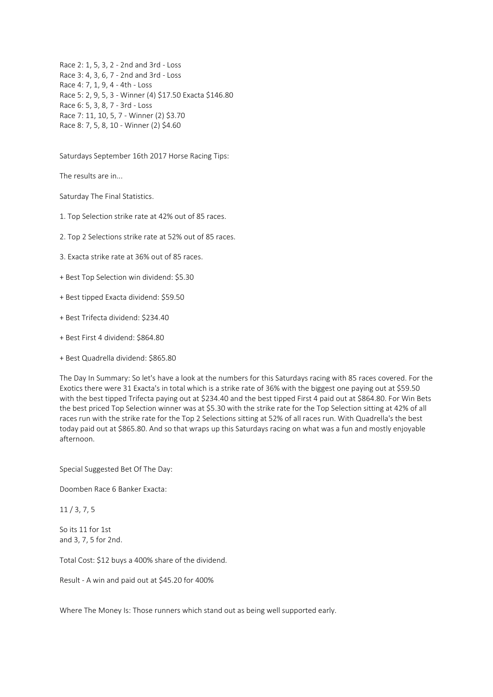Race 2: 1, 5, 3, 2 - 2nd and 3rd - Loss Race 3: 4, 3, 6, 7 - 2nd and 3rd - Loss Race 4: 7, 1, 9, 4 - 4th - Loss Race 5: 2, 9, 5, 3 - Winner (4) \$17.50 Exacta \$146.80 Race 6: 5, 3, 8, 7 - 3rd - Loss Race 7: 11, 10, 5, 7 - Winner (2) \$3.70 Race 8: 7, 5, 8, 10 - Winner (2) \$4.60

Saturdays September 16th 2017 Horse Racing Tips:

The results are in...

Saturday The Final Statistics.

1. Top Selection strike rate at 42% out of 85 races.

2. Top 2 Selections strike rate at 52% out of 85 races.

3. Exacta strike rate at 36% out of 85 races.

+ Best Top Selection win dividend: \$5.30

+ Best tipped Exacta dividend: \$59.50

+ Best Trifecta dividend: \$234.40

+ Best First 4 dividend: \$864.80

+ Best Quadrella dividend: \$865.80

The Day In Summary: So let's have a look at the numbers for this Saturdays racing with 85 races covered. For the Exotics there were 31 Exacta's in total which is a strike rate of 36% with the biggest one paying out at \$59.50 with the best tipped Trifecta paying out at \$234.40 and the best tipped First 4 paid out at \$864.80. For Win Bets the best priced Top Selection winner was at \$5.30 with the strike rate for the Top Selection sitting at 42% of all races run with the strike rate for the Top 2 Selections sitting at 52% of all races run. With Quadrella's the best today paid out at \$865.80. And so that wraps up this Saturdays racing on what was a fun and mostly enjoyable afternoon.

Special Suggested Bet Of The Day:

Doomben Race 6 Banker Exacta:

11 / 3, 7, 5

So its 11 for 1st and 3, 7, 5 for 2nd.

Total Cost: \$12 buys a 400% share of the dividend.

Result - A win and paid out at \$45.20 for 400%

Where The Money Is: Those runners which stand out as being well supported early.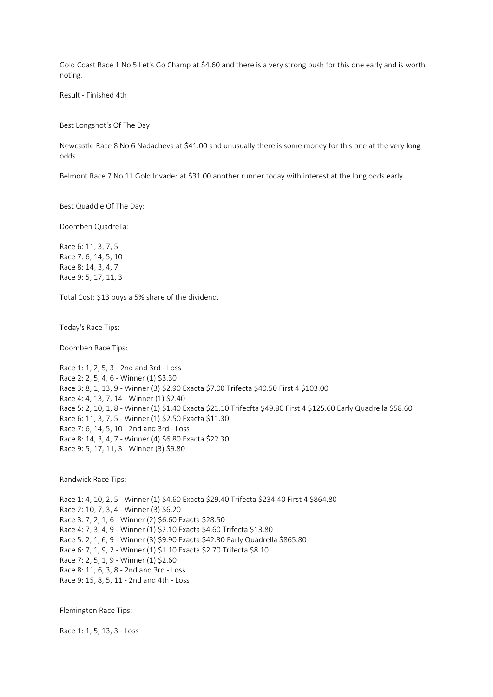Gold Coast Race 1 No 5 Let's Go Champ at \$4.60 and there is a very strong push for this one early and is worth noting.

Result - Finished 4th

Best Longshot's Of The Day:

Newcastle Race 8 No 6 Nadacheva at \$41.00 and unusually there is some money for this one at the very long odds.

Belmont Race 7 No 11 Gold Invader at \$31.00 another runner today with interest at the long odds early.

Best Quaddie Of The Day:

Doomben Quadrella:

Race 6: 11, 3, 7, 5 Race 7: 6, 14, 5, 10 Race 8: 14, 3, 4, 7 Race 9: 5, 17, 11, 3

Total Cost: \$13 buys a 5% share of the dividend.

Today's Race Tips:

Doomben Race Tips:

Race 1: 1, 2, 5, 3 - 2nd and 3rd - Loss Race 2: 2, 5, 4, 6 - Winner (1) \$3.30 Race 3: 8, 1, 13, 9 - Winner (3) \$2.90 Exacta \$7.00 Trifecta \$40.50 First 4 \$103.00 Race 4: 4, 13, 7, 14 - Winner (1) \$2.40 Race 5: 2, 10, 1, 8 - Winner (1) \$1.40 Exacta \$21.10 Trifecfta \$49.80 First 4 \$125.60 Early Quadrella \$58.60 Race 6: 11, 3, 7, 5 - Winner (1) \$2.50 Exacta \$11.30 Race 7: 6, 14, 5, 10 - 2nd and 3rd - Loss Race 8: 14, 3, 4, 7 - Winner (4) \$6.80 Exacta \$22.30 Race 9: 5, 17, 11, 3 - Winner (3) \$9.80

Randwick Race Tips:

Race 1: 4, 10, 2, 5 - Winner (1) \$4.60 Exacta \$29.40 Trifecta \$234.40 First 4 \$864.80 Race 2: 10, 7, 3, 4 - Winner (3) \$6.20 Race 3: 7, 2, 1, 6 - Winner (2) \$6.60 Exacta \$28.50 Race 4: 7, 3, 4, 9 - Winner (1) \$2.10 Exacta \$4.60 Trifecta \$13.80 Race 5: 2, 1, 6, 9 - Winner (3) \$9.90 Exacta \$42.30 Early Quadrella \$865.80 Race 6: 7, 1, 9, 2 - Winner (1) \$1.10 Exacta \$2.70 Trifecta \$8.10 Race 7: 2, 5, 1, 9 - Winner (1) \$2.60 Race 8: 11, 6, 3, 8 - 2nd and 3rd - Loss Race 9: 15, 8, 5, 11 - 2nd and 4th - Loss

Flemington Race Tips:

Race 1: 1, 5, 13, 3 - Loss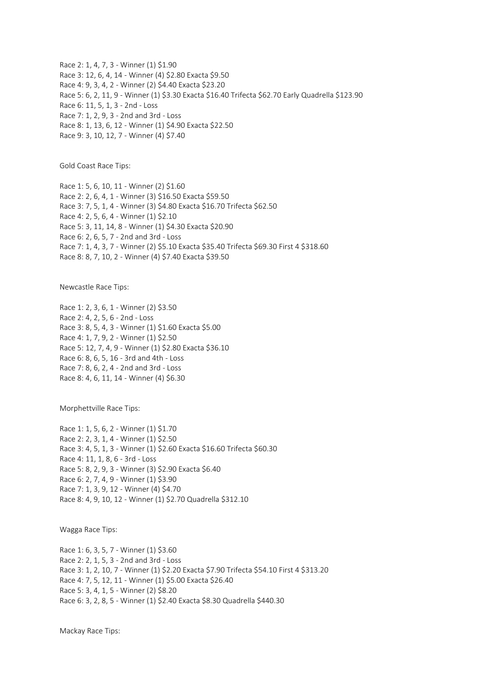Race 2: 1, 4, 7, 3 - Winner (1) \$1.90 Race 3: 12, 6, 4, 14 - Winner (4) \$2.80 Exacta \$9.50 Race 4: 9, 3, 4, 2 - Winner (2) \$4.40 Exacta \$23.20 Race 5: 6, 2, 11, 9 - Winner (1) \$3.30 Exacta \$16.40 Trifecta \$62.70 Early Quadrella \$123.90 Race 6: 11, 5, 1, 3 - 2nd - Loss Race 7: 1, 2, 9, 3 - 2nd and 3rd - Loss Race 8: 1, 13, 6, 12 - Winner (1) \$4.90 Exacta \$22.50 Race 9: 3, 10, 12, 7 - Winner (4) \$7.40

Gold Coast Race Tips:

Race 1: 5, 6, 10, 11 - Winner (2) \$1.60 Race 2: 2, 6, 4, 1 - Winner (3) \$16.50 Exacta \$59.50 Race 3: 7, 5, 1, 4 - Winner (3) \$4.80 Exacta \$16.70 Trifecta \$62.50 Race 4: 2, 5, 6, 4 - Winner (1) \$2.10 Race 5: 3, 11, 14, 8 - Winner (1) \$4.30 Exacta \$20.90 Race 6: 2, 6, 5, 7 - 2nd and 3rd - Loss Race 7: 1, 4, 3, 7 - Winner (2) \$5.10 Exacta \$35.40 Trifecta \$69.30 First 4 \$318.60 Race 8: 8, 7, 10, 2 - Winner (4) \$7.40 Exacta \$39.50

Newcastle Race Tips:

Race 1: 2, 3, 6, 1 - Winner (2) \$3.50 Race 2: 4, 2, 5, 6 - 2nd - Loss Race 3: 8, 5, 4, 3 - Winner (1) \$1.60 Exacta \$5.00 Race 4: 1, 7, 9, 2 - Winner (1) \$2.50 Race 5: 12, 7, 4, 9 - Winner (1) \$2.80 Exacta \$36.10 Race 6: 8, 6, 5, 16 - 3rd and 4th - Loss Race 7: 8, 6, 2, 4 - 2nd and 3rd - Loss Race 8: 4, 6, 11, 14 - Winner (4) \$6.30

Morphettville Race Tips:

Race 1: 1, 5, 6, 2 - Winner (1) \$1.70 Race 2: 2, 3, 1, 4 - Winner (1) \$2.50 Race 3: 4, 5, 1, 3 - Winner (1) \$2.60 Exacta \$16.60 Trifecta \$60.30 Race 4: 11, 1, 8, 6 - 3rd - Loss Race 5: 8, 2, 9, 3 - Winner (3) \$2.90 Exacta \$6.40 Race 6: 2, 7, 4, 9 - Winner (1) \$3.90 Race 7: 1, 3, 9, 12 - Winner (4) \$4.70 Race 8: 4, 9, 10, 12 - Winner (1) \$2.70 Quadrella \$312.10

Wagga Race Tips:

Race 1: 6, 3, 5, 7 - Winner (1) \$3.60 Race 2: 2, 1, 5, 3 - 2nd and 3rd - Loss Race 3: 1, 2, 10, 7 - Winner (1) \$2.20 Exacta \$7.90 Trifecta \$54.10 First 4 \$313.20 Race 4: 7, 5, 12, 11 - Winner (1) \$5.00 Exacta \$26.40 Race 5: 3, 4, 1, 5 - Winner (2) \$8.20 Race 6: 3, 2, 8, 5 - Winner (1) \$2.40 Exacta \$8.30 Quadrella \$440.30

Mackay Race Tips: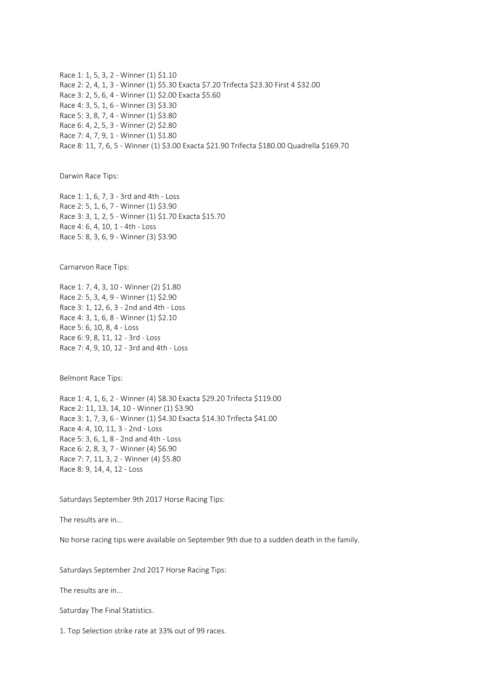Race 1: 1, 5, 3, 2 - Winner (1) \$1.10 Race 2: 2, 4, 1, 3 - Winner (1) \$5.30 Exacta \$7.20 Trifecta \$23.30 First 4 \$32.00 Race 3: 2, 5, 6, 4 - Winner (1) \$2.00 Exacta \$5.60 Race 4: 3, 5, 1, 6 - Winner (3) \$3.30 Race 5: 3, 8, 7, 4 - Winner (1) \$3.80 Race 6: 4, 2, 5, 3 - Winner (2) \$2.80 Race 7: 4, 7, 9, 1 - Winner (1) \$1.80 Race 8: 11, 7, 6, 5 - Winner (1) \$3.00 Exacta \$21.90 Trifecta \$180.00 Quadrella \$169.70

Darwin Race Tips:

Race 1: 1, 6, 7, 3 - 3rd and 4th - Loss Race 2: 5, 1, 6, 7 - Winner (1) \$3.90 Race 3: 3, 1, 2, 5 - Winner (1) \$1.70 Exacta \$15.70 Race 4: 6, 4, 10, 1 - 4th - Loss Race 5: 8, 3, 6, 9 - Winner (3) \$3.90

Carnarvon Race Tips:

Race 1: 7, 4, 3, 10 - Winner (2) \$1.80 Race 2: 5, 3, 4, 9 - Winner (1) \$2.90 Race 3: 1, 12, 6, 3 - 2nd and 4th - Loss Race 4: 3, 1, 6, 8 - Winner (1) \$2.10 Race 5: 6, 10, 8, 4 - Loss Race 6: 9, 8, 11, 12 - 3rd - Loss Race 7: 4, 9, 10, 12 - 3rd and 4th - Loss

Belmont Race Tips:

Race 1: 4, 1, 6, 2 - Winner (4) \$8.30 Exacta \$29.20 Trifecta \$119.00 Race 2: 11, 13, 14, 10 - Winner (1) \$3.90 Race 3: 1, 7, 3, 6 - Winner (1) \$4.30 Exacta \$14.30 Trifecta \$41.00 Race 4: 4, 10, 11, 3 - 2nd - Loss Race 5: 3, 6, 1, 8 - 2nd and 4th - Loss Race 6: 2, 8, 3, 7 - Winner (4) \$6.90 Race 7: 7, 11, 3, 2 - Winner (4) \$5.80 Race 8: 9, 14, 4, 12 - Loss

Saturdays September 9th 2017 Horse Racing Tips:

The results are in...

No horse racing tips were available on September 9th due to a sudden death in the family.

Saturdays September 2nd 2017 Horse Racing Tips:

The results are in...

Saturday The Final Statistics.

1. Top Selection strike rate at 33% out of 99 races.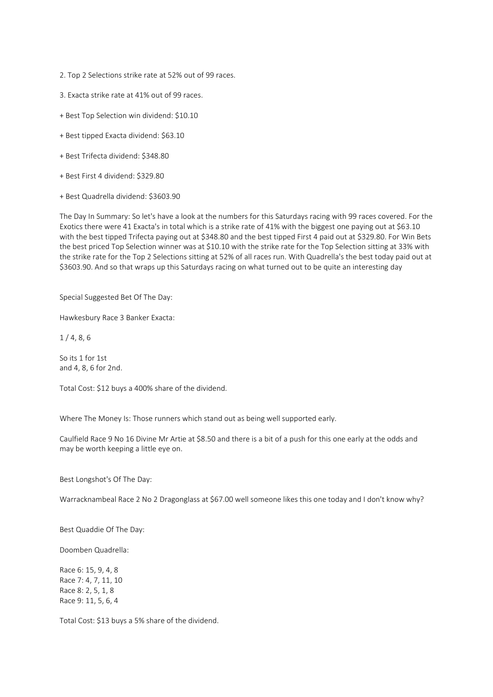- 2. Top 2 Selections strike rate at 52% out of 99 races.
- 3. Exacta strike rate at 41% out of 99 races.
- + Best Top Selection win dividend: \$10.10
- + Best tipped Exacta dividend: \$63.10
- + Best Trifecta dividend: \$348.80
- + Best First 4 dividend: \$329.80
- + Best Quadrella dividend: \$3603.90

The Day In Summary: So let's have a look at the numbers for this Saturdays racing with 99 races covered. For the Exotics there were 41 Exacta's in total which is a strike rate of 41% with the biggest one paying out at \$63.10 with the best tipped Trifecta paying out at \$348.80 and the best tipped First 4 paid out at \$329.80. For Win Bets the best priced Top Selection winner was at \$10.10 with the strike rate for the Top Selection sitting at 33% with the strike rate for the Top 2 Selections sitting at 52% of all races run. With Quadrella's the best today paid out at \$3603.90. And so that wraps up this Saturdays racing on what turned out to be quite an interesting day

Special Suggested Bet Of The Day:

Hawkesbury Race 3 Banker Exacta:

1 / 4, 8, 6

So its 1 for 1st and 4, 8, 6 for 2nd.

Total Cost: \$12 buys a 400% share of the dividend.

Where The Money Is: Those runners which stand out as being well supported early.

Caulfield Race 9 No 16 Divine Mr Artie at \$8.50 and there is a bit of a push for this one early at the odds and may be worth keeping a little eye on.

Best Longshot's Of The Day:

Warracknambeal Race 2 No 2 Dragonglass at \$67.00 well someone likes this one today and I don't know why?

Best Quaddie Of The Day:

Doomben Quadrella:

Race 6: 15, 9, 4, 8 Race 7: 4, 7, 11, 10 Race 8: 2, 5, 1, 8 Race 9: 11, 5, 6, 4

Total Cost: \$13 buys a 5% share of the dividend.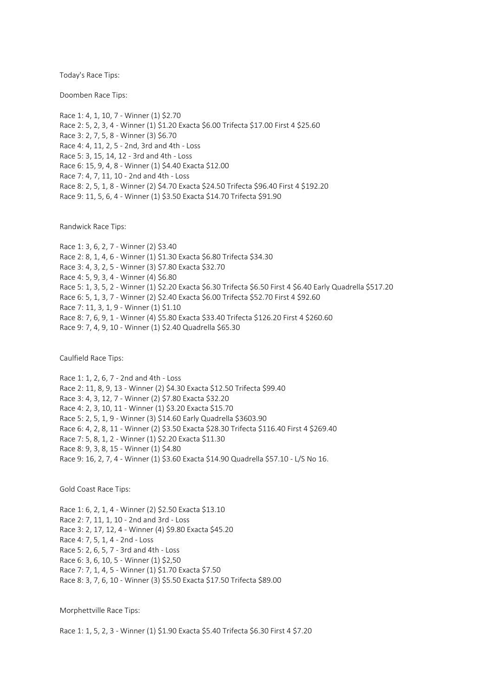Today's Race Tips:

Doomben Race Tips:

Race 1: 4, 1, 10, 7 - Winner (1) \$2.70 Race 2: 5, 2, 3, 4 - Winner (1) \$1.20 Exacta \$6.00 Trifecta \$17.00 First 4 \$25.60 Race 3: 2, 7, 5, 8 - Winner (3) \$6.70 Race 4: 4, 11, 2, 5 - 2nd, 3rd and 4th - Loss Race 5: 3, 15, 14, 12 - 3rd and 4th - Loss Race 6: 15, 9, 4, 8 - Winner (1) \$4.40 Exacta \$12.00 Race 7: 4, 7, 11, 10 - 2nd and 4th - Loss Race 8: 2, 5, 1, 8 - Winner (2) \$4.70 Exacta \$24.50 Trifecta \$96.40 First 4 \$192.20 Race 9: 11, 5, 6, 4 - Winner (1) \$3.50 Exacta \$14.70 Trifecta \$91.90

Randwick Race Tips:

Race 1: 3, 6, 2, 7 - Winner (2) \$3.40 Race 2: 8, 1, 4, 6 - Winner (1) \$1.30 Exacta \$6.80 Trifecta \$34.30 Race 3: 4, 3, 2, 5 - Winner (3) \$7.80 Exacta \$32.70 Race 4: 5, 9, 3, 4 - Winner (4) \$6.80 Race 5: 1, 3, 5, 2 - Winner (1) \$2.20 Exacta \$6.30 Trifecta \$6.50 First 4 \$6.40 Early Quadrella \$517.20 Race 6: 5, 1, 3, 7 - Winner (2) \$2.40 Exacta \$6.00 Trifecta \$52.70 First 4 \$92.60 Race 7: 11, 3, 1, 9 - Winner (1) \$1.10 Race 8: 7, 6, 9, 1 - Winner (4) \$5.80 Exacta \$33.40 Trifecta \$126.20 First 4 \$260.60 Race 9: 7, 4, 9, 10 - Winner (1) \$2.40 Quadrella \$65.30

Caulfield Race Tips:

Race 1: 1, 2, 6, 7 - 2nd and 4th - Loss Race 2: 11, 8, 9, 13 - Winner (2) \$4.30 Exacta \$12.50 Trifecta \$99.40 Race 3: 4, 3, 12, 7 - Winner (2) \$7.80 Exacta \$32.20 Race 4: 2, 3, 10, 11 - Winner (1) \$3.20 Exacta \$15.70 Race 5: 2, 5, 1, 9 - Winner (3) \$14.60 Early Quadrella \$3603.90 Race 6: 4, 2, 8, 11 - Winner (2) \$3.50 Exacta \$28.30 Trifecta \$116.40 First 4 \$269.40 Race 7: 5, 8, 1, 2 - Winner (1) \$2.20 Exacta \$11.30 Race 8: 9, 3, 8, 15 - Winner (1) \$4.80 Race 9: 16, 2, 7, 4 - Winner (1) \$3.60 Exacta \$14.90 Quadrella \$57.10 - L/S No 16.

Gold Coast Race Tips:

Race 1: 6, 2, 1, 4 - Winner (2) \$2.50 Exacta \$13.10 Race 2: 7, 11, 1, 10 - 2nd and 3rd - Loss Race 3: 2, 17, 12, 4 - Winner (4) \$9.80 Exacta \$45.20 Race 4: 7, 5, 1, 4 - 2nd - Loss Race 5: 2, 6, 5, 7 - 3rd and 4th - Loss Race 6: 3, 6, 10, 5 - Winner (1) \$2,50 Race 7: 7, 1, 4, 5 - Winner (1) \$1.70 Exacta \$7.50 Race 8: 3, 7, 6, 10 - Winner (3) \$5.50 Exacta \$17.50 Trifecta \$89.00

Morphettville Race Tips:

Race 1: 1, 5, 2, 3 - Winner (1) \$1.90 Exacta \$5.40 Trifecta \$6.30 First 4 \$7.20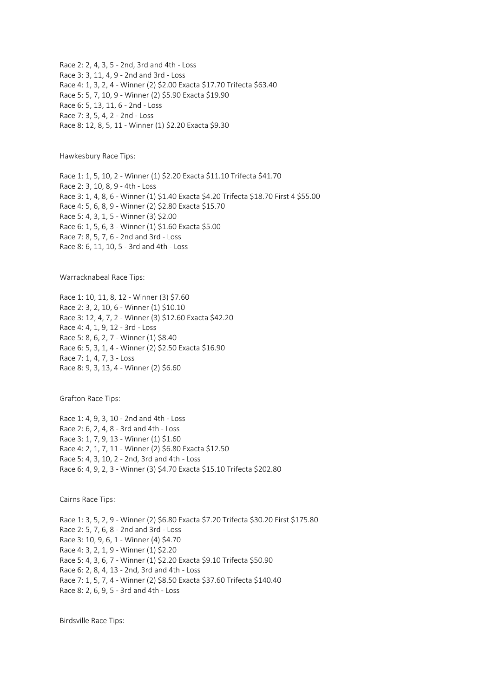Race 2: 2, 4, 3, 5 - 2nd, 3rd and 4th - Loss Race 3: 3, 11, 4, 9 - 2nd and 3rd - Loss Race 4: 1, 3, 2, 4 - Winner (2) \$2.00 Exacta \$17.70 Trifecta \$63.40 Race 5: 5, 7, 10, 9 - Winner (2) \$5.90 Exacta \$19.90 Race 6: 5, 13, 11, 6 - 2nd - Loss Race 7: 3, 5, 4, 2 - 2nd - Loss Race 8: 12, 8, 5, 11 - Winner (1) \$2.20 Exacta \$9.30

Hawkesbury Race Tips:

Race 1: 1, 5, 10, 2 - Winner (1) \$2.20 Exacta \$11.10 Trifecta \$41.70 Race 2: 3, 10, 8, 9 - 4th - Loss Race 3: 1, 4, 8, 6 - Winner (1) \$1.40 Exacta \$4.20 Trifecta \$18.70 First 4 \$55.00 Race 4: 5, 6, 8, 9 - Winner (2) \$2.80 Exacta \$15.70 Race 5: 4, 3, 1, 5 - Winner (3) \$2.00 Race 6: 1, 5, 6, 3 - Winner (1) \$1.60 Exacta \$5.00 Race 7: 8, 5, 7, 6 - 2nd and 3rd - Loss Race 8: 6, 11, 10, 5 - 3rd and 4th - Loss

Warracknabeal Race Tips:

Race 1: 10, 11, 8, 12 - Winner (3) \$7.60 Race 2: 3, 2, 10, 6 - Winner (1) \$10.10 Race 3: 12, 4, 7, 2 - Winner (3) \$12.60 Exacta \$42.20 Race 4: 4, 1, 9, 12 - 3rd - Loss Race 5: 8, 6, 2, 7 - Winner (1) \$8.40 Race 6: 5, 3, 1, 4 - Winner (2) \$2.50 Exacta \$16.90 Race 7: 1, 4, 7, 3 - Loss Race 8: 9, 3, 13, 4 - Winner (2) \$6.60

Grafton Race Tips:

Race 1: 4, 9, 3, 10 - 2nd and 4th - Loss Race 2: 6, 2, 4, 8 - 3rd and 4th - Loss Race 3: 1, 7, 9, 13 - Winner (1) \$1.60 Race 4: 2, 1, 7, 11 - Winner (2) \$6.80 Exacta \$12.50 Race 5: 4, 3, 10, 2 - 2nd, 3rd and 4th - Loss Race 6: 4, 9, 2, 3 - Winner (3) \$4.70 Exacta \$15.10 Trifecta \$202.80

Cairns Race Tips:

Race 1: 3, 5, 2, 9 - Winner (2) \$6.80 Exacta \$7.20 Trifecta \$30.20 First \$175.80 Race 2: 5, 7, 6, 8 - 2nd and 3rd - Loss Race 3: 10, 9, 6, 1 - Winner (4) \$4.70 Race 4: 3, 2, 1, 9 - Winner (1) \$2.20 Race 5: 4, 3, 6, 7 - Winner (1) \$2.20 Exacta \$9.10 Trifecta \$50.90 Race 6: 2, 8, 4, 13 - 2nd, 3rd and 4th - Loss Race 7: 1, 5, 7, 4 - Winner (2) \$8.50 Exacta \$37.60 Trifecta \$140.40 Race 8: 2, 6, 9, 5 - 3rd and 4th - Loss

Birdsville Race Tips: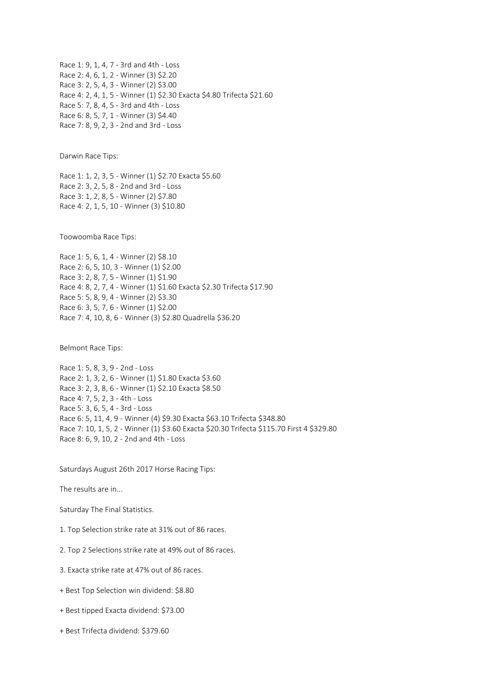Race 1: 9, 1, 4, 7 - 3rd and 4th - Loss Race 2: 4, 6, 1, 2 - Winner (3) \$2.20 Race 3: 2, 5, 4, 3 - Winner (2) \$3.00 Race 4: 2, 4, 1, 5 - Winner (1) \$2.30 Exacta \$4.80 Trifecta \$21.60 Race 5: 7, 8, 4, 5 - 3rd and 4th - Loss Race 6: 8, 5, 7, 1 - Winner (3) \$4.40 Race 7: 8, 9, 2, 3 - 2nd and 3rd - Loss

Darwin Race Tips:

Race 1: 1, 2, 3, 5 - Winner (1) \$2.70 Exacta \$5.60 Race 2: 3, 2, 5, 8 - 2nd and 3rd - Loss Race 3: 1, 2, 8, 5 - Winner (2) \$7.80 Race 4: 2, 1, 5, 10 - Winner (3) \$10.80

Toowoomba Race Tips:

Race 1: 5, 6, 1, 4 - Winner (2) \$8.10 Race 2: 6, 5, 10, 3 - Winner (1) \$2.00 Race 3: 2, 8, 7, 5 - Winner (1) \$1.90 Race 4: 8, 2, 7, 4 - Winner (1) \$1.60 Exacta \$2.30 Trifecta \$17.90 Race 5: 5, 8, 9, 4 - Winner (2) \$3.30 Race 6: 3, 5, 7, 6 - Winner (1) \$2.00 Race 7: 4, 10, 8, 6 - Winner (3) \$2.80 Quadrella \$36.20

Belmont Race Tips:

Race 1: 5, 8, 3, 9 - 2nd - Loss Race 2: 1, 3, 2, 6 - Winner (1) \$1.80 Exacta \$3.60 Race 3: 2, 3, 8, 6 - Winner (1) \$2.10 Exacta \$8.50 Race 4: 7, 5, 2, 3 - 4th - Loss Race 5: 3, 6, 5, 4 - 3rd - Loss Race 6: 5, 11, 4, 9 - Winner (4) \$9.30 Exacta \$63.10 Trifecta \$348.80 Race 7: 10, 1, 5, 2 - Winner (1) \$3.60 Exacta \$20.30 Trifecta \$115.70 First 4 \$329.80 Race 8: 6, 9, 10, 2 - 2nd and 4th - Loss

Saturdays August 26th 2017 Horse Racing Tips:

The results are in...

Saturday The Final Statistics.

1. Top Selection strike rate at 31% out of 86 races.

2. Top 2 Selections strike rate at 49% out of 86 races.

3. Exacta strike rate at 47% out of 86 races.

+ Best Top Selection win dividend: \$8.80

+ Best tipped Exacta dividend: \$73.00

+ Best Trifecta dividend: \$379.60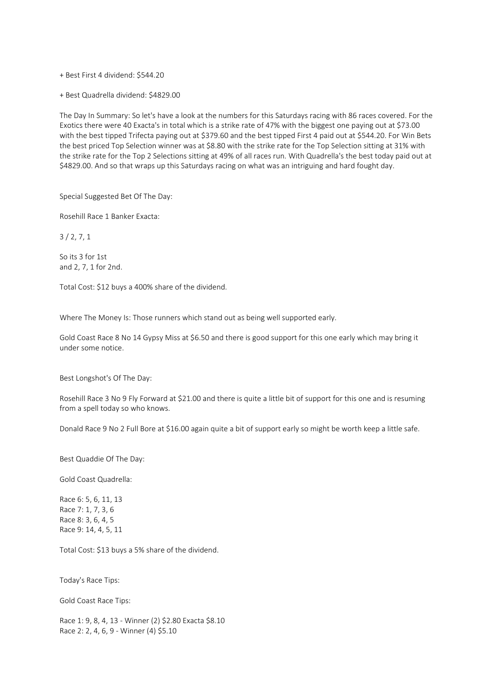+ Best First 4 dividend: \$544.20

+ Best Quadrella dividend: \$4829.00

The Day In Summary: So let's have a look at the numbers for this Saturdays racing with 86 races covered. For the Exotics there were 40 Exacta's in total which is a strike rate of 47% with the biggest one paying out at \$73.00 with the best tipped Trifecta paying out at \$379.60 and the best tipped First 4 paid out at \$544.20. For Win Bets the best priced Top Selection winner was at \$8.80 with the strike rate for the Top Selection sitting at 31% with the strike rate for the Top 2 Selections sitting at 49% of all races run. With Quadrella's the best today paid out at \$4829.00. And so that wraps up this Saturdays racing on what was an intriguing and hard fought day.

Special Suggested Bet Of The Day:

Rosehill Race 1 Banker Exacta:

3 / 2, 7, 1

So its 3 for 1st and 2, 7, 1 for 2nd.

Total Cost: \$12 buys a 400% share of the dividend.

Where The Money Is: Those runners which stand out as being well supported early.

Gold Coast Race 8 No 14 Gypsy Miss at \$6.50 and there is good support for this one early which may bring it under some notice.

Best Longshot's Of The Day:

Rosehill Race 3 No 9 Fly Forward at \$21.00 and there is quite a little bit of support for this one and is resuming from a spell today so who knows.

Donald Race 9 No 2 Full Bore at \$16.00 again quite a bit of support early so might be worth keep a little safe.

Best Quaddie Of The Day:

Gold Coast Quadrella:

Race 6: 5, 6, 11, 13 Race 7: 1, 7, 3, 6 Race 8: 3, 6, 4, 5 Race 9: 14, 4, 5, 11

Total Cost: \$13 buys a 5% share of the dividend.

Today's Race Tips:

Gold Coast Race Tips:

Race 1: 9, 8, 4, 13 - Winner (2) \$2.80 Exacta \$8.10 Race 2: 2, 4, 6, 9 - Winner (4) \$5.10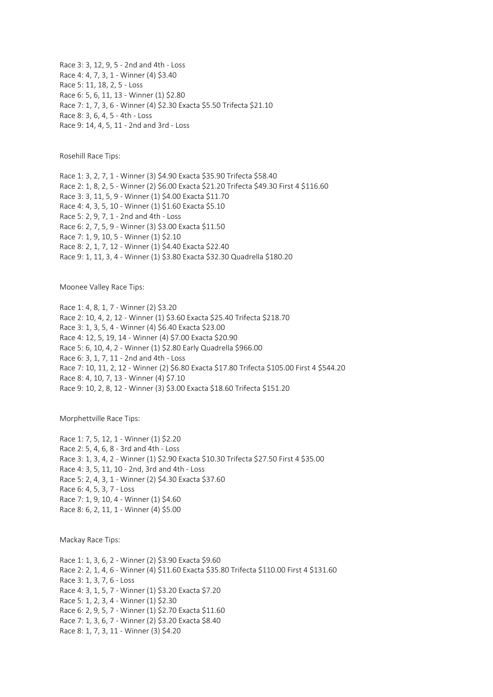Race 3: 3, 12, 9, 5 - 2nd and 4th - Loss Race 4: 4, 7, 3, 1 - Winner (4) \$3.40 Race 5: 11, 18, 2, 5 - Loss Race 6: 5, 6, 11, 13 - Winner (1) \$2.80 Race 7: 1, 7, 3, 6 - Winner (4) \$2.30 Exacta \$5.50 Trifecta \$21.10 Race 8: 3, 6, 4, 5 - 4th - Loss Race 9: 14, 4, 5, 11 - 2nd and 3rd - Loss

Rosehill Race Tips:

Race 1: 3, 2, 7, 1 - Winner (3) \$4.90 Exacta \$35.90 Trifecta \$58.40 Race 2: 1, 8, 2, 5 - Winner (2) \$6.00 Exacta \$21.20 Trifecta \$49.30 First 4 \$116.60 Race 3: 3, 11, 5, 9 - Winner (1) \$4.00 Exacta \$11.70 Race 4: 4, 3, 5, 10 - Winner (1) \$1.60 Exacta \$5.10 Race 5: 2, 9, 7, 1 - 2nd and 4th - Loss Race 6: 2, 7, 5, 9 - Winner (3) \$3.00 Exacta \$11.50 Race 7: 1, 9, 10, 5 - Winner (1) \$2.10 Race 8: 2, 1, 7, 12 - Winner (1) \$4.40 Exacta \$22.40 Race 9: 1, 11, 3, 4 - Winner (1) \$3.80 Exacta \$32.30 Quadrella \$180.20

Moonee Valley Race Tips:

Race 1: 4, 8, 1, 7 - Winner (2) \$3.20 Race 2: 10, 4, 2, 12 - Winner (1) \$3.60 Exacta \$25.40 Trifecta \$218.70 Race 3: 1, 3, 5, 4 - Winner (4) \$6.40 Exacta \$23.00 Race 4: 12, 5, 19, 14 - Winner (4) \$7.00 Exacta \$20.90 Race 5: 6, 10, 4, 2 - Winner (1) \$2.80 Early Quadrella \$966.00 Race 6: 3, 1, 7, 11 - 2nd and 4th - Loss Race 7: 10, 11, 2, 12 - Winner (2) \$6.80 Exacta \$17.80 Trifecta \$105.00 First 4 \$544.20 Race 8: 4, 10, 7, 13 - Winner (4) \$7.10 Race 9: 10, 2, 8, 12 - Winner (3) \$3.00 Exacta \$18.60 Trifecta \$151.20

Morphettville Race Tips:

Race 1: 7, 5, 12, 1 - Winner (1) \$2.20 Race 2: 5, 4, 6, 8 - 3rd and 4th - Loss Race 3: 1, 3, 4, 2 - Winner (1) \$2.90 Exacta \$10.30 Trifecta \$27.50 First 4 \$35.00 Race 4: 3, 5, 11, 10 - 2nd, 3rd and 4th - Loss Race 5: 2, 4, 3, 1 - Winner (2) \$4.30 Exacta \$37.60 Race 6: 4, 5, 3, 7 - Loss Race 7: 1, 9, 10, 4 - Winner (1) \$4.60 Race 8: 6, 2, 11, 1 - Winner (4) \$5.00

Mackay Race Tips:

Race 1: 1, 3, 6, 2 - Winner (2) \$3.90 Exacta \$9.60 Race 2: 2, 1, 4, 6 - Winner (4) \$11.60 Exacta \$35.80 Trifecta \$110.00 First 4 \$131.60 Race 3: 1, 3, 7, 6 - Loss Race 4: 3, 1, 5, 7 - Winner (1) \$3.20 Exacta \$7.20 Race 5: 1, 2, 3, 4 - Winner (1) \$2.30 Race 6: 2, 9, 5, 7 - Winner (1) \$2.70 Exacta \$11.60 Race 7: 1, 3, 6, 7 - Winner (2) \$3.20 Exacta \$8.40 Race 8: 1, 7, 3, 11 - Winner (3) \$4.20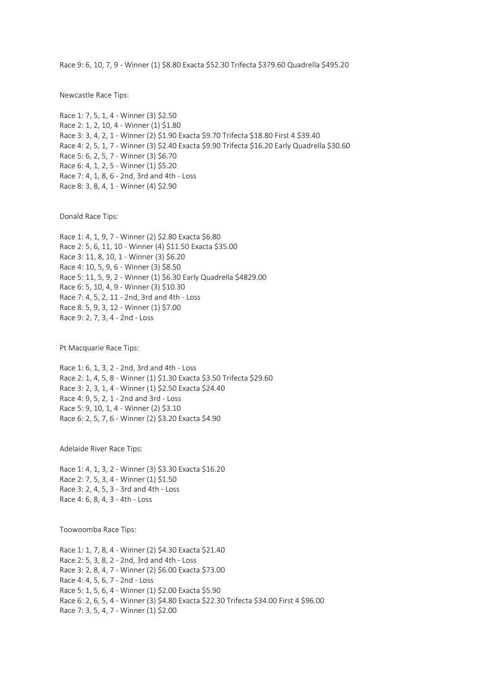Race 9: 6, 10, 7, 9 - Winner (1) \$8.80 Exacta \$52.30 Trifecta \$379.60 Quadrella \$495.20

Newcastle Race Tips:

Race 1: 7, 5, 1, 4 - Winner (3) \$2.50 Race 2: 1, 2, 10, 4 - Winner (1) \$1.80 Race 3: 3, 4, 2, 1 - Winner (2) \$1.90 Exacta \$9.70 Trifecta \$18.80 First 4 \$39.40 Race 4: 2, 5, 1, 7 - Winner (3) \$2.40 Exacta \$9.90 Trifecta \$16.20 Early Quadrella \$30.60 Race 5: 6, 2, 5, 7 - Winner (3) \$6.70 Race 6: 4, 1, 2, 5 - Winner (1) \$5.20 Race 7: 4, 1, 8, 6 - 2nd, 3rd and 4th - Loss Race 8: 3, 8, 4, 1 - Winner (4) \$2.90

Donald Race Tips:

Race 1: 4, 1, 9, 7 - Winner (2) \$2.80 Exacta \$6.80 Race 2: 5, 6, 11, 10 - Winner (4) \$11.50 Exacta \$35.00 Race 3: 11, 8, 10, 1 - Winner (3) \$6.20 Race 4: 10, 5, 9, 6 - Winner (3) \$8.50 Race 5: 11, 5, 9, 2 - Winner (1) \$6.30 Early Quadrella \$4829.00 Race 6: 5, 10, 4, 9 - Winner (3) \$10.30 Race 7: 4, 5, 2, 11 - 2nd, 3rd and 4th - Loss Race 8: 5, 9, 3, 12 - Winner (1) \$7.00 Race 9: 2, 7, 3, 4 - 2nd - Loss

Pt Macquarie Race Tips:

Race 1: 6, 1, 3, 2 - 2nd, 3rd and 4th - Loss Race 2: 1, 4, 5, 8 - Winner (1) \$1.30 Exacta \$3.50 Trifecta \$29.60 Race 3: 2, 3, 1, 4 - Winner (1) \$2.50 Exacta \$24.40 Race 4: 9, 5, 2, 1 - 2nd and 3rd - Loss Race 5: 9, 10, 1, 4 - Winner (2) \$3.10 Race 6: 2, 5, 7, 6 - Winner (2) \$3.20 Exacta \$4.90

Adelaide River Race Tips:

Race 1: 4, 1, 3, 2 - Winner (3) \$3.30 Exacta \$16.20 Race 2: 7, 5, 3, 4 - Winner (1) \$1.50 Race 3: 2, 4, 5, 3 - 3rd and 4th - Loss Race 4: 6, 8, 4, 3 - 4th - Loss

Toowoomba Race Tips:

Race 1: 1, 7, 8, 4 - Winner (2) \$4.30 Exacta \$21.40 Race 2: 5, 3, 8, 2 - 2nd, 3rd and 4th - Loss Race 3: 2, 8, 4, 7 - Winner (2) \$6.00 Exacta \$73.00 Race 4: 4, 5, 6, 7 - 2nd - Loss Race 5: 1, 5, 6, 4 - Winner (1) \$2.00 Exacta \$5.90 Race 6: 2, 6, 5, 4 - Winner (3) \$4.80 Exacta \$22.30 Trifecta \$34.00 First 4 \$96.00 Race 7: 3, 5, 4, 7 - Winner (1) \$2.00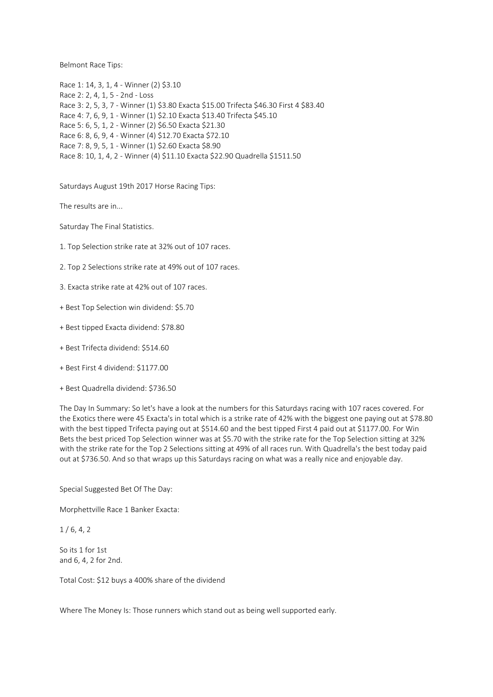Belmont Race Tips:

Race 1: 14, 3, 1, 4 - Winner (2) \$3.10 Race 2: 2, 4, 1, 5 - 2nd - Loss Race 3: 2, 5, 3, 7 - Winner (1) \$3.80 Exacta \$15.00 Trifecta \$46.30 First 4 \$83.40 Race 4: 7, 6, 9, 1 - Winner (1) \$2.10 Exacta \$13.40 Trifecta \$45.10 Race 5: 6, 5, 1, 2 - Winner (2) \$6.50 Exacta \$21.30 Race 6: 8, 6, 9, 4 - Winner (4) \$12.70 Exacta \$72.10 Race 7: 8, 9, 5, 1 - Winner (1) \$2.60 Exacta \$8.90 Race 8: 10, 1, 4, 2 - Winner (4) \$11.10 Exacta \$22.90 Quadrella \$1511.50

Saturdays August 19th 2017 Horse Racing Tips:

The results are in...

Saturday The Final Statistics.

- 1. Top Selection strike rate at 32% out of 107 races.
- 2. Top 2 Selections strike rate at 49% out of 107 races.
- 3. Exacta strike rate at 42% out of 107 races.
- + Best Top Selection win dividend: \$5.70
- + Best tipped Exacta dividend: \$78.80
- + Best Trifecta dividend: \$514.60
- + Best First 4 dividend: \$1177.00
- + Best Quadrella dividend: \$736.50

The Day In Summary: So let's have a look at the numbers for this Saturdays racing with 107 races covered. For the Exotics there were 45 Exacta's in total which is a strike rate of 42% with the biggest one paying out at \$78.80 with the best tipped Trifecta paying out at \$514.60 and the best tipped First 4 paid out at \$1177.00. For Win Bets the best priced Top Selection winner was at \$5.70 with the strike rate for the Top Selection sitting at 32% with the strike rate for the Top 2 Selections sitting at 49% of all races run. With Quadrella's the best today paid out at \$736.50. And so that wraps up this Saturdays racing on what was a really nice and enjoyable day.

Special Suggested Bet Of The Day:

Morphettville Race 1 Banker Exacta:

 $1/6, 4, 2$ 

So its 1 for 1st and 6, 4, 2 for 2nd.

Total Cost: \$12 buys a 400% share of the dividend

Where The Money Is: Those runners which stand out as being well supported early.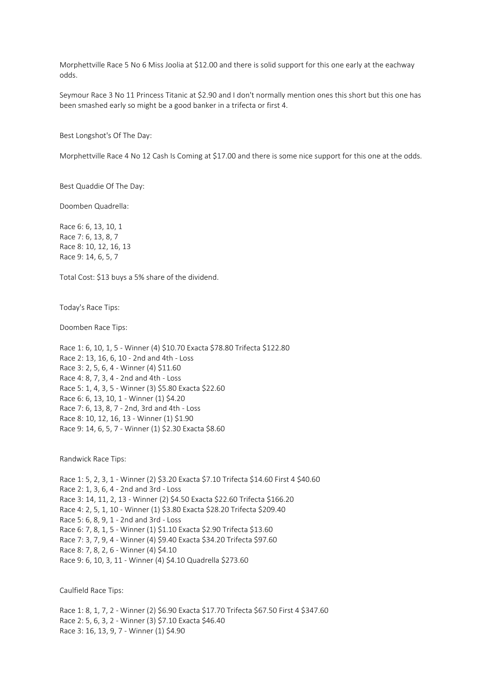Morphettville Race 5 No 6 Miss Joolia at \$12.00 and there is solid support for this one early at the eachway odds.

Seymour Race 3 No 11 Princess Titanic at \$2.90 and I don't normally mention ones this short but this one has been smashed early so might be a good banker in a trifecta or first 4.

Best Longshot's Of The Day:

Morphettville Race 4 No 12 Cash Is Coming at \$17.00 and there is some nice support for this one at the odds.

Best Quaddie Of The Day:

Doomben Quadrella:

Race 6: 6, 13, 10, 1 Race 7: 6, 13, 8, 7 Race 8: 10, 12, 16, 13 Race 9: 14, 6, 5, 7

Total Cost: \$13 buys a 5% share of the dividend.

Today's Race Tips:

Doomben Race Tips:

Race 1: 6, 10, 1, 5 - Winner (4) \$10.70 Exacta \$78.80 Trifecta \$122.80 Race 2: 13, 16, 6, 10 - 2nd and 4th - Loss Race 3: 2, 5, 6, 4 - Winner (4) \$11.60 Race 4: 8, 7, 3, 4 - 2nd and 4th - Loss Race 5: 1, 4, 3, 5 - Winner (3) \$5.80 Exacta \$22.60 Race 6: 6, 13, 10, 1 - Winner (1) \$4.20 Race 7: 6, 13, 8, 7 - 2nd, 3rd and 4th - Loss Race 8: 10, 12, 16, 13 - Winner (1) \$1.90 Race 9: 14, 6, 5, 7 - Winner (1) \$2.30 Exacta \$8.60

Randwick Race Tips:

Race 1: 5, 2, 3, 1 - Winner (2) \$3.20 Exacta \$7.10 Trifecta \$14.60 First 4 \$40.60 Race 2: 1, 3, 6, 4 - 2nd and 3rd - Loss Race 3: 14, 11, 2, 13 - Winner (2) \$4.50 Exacta \$22.60 Trifecta \$166.20 Race 4: 2, 5, 1, 10 - Winner (1) \$3.80 Exacta \$28.20 Trifecta \$209.40 Race 5: 6, 8, 9, 1 - 2nd and 3rd - Loss Race 6: 7, 8, 1, 5 - Winner (1) \$1.10 Exacta \$2.90 Trifecta \$13.60 Race 7: 3, 7, 9, 4 - Winner (4) \$9.40 Exacta \$34.20 Trifecta \$97.60 Race 8: 7, 8, 2, 6 - Winner (4) \$4.10 Race 9: 6, 10, 3, 11 - Winner (4) \$4.10 Quadrella \$273.60

Caulfield Race Tips:

Race 1: 8, 1, 7, 2 - Winner (2) \$6.90 Exacta \$17.70 Trifecta \$67.50 First 4 \$347.60 Race 2: 5, 6, 3, 2 - Winner (3) \$7.10 Exacta \$46.40 Race 3: 16, 13, 9, 7 - Winner (1) \$4.90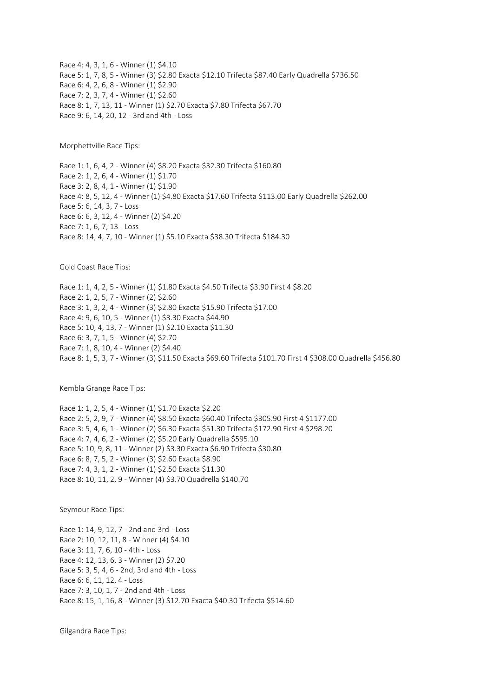Race 4: 4, 3, 1, 6 - Winner (1) \$4.10 Race 5: 1, 7, 8, 5 - Winner (3) \$2.80 Exacta \$12.10 Trifecta \$87.40 Early Quadrella \$736.50 Race 6: 4, 2, 6, 8 - Winner (1) \$2.90 Race 7: 2, 3, 7, 4 - Winner (1) \$2.60 Race 8: 1, 7, 13, 11 - Winner (1) \$2.70 Exacta \$7.80 Trifecta \$67.70 Race 9: 6, 14, 20, 12 - 3rd and 4th - Loss

Morphettville Race Tips:

Race 1: 1, 6, 4, 2 - Winner (4) \$8.20 Exacta \$32.30 Trifecta \$160.80 Race 2: 1, 2, 6, 4 - Winner (1) \$1.70 Race 3: 2, 8, 4, 1 - Winner (1) \$1.90 Race 4: 8, 5, 12, 4 - Winner (1) \$4.80 Exacta \$17.60 Trifecta \$113.00 Early Quadrella \$262.00 Race 5: 6, 14, 3, 7 - Loss Race 6: 6, 3, 12, 4 - Winner (2) \$4.20 Race 7: 1, 6, 7, 13 - Loss Race 8: 14, 4, 7, 10 - Winner (1) \$5.10 Exacta \$38.30 Trifecta \$184.30

Gold Coast Race Tips:

Race 1: 1, 4, 2, 5 - Winner (1) \$1.80 Exacta \$4.50 Trifecta \$3.90 First 4 \$8.20 Race 2: 1, 2, 5, 7 - Winner (2) \$2.60 Race 3: 1, 3, 2, 4 - Winner (3) \$2.80 Exacta \$15.90 Trifecta \$17.00 Race 4: 9, 6, 10, 5 - Winner (1) \$3.30 Exacta \$44.90 Race 5: 10, 4, 13, 7 - Winner (1) \$2.10 Exacta \$11.30 Race 6: 3, 7, 1, 5 - Winner (4) \$2.70 Race 7: 1, 8, 10, 4 - Winner (2) \$4.40 Race 8: 1, 5, 3, 7 - Winner (3) \$11.50 Exacta \$69.60 Trifecta \$101.70 First 4 \$308.00 Quadrella \$456.80

Kembla Grange Race Tips:

Race 1: 1, 2, 5, 4 - Winner (1) \$1.70 Exacta \$2.20 Race 2: 5, 2, 9, 7 - Winner (4) \$8.50 Exacta \$60.40 Trifecta \$305.90 First 4 \$1177.00 Race 3: 5, 4, 6, 1 - Winner (2) \$6.30 Exacta \$51.30 Trifecta \$172.90 First 4 \$298.20 Race 4: 7, 4, 6, 2 - Winner (2) \$5.20 Early Quadrella \$595.10 Race 5: 10, 9, 8, 11 - Winner (2) \$3.30 Exacta \$6.90 Trifecta \$30.80 Race 6: 8, 7, 5, 2 - Winner (3) \$2.60 Exacta \$8.90 Race 7: 4, 3, 1, 2 - Winner (1) \$2.50 Exacta \$11.30 Race 8: 10, 11, 2, 9 - Winner (4) \$3.70 Quadrella \$140.70

Seymour Race Tips:

Race 1: 14, 9, 12, 7 - 2nd and 3rd - Loss Race 2: 10, 12, 11, 8 - Winner (4) \$4.10 Race 3: 11, 7, 6, 10 - 4th - Loss Race 4: 12, 13, 6, 3 - Winner (2) \$7.20 Race 5: 3, 5, 4, 6 - 2nd, 3rd and 4th - Loss Race 6: 6, 11, 12, 4 - Loss Race 7: 3, 10, 1, 7 - 2nd and 4th - Loss Race 8: 15, 1, 16, 8 - Winner (3) \$12.70 Exacta \$40.30 Trifecta \$514.60

Gilgandra Race Tips: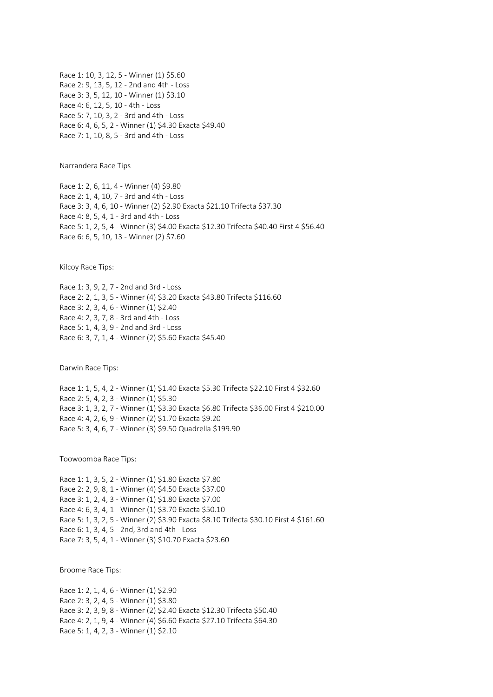Race 1: 10, 3, 12, 5 - Winner (1) \$5.60 Race 2: 9, 13, 5, 12 - 2nd and 4th - Loss Race 3: 3, 5, 12, 10 - Winner (1) \$3.10 Race 4: 6, 12, 5, 10 - 4th - Loss Race 5: 7, 10, 3, 2 - 3rd and 4th - Loss Race 6: 4, 6, 5, 2 - Winner (1) \$4.30 Exacta \$49.40 Race 7: 1, 10, 8, 5 - 3rd and 4th - Loss

Narrandera Race Tips

Race 1: 2, 6, 11, 4 - Winner (4) \$9.80 Race 2: 1, 4, 10, 7 - 3rd and 4th - Loss Race 3: 3, 4, 6, 10 - Winner (2) \$2.90 Exacta \$21.10 Trifecta \$37.30 Race 4: 8, 5, 4, 1 - 3rd and 4th - Loss Race 5: 1, 2, 5, 4 - Winner (3) \$4.00 Exacta \$12.30 Trifecta \$40.40 First 4 \$56.40 Race 6: 6, 5, 10, 13 - Winner (2) \$7.60

Kilcoy Race Tips:

Race 1: 3, 9, 2, 7 - 2nd and 3rd - Loss Race 2: 2, 1, 3, 5 - Winner (4) \$3.20 Exacta \$43.80 Trifecta \$116.60 Race 3: 2, 3, 4, 6 - Winner (1) \$2.40 Race 4: 2, 3, 7, 8 - 3rd and 4th - Loss Race 5: 1, 4, 3, 9 - 2nd and 3rd - Loss Race 6: 3, 7, 1, 4 - Winner (2) \$5.60 Exacta \$45.40

Darwin Race Tips:

Race 1: 1, 5, 4, 2 - Winner (1) \$1.40 Exacta \$5.30 Trifecta \$22.10 First 4 \$32.60 Race 2: 5, 4, 2, 3 - Winner (1) \$5.30 Race 3: 1, 3, 2, 7 - Winner (1) \$3.30 Exacta \$6.80 Trifecta \$36.00 First 4 \$210.00 Race 4: 4, 2, 6, 9 - Winner (2) \$1.70 Exacta \$9.20 Race 5: 3, 4, 6, 7 - Winner (3) \$9.50 Quadrella \$199.90

Toowoomba Race Tips:

Race 1: 1, 3, 5, 2 - Winner (1) \$1.80 Exacta \$7.80 Race 2: 2, 9, 8, 1 - Winner (4) \$4.50 Exacta \$37.00 Race 3: 1, 2, 4, 3 - Winner (1) \$1.80 Exacta \$7.00 Race 4: 6, 3, 4, 1 - Winner (1) \$3.70 Exacta \$50.10 Race 5: 1, 3, 2, 5 - Winner (2) \$3.90 Exacta \$8.10 Trifecta \$30.10 First 4 \$161.60 Race 6: 1, 3, 4, 5 - 2nd, 3rd and 4th - Loss Race 7: 3, 5, 4, 1 - Winner (3) \$10.70 Exacta \$23.60

Broome Race Tips:

Race 1: 2, 1, 4, 6 - Winner (1) \$2.90 Race 2: 3, 2, 4, 5 - Winner (1) \$3.80 Race 3: 2, 3, 9, 8 - Winner (2) \$2.40 Exacta \$12.30 Trifecta \$50.40 Race 4: 2, 1, 9, 4 - Winner (4) \$6.60 Exacta \$27.10 Trifecta \$64.30 Race 5: 1, 4, 2, 3 - Winner (1) \$2.10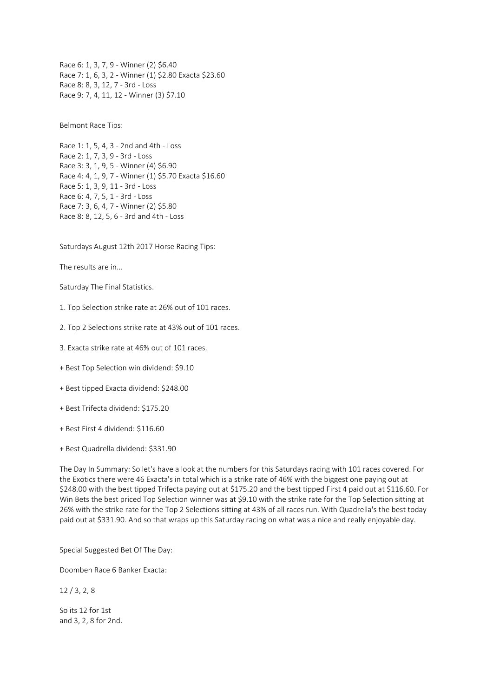Race 6: 1, 3, 7, 9 - Winner (2) \$6.40 Race 7: 1, 6, 3, 2 - Winner (1) \$2.80 Exacta \$23.60 Race 8: 8, 3, 12, 7 - 3rd - Loss Race 9: 7, 4, 11, 12 - Winner (3) \$7.10

Belmont Race Tips:

Race 1: 1, 5, 4, 3 - 2nd and 4th - Loss Race 2: 1, 7, 3, 9 - 3rd - Loss Race 3: 3, 1, 9, 5 - Winner (4) \$6.90 Race 4: 4, 1, 9, 7 - Winner (1) \$5.70 Exacta \$16.60 Race 5: 1, 3, 9, 11 - 3rd - Loss Race 6: 4, 7, 5, 1 - 3rd - Loss Race 7: 3, 6, 4, 7 - Winner (2) \$5.80 Race 8: 8, 12, 5, 6 - 3rd and 4th - Loss

Saturdays August 12th 2017 Horse Racing Tips:

The results are in...

Saturday The Final Statistics.

1. Top Selection strike rate at 26% out of 101 races.

2. Top 2 Selections strike rate at 43% out of 101 races.

3. Exacta strike rate at 46% out of 101 races.

+ Best Top Selection win dividend: \$9.10

+ Best tipped Exacta dividend: \$248.00

+ Best Trifecta dividend: \$175.20

+ Best First 4 dividend: \$116.60

+ Best Quadrella dividend: \$331.90

The Day In Summary: So let's have a look at the numbers for this Saturdays racing with 101 races covered. For the Exotics there were 46 Exacta's in total which is a strike rate of 46% with the biggest one paying out at \$248.00 with the best tipped Trifecta paying out at \$175.20 and the best tipped First 4 paid out at \$116.60. For Win Bets the best priced Top Selection winner was at \$9.10 with the strike rate for the Top Selection sitting at 26% with the strike rate for the Top 2 Selections sitting at 43% of all races run. With Quadrella's the best today paid out at \$331.90. And so that wraps up this Saturday racing on what was a nice and really enjoyable day.

Special Suggested Bet Of The Day:

Doomben Race 6 Banker Exacta:

12 / 3, 2, 8

So its 12 for 1st and 3, 2, 8 for 2nd.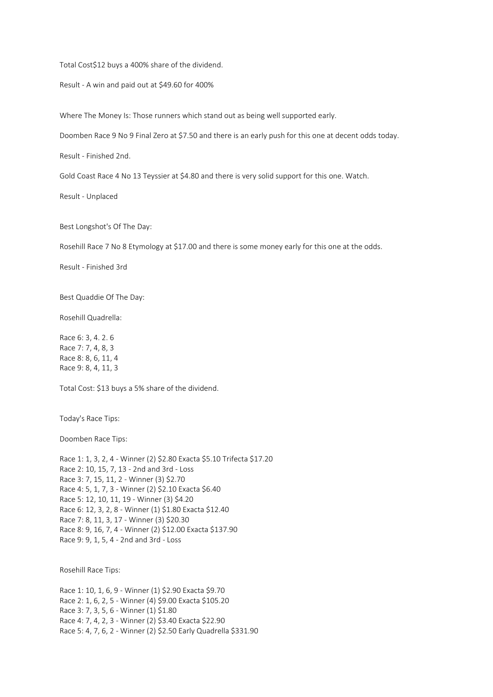Total Cost\$12 buys a 400% share of the dividend.

Result - A win and paid out at \$49.60 for 400%

Where The Money Is: Those runners which stand out as being well supported early.

Doomben Race 9 No 9 Final Zero at \$7.50 and there is an early push for this one at decent odds today.

Result - Finished 2nd.

Gold Coast Race 4 No 13 Teyssier at \$4.80 and there is very solid support for this one. Watch.

Result - Unplaced

Best Longshot's Of The Day:

Rosehill Race 7 No 8 Etymology at \$17.00 and there is some money early for this one at the odds.

Result - Finished 3rd

Best Quaddie Of The Day:

Rosehill Quadrella:

Race 6: 3, 4. 2. 6 Race 7: 7, 4, 8, 3 Race 8: 8, 6, 11, 4 Race 9: 8, 4, 11, 3

Total Cost: \$13 buys a 5% share of the dividend.

Today's Race Tips:

Doomben Race Tips:

Race 1: 1, 3, 2, 4 - Winner (2) \$2.80 Exacta \$5.10 Trifecta \$17.20 Race 2: 10, 15, 7, 13 - 2nd and 3rd - Loss Race 3: 7, 15, 11, 2 - Winner (3) \$2.70 Race 4: 5, 1, 7, 3 - Winner (2) \$2.10 Exacta \$6.40 Race 5: 12, 10, 11, 19 - Winner (3) \$4.20 Race 6: 12, 3, 2, 8 - Winner (1) \$1.80 Exacta \$12.40 Race 7: 8, 11, 3, 17 - Winner (3) \$20.30 Race 8: 9, 16, 7, 4 - Winner (2) \$12.00 Exacta \$137.90 Race 9: 9, 1, 5, 4 - 2nd and 3rd - Loss

Rosehill Race Tips:

Race 1: 10, 1, 6, 9 - Winner (1) \$2.90 Exacta \$9.70 Race 2: 1, 6, 2, 5 - Winner (4) \$9.00 Exacta \$105.20 Race 3: 7, 3, 5, 6 - Winner (1) \$1.80 Race 4: 7, 4, 2, 3 - Winner (2) \$3.40 Exacta \$22.90 Race 5: 4, 7, 6, 2 - Winner (2) \$2.50 Early Quadrella \$331.90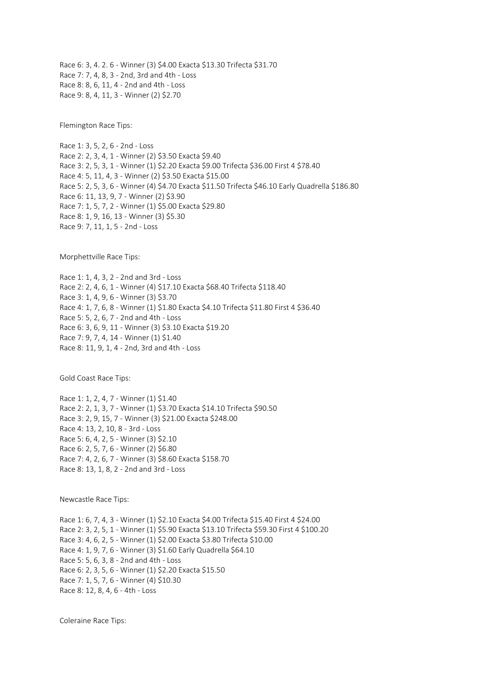Race 6: 3, 4. 2. 6 - Winner (3) \$4.00 Exacta \$13.30 Trifecta \$31.70 Race 7: 7, 4, 8, 3 - 2nd, 3rd and 4th - Loss Race 8: 8, 6, 11, 4 - 2nd and 4th - Loss Race 9: 8, 4, 11, 3 - Winner (2) \$2.70

Flemington Race Tips:

Race 1: 3, 5, 2, 6 - 2nd - Loss Race 2: 2, 3, 4, 1 - Winner (2) \$3.50 Exacta \$9.40 Race 3: 2, 5, 3, 1 - Winner (1) \$2.20 Exacta \$9.00 Trifecta \$36.00 First 4 \$78.40 Race 4: 5, 11, 4, 3 - Winner (2) \$3.50 Exacta \$15.00 Race 5: 2, 5, 3, 6 - Winner (4) \$4.70 Exacta \$11.50 Trifecta \$46.10 Early Quadrella \$186.80 Race 6: 11, 13, 9, 7 - Winner (2) \$3.90 Race 7: 1, 5, 7, 2 - Winner (1) \$5.00 Exacta \$29.80 Race 8: 1, 9, 16, 13 - Winner (3) \$5.30 Race 9: 7, 11, 1, 5 - 2nd - Loss

Morphettville Race Tips:

Race 1: 1, 4, 3, 2 - 2nd and 3rd - Loss Race 2: 2, 4, 6, 1 - Winner (4) \$17.10 Exacta \$68.40 Trifecta \$118.40 Race 3: 1, 4, 9, 6 - Winner (3) \$3.70 Race 4: 1, 7, 6, 8 - Winner (1) \$1.80 Exacta \$4.10 Trifecta \$11.80 First 4 \$36.40 Race 5: 5, 2, 6, 7 - 2nd and 4th - Loss Race 6: 3, 6, 9, 11 - Winner (3) \$3.10 Exacta \$19.20 Race 7: 9, 7, 4, 14 - Winner (1) \$1.40 Race 8: 11, 9, 1, 4 - 2nd, 3rd and 4th - Loss

Gold Coast Race Tips:

Race 1: 1, 2, 4, 7 - Winner (1) \$1.40 Race 2: 2, 1, 3, 7 - Winner (1) \$3.70 Exacta \$14.10 Trifecta \$90.50 Race 3: 2, 9, 15, 7 - Winner (3) \$21.00 Exacta \$248.00 Race 4: 13, 2, 10, 8 - 3rd - Loss Race 5: 6, 4, 2, 5 - Winner (3) \$2.10 Race 6: 2, 5, 7, 6 - Winner (2) \$6.80 Race 7: 4, 2, 6, 7 - Winner (3) \$8.60 Exacta \$158.70 Race 8: 13, 1, 8, 2 - 2nd and 3rd - Loss

Newcastle Race Tips:

Race 1: 6, 7, 4, 3 - Winner (1) \$2.10 Exacta \$4.00 Trifecta \$15.40 First 4 \$24.00 Race 2: 3, 2, 5, 1 - Winner (1) \$5.90 Exacta \$13.10 Trifecta \$59.30 First 4 \$100.20 Race 3: 4, 6, 2, 5 - Winner (1) \$2.00 Exacta \$3.80 Trifecta \$10.00 Race 4: 1, 9, 7, 6 - Winner (3) \$1.60 Early Quadrella \$64.10 Race 5: 5, 6, 3, 8 - 2nd and 4th - Loss Race 6: 2, 3, 5, 6 - Winner (1) \$2.20 Exacta \$15.50 Race 7: 1, 5, 7, 6 - Winner (4) \$10.30 Race 8: 12, 8, 4, 6 - 4th - Loss

Coleraine Race Tips: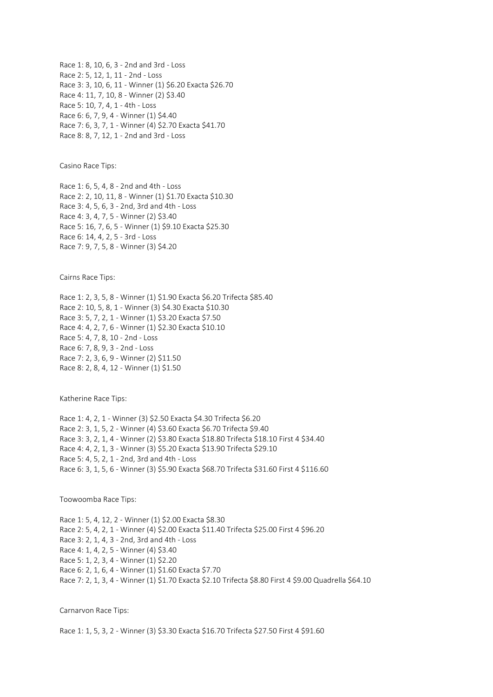Race 1: 8, 10, 6, 3 - 2nd and 3rd - Loss Race 2: 5, 12, 1, 11 - 2nd - Loss Race 3: 3, 10, 6, 11 - Winner (1) \$6.20 Exacta \$26.70 Race 4: 11, 7, 10, 8 - Winner (2) \$3.40 Race 5: 10, 7, 4, 1 - 4th - Loss Race 6: 6, 7, 9, 4 - Winner (1) \$4.40 Race 7: 6, 3, 7, 1 - Winner (4) \$2.70 Exacta \$41.70 Race 8: 8, 7, 12, 1 - 2nd and 3rd - Loss

Casino Race Tips:

Race 1: 6, 5, 4, 8 - 2nd and 4th - Loss Race 2: 2, 10, 11, 8 - Winner (1) \$1.70 Exacta \$10.30 Race 3: 4, 5, 6, 3 - 2nd, 3rd and 4th - Loss Race 4: 3, 4, 7, 5 - Winner (2) \$3.40 Race 5: 16, 7, 6, 5 - Winner (1) \$9.10 Exacta \$25.30 Race 6: 14, 4, 2, 5 - 3rd - Loss Race 7: 9, 7, 5, 8 - Winner (3) \$4.20

Cairns Race Tips:

Race 1: 2, 3, 5, 8 - Winner (1) \$1.90 Exacta \$6.20 Trifecta \$85.40 Race 2: 10, 5, 8, 1 - Winner (3) \$4.30 Exacta \$10.30 Race 3: 5, 7, 2, 1 - Winner (1) \$3.20 Exacta \$7.50 Race 4: 4, 2, 7, 6 - Winner (1) \$2.30 Exacta \$10.10 Race 5: 4, 7, 8, 10 - 2nd - Loss Race 6: 7, 8, 9, 3 - 2nd - Loss Race 7: 2, 3, 6, 9 - Winner (2) \$11.50 Race 8: 2, 8, 4, 12 - Winner (1) \$1.50

Katherine Race Tips:

Race 1: 4, 2, 1 - Winner (3) \$2.50 Exacta \$4.30 Trifecta \$6.20 Race 2: 3, 1, 5, 2 - Winner (4) \$3.60 Exacta \$6.70 Trifecta \$9.40 Race 3: 3, 2, 1, 4 - Winner (2) \$3.80 Exacta \$18.80 Trifecta \$18.10 First 4 \$34.40 Race 4: 4, 2, 1, 3 - Winner (3) \$5.20 Exacta \$13.90 Trifecta \$29.10 Race 5: 4, 5, 2, 1 - 2nd, 3rd and 4th - Loss Race 6: 3, 1, 5, 6 - Winner (3) \$5.90 Exacta \$68.70 Trifecta \$31.60 First 4 \$116.60

Toowoomba Race Tips:

Race 1: 5, 4, 12, 2 - Winner (1) \$2.00 Exacta \$8.30 Race 2: 5, 4, 2, 1 - Winner (4) \$2.00 Exacta \$11.40 Trifecta \$25.00 First 4 \$96.20 Race 3: 2, 1, 4, 3 - 2nd, 3rd and 4th - Loss Race 4: 1, 4, 2, 5 - Winner (4) \$3.40 Race 5: 1, 2, 3, 4 - Winner (1) \$2.20 Race 6: 2, 1, 6, 4 - Winner (1) \$1.60 Exacta \$7.70 Race 7: 2, 1, 3, 4 - Winner (1) \$1.70 Exacta \$2.10 Trifecta \$8.80 First 4 \$9.00 Quadrella \$64.10

Carnarvon Race Tips:

Race 1: 1, 5, 3, 2 - Winner (3) \$3.30 Exacta \$16.70 Trifecta \$27.50 First 4 \$91.60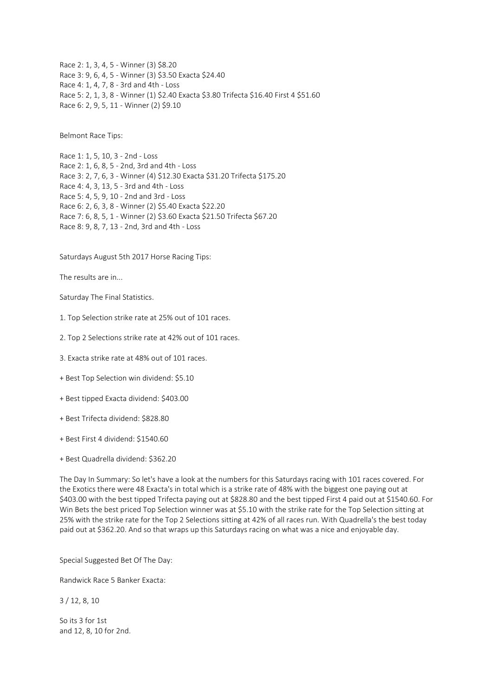Race 2: 1, 3, 4, 5 - Winner (3) \$8.20 Race 3: 9, 6, 4, 5 - Winner (3) \$3.50 Exacta \$24.40 Race 4: 1, 4, 7, 8 - 3rd and 4th - Loss Race 5: 2, 1, 3, 8 - Winner (1) \$2.40 Exacta \$3.80 Trifecta \$16.40 First 4 \$51.60 Race 6: 2, 9, 5, 11 - Winner (2) \$9.10

Belmont Race Tips:

Race 1: 1, 5, 10, 3 - 2nd - Loss Race 2: 1, 6, 8, 5 - 2nd, 3rd and 4th - Loss Race 3: 2, 7, 6, 3 - Winner (4) \$12.30 Exacta \$31.20 Trifecta \$175.20 Race 4: 4, 3, 13, 5 - 3rd and 4th - Loss Race 5: 4, 5, 9, 10 - 2nd and 3rd - Loss Race 6: 2, 6, 3, 8 - Winner (2) \$5.40 Exacta \$22.20 Race 7: 6, 8, 5, 1 - Winner (2) \$3.60 Exacta \$21.50 Trifecta \$67.20 Race 8: 9, 8, 7, 13 - 2nd, 3rd and 4th - Loss

Saturdays August 5th 2017 Horse Racing Tips:

The results are in...

Saturday The Final Statistics.

1. Top Selection strike rate at 25% out of 101 races.

2. Top 2 Selections strike rate at 42% out of 101 races.

3. Exacta strike rate at 48% out of 101 races.

+ Best Top Selection win dividend: \$5.10

+ Best tipped Exacta dividend: \$403.00

+ Best Trifecta dividend: \$828.80

+ Best First 4 dividend: \$1540.60

+ Best Quadrella dividend: \$362.20

The Day In Summary: So let's have a look at the numbers for this Saturdays racing with 101 races covered. For the Exotics there were 48 Exacta's in total which is a strike rate of 48% with the biggest one paying out at \$403.00 with the best tipped Trifecta paying out at \$828.80 and the best tipped First 4 paid out at \$1540.60. For Win Bets the best priced Top Selection winner was at \$5.10 with the strike rate for the Top Selection sitting at 25% with the strike rate for the Top 2 Selections sitting at 42% of all races run. With Quadrella's the best today paid out at \$362.20. And so that wraps up this Saturdays racing on what was a nice and enjoyable day.

Special Suggested Bet Of The Day:

Randwick Race 5 Banker Exacta:

3 / 12, 8, 10

So its 3 for 1st and 12, 8, 10 for 2nd.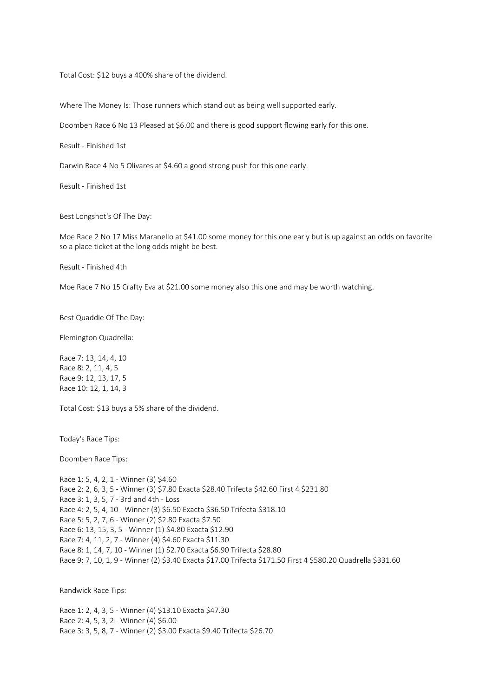Total Cost: \$12 buys a 400% share of the dividend.

Where The Money Is: Those runners which stand out as being well supported early.

Doomben Race 6 No 13 Pleased at \$6.00 and there is good support flowing early for this one.

Result - Finished 1st

Darwin Race 4 No 5 Olivares at \$4.60 a good strong push for this one early.

Result - Finished 1st

Best Longshot's Of The Day:

Moe Race 2 No 17 Miss Maranello at \$41.00 some money for this one early but is up against an odds on favorite so a place ticket at the long odds might be best.

Result - Finished 4th

Moe Race 7 No 15 Crafty Eva at \$21.00 some money also this one and may be worth watching.

Best Quaddie Of The Day:

Flemington Quadrella:

Race 7: 13, 14, 4, 10 Race 8: 2, 11, 4, 5 Race 9: 12, 13, 17, 5 Race 10: 12, 1, 14, 3

Total Cost: \$13 buys a 5% share of the dividend.

Today's Race Tips:

Doomben Race Tips:

Race 1: 5, 4, 2, 1 - Winner (3) \$4.60 Race 2: 2, 6, 3, 5 - Winner (3) \$7.80 Exacta \$28.40 Trifecta \$42.60 First 4 \$231.80 Race 3: 1, 3, 5, 7 - 3rd and 4th - Loss Race 4: 2, 5, 4, 10 - Winner (3) \$6.50 Exacta \$36.50 Trifecta \$318.10 Race 5: 5, 2, 7, 6 - Winner (2) \$2.80 Exacta \$7.50 Race 6: 13, 15, 3, 5 - Winner (1) \$4.80 Exacta \$12.90 Race 7: 4, 11, 2, 7 - Winner (4) \$4.60 Exacta \$11.30 Race 8: 1, 14, 7, 10 - Winner (1) \$2.70 Exacta \$6.90 Trifecta \$28.80 Race 9: 7, 10, 1, 9 - Winner (2) \$3.40 Exacta \$17.00 Trifecta \$171.50 First 4 \$580.20 Quadrella \$331.60

Randwick Race Tips:

Race 1: 2, 4, 3, 5 - Winner (4) \$13.10 Exacta \$47.30 Race 2: 4, 5, 3, 2 - Winner (4) \$6.00 Race 3: 3, 5, 8, 7 - Winner (2) \$3.00 Exacta \$9.40 Trifecta \$26.70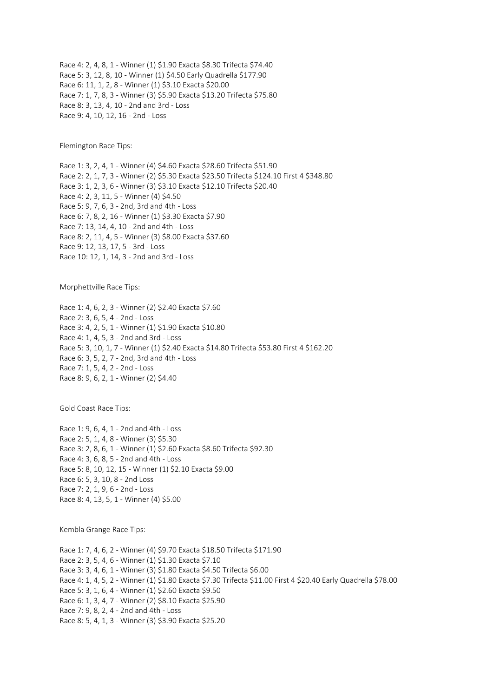Race 4: 2, 4, 8, 1 - Winner (1) \$1.90 Exacta \$8.30 Trifecta \$74.40 Race 5: 3, 12, 8, 10 - Winner (1) \$4.50 Early Quadrella \$177.90 Race 6: 11, 1, 2, 8 - Winner (1) \$3.10 Exacta \$20.00 Race 7: 1, 7, 8, 3 - Winner (3) \$5.90 Exacta \$13.20 Trifecta \$75.80 Race 8: 3, 13, 4, 10 - 2nd and 3rd - Loss Race 9: 4, 10, 12, 16 - 2nd - Loss

Flemington Race Tips:

Race 1: 3, 2, 4, 1 - Winner (4) \$4.60 Exacta \$28.60 Trifecta \$51.90 Race 2: 2, 1, 7, 3 - Winner (2) \$5.30 Exacta \$23.50 Trifecta \$124.10 First 4 \$348.80 Race 3: 1, 2, 3, 6 - Winner (3) \$3.10 Exacta \$12.10 Trifecta \$20.40 Race 4: 2, 3, 11, 5 - Winner (4) \$4.50 Race 5: 9, 7, 6, 3 - 2nd, 3rd and 4th - Loss Race 6: 7, 8, 2, 16 - Winner (1) \$3.30 Exacta \$7.90 Race 7: 13, 14, 4, 10 - 2nd and 4th - Loss Race 8: 2, 11, 4, 5 - Winner (3) \$8.00 Exacta \$37.60 Race 9: 12, 13, 17, 5 - 3rd - Loss Race 10: 12, 1, 14, 3 - 2nd and 3rd - Loss

Morphettville Race Tips:

Race 1: 4, 6, 2, 3 - Winner (2) \$2.40 Exacta \$7.60 Race 2: 3, 6, 5, 4 - 2nd - Loss Race 3: 4, 2, 5, 1 - Winner (1) \$1.90 Exacta \$10.80 Race 4: 1, 4, 5, 3 - 2nd and 3rd - Loss Race 5: 3, 10, 1, 7 - Winner (1) \$2.40 Exacta \$14.80 Trifecta \$53.80 First 4 \$162.20 Race 6: 3, 5, 2, 7 - 2nd, 3rd and 4th - Loss Race 7: 1, 5, 4, 2 - 2nd - Loss Race 8: 9, 6, 2, 1 - Winner (2) \$4.40

Gold Coast Race Tips:

Race 1: 9, 6, 4, 1 - 2nd and 4th - Loss Race 2: 5, 1, 4, 8 - Winner (3) \$5.30 Race 3: 2, 8, 6, 1 - Winner (1) \$2.60 Exacta \$8.60 Trifecta \$92.30 Race 4: 3, 6, 8, 5 - 2nd and 4th - Loss Race 5: 8, 10, 12, 15 - Winner (1) \$2.10 Exacta \$9.00 Race 6: 5, 3, 10, 8 - 2nd Loss Race 7: 2, 1, 9, 6 - 2nd - Loss Race 8: 4, 13, 5, 1 - Winner (4) \$5.00

Kembla Grange Race Tips:

Race 1: 7, 4, 6, 2 - Winner (4) \$9.70 Exacta \$18.50 Trifecta \$171.90 Race 2: 3, 5, 4, 6 - Winner (1) \$1.30 Exacta \$7.10 Race 3: 3, 4, 6, 1 - Winner (3) \$1.80 Exacta \$4.50 Trifecta \$6.00 Race 4: 1, 4, 5, 2 - Winner (1) \$1.80 Exacta \$7.30 Trifecta \$11.00 First 4 \$20.40 Early Quadrella \$78.00 Race 5: 3, 1, 6, 4 - Winner (1) \$2.60 Exacta \$9.50 Race 6: 1, 3, 4, 7 - Winner (2) \$8.10 Exacta \$25.90 Race 7: 9, 8, 2, 4 - 2nd and 4th - Loss Race 8: 5, 4, 1, 3 - Winner (3) \$3.90 Exacta \$25.20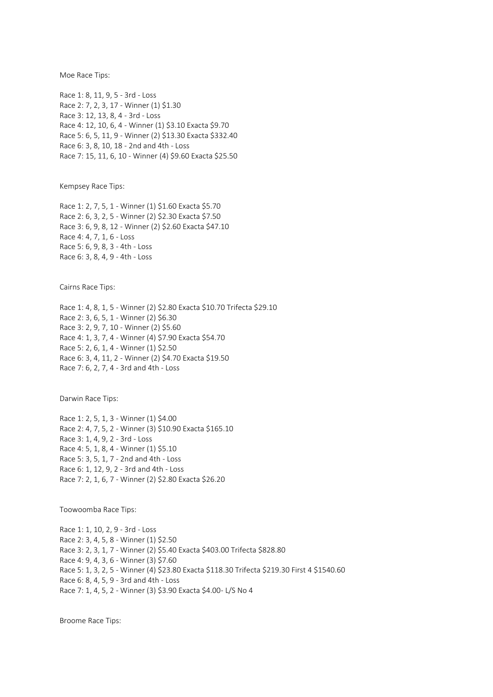Moe Race Tips:

Race 1: 8, 11, 9, 5 - 3rd - Loss Race 2: 7, 2, 3, 17 - Winner (1) \$1.30 Race 3: 12, 13, 8, 4 - 3rd - Loss Race 4: 12, 10, 6, 4 - Winner (1) \$3.10 Exacta \$9.70 Race 5: 6, 5, 11, 9 - Winner (2) \$13.30 Exacta \$332.40 Race 6: 3, 8, 10, 18 - 2nd and 4th - Loss Race 7: 15, 11, 6, 10 - Winner (4) \$9.60 Exacta \$25.50

Kempsey Race Tips:

Race 1: 2, 7, 5, 1 - Winner (1) \$1.60 Exacta \$5.70 Race 2: 6, 3, 2, 5 - Winner (2) \$2.30 Exacta \$7.50 Race 3: 6, 9, 8, 12 - Winner (2) \$2.60 Exacta \$47.10 Race 4: 4, 7, 1, 6 - Loss Race 5: 6, 9, 8, 3 - 4th - Loss Race 6: 3, 8, 4, 9 - 4th - Loss

Cairns Race Tips:

Race 1: 4, 8, 1, 5 - Winner (2) \$2.80 Exacta \$10.70 Trifecta \$29.10 Race 2: 3, 6, 5, 1 - Winner (2) \$6.30 Race 3: 2, 9, 7, 10 - Winner (2) \$5.60 Race 4: 1, 3, 7, 4 - Winner (4) \$7.90 Exacta \$54.70 Race 5: 2, 6, 1, 4 - Winner (1) \$2.50 Race 6: 3, 4, 11, 2 - Winner (2) \$4.70 Exacta \$19.50 Race 7: 6, 2, 7, 4 - 3rd and 4th - Loss

Darwin Race Tips:

Race 1: 2, 5, 1, 3 - Winner (1) \$4.00 Race 2: 4, 7, 5, 2 - Winner (3) \$10.90 Exacta \$165.10 Race 3: 1, 4, 9, 2 - 3rd - Loss Race 4: 5, 1, 8, 4 - Winner (1) \$5.10 Race 5: 3, 5, 1, 7 - 2nd and 4th - Loss Race 6: 1, 12, 9, 2 - 3rd and 4th - Loss Race 7: 2, 1, 6, 7 - Winner (2) \$2.80 Exacta \$26.20

Toowoomba Race Tips:

Race 1: 1, 10, 2, 9 - 3rd - Loss Race 2: 3, 4, 5, 8 - Winner (1) \$2.50 Race 3: 2, 3, 1, 7 - Winner (2) \$5.40 Exacta \$403.00 Trifecta \$828.80 Race 4: 9, 4, 3, 6 - Winner (3) \$7.60 Race 5: 1, 3, 2, 5 - Winner (4) \$23.80 Exacta \$118.30 Trifecta \$219.30 First 4 \$1540.60 Race 6: 8, 4, 5, 9 - 3rd and 4th - Loss Race 7: 1, 4, 5, 2 - Winner (3) \$3.90 Exacta \$4.00- L/S No 4

Broome Race Tips: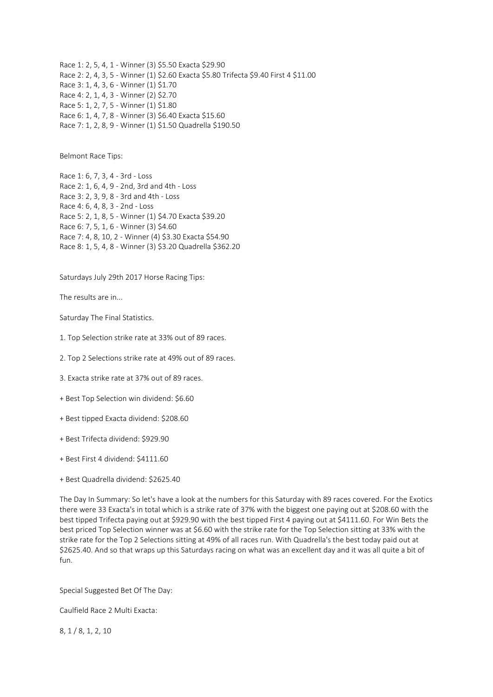Race 1: 2, 5, 4, 1 - Winner (3) \$5.50 Exacta \$29.90 Race 2: 2, 4, 3, 5 - Winner (1) \$2.60 Exacta \$5.80 Trifecta \$9.40 First 4 \$11.00 Race 3: 1, 4, 3, 6 - Winner (1) \$1.70 Race 4: 2, 1, 4, 3 - Winner (2) \$2.70 Race 5: 1, 2, 7, 5 - Winner (1) \$1.80 Race 6: 1, 4, 7, 8 - Winner (3) \$6.40 Exacta \$15.60 Race 7: 1, 2, 8, 9 - Winner (1) \$1.50 Quadrella \$190.50

Belmont Race Tips:

Race 1: 6, 7, 3, 4 - 3rd - Loss Race 2: 1, 6, 4, 9 - 2nd, 3rd and 4th - Loss Race 3: 2, 3, 9, 8 - 3rd and 4th - Loss Race 4: 6, 4, 8, 3 - 2nd - Loss Race 5: 2, 1, 8, 5 - Winner (1) \$4.70 Exacta \$39.20 Race 6: 7, 5, 1, 6 - Winner (3) \$4.60 Race 7: 4, 8, 10, 2 - Winner (4) \$3.30 Exacta \$54.90 Race 8: 1, 5, 4, 8 - Winner (3) \$3.20 Quadrella \$362.20

Saturdays July 29th 2017 Horse Racing Tips:

The results are in...

Saturday The Final Statistics.

1. Top Selection strike rate at 33% out of 89 races.

2. Top 2 Selections strike rate at 49% out of 89 races.

3. Exacta strike rate at 37% out of 89 races.

+ Best Top Selection win dividend: \$6.60

+ Best tipped Exacta dividend: \$208.60

+ Best Trifecta dividend: \$929.90

+ Best First 4 dividend: \$4111.60

+ Best Quadrella dividend: \$2625.40

The Day In Summary: So let's have a look at the numbers for this Saturday with 89 races covered. For the Exotics there were 33 Exacta's in total which is a strike rate of 37% with the biggest one paying out at \$208.60 with the best tipped Trifecta paying out at \$929.90 with the best tipped First 4 paying out at \$4111.60. For Win Bets the best priced Top Selection winner was at \$6.60 with the strike rate for the Top Selection sitting at 33% with the strike rate for the Top 2 Selections sitting at 49% of all races run. With Quadrella's the best today paid out at \$2625.40. And so that wraps up this Saturdays racing on what was an excellent day and it was all quite a bit of fun.

Special Suggested Bet Of The Day:

Caulfield Race 2 Multi Exacta:

8, 1 / 8, 1, 2, 10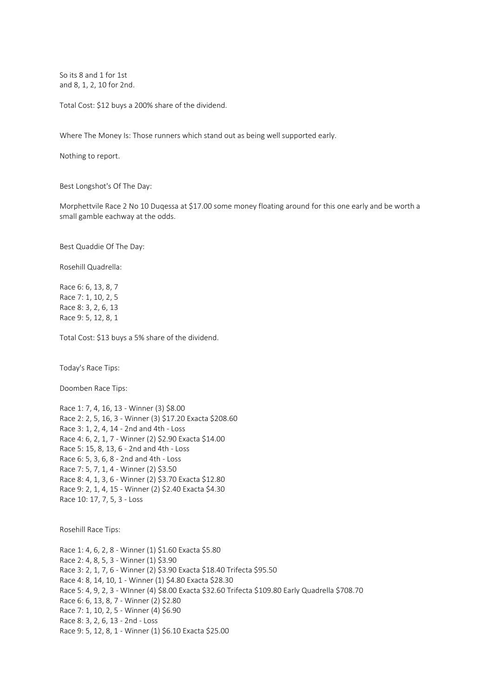So its 8 and 1 for 1st and 8, 1, 2, 10 for 2nd.

Total Cost: \$12 buys a 200% share of the dividend.

Where The Money Is: Those runners which stand out as being well supported early.

Nothing to report.

Best Longshot's Of The Day:

Morphettvile Race 2 No 10 Duqessa at \$17.00 some money floating around for this one early and be worth a small gamble eachway at the odds.

Best Quaddie Of The Day:

Rosehill Quadrella:

Race 6: 6, 13, 8, 7 Race 7: 1, 10, 2, 5 Race 8: 3, 2, 6, 13 Race 9: 5, 12, 8, 1

Total Cost: \$13 buys a 5% share of the dividend.

Today's Race Tips:

Doomben Race Tips:

Race 1: 7, 4, 16, 13 - Winner (3) \$8.00 Race 2: 2, 5, 16, 3 - Winner (3) \$17.20 Exacta \$208.60 Race 3: 1, 2, 4, 14 - 2nd and 4th - Loss Race 4: 6, 2, 1, 7 - Winner (2) \$2.90 Exacta \$14.00 Race 5: 15, 8, 13, 6 - 2nd and 4th - Loss Race 6: 5, 3, 6, 8 - 2nd and 4th - Loss Race 7: 5, 7, 1, 4 - Winner (2) \$3.50 Race 8: 4, 1, 3, 6 - Winner (2) \$3.70 Exacta \$12.80 Race 9: 2, 1, 4, 15 - Winner (2) \$2.40 Exacta \$4.30 Race 10: 17, 7, 5, 3 - Loss

Rosehill Race Tips:

Race 1: 4, 6, 2, 8 - Winner (1) \$1.60 Exacta \$5.80 Race 2: 4, 8, 5, 3 - Winner (1) \$3.90 Race 3: 2, 1, 7, 6 - Winner (2) \$3.90 Exacta \$18.40 Trifecta \$95.50 Race 4: 8, 14, 10, 1 - Winner (1) \$4.80 Exacta \$28.30 Race 5: 4, 9, 2, 3 - WInner (4) \$8.00 Exacta \$32.60 Trifecta \$109.80 Early Quadrella \$708.70 Race 6: 6, 13, 8, 7 - Winner (2) \$2.80 Race 7: 1, 10, 2, 5 - Winner (4) \$6.90 Race 8: 3, 2, 6, 13 - 2nd - Loss Race 9: 5, 12, 8, 1 - Winner (1) \$6.10 Exacta \$25.00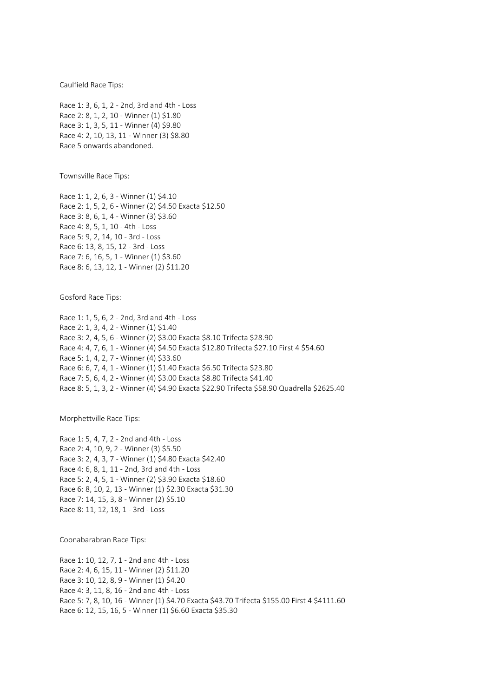Caulfield Race Tips:

Race 1: 3, 6, 1, 2 - 2nd, 3rd and 4th - Loss Race 2: 8, 1, 2, 10 - Winner (1) \$1.80 Race 3: 1, 3, 5, 11 - Winner (4) \$9.80 Race 4: 2, 10, 13, 11 - Winner (3) \$8.80 Race 5 onwards abandoned.

Townsville Race Tips:

Race 1: 1, 2, 6, 3 - Winner (1) \$4.10 Race 2: 1, 5, 2, 6 - Winner (2) \$4.50 Exacta \$12.50 Race 3: 8, 6, 1, 4 - Winner (3) \$3.60 Race 4: 8, 5, 1, 10 - 4th - Loss Race 5: 9, 2, 14, 10 - 3rd - Loss Race 6: 13, 8, 15, 12 - 3rd - Loss Race 7: 6, 16, 5, 1 - Winner (1) \$3.60 Race 8: 6, 13, 12, 1 - Winner (2) \$11.20

Gosford Race Tips:

Race 1: 1, 5, 6, 2 - 2nd, 3rd and 4th - Loss Race 2: 1, 3, 4, 2 - Winner (1) \$1.40 Race 3: 2, 4, 5, 6 - Winner (2) \$3.00 Exacta \$8.10 Trifecta \$28.90 Race 4: 4, 7, 6, 1 - Winner (4) \$4.50 Exacta \$12.80 Trifecta \$27.10 First 4 \$54.60 Race 5: 1, 4, 2, 7 - Winner (4) \$33.60 Race 6: 6, 7, 4, 1 - Winner (1) \$1.40 Exacta \$6.50 Trifecta \$23.80 Race 7: 5, 6, 4, 2 - Winner (4) \$3.00 Exacta \$8.80 Trifecta \$41.40 Race 8: 5, 1, 3, 2 - Winner (4) \$4.90 Exacta \$22.90 Trifecta \$58.90 Quadrella \$2625.40

Morphettville Race Tips:

Race 1: 5, 4, 7, 2 - 2nd and 4th - Loss Race 2: 4, 10, 9, 2 - Winner (3) \$5.50 Race 3: 2, 4, 3, 7 - Winner (1) \$4.80 Exacta \$42.40 Race 4: 6, 8, 1, 11 - 2nd, 3rd and 4th - Loss Race 5: 2, 4, 5, 1 - Winner (2) \$3.90 Exacta \$18.60 Race 6: 8, 10, 2, 13 - Winner (1) \$2.30 Exacta \$31.30 Race 7: 14, 15, 3, 8 - Winner (2) \$5.10 Race 8: 11, 12, 18, 1 - 3rd - Loss

Coonabarabran Race Tips:

Race 1: 10, 12, 7, 1 - 2nd and 4th - Loss Race 2: 4, 6, 15, 11 - Winner (2) \$11.20 Race 3: 10, 12, 8, 9 - Winner (1) \$4.20 Race 4: 3, 11, 8, 16 - 2nd and 4th - Loss Race 5: 7, 8, 10, 16 - Winner (1) \$4.70 Exacta \$43.70 Trifecta \$155.00 First 4 \$4111.60 Race 6: 12, 15, 16, 5 - Winner (1) \$6.60 Exacta \$35.30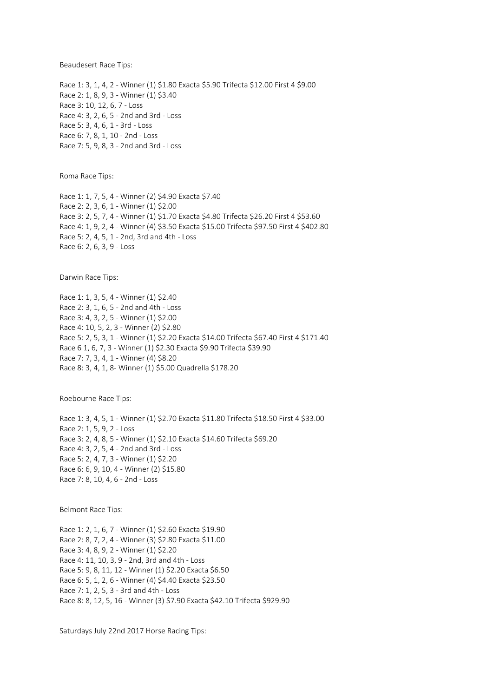Beaudesert Race Tips:

Race 1: 3, 1, 4, 2 - Winner (1) \$1.80 Exacta \$5.90 Trifecta \$12.00 First 4 \$9.00 Race 2: 1, 8, 9, 3 - Winner (1) \$3.40 Race 3: 10, 12, 6, 7 - Loss Race 4: 3, 2, 6, 5 - 2nd and 3rd - Loss Race 5: 3, 4, 6, 1 - 3rd - Loss Race 6: 7, 8, 1, 10 - 2nd - Loss Race 7: 5, 9, 8, 3 - 2nd and 3rd - Loss

Roma Race Tips:

Race 1: 1, 7, 5, 4 - Winner (2) \$4.90 Exacta \$7.40 Race 2: 2, 3, 6, 1 - Winner (1) \$2.00 Race 3: 2, 5, 7, 4 - Winner (1) \$1.70 Exacta \$4.80 Trifecta \$26.20 First 4 \$53.60 Race 4: 1, 9, 2, 4 - Winner (4) \$3.50 Exacta \$15.00 Trifecta \$97.50 First 4 \$402.80 Race 5: 2, 4, 5, 1 - 2nd, 3rd and 4th - Loss Race 6: 2, 6, 3, 9 - Loss

Darwin Race Tips:

Race 1: 1, 3, 5, 4 - Winner (1) \$2.40 Race 2: 3, 1, 6, 5 - 2nd and 4th - Loss Race 3: 4, 3, 2, 5 - Winner (1) \$2.00 Race 4: 10, 5, 2, 3 - Winner (2) \$2.80 Race 5: 2, 5, 3, 1 - Winner (1) \$2.20 Exacta \$14.00 Trifecta \$67.40 First 4 \$171.40 Race 6 1, 6, 7, 3 - Winner (1) \$2.30 Exacta \$9.90 Trifecta \$39.90 Race 7: 7, 3, 4, 1 - Winner (4) \$8.20 Race 8: 3, 4, 1, 8- Winner (1) \$5.00 Quadrella \$178.20

Roebourne Race Tips:

Race 1: 3, 4, 5, 1 - Winner (1) \$2.70 Exacta \$11.80 Trifecta \$18.50 First 4 \$33.00 Race 2: 1, 5, 9, 2 - Loss Race 3: 2, 4, 8, 5 - Winner (1) \$2.10 Exacta \$14.60 Trifecta \$69.20 Race 4: 3, 2, 5, 4 - 2nd and 3rd - Loss Race 5: 2, 4, 7, 3 - Winner (1) \$2.20 Race 6: 6, 9, 10, 4 - Winner (2) \$15.80 Race 7: 8, 10, 4, 6 - 2nd - Loss

Belmont Race Tips:

Race 1: 2, 1, 6, 7 - Winner (1) \$2.60 Exacta \$19.90 Race 2: 8, 7, 2, 4 - Winner (3) \$2.80 Exacta \$11.00 Race 3: 4, 8, 9, 2 - Winner (1) \$2.20 Race 4: 11, 10, 3, 9 - 2nd, 3rd and 4th - Loss Race 5: 9, 8, 11, 12 - Winner (1) \$2.20 Exacta \$6.50 Race 6: 5, 1, 2, 6 - Winner (4) \$4.40 Exacta \$23.50 Race 7: 1, 2, 5, 3 - 3rd and 4th - Loss Race 8: 8, 12, 5, 16 - Winner (3) \$7.90 Exacta \$42.10 Trifecta \$929.90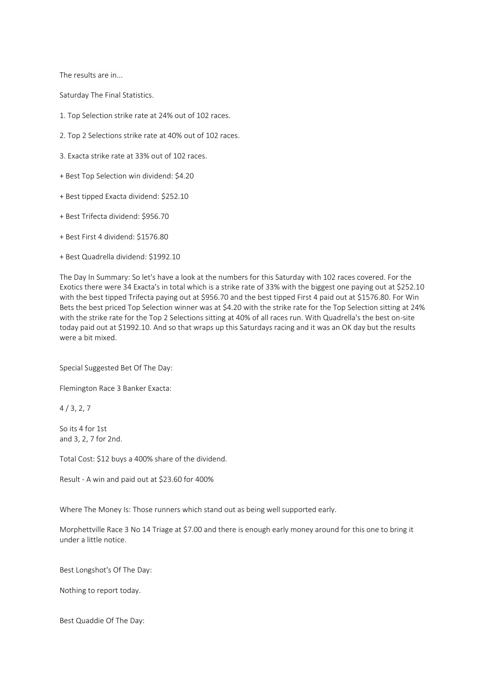The results are in...

Saturday The Final Statistics.

- 1. Top Selection strike rate at 24% out of 102 races.
- 2. Top 2 Selections strike rate at 40% out of 102 races.
- 3. Exacta strike rate at 33% out of 102 races.
- + Best Top Selection win dividend: \$4.20
- + Best tipped Exacta dividend: \$252.10
- + Best Trifecta dividend: \$956.70
- + Best First 4 dividend: \$1576.80
- + Best Quadrella dividend: \$1992.10

The Day In Summary: So let's have a look at the numbers for this Saturday with 102 races covered. For the Exotics there were 34 Exacta's in total which is a strike rate of 33% with the biggest one paying out at \$252.10 with the best tipped Trifecta paying out at \$956.70 and the best tipped First 4 paid out at \$1576.80. For Win Bets the best priced Top Selection winner was at \$4.20 with the strike rate for the Top Selection sitting at 24% with the strike rate for the Top 2 Selections sitting at 40% of all races run. With Quadrella's the best on-site today paid out at \$1992.10. And so that wraps up this Saturdays racing and it was an OK day but the results were a bit mixed.

Special Suggested Bet Of The Day:

Flemington Race 3 Banker Exacta:

 $4 / 3, 2, 7$ 

So its 4 for 1st and 3, 2, 7 for 2nd.

Total Cost: \$12 buys a 400% share of the dividend.

Result - A win and paid out at \$23.60 for 400%

Where The Money Is: Those runners which stand out as being well supported early.

Morphettville Race 3 No 14 Triage at \$7.00 and there is enough early money around for this one to bring it under a little notice.

Best Longshot's Of The Day:

Nothing to report today.

Best Quaddie Of The Day: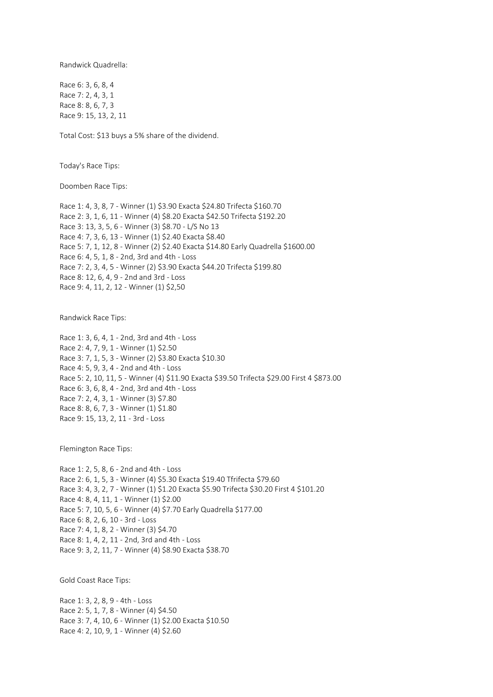Randwick Quadrella:

Race 6: 3, 6, 8, 4 Race 7: 2, 4, 3, 1 Race 8: 8, 6, 7, 3 Race 9: 15, 13, 2, 11

Total Cost: \$13 buys a 5% share of the dividend.

Today's Race Tips:

Doomben Race Tips:

Race 1: 4, 3, 8, 7 - Winner (1) \$3.90 Exacta \$24.80 Trifecta \$160.70 Race 2: 3, 1, 6, 11 - Winner (4) \$8.20 Exacta \$42.50 Trifecta \$192.20 Race 3: 13, 3, 5, 6 - Winner (3) \$8.70 - L/S No 13 Race 4: 7, 3, 6, 13 - Winner (1) \$2.40 Exacta \$8.40 Race 5: 7, 1, 12, 8 - Winner (2) \$2.40 Exacta \$14.80 Early Quadrella \$1600.00 Race 6: 4, 5, 1, 8 - 2nd, 3rd and 4th - Loss Race 7: 2, 3, 4, 5 - Winner (2) \$3.90 Exacta \$44.20 Trifecta \$199.80 Race 8: 12, 6, 4, 9 - 2nd and 3rd - Loss Race 9: 4, 11, 2, 12 - Winner (1) \$2,50

Randwick Race Tips:

Race 1: 3, 6, 4, 1 - 2nd, 3rd and 4th - Loss Race 2: 4, 7, 9, 1 - Winner (1) \$2.50 Race 3: 7, 1, 5, 3 - Winner (2) \$3.80 Exacta \$10.30 Race 4: 5, 9, 3, 4 - 2nd and 4th - Loss Race 5: 2, 10, 11, 5 - Winner (4) \$11.90 Exacta \$39.50 Trifecta \$29.00 First 4 \$873.00 Race 6: 3, 6, 8, 4 - 2nd, 3rd and 4th - Loss Race 7: 2, 4, 3, 1 - Winner (3) \$7.80 Race 8: 8, 6, 7, 3 - Winner (1) \$1.80 Race 9: 15, 13, 2, 11 - 3rd - Loss

Flemington Race Tips:

Race 1: 2, 5, 8, 6 - 2nd and 4th - Loss Race 2: 6, 1, 5, 3 - Winner (4) \$5.30 Exacta \$19.40 Tfrifecta \$79.60 Race 3: 4, 3, 2, 7 - Winner (1) \$1.20 Exacta \$5.90 Trifecta \$30.20 First 4 \$101.20 Race 4: 8, 4, 11, 1 - Winner (1) \$2.00 Race 5: 7, 10, 5, 6 - Winner (4) \$7.70 Early Quadrella \$177.00 Race 6: 8, 2, 6, 10 - 3rd - Loss Race 7: 4, 1, 8, 2 - Winner (3) \$4.70 Race 8: 1, 4, 2, 11 - 2nd, 3rd and 4th - Loss Race 9: 3, 2, 11, 7 - Winner (4) \$8.90 Exacta \$38.70

Gold Coast Race Tips:

Race 1: 3, 2, 8, 9 - 4th - Loss Race 2: 5, 1, 7, 8 - Winner (4) \$4.50 Race 3: 7, 4, 10, 6 - Winner (1) \$2.00 Exacta \$10.50 Race 4: 2, 10, 9, 1 - Winner (4) \$2.60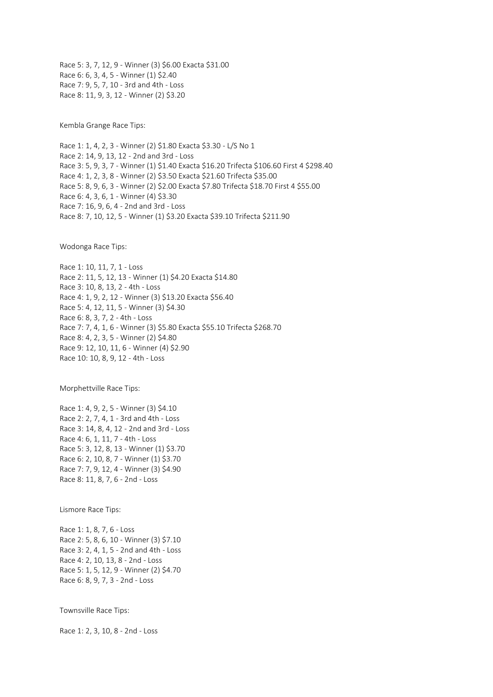Race 5: 3, 7, 12, 9 - Winner (3) \$6.00 Exacta \$31.00 Race 6: 6, 3, 4, 5 - Winner (1) \$2.40 Race 7: 9, 5, 7, 10 - 3rd and 4th - Loss Race 8: 11, 9, 3, 12 - Winner (2) \$3.20

Kembla Grange Race Tips:

Race 1: 1, 4, 2, 3 - Winner (2) \$1.80 Exacta \$3.30 - L/S No 1 Race 2: 14, 9, 13, 12 - 2nd and 3rd - Loss Race 3: 5, 9, 3, 7 - Winner (1) \$1.40 Exacta \$16.20 Trifecta \$106.60 First 4 \$298.40 Race 4: 1, 2, 3, 8 - Winner (2) \$3.50 Exacta \$21.60 Trifecta \$35.00 Race 5: 8, 9, 6, 3 - Winner (2) \$2.00 Exacta \$7.80 Trifecta \$18.70 First 4 \$55.00 Race 6: 4, 3, 6, 1 - Winner (4) \$3.30 Race 7: 16, 9, 6, 4 - 2nd and 3rd - Loss Race 8: 7, 10, 12, 5 - Winner (1) \$3.20 Exacta \$39.10 Trifecta \$211.90

Wodonga Race Tips:

Race 1: 10, 11, 7, 1 - Loss Race 2: 11, 5, 12, 13 - Winner (1) \$4.20 Exacta \$14.80 Race 3: 10, 8, 13, 2 - 4th - Loss Race 4: 1, 9, 2, 12 - Winner (3) \$13.20 Exacta \$56.40 Race 5: 4, 12, 11, 5 - Winner (3) \$4.30 Race 6: 8, 3, 7, 2 - 4th - Loss Race 7: 7, 4, 1, 6 - Winner (3) \$5.80 Exacta \$55.10 Trifecta \$268.70 Race 8: 4, 2, 3, 5 - Winner (2) \$4.80 Race 9: 12, 10, 11, 6 - Winner (4) \$2.90 Race 10: 10, 8, 9, 12 - 4th - Loss

Morphettville Race Tips:

Race 1: 4, 9, 2, 5 - Winner (3) \$4.10 Race 2: 2, 7, 4, 1 - 3rd and 4th - Loss Race 3: 14, 8, 4, 12 - 2nd and 3rd - Loss Race 4: 6, 1, 11, 7 - 4th - Loss Race 5: 3, 12, 8, 13 - Winner (1) \$3.70 Race 6: 2, 10, 8, 7 - Winner (1) \$3.70 Race 7: 7, 9, 12, 4 - Winner (3) \$4.90 Race 8: 11, 8, 7, 6 - 2nd - Loss

Lismore Race Tips:

Race 1: 1, 8, 7, 6 - Loss Race 2: 5, 8, 6, 10 - Winner (3) \$7.10 Race 3: 2, 4, 1, 5 - 2nd and 4th - Loss Race 4: 2, 10, 13, 8 - 2nd - Loss Race 5: 1, 5, 12, 9 - Winner (2) \$4.70 Race 6: 8, 9, 7, 3 - 2nd - Loss

Townsville Race Tips:

Race 1: 2, 3, 10, 8 - 2nd - Loss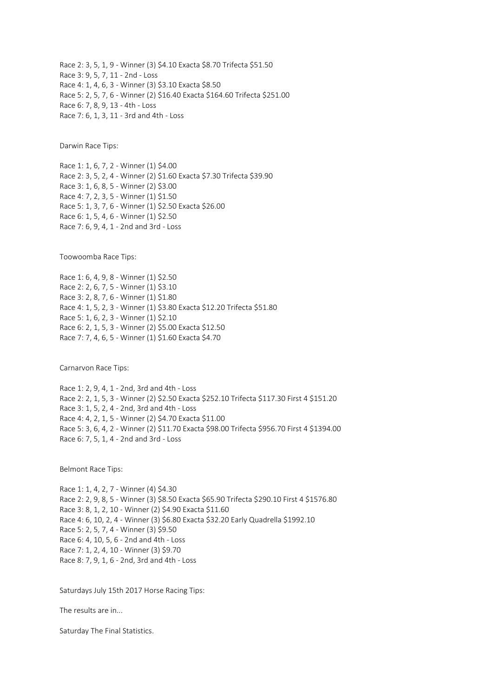Race 2: 3, 5, 1, 9 - Winner (3) \$4.10 Exacta \$8.70 Trifecta \$51.50 Race 3: 9, 5, 7, 11 - 2nd - Loss Race 4: 1, 4, 6, 3 - Winner (3) \$3.10 Exacta \$8.50 Race 5: 2, 5, 7, 6 - Winner (2) \$16.40 Exacta \$164.60 Trifecta \$251.00 Race 6: 7, 8, 9, 13 - 4th - Loss Race 7: 6, 1, 3, 11 - 3rd and 4th - Loss

Darwin Race Tips:

Race 1: 1, 6, 7, 2 - Winner (1) \$4.00 Race 2: 3, 5, 2, 4 - Winner (2) \$1.60 Exacta \$7.30 Trifecta \$39.90 Race 3: 1, 6, 8, 5 - Winner (2) \$3.00 Race 4: 7, 2, 3, 5 - Winner (1) \$1.50 Race 5: 1, 3, 7, 6 - Winner (1) \$2.50 Exacta \$26.00 Race 6: 1, 5, 4, 6 - Winner (1) \$2.50 Race 7: 6, 9, 4, 1 - 2nd and 3rd - Loss

Toowoomba Race Tips:

Race 1: 6, 4, 9, 8 - Winner (1) \$2.50 Race 2: 2, 6, 7, 5 - Winner (1) \$3.10 Race 3: 2, 8, 7, 6 - Winner (1) \$1.80 Race 4: 1, 5, 2, 3 - Winner (1) \$3.80 Exacta \$12.20 Trifecta \$51.80 Race 5: 1, 6, 2, 3 - Winner (1) \$2.10 Race 6: 2, 1, 5, 3 - Winner (2) \$5.00 Exacta \$12.50 Race 7: 7, 4, 6, 5 - Winner (1) \$1.60 Exacta \$4.70

Carnarvon Race Tips:

Race 1: 2, 9, 4, 1 - 2nd, 3rd and 4th - Loss Race 2: 2, 1, 5, 3 - Winner (2) \$2.50 Exacta \$252.10 Trifecta \$117.30 First 4 \$151.20 Race 3: 1, 5, 2, 4 - 2nd, 3rd and 4th - Loss Race 4: 4, 2, 1, 5 - Winner (2) \$4.70 Exacta \$11.00 Race 5: 3, 6, 4, 2 - Winner (2) \$11.70 Exacta \$98.00 Trifecta \$956.70 First 4 \$1394.00 Race 6: 7, 5, 1, 4 - 2nd and 3rd - Loss

Belmont Race Tips:

Race 1: 1, 4, 2, 7 - Winner (4) \$4.30 Race 2: 2, 9, 8, 5 - Winner (3) \$8.50 Exacta \$65.90 Trifecta \$290.10 First 4 \$1576.80 Race 3: 8, 1, 2, 10 - Winner (2) \$4.90 Exacta \$11.60 Race 4: 6, 10, 2, 4 - Winner (3) \$6.80 Exacta \$32.20 Early Quadrella \$1992.10 Race 5: 2, 5, 7, 4 - Winner (3) \$9.50 Race 6: 4, 10, 5, 6 - 2nd and 4th - Loss Race 7: 1, 2, 4, 10 - Winner (3) \$9.70 Race 8: 7, 9, 1, 6 - 2nd, 3rd and 4th - Loss

Saturdays July 15th 2017 Horse Racing Tips:

The results are in...

Saturday The Final Statistics.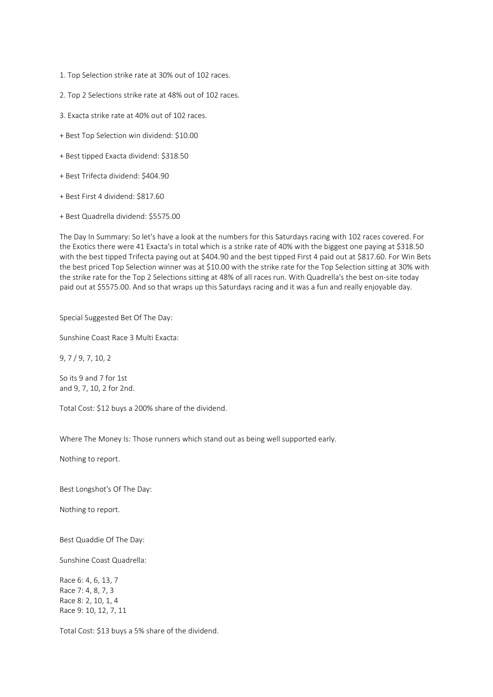- 1. Top Selection strike rate at 30% out of 102 races.
- 2. Top 2 Selections strike rate at 48% out of 102 races.
- 3. Exacta strike rate at 40% out of 102 races.
- + Best Top Selection win dividend: \$10.00
- + Best tipped Exacta dividend: \$318.50
- + Best Trifecta dividend: \$404.90
- + Best First 4 dividend: \$817.60
- + Best Quadrella dividend: \$5575.00

The Day In Summary: So let's have a look at the numbers for this Saturdays racing with 102 races covered. For the Exotics there were 41 Exacta's in total which is a strike rate of 40% with the biggest one paying at \$318.50 with the best tipped Trifecta paying out at \$404.90 and the best tipped First 4 paid out at \$817.60. For Win Bets the best priced Top Selection winner was at \$10.00 with the strike rate for the Top Selection sitting at 30% with the strike rate for the Top 2 Selections sitting at 48% of all races run. With Quadrella's the best on-site today paid out at \$5575.00. And so that wraps up this Saturdays racing and it was a fun and really enjoyable day.

Special Suggested Bet Of The Day:

Sunshine Coast Race 3 Multi Exacta:

9, 7 / 9, 7, 10, 2

So its 9 and 7 for 1st and 9, 7, 10, 2 for 2nd.

Total Cost: \$12 buys a 200% share of the dividend.

Where The Money Is: Those runners which stand out as being well supported early.

Nothing to report.

Best Longshot's Of The Day:

Nothing to report.

Best Quaddie Of The Day:

Sunshine Coast Quadrella:

Race 6: 4, 6, 13, 7 Race 7: 4, 8, 7, 3 Race 8: 2, 10, 1, 4 Race 9: 10, 12, 7, 11

Total Cost: \$13 buys a 5% share of the dividend.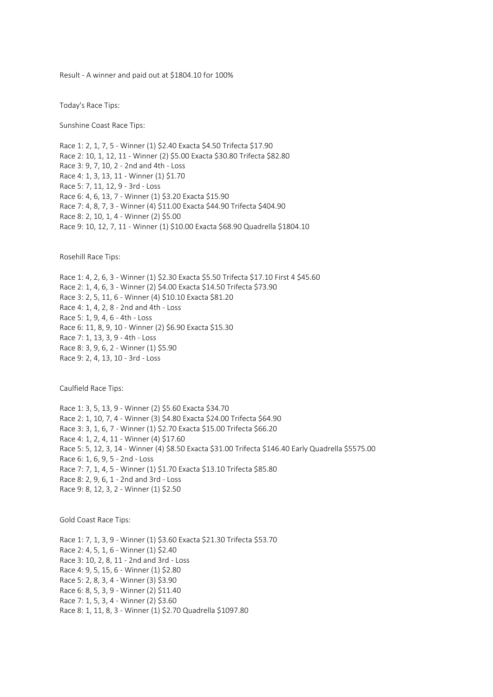Result - A winner and paid out at \$1804.10 for 100%

Today's Race Tips:

Sunshine Coast Race Tips:

Race 1: 2, 1, 7, 5 - Winner (1) \$2.40 Exacta \$4.50 Trifecta \$17.90 Race 2: 10, 1, 12, 11 - Winner (2) \$5.00 Exacta \$30.80 Trifecta \$82.80 Race 3: 9, 7, 10, 2 - 2nd and 4th - Loss Race 4: 1, 3, 13, 11 - Winner (1) \$1.70 Race 5: 7, 11, 12, 9 - 3rd - Loss Race 6: 4, 6, 13, 7 - Winner (1) \$3.20 Exacta \$15.90 Race 7: 4, 8, 7, 3 - Winner (4) \$11.00 Exacta \$44.90 Trifecta \$404.90 Race 8: 2, 10, 1, 4 - Winner (2) \$5.00 Race 9: 10, 12, 7, 11 - Winner (1) \$10.00 Exacta \$68.90 Quadrella \$1804.10

Rosehill Race Tips:

Race 1: 4, 2, 6, 3 - Winner (1) \$2.30 Exacta \$5.50 Trifecta \$17.10 First 4 \$45.60 Race 2: 1, 4, 6, 3 - Winner (2) \$4.00 Exacta \$14.50 Trifecta \$73.90 Race 3: 2, 5, 11, 6 - Winner (4) \$10.10 Exacta \$81.20 Race 4: 1, 4, 2, 8 - 2nd and 4th - Loss Race 5: 1, 9, 4, 6 - 4th - Loss Race 6: 11, 8, 9, 10 - Winner (2) \$6.90 Exacta \$15.30 Race 7: 1, 13, 3, 9 - 4th - Loss Race 8: 3, 9, 6, 2 - Winner (1) \$5.90 Race 9: 2, 4, 13, 10 - 3rd - Loss

Caulfield Race Tips:

Race 1: 3, 5, 13, 9 - Winner (2) \$5.60 Exacta \$34.70 Race 2: 1, 10, 7, 4 - Winner (3) \$4.80 Exacta \$24.00 Trifecta \$64.90 Race 3: 3, 1, 6, 7 - Winner (1) \$2.70 Exacta \$15.00 Trifecta \$66.20 Race 4: 1, 2, 4, 11 - Winner (4) \$17.60 Race 5: 5, 12, 3, 14 - Winner (4) \$8.50 Exacta \$31.00 Trifecta \$146.40 Early Quadrella \$5575.00 Race 6: 1, 6, 9, 5 - 2nd - Loss Race 7: 7, 1, 4, 5 - Winner (1) \$1.70 Exacta \$13.10 Trifecta \$85.80 Race 8: 2, 9, 6, 1 - 2nd and 3rd - Loss Race 9: 8, 12, 3, 2 - Winner (1) \$2.50

Gold Coast Race Tips:

Race 1: 7, 1, 3, 9 - Winner (1) \$3.60 Exacta \$21.30 Trifecta \$53.70 Race 2: 4, 5, 1, 6 - Winner (1) \$2.40 Race 3: 10, 2, 8, 11 - 2nd and 3rd - Loss Race 4: 9, 5, 15, 6 - Winner (1) \$2.80 Race 5: 2, 8, 3, 4 - Winner (3) \$3.90 Race 6: 8, 5, 3, 9 - Winner (2) \$11.40 Race 7: 1, 5, 3, 4 - Winner (2) \$3.60 Race 8: 1, 11, 8, 3 - Winner (1) \$2.70 Quadrella \$1097.80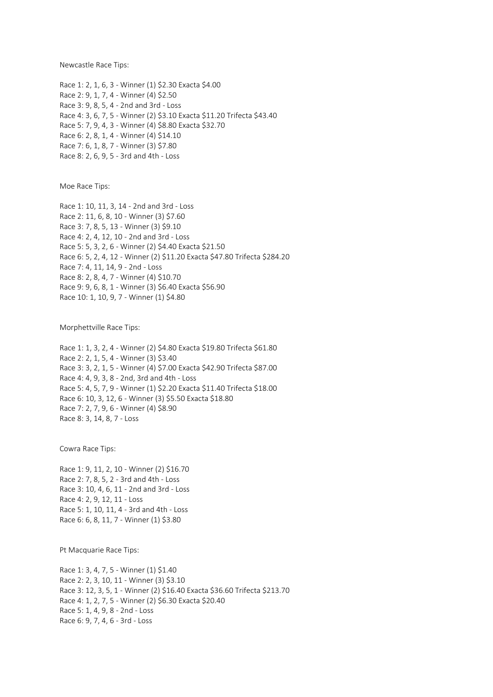Newcastle Race Tips:

Race 1: 2, 1, 6, 3 - Winner (1) \$2.30 Exacta \$4.00 Race 2: 9, 1, 7, 4 - Winner (4) \$2.50 Race 3: 9, 8, 5, 4 - 2nd and 3rd - Loss Race 4: 3, 6, 7, 5 - Winner (2) \$3.10 Exacta \$11.20 Trifecta \$43.40 Race 5: 7, 9, 4, 3 - Winner (4) \$8.80 Exacta \$32.70 Race 6: 2, 8, 1, 4 - Winner (4) \$14.10 Race 7: 6, 1, 8, 7 - Winner (3) \$7.80 Race 8: 2, 6, 9, 5 - 3rd and 4th - Loss

Moe Race Tips:

Race 1: 10, 11, 3, 14 - 2nd and 3rd - Loss Race 2: 11, 6, 8, 10 - Winner (3) \$7.60 Race 3: 7, 8, 5, 13 - Winner (3) \$9.10 Race 4: 2, 4, 12, 10 - 2nd and 3rd - Loss Race 5: 5, 3, 2, 6 - Winner (2) \$4.40 Exacta \$21.50 Race 6: 5, 2, 4, 12 - Winner (2) \$11.20 Exacta \$47.80 Trifecta \$284.20 Race 7: 4, 11, 14, 9 - 2nd - Loss Race 8: 2, 8, 4, 7 - Winner (4) \$10.70 Race 9: 9, 6, 8, 1 - Winner (3) \$6.40 Exacta \$56.90 Race 10: 1, 10, 9, 7 - Winner (1) \$4.80

Morphettville Race Tips:

Race 1: 1, 3, 2, 4 - Winner (2) \$4.80 Exacta \$19.80 Trifecta \$61.80 Race 2: 2, 1, 5, 4 - Winner (3) \$3.40 Race 3: 3, 2, 1, 5 - Winner (4) \$7.00 Exacta \$42.90 Trifecta \$87.00 Race 4: 4, 9, 3, 8 - 2nd, 3rd and 4th - Loss Race 5: 4, 5, 7, 9 - Winner (1) \$2.20 Exacta \$11.40 Trifecta \$18.00 Race 6: 10, 3, 12, 6 - Winner (3) \$5.50 Exacta \$18.80 Race 7: 2, 7, 9, 6 - Winner (4) \$8.90 Race 8: 3, 14, 8, 7 - Loss

Cowra Race Tips:

Race 1: 9, 11, 2, 10 - Winner (2) \$16.70 Race 2: 7, 8, 5, 2 - 3rd and 4th - Loss Race 3: 10, 4, 6, 11 - 2nd and 3rd - Loss Race 4: 2, 9, 12, 11 - Loss Race 5: 1, 10, 11, 4 - 3rd and 4th - Loss Race 6: 6, 8, 11, 7 - Winner (1) \$3.80

Pt Macquarie Race Tips:

Race 1: 3, 4, 7, 5 - Winner (1) \$1.40 Race 2: 2, 3, 10, 11 - Winner (3) \$3.10 Race 3: 12, 3, 5, 1 - Winner (2) \$16.40 Exacta \$36.60 Trifecta \$213.70 Race 4: 1, 2, 7, 5 - Winner (2) \$6.30 Exacta \$20.40 Race 5: 1, 4, 9, 8 - 2nd - Loss Race 6: 9, 7, 4, 6 - 3rd - Loss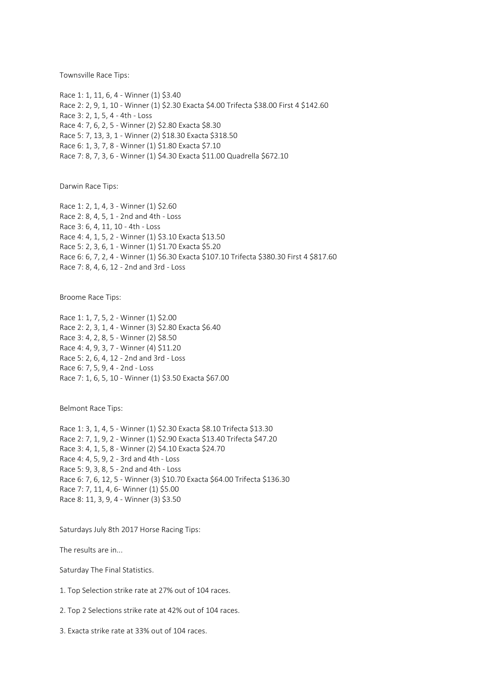Townsville Race Tips:

Race 1: 1, 11, 6, 4 - Winner (1) \$3.40 Race 2: 2, 9, 1, 10 - Winner (1) \$2.30 Exacta \$4.00 Trifecta \$38.00 First 4 \$142.60 Race 3: 2, 1, 5, 4 - 4th - Loss Race 4: 7, 6, 2, 5 - Winner (2) \$2.80 Exacta \$8.30 Race 5: 7, 13, 3, 1 - Winner (2) \$18.30 Exacta \$318.50 Race 6: 1, 3, 7, 8 - Winner (1) \$1.80 Exacta \$7.10 Race 7: 8, 7, 3, 6 - Winner (1) \$4.30 Exacta \$11.00 Quadrella \$672.10

Darwin Race Tips:

Race 1: 2, 1, 4, 3 - Winner (1) \$2.60 Race 2: 8, 4, 5, 1 - 2nd and 4th - Loss Race 3: 6, 4, 11, 10 - 4th - Loss Race 4: 4, 1, 5, 2 - Winner (1) \$3.10 Exacta \$13.50 Race 5: 2, 3, 6, 1 - Winner (1) \$1.70 Exacta \$5.20 Race 6: 6, 7, 2, 4 - Winner (1) \$6.30 Exacta \$107.10 Trifecta \$380.30 First 4 \$817.60 Race 7: 8, 4, 6, 12 - 2nd and 3rd - Loss

Broome Race Tips:

Race 1: 1, 7, 5, 2 - Winner (1) \$2.00 Race 2: 2, 3, 1, 4 - Winner (3) \$2.80 Exacta \$6.40 Race 3: 4, 2, 8, 5 - Winner (2) \$8.50 Race 4: 4, 9, 3, 7 - Winner (4) \$11.20 Race 5: 2, 6, 4, 12 - 2nd and 3rd - Loss Race 6: 7, 5, 9, 4 - 2nd - Loss Race 7: 1, 6, 5, 10 - Winner (1) \$3.50 Exacta \$67.00

Belmont Race Tips:

Race 1: 3, 1, 4, 5 - Winner (1) \$2.30 Exacta \$8.10 Trifecta \$13.30 Race 2: 7, 1, 9, 2 - Winner (1) \$2.90 Exacta \$13.40 Trifecta \$47.20 Race 3: 4, 1, 5, 8 - Winner (2) \$4.10 Exacta \$24.70 Race 4: 4, 5, 9, 2 - 3rd and 4th - Loss Race 5: 9, 3, 8, 5 - 2nd and 4th - Loss Race 6: 7, 6, 12, 5 - Winner (3) \$10.70 Exacta \$64.00 Trifecta \$136.30 Race 7: 7, 11, 4, 6- Winner (1) \$5.00 Race 8: 11, 3, 9, 4 - Winner (3) \$3.50

Saturdays July 8th 2017 Horse Racing Tips:

The results are in...

Saturday The Final Statistics.

1. Top Selection strike rate at 27% out of 104 races.

2. Top 2 Selections strike rate at 42% out of 104 races.

3. Exacta strike rate at 33% out of 104 races.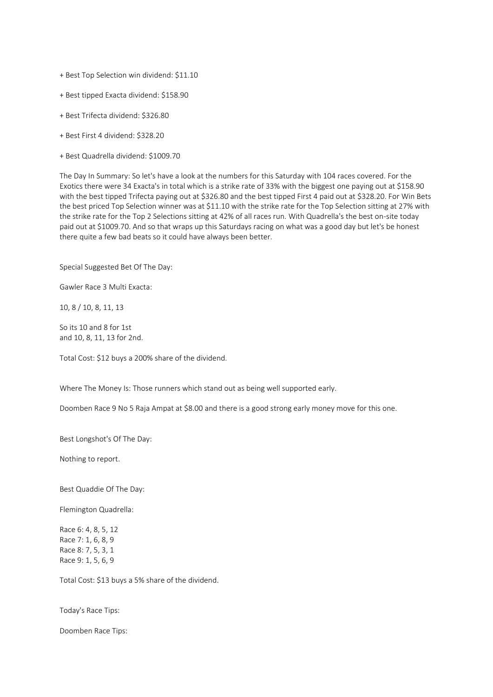- + Best Top Selection win dividend: \$11.10
- + Best tipped Exacta dividend: \$158.90
- + Best Trifecta dividend: \$326.80
- + Best First 4 dividend: \$328.20
- + Best Quadrella dividend: \$1009.70

The Day In Summary: So let's have a look at the numbers for this Saturday with 104 races covered. For the Exotics there were 34 Exacta's in total which is a strike rate of 33% with the biggest one paying out at \$158.90 with the best tipped Trifecta paying out at \$326.80 and the best tipped First 4 paid out at \$328.20. For Win Bets the best priced Top Selection winner was at \$11.10 with the strike rate for the Top Selection sitting at 27% with the strike rate for the Top 2 Selections sitting at 42% of all races run. With Quadrella's the best on-site today paid out at \$1009.70. And so that wraps up this Saturdays racing on what was a good day but let's be honest there quite a few bad beats so it could have always been better.

Special Suggested Bet Of The Day:

Gawler Race 3 Multi Exacta:

10, 8 / 10, 8, 11, 13

So its 10 and 8 for 1st and 10, 8, 11, 13 for 2nd.

Total Cost: \$12 buys a 200% share of the dividend.

Where The Money Is: Those runners which stand out as being well supported early.

Doomben Race 9 No 5 Raja Ampat at \$8.00 and there is a good strong early money move for this one.

Best Longshot's Of The Day:

Nothing to report.

Best Quaddie Of The Day:

Flemington Quadrella:

Race 6: 4, 8, 5, 12 Race 7: 1, 6, 8, 9 Race 8: 7, 5, 3, 1 Race 9: 1, 5, 6, 9

Total Cost: \$13 buys a 5% share of the dividend.

Today's Race Tips:

Doomben Race Tips: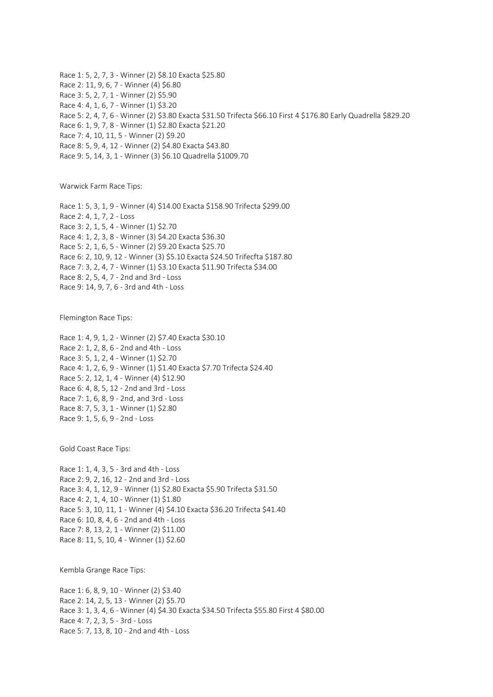Race 1: 5, 2, 7, 3 - Winner (2) \$8.10 Exacta \$25.80 Race 2: 11, 9, 6, 7 - Winner (4) \$6.80 Race 3: 5, 2, 7, 1 - Winner (2) \$5.90 Race 4: 4, 1, 6, 7 - Winner (1) \$3.20 Race 5: 2, 4, 7, 6 - Winner (2) \$3.80 Exacta \$31.50 Trifecta \$66.10 First 4 \$176.80 Early Quadrella \$829.20 Race 6: 1, 9, 7, 8 - Winner (1) \$2.80 Exacta \$21.20 Race 7: 4, 10, 11, 5 - Winner (2) \$9.20 Race 8: 5, 9, 4, 12 - Winner (2) \$4.80 Exacta \$43.80 Race 9: 5, 14, 3, 1 - Winner (3) \$6.10 Quadrella \$1009.70

Warwick Farm Race Tips:

Race 1: 5, 3, 1, 9 - Winner (4) \$14.00 Exacta \$158.90 Trifecta \$299.00 Race 2: 4, 1, 7, 2 - Loss Race 3: 2, 1, 5, 4 - Winner (1) \$2.70 Race 4: 1, 2, 3, 8 - Winner (3) \$4.20 Exacta \$36.30 Race 5: 2, 1, 6, 5 - Winner (2) \$9.20 Exacta \$25.70 Race 6: 2, 10, 9, 12 - Winner (3) \$5.10 Exacta \$24.50 Trifecfta \$187.80 Race 7: 3, 2, 4, 7 - Winner (1) \$3.10 Exacta \$11.90 Trifecta \$34.00 Race 8: 2, 5, 4, 7 - 2nd and 3rd - Loss Race 9: 14, 9, 7, 6 - 3rd and 4th - Loss

Flemington Race Tips:

Race 1: 4, 9, 1, 2 - Winner (2) \$7.40 Exacta \$30.10 Race 2: 1, 2, 8, 6 - 2nd and 4th - Loss Race 3: 5, 1, 2, 4 - Winner (1) \$2.70 Race 4: 1, 2, 6, 9 - Winner (1) \$1.40 Exacta \$7.70 Trifecta \$24.40 Race 5: 2, 12, 1, 4 - Winner (4) \$12.90 Race 6: 4, 8, 5, 12 - 2nd and 3rd - Loss Race 7: 1, 6, 8, 9 - 2nd, and 3rd - Loss Race 8: 7, 5, 3, 1 - Winner (1) \$2.80 Race 9: 1, 5, 6, 9 - 2nd - Loss

Gold Coast Race Tips:

Race 1: 1, 4, 3, 5 - 3rd and 4th - Loss Race 2: 9, 2, 16, 12 - 2nd and 3rd - Loss Race 3: 4, 1, 12, 9 - Winner (1) \$2.80 Exacta \$5.90 Trifecta \$31.50 Race 4: 2, 1, 4, 10 - Winner (1) \$1.80 Race 5: 3, 10, 11, 1 - Winner (4) \$4.10 Exacta \$36.20 Trifecta \$41.40 Race 6: 10, 8, 4, 6 - 2nd and 4th - Loss Race 7: 8, 13, 2, 1 - Winner (2) \$11.00 Race 8: 11, 5, 10, 4 - Winner (1) \$2.60

Kembla Grange Race Tips:

Race 1: 6, 8, 9, 10 - Winner (2) \$3.40 Race 2: 14, 2, 5, 13 - Winner (2) \$5.70 Race 3: 1, 3, 4, 6 - Winner (4) \$4.30 Exacta \$34.50 Trifecta \$55.80 First 4 \$80.00 Race 4: 7, 2, 3, 5 - 3rd - Loss Race 5: 7, 13, 8, 10 - 2nd and 4th - Loss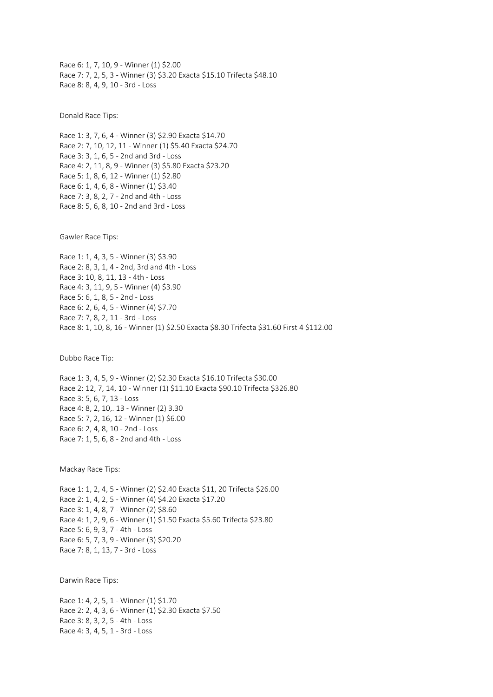Race 6: 1, 7, 10, 9 - Winner (1) \$2.00 Race 7: 7, 2, 5, 3 - Winner (3) \$3.20 Exacta \$15.10 Trifecta \$48.10 Race 8: 8, 4, 9, 10 - 3rd - Loss

Donald Race Tips:

Race 1: 3, 7, 6, 4 - Winner (3) \$2.90 Exacta \$14.70 Race 2: 7, 10, 12, 11 - Winner (1) \$5.40 Exacta \$24.70 Race 3: 3, 1, 6, 5 - 2nd and 3rd - Loss Race 4: 2, 11, 8, 9 - Winner (3) \$5.80 Exacta \$23.20 Race 5: 1, 8, 6, 12 - Winner (1) \$2.80 Race 6: 1, 4, 6, 8 - Winner (1) \$3.40 Race 7: 3, 8, 2, 7 - 2nd and 4th - Loss Race 8: 5, 6, 8, 10 - 2nd and 3rd - Loss

Gawler Race Tips:

Race 1: 1, 4, 3, 5 - Winner (3) \$3.90 Race 2: 8, 3, 1, 4 - 2nd, 3rd and 4th - Loss Race 3: 10, 8, 11, 13 - 4th - Loss Race 4: 3, 11, 9, 5 - Winner (4) \$3.90 Race 5: 6, 1, 8, 5 - 2nd - Loss Race 6: 2, 6, 4, 5 - Winner (4) \$7.70 Race 7: 7, 8, 2, 11 - 3rd - Loss Race 8: 1, 10, 8, 16 - Winner (1) \$2.50 Exacta \$8.30 Trifecta \$31.60 First 4 \$112.00

Dubbo Race Tip:

Race 1: 3, 4, 5, 9 - Winner (2) \$2.30 Exacta \$16.10 Trifecta \$30.00 Race 2: 12, 7, 14, 10 - Winner (1) \$11.10 Exacta \$90.10 Trifecta \$326.80 Race 3: 5, 6, 7, 13 - Loss Race 4: 8, 2, 10,. 13 - Winner (2) 3.30 Race 5: 7, 2, 16, 12 - Winner (1) \$6.00 Race 6: 2, 4, 8, 10 - 2nd - Loss Race 7: 1, 5, 6, 8 - 2nd and 4th - Loss

Mackay Race Tips:

Race 1: 1, 2, 4, 5 - Winner (2) \$2.40 Exacta \$11, 20 Trifecta \$26.00 Race 2: 1, 4, 2, 5 - Winner (4) \$4.20 Exacta \$17.20 Race 3: 1, 4, 8, 7 - Winner (2) \$8.60 Race 4: 1, 2, 9, 6 - Winner (1) \$1.50 Exacta \$5.60 Trifecta \$23.80 Race 5: 6, 9, 3, 7 - 4th - Loss Race 6: 5, 7, 3, 9 - Winner (3) \$20.20 Race 7: 8, 1, 13, 7 - 3rd - Loss

Darwin Race Tips:

Race 1: 4, 2, 5, 1 - Winner (1) \$1.70 Race 2: 2, 4, 3, 6 - Winner (1) \$2.30 Exacta \$7.50 Race 3: 8, 3, 2, 5 - 4th - Loss Race 4: 3, 4, 5, 1 - 3rd - Loss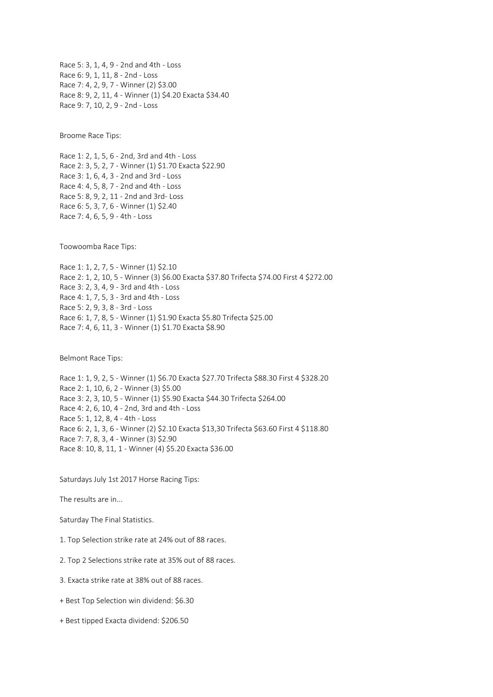Race 5: 3, 1, 4, 9 - 2nd and 4th - Loss Race 6: 9, 1, 11, 8 - 2nd - Loss Race 7: 4, 2, 9, 7 - Winner (2) \$3.00 Race 8: 9, 2, 11, 4 - Winner (1) \$4.20 Exacta \$34.40 Race 9: 7, 10, 2, 9 - 2nd - Loss

Broome Race Tips:

Race 1: 2, 1, 5, 6 - 2nd, 3rd and 4th - Loss Race 2: 3, 5, 2, 7 - Winner (1) \$1.70 Exacta \$22.90 Race 3: 1, 6, 4, 3 - 2nd and 3rd - Loss Race 4: 4, 5, 8, 7 - 2nd and 4th - Loss Race 5: 8, 9, 2, 11 - 2nd and 3rd- Loss Race 6: 5, 3, 7, 6 - Winner (1) \$2.40 Race 7: 4, 6, 5, 9 - 4th - Loss

Toowoomba Race Tips:

Race 1: 1, 2, 7, 5 - Winner (1) \$2.10 Race 2: 1, 2, 10, 5 - Winner (3) \$6.00 Exacta \$37.80 Trifecta \$74.00 First 4 \$272.00 Race 3: 2, 3, 4, 9 - 3rd and 4th - Loss Race 4: 1, 7, 5, 3 - 3rd and 4th - Loss Race 5: 2, 9, 3, 8 - 3rd - Loss Race 6: 1, 7, 8, 5 - Winner (1) \$1.90 Exacta \$5.80 Trifecta \$25.00 Race 7: 4, 6, 11, 3 - Winner (1) \$1.70 Exacta \$8.90

Belmont Race Tips:

Race 1: 1, 9, 2, 5 - Winner (1) \$6.70 Exacta \$27.70 Trifecta \$88.30 First 4 \$328.20 Race 2: 1, 10, 6, 2 - Winner (3) \$5.00 Race 3: 2, 3, 10, 5 - Winner (1) \$5.90 Exacta \$44.30 Trifecta \$264.00 Race 4: 2, 6, 10, 4 - 2nd, 3rd and 4th - Loss Race 5: 1, 12, 8, 4 - 4th - Loss Race 6: 2, 1, 3, 6 - Winner (2) \$2.10 Exacta \$13,30 Trifecta \$63.60 First 4 \$118.80 Race 7: 7, 8, 3, 4 - Winner (3) \$2.90 Race 8: 10, 8, 11, 1 - Winner (4) \$5.20 Exacta \$36.00

Saturdays July 1st 2017 Horse Racing Tips:

The results are in...

Saturday The Final Statistics.

1. Top Selection strike rate at 24% out of 88 races.

2. Top 2 Selections strike rate at 35% out of 88 races.

- 3. Exacta strike rate at 38% out of 88 races.
- + Best Top Selection win dividend: \$6.30
- + Best tipped Exacta dividend: \$206.50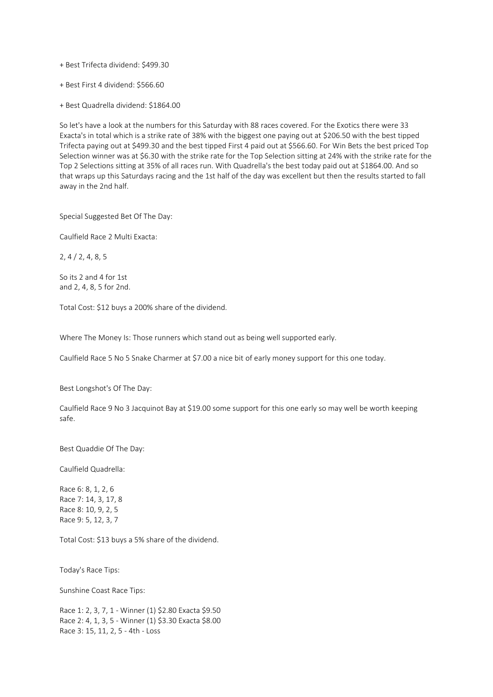+ Best Trifecta dividend: \$499.30

+ Best First 4 dividend: \$566.60

+ Best Quadrella dividend: \$1864.00

So let's have a look at the numbers for this Saturday with 88 races covered. For the Exotics there were 33 Exacta's in total which is a strike rate of 38% with the biggest one paying out at \$206.50 with the best tipped Trifecta paying out at \$499.30 and the best tipped First 4 paid out at \$566.60. For Win Bets the best priced Top Selection winner was at \$6.30 with the strike rate for the Top Selection sitting at 24% with the strike rate for the Top 2 Selections sitting at 35% of all races run. With Quadrella's the best today paid out at \$1864.00. And so that wraps up this Saturdays racing and the 1st half of the day was excellent but then the results started to fall away in the 2nd half.

Special Suggested Bet Of The Day:

Caulfield Race 2 Multi Exacta:

2, 4 / 2, 4, 8, 5

So its 2 and 4 for 1st and 2, 4, 8, 5 for 2nd.

Total Cost: \$12 buys a 200% share of the dividend.

Where The Money Is: Those runners which stand out as being well supported early.

Caulfield Race 5 No 5 Snake Charmer at \$7.00 a nice bit of early money support for this one today.

Best Longshot's Of The Day:

Caulfield Race 9 No 3 Jacquinot Bay at \$19.00 some support for this one early so may well be worth keeping safe.

Best Quaddie Of The Day:

Caulfield Quadrella:

Race 6: 8, 1, 2, 6 Race 7: 14, 3, 17, 8 Race 8: 10, 9, 2, 5 Race 9: 5, 12, 3, 7

Total Cost: \$13 buys a 5% share of the dividend.

Today's Race Tips:

Sunshine Coast Race Tips:

Race 1: 2, 3, 7, 1 - Winner (1) \$2.80 Exacta \$9.50 Race 2: 4, 1, 3, 5 - Winner (1) \$3.30 Exacta \$8.00 Race 3: 15, 11, 2, 5 - 4th - Loss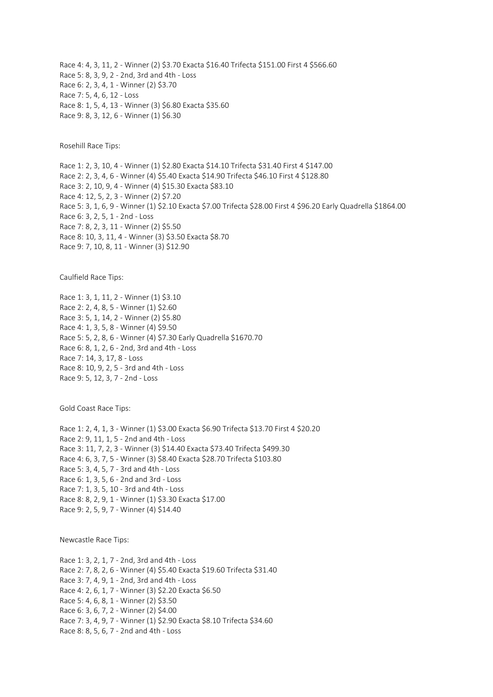Race 4: 4, 3, 11, 2 - Winner (2) \$3.70 Exacta \$16.40 Trifecta \$151.00 First 4 \$566.60 Race 5: 8, 3, 9, 2 - 2nd, 3rd and 4th - Loss Race 6: 2, 3, 4, 1 - Winner (2) \$3.70 Race 7: 5, 4, 6, 12 - Loss Race 8: 1, 5, 4, 13 - Winner (3) \$6.80 Exacta \$35.60 Race 9: 8, 3, 12, 6 - Winner (1) \$6.30

Rosehill Race Tips:

Race 1: 2, 3, 10, 4 - Winner (1) \$2.80 Exacta \$14.10 Trifecta \$31.40 First 4 \$147.00 Race 2: 2, 3, 4, 6 - Winner (4) \$5.40 Exacta \$14.90 Trifecta \$46.10 First 4 \$128.80 Race 3: 2, 10, 9, 4 - Winner (4) \$15.30 Exacta \$83.10 Race 4: 12, 5, 2, 3 - Winner (2) \$7.20 Race 5: 3, 1, 6, 9 - Winner (1) \$2.10 Exacta \$7.00 Trifecta \$28.00 First 4 \$96.20 Early Quadrella \$1864.00 Race 6: 3, 2, 5, 1 - 2nd - Loss Race 7: 8, 2, 3, 11 - Winner (2) \$5.50 Race 8: 10, 3, 11, 4 - Winner (3) \$3.50 Exacta \$8.70 Race 9: 7, 10, 8, 11 - Winner (3) \$12.90

Caulfield Race Tips:

Race 1: 3, 1, 11, 2 - Winner (1) \$3.10 Race 2: 2, 4, 8, 5 - Winner (1) \$2.60 Race 3: 5, 1, 14, 2 - Winner (2) \$5.80 Race 4: 1, 3, 5, 8 - Winner (4) \$9.50 Race 5: 5, 2, 8, 6 - Winner (4) \$7.30 Early Quadrella \$1670.70 Race 6: 8, 1, 2, 6 - 2nd, 3rd and 4th - Loss Race 7: 14, 3, 17, 8 - Loss Race 8: 10, 9, 2, 5 - 3rd and 4th - Loss Race 9: 5, 12, 3, 7 - 2nd - Loss

Gold Coast Race Tips:

Race 1: 2, 4, 1, 3 - Winner (1) \$3.00 Exacta \$6.90 Trifecta \$13.70 First 4 \$20.20 Race 2: 9, 11, 1, 5 - 2nd and 4th - Loss Race 3: 11, 7, 2, 3 - Winner (3) \$14.40 Exacta \$73.40 Trifecta \$499.30 Race 4: 6, 3, 7, 5 - Winner (3) \$8.40 Exacta \$28.70 Trifecta \$103.80 Race 5: 3, 4, 5, 7 - 3rd and 4th - Loss Race 6: 1, 3, 5, 6 - 2nd and 3rd - Loss Race 7: 1, 3, 5, 10 - 3rd and 4th - Loss Race 8: 8, 2, 9, 1 - Winner (1) \$3.30 Exacta \$17.00 Race 9: 2, 5, 9, 7 - Winner (4) \$14.40

Newcastle Race Tips:

Race 1: 3, 2, 1, 7 - 2nd, 3rd and 4th - Loss Race 2: 7, 8, 2, 6 - Winner (4) \$5.40 Exacta \$19.60 Trifecta \$31.40 Race 3: 7, 4, 9, 1 - 2nd, 3rd and 4th - Loss Race 4: 2, 6, 1, 7 - Winner (3) \$2.20 Exacta \$6.50 Race 5: 4, 6, 8, 1 - Winner (2) \$3.50 Race 6: 3, 6, 7, 2 - Winner (2) \$4.00 Race 7: 3, 4, 9, 7 - Winner (1) \$2.90 Exacta \$8.10 Trifecta \$34.60 Race 8: 8, 5, 6, 7 - 2nd and 4th - Loss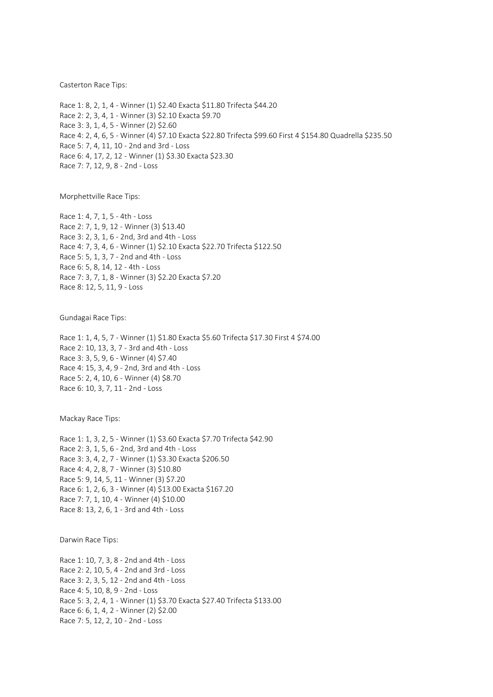Casterton Race Tips:

Race 1: 8, 2, 1, 4 - Winner (1) \$2.40 Exacta \$11.80 Trifecta \$44.20 Race 2: 2, 3, 4, 1 - Winner (3) \$2.10 Exacta \$9.70 Race 3: 3, 1, 4, 5 - Winner (2) \$2.60 Race 4: 2, 4, 6, 5 - Winner (4) \$7.10 Exacta \$22.80 Trifecta \$99.60 First 4 \$154.80 Quadrella \$235.50 Race 5: 7, 4, 11, 10 - 2nd and 3rd - Loss Race 6: 4, 17, 2, 12 - Winner (1) \$3.30 Exacta \$23.30 Race 7: 7, 12, 9, 8 - 2nd - Loss

Morphettville Race Tips:

Race 1: 4, 7, 1, 5 - 4th - Loss Race 2: 7, 1, 9, 12 - Winner (3) \$13.40 Race 3: 2, 3, 1, 6 - 2nd, 3rd and 4th - Loss Race 4: 7, 3, 4, 6 - Winner (1) \$2.10 Exacta \$22.70 Trifecta \$122.50 Race 5: 5, 1, 3, 7 - 2nd and 4th - Loss Race 6: 5, 8, 14, 12 - 4th - Loss Race 7: 3, 7, 1, 8 - Winner (3) \$2.20 Exacta \$7.20 Race 8: 12, 5, 11, 9 - Loss

Gundagai Race Tips:

Race 1: 1, 4, 5, 7 - Winner (1) \$1.80 Exacta \$5.60 Trifecta \$17.30 First 4 \$74.00 Race 2: 10, 13, 3, 7 - 3rd and 4th - Loss Race 3: 3, 5, 9, 6 - Winner (4) \$7.40 Race 4: 15, 3, 4, 9 - 2nd, 3rd and 4th - Loss Race 5: 2, 4, 10, 6 - Winner (4) \$8.70 Race 6: 10, 3, 7, 11 - 2nd - Loss

Mackay Race Tips:

Race 1: 1, 3, 2, 5 - Winner (1) \$3.60 Exacta \$7.70 Trifecta \$42.90 Race 2: 3, 1, 5, 6 - 2nd, 3rd and 4th - Loss Race 3: 3, 4, 2, 7 - Winner (1) \$3.30 Exacta \$206.50 Race 4: 4, 2, 8, 7 - Winner (3) \$10.80 Race 5: 9, 14, 5, 11 - Winner (3) \$7.20 Race 6: 1, 2, 6, 3 - Winner (4) \$13.00 Exacta \$167.20 Race 7: 7, 1, 10, 4 - Winner (4) \$10.00 Race 8: 13, 2, 6, 1 - 3rd and 4th - Loss

Darwin Race Tips:

Race 1: 10, 7, 3, 8 - 2nd and 4th - Loss Race 2: 2, 10, 5, 4 - 2nd and 3rd - Loss Race 3: 2, 3, 5, 12 - 2nd and 4th - Loss Race 4: 5, 10, 8, 9 - 2nd - Loss Race 5: 3, 2, 4, 1 - Winner (1) \$3.70 Exacta \$27.40 Trifecta \$133.00 Race 6: 6, 1, 4, 2 - Winner (2) \$2.00 Race 7: 5, 12, 2, 10 - 2nd - Loss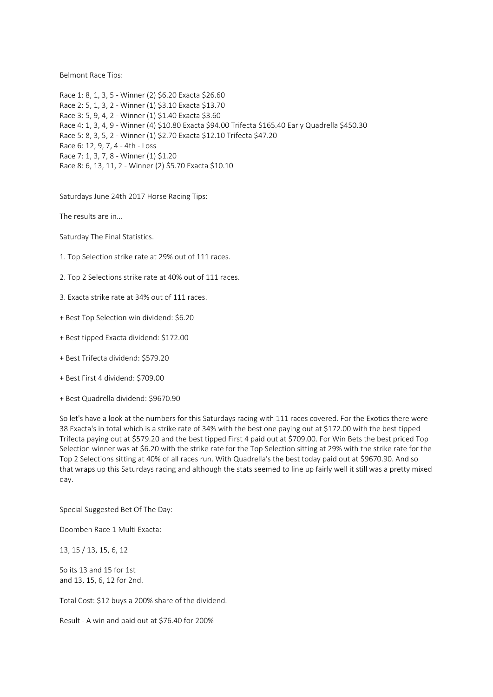Belmont Race Tips:

Race 1: 8, 1, 3, 5 - Winner (2) \$6.20 Exacta \$26.60 Race 2: 5, 1, 3, 2 - Winner (1) \$3.10 Exacta \$13.70 Race 3: 5, 9, 4, 2 - Winner (1) \$1.40 Exacta \$3.60 Race 4: 1, 3, 4, 9 - Winner (4) \$10.80 Exacta \$94.00 Trifecta \$165.40 Early Quadrella \$450.30 Race 5: 8, 3, 5, 2 - Winner (1) \$2.70 Exacta \$12.10 Trifecta \$47.20 Race 6: 12, 9, 7, 4 - 4th - Loss Race 7: 1, 3, 7, 8 - Winner (1) \$1.20 Race 8: 6, 13, 11, 2 - Winner (2) \$5.70 Exacta \$10.10

Saturdays June 24th 2017 Horse Racing Tips:

The results are in...

Saturday The Final Statistics.

- 1. Top Selection strike rate at 29% out of 111 races.
- 2. Top 2 Selections strike rate at 40% out of 111 races.
- 3. Exacta strike rate at 34% out of 111 races.
- + Best Top Selection win dividend: \$6.20
- + Best tipped Exacta dividend: \$172.00
- + Best Trifecta dividend: \$579.20
- + Best First 4 dividend: \$709.00
- + Best Quadrella dividend: \$9670.90

So let's have a look at the numbers for this Saturdays racing with 111 races covered. For the Exotics there were 38 Exacta's in total which is a strike rate of 34% with the best one paying out at \$172.00 with the best tipped Trifecta paying out at \$579.20 and the best tipped First 4 paid out at \$709.00. For Win Bets the best priced Top Selection winner was at \$6.20 with the strike rate for the Top Selection sitting at 29% with the strike rate for the Top 2 Selections sitting at 40% of all races run. With Quadrella's the best today paid out at \$9670.90. And so that wraps up this Saturdays racing and although the stats seemed to line up fairly well it still was a pretty mixed day.

Special Suggested Bet Of The Day:

Doomben Race 1 Multi Exacta:

13, 15 / 13, 15, 6, 12

So its 13 and 15 for 1st and 13, 15, 6, 12 for 2nd.

Total Cost: \$12 buys a 200% share of the dividend.

Result - A win and paid out at \$76.40 for 200%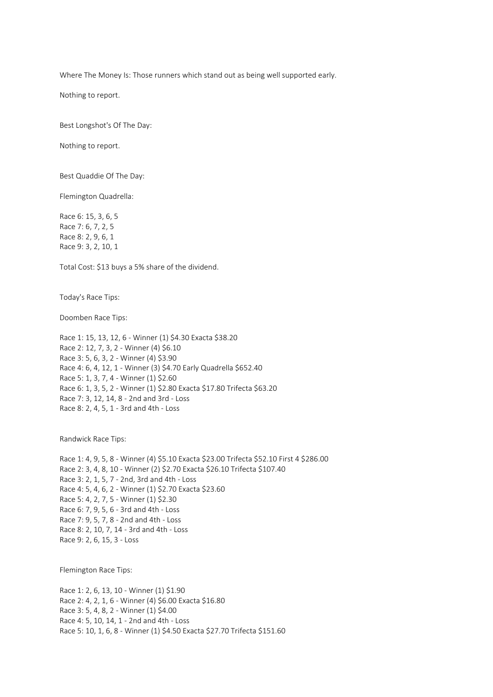Where The Money Is: Those runners which stand out as being well supported early.

Nothing to report.

Best Longshot's Of The Day:

Nothing to report.

Best Quaddie Of The Day:

Flemington Quadrella:

Race 6: 15, 3, 6, 5 Race 7: 6, 7, 2, 5 Race 8: 2, 9, 6, 1 Race 9: 3, 2, 10, 1

Total Cost: \$13 buys a 5% share of the dividend.

Today's Race Tips:

Doomben Race Tips:

Race 1: 15, 13, 12, 6 - Winner (1) \$4.30 Exacta \$38.20 Race 2: 12, 7, 3, 2 - Winner (4) \$6.10 Race 3: 5, 6, 3, 2 - Winner (4) \$3.90 Race 4: 6, 4, 12, 1 - Winner (3) \$4.70 Early Quadrella \$652.40 Race 5: 1, 3, 7, 4 - Winner (1) \$2.60 Race 6: 1, 3, 5, 2 - Winner (1) \$2.80 Exacta \$17.80 Trifecta \$63.20 Race 7: 3, 12, 14, 8 - 2nd and 3rd - Loss Race 8: 2, 4, 5, 1 - 3rd and 4th - Loss

Randwick Race Tips:

Race 1: 4, 9, 5, 8 - Winner (4) \$5.10 Exacta \$23.00 Trifecta \$52.10 First 4 \$286.00 Race 2: 3, 4, 8, 10 - Winner (2) \$2.70 Exacta \$26.10 Trifecta \$107.40 Race 3: 2, 1, 5, 7 - 2nd, 3rd and 4th - Loss Race 4: 5, 4, 6, 2 - Winner (1) \$2.70 Exacta \$23.60 Race 5: 4, 2, 7, 5 - Winner (1) \$2.30 Race 6: 7, 9, 5, 6 - 3rd and 4th - Loss Race 7: 9, 5, 7, 8 - 2nd and 4th - Loss Race 8: 2, 10, 7, 14 - 3rd and 4th - Loss Race 9: 2, 6, 15, 3 - Loss

Flemington Race Tips:

Race 1: 2, 6, 13, 10 - Winner (1) \$1.90 Race 2: 4, 2, 1, 6 - Winner (4) \$6.00 Exacta \$16.80 Race 3: 5, 4, 8, 2 - Winner (1) \$4.00 Race 4: 5, 10, 14, 1 - 2nd and 4th - Loss Race 5: 10, 1, 6, 8 - Winner (1) \$4.50 Exacta \$27.70 Trifecta \$151.60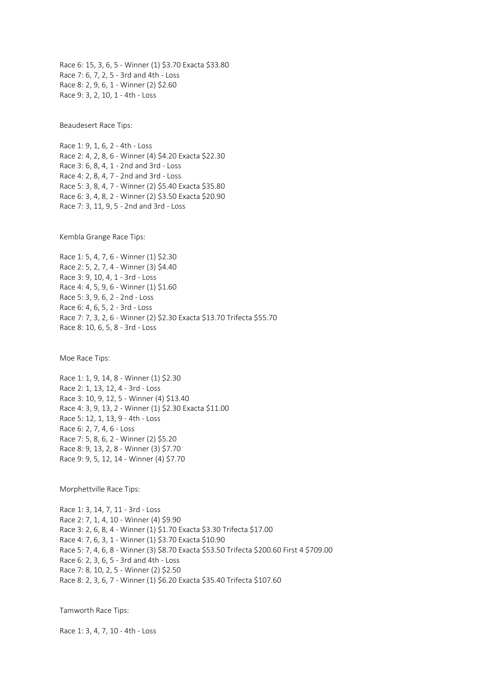Race 6: 15, 3, 6, 5 - Winner (1) \$3.70 Exacta \$33.80 Race 7: 6, 7, 2, 5 - 3rd and 4th - Loss Race 8: 2, 9, 6, 1 - Winner (2) \$2.60 Race 9: 3, 2, 10, 1 - 4th - Loss

Beaudesert Race Tips:

Race 1: 9, 1, 6, 2 - 4th - Loss Race 2: 4, 2, 8, 6 - Winner (4) \$4.20 Exacta \$22.30 Race 3: 6, 8, 4, 1 - 2nd and 3rd - Loss Race 4: 2, 8, 4, 7 - 2nd and 3rd - Loss Race 5: 3, 8, 4, 7 - Winner (2) \$5.40 Exacta \$35.80 Race 6: 3, 4, 8, 2 - Winner (2) \$3.50 Exacta \$20.90 Race 7: 3, 11, 9, 5 - 2nd and 3rd - Loss

Kembla Grange Race Tips:

Race 1: 5, 4, 7, 6 - Winner (1) \$2.30 Race 2: 5, 2, 7, 4 - Winner (3) \$4.40 Race 3: 9, 10, 4, 1 - 3rd - Loss Race 4: 4, 5, 9, 6 - Winner (1) \$1.60 Race 5: 3, 9, 6, 2 - 2nd - Loss Race 6: 4, 6, 5, 2 - 3rd - Loss Race 7: 7, 3, 2, 6 - Winner (2) \$2.30 Exacta \$13.70 Trifecta \$55.70 Race 8: 10, 6, 5, 8 - 3rd - Loss

Moe Race Tips:

Race 1: 1, 9, 14, 8 - Winner (1) \$2.30 Race 2: 1, 13, 12, 4 - 3rd - Loss Race 3: 10, 9, 12, 5 - Winner (4) \$13.40 Race 4: 3, 9, 13, 2 - Winner (1) \$2.30 Exacta \$11.00 Race 5: 12, 1, 13, 9 - 4th - Loss Race 6: 2, 7, 4, 6 - Loss Race 7: 5, 8, 6, 2 - Winner (2) \$5.20 Race 8: 9, 13, 2, 8 - Winner (3) \$7.70 Race 9: 9, 5, 12, 14 - Winner (4) \$7.70

Morphettville Race Tips:

Race 1: 3, 14, 7, 11 - 3rd - Loss Race 2: 7, 1, 4, 10 - Winner (4) \$9.90 Race 3: 2, 6, 8, 4 - Winner (1) \$1.70 Exacta \$3.30 Trifecta \$17.00 Race 4: 7, 6, 3, 1 - Winner (1) \$3.70 Exacta \$10.90 Race 5: 7, 4, 6, 8 - Winner (3) \$8.70 Exacta \$53.50 Trifecta \$200.60 First 4 \$709.00 Race 6: 2, 3, 6, 5 - 3rd and 4th - Loss Race 7: 8, 10, 2, 5 - Winner (2) \$2.50 Race 8: 2, 3, 6, 7 - Winner (1) \$6.20 Exacta \$35.40 Trifecta \$107.60

Tamworth Race Tips:

Race 1: 3, 4, 7, 10 - 4th - Loss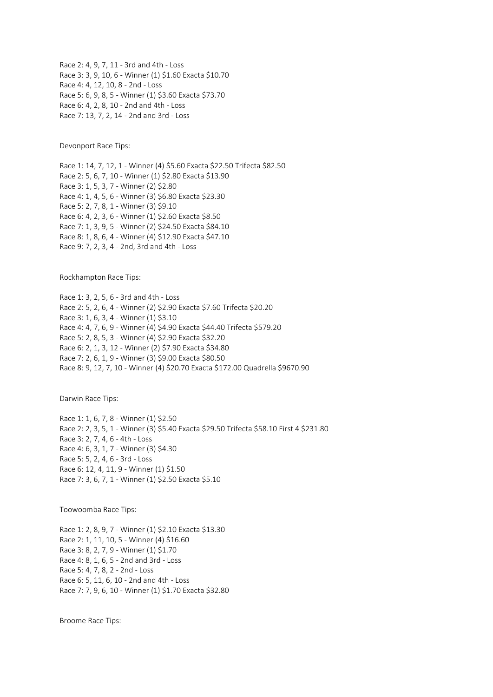Race 2: 4, 9, 7, 11 - 3rd and 4th - Loss Race 3: 3, 9, 10, 6 - Winner (1) \$1.60 Exacta \$10.70 Race 4: 4, 12, 10, 8 - 2nd - Loss Race 5: 6, 9, 8, 5 - Winner (1) \$3.60 Exacta \$73.70 Race 6: 4, 2, 8, 10 - 2nd and 4th - Loss Race 7: 13, 7, 2, 14 - 2nd and 3rd - Loss

Devonport Race Tips:

Race 1: 14, 7, 12, 1 - Winner (4) \$5.60 Exacta \$22.50 Trifecta \$82.50 Race 2: 5, 6, 7, 10 - Winner (1) \$2.80 Exacta \$13.90 Race 3: 1, 5, 3, 7 - Winner (2) \$2.80 Race 4: 1, 4, 5, 6 - Winner (3) \$6.80 Exacta \$23.30 Race 5: 2, 7, 8, 1 - Winner (3) \$9.10 Race 6: 4, 2, 3, 6 - Winner (1) \$2.60 Exacta \$8.50 Race 7: 1, 3, 9, 5 - Winner (2) \$24.50 Exacta \$84.10 Race 8: 1, 8, 6, 4 - Winner (4) \$12.90 Exacta \$47.10 Race 9: 7, 2, 3, 4 - 2nd, 3rd and 4th - Loss

Rockhampton Race Tips:

Race 1: 3, 2, 5, 6 - 3rd and 4th - Loss Race 2: 5, 2, 6, 4 - Winner (2) \$2.90 Exacta \$7.60 Trifecta \$20.20 Race 3: 1, 6, 3, 4 - Winner (1) \$3.10 Race 4: 4, 7, 6, 9 - Winner (4) \$4.90 Exacta \$44.40 Trifecta \$579.20 Race 5: 2, 8, 5, 3 - Winner (4) \$2.90 Exacta \$32.20 Race 6: 2, 1, 3, 12 - Winner (2) \$7.90 Exacta \$34.80 Race 7: 2, 6, 1, 9 - Winner (3) \$9.00 Exacta \$80.50 Race 8: 9, 12, 7, 10 - Winner (4) \$20.70 Exacta \$172.00 Quadrella \$9670.90

Darwin Race Tips:

Race 1: 1, 6, 7, 8 - Winner (1) \$2.50 Race 2: 2, 3, 5, 1 - Winner (3) \$5.40 Exacta \$29.50 Trifecta \$58.10 First 4 \$231.80 Race 3: 2, 7, 4, 6 - 4th - Loss Race 4: 6, 3, 1, 7 - Winner (3) \$4.30 Race 5: 5, 2, 4, 6 - 3rd - Loss Race 6: 12, 4, 11, 9 - Winner (1) \$1.50 Race 7: 3, 6, 7, 1 - Winner (1) \$2.50 Exacta \$5.10

Toowoomba Race Tips:

Race 1: 2, 8, 9, 7 - Winner (1) \$2.10 Exacta \$13.30 Race 2: 1, 11, 10, 5 - Winner (4) \$16.60 Race 3: 8, 2, 7, 9 - Winner (1) \$1.70 Race 4: 8, 1, 6, 5 - 2nd and 3rd - Loss Race 5: 4, 7, 8, 2 - 2nd - Loss Race 6: 5, 11, 6, 10 - 2nd and 4th - Loss Race 7: 7, 9, 6, 10 - Winner (1) \$1.70 Exacta \$32.80

Broome Race Tips: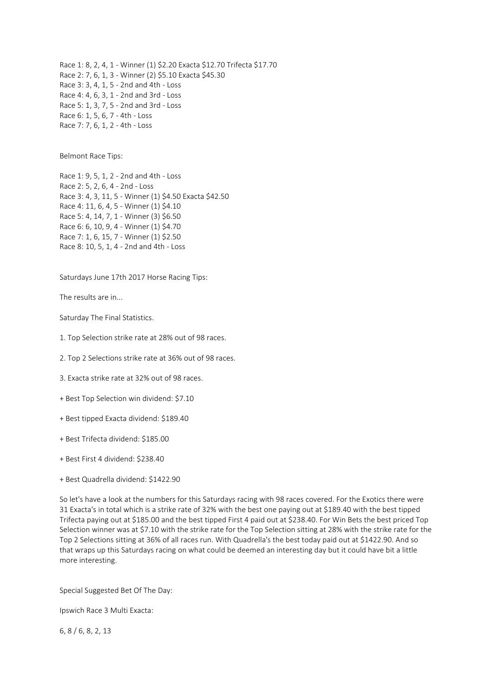Race 1: 8, 2, 4, 1 - Winner (1) \$2.20 Exacta \$12.70 Trifecta \$17.70 Race 2: 7, 6, 1, 3 - Winner (2) \$5.10 Exacta \$45.30 Race 3: 3, 4, 1, 5 - 2nd and 4th - Loss Race 4: 4, 6, 3, 1 - 2nd and 3rd - Loss Race 5: 1, 3, 7, 5 - 2nd and 3rd - Loss Race 6: 1, 5, 6, 7 - 4th - Loss Race 7: 7, 6, 1, 2 - 4th - Loss

Belmont Race Tips:

Race 1: 9, 5, 1, 2 - 2nd and 4th - Loss Race 2: 5, 2, 6, 4 - 2nd - Loss Race 3: 4, 3, 11, 5 - Winner (1) \$4.50 Exacta \$42.50 Race 4: 11, 6, 4, 5 - Winner (1) \$4.10 Race 5: 4, 14, 7, 1 - Winner (3) \$6.50 Race 6: 6, 10, 9, 4 - Winner (1) \$4.70 Race 7: 1, 6, 15, 7 - Winner (1) \$2.50 Race 8: 10, 5, 1, 4 - 2nd and 4th - Loss

Saturdays June 17th 2017 Horse Racing Tips:

The results are in...

Saturday The Final Statistics.

1. Top Selection strike rate at 28% out of 98 races.

2. Top 2 Selections strike rate at 36% out of 98 races.

3. Exacta strike rate at 32% out of 98 races.

+ Best Top Selection win dividend: \$7.10

+ Best tipped Exacta dividend: \$189.40

+ Best Trifecta dividend: \$185.00

+ Best First 4 dividend: \$238.40

+ Best Quadrella dividend: \$1422.90

So let's have a look at the numbers for this Saturdays racing with 98 races covered. For the Exotics there were 31 Exacta's in total which is a strike rate of 32% with the best one paying out at \$189.40 with the best tipped Trifecta paying out at \$185.00 and the best tipped First 4 paid out at \$238.40. For Win Bets the best priced Top Selection winner was at \$7.10 with the strike rate for the Top Selection sitting at 28% with the strike rate for the Top 2 Selections sitting at 36% of all races run. With Quadrella's the best today paid out at \$1422.90. And so that wraps up this Saturdays racing on what could be deemed an interesting day but it could have bit a little more interesting.

Special Suggested Bet Of The Day:

Ipswich Race 3 Multi Exacta:

6, 8 / 6, 8, 2, 13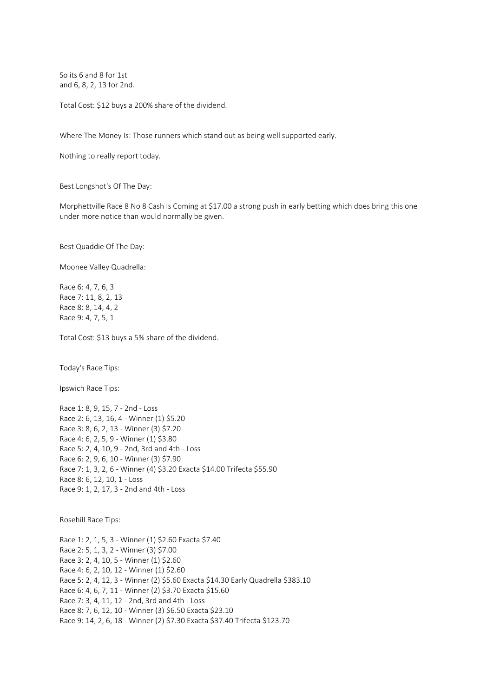So its 6 and 8 for 1st and 6, 8, 2, 13 for 2nd.

Total Cost: \$12 buys a 200% share of the dividend.

Where The Money Is: Those runners which stand out as being well supported early.

Nothing to really report today.

Best Longshot's Of The Day:

Morphettville Race 8 No 8 Cash Is Coming at \$17.00 a strong push in early betting which does bring this one under more notice than would normally be given.

Best Quaddie Of The Day:

Moonee Valley Quadrella:

Race 6: 4, 7, 6, 3 Race 7: 11, 8, 2, 13 Race 8: 8, 14, 4, 2 Race 9: 4, 7, 5, 1

Total Cost: \$13 buys a 5% share of the dividend.

Today's Race Tips:

Ipswich Race Tips:

Race 1: 8, 9, 15, 7 - 2nd - Loss Race 2: 6, 13, 16, 4 - Winner (1) \$5.20 Race 3: 8, 6, 2, 13 - Winner (3) \$7.20 Race 4: 6, 2, 5, 9 - Winner (1) \$3.80 Race 5: 2, 4, 10, 9 - 2nd, 3rd and 4th - Loss Race 6: 2, 9, 6, 10 - Winner (3) \$7.90 Race 7: 1, 3, 2, 6 - Winner (4) \$3.20 Exacta \$14.00 Trifecta \$55.90 Race 8: 6, 12, 10, 1 - Loss Race 9: 1, 2, 17, 3 - 2nd and 4th - Loss

Rosehill Race Tips:

Race 1: 2, 1, 5, 3 - Winner (1) \$2.60 Exacta \$7.40 Race 2: 5, 1, 3, 2 - Winner (3) \$7.00 Race 3: 2, 4, 10, 5 - Winner (1) \$2.60 Race 4: 6, 2, 10, 12 - Winner (1) \$2.60 Race 5: 2, 4, 12, 3 - Winner (2) \$5.60 Exacta \$14.30 Early Quadrella \$383.10 Race 6: 4, 6, 7, 11 - Winner (2) \$3.70 Exacta \$15.60 Race 7: 3, 4, 11, 12 - 2nd, 3rd and 4th - Loss Race 8: 7, 6, 12, 10 - Winner (3) \$6.50 Exacta \$23.10 Race 9: 14, 2, 6, 18 - Winner (2) \$7.30 Exacta \$37.40 Trifecta \$123.70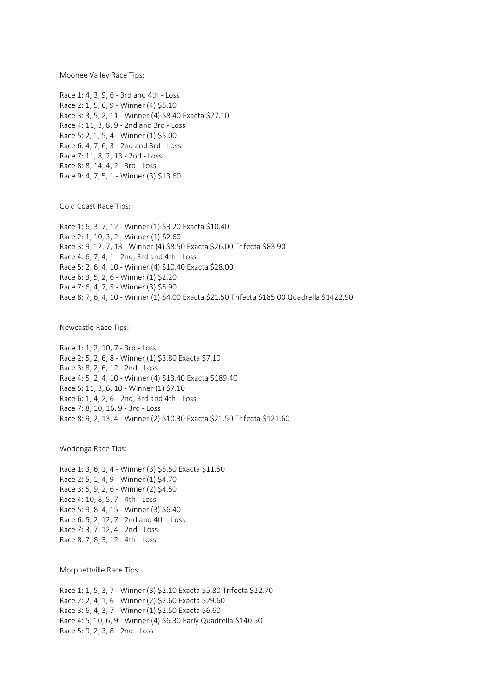Moonee Valley Race Tips:

Race 1: 4, 3, 9, 6 - 3rd and 4th - Loss Race 2: 1, 5, 6, 9 - Winner (4) \$5.10 Race 3: 3, 5, 2, 11 - Winner (4) \$8.40 Exacta \$27.10 Race 4: 11, 3, 8, 9 - 2nd and 3rd - Loss Race 5: 2, 1, 5, 4 - Winner (1) \$5.00 Race 6: 4, 7, 6, 3 - 2nd and 3rd - Loss Race 7: 11, 8, 2, 13 - 2nd - Loss Race 8: 8, 14, 4, 2 - 3rd - Loss Race 9: 4, 7, 5, 1 - Winner (3) \$13.60

Gold Coast Race Tips:

Race 1: 6, 3, 7, 12 - Winner (1) \$3.20 Exacta \$10.40 Race 2: 1, 10, 3, 2 - Winner (1) \$2.60 Race 3: 9, 12, 7, 13 - Winner (4) \$8.50 Exacta \$26.00 Trifecta \$83.90 Race 4: 6, 7, 4, 1 - 2nd, 3rd and 4th - Loss Race 5: 2, 6, 4, 10 - Winner (4) \$10.40 Exacta \$28.00 Race 6: 3, 5, 2, 6 - Winner (1) \$2.20 Race 7: 6, 4, 7, 5 - Winner (3) \$5.90 Race 8: 7, 6, 4, 10 - Winner (1) \$4.00 Exacta \$21.50 Trifecta \$185.00 Quadrella \$1422.90

Newcastle Race Tips:

Race 1: 1, 2, 10, 7 - 3rd - Loss Race 2: 5, 2, 6, 8 - Winner (1) \$3.80 Exacta \$7.10 Race 3: 8, 2, 6, 12 - 2nd - Loss Race 4: 5, 2, 4, 10 - Winner (4) \$13.40 Exacta \$189.40 Race 5: 11, 3, 6, 10 - Winner (1) \$7.10 Race 6: 1, 4, 2, 6 - 2nd, 3rd and 4th - Loss Race 7: 8, 10, 16, 9 - 3rd - Loss Race 8: 9, 2, 13, 4 - Winner (2) \$10.30 Exacta \$21.50 Trifecta \$121.60

Wodonga Race Tips:

Race 1: 3, 6, 1, 4 - Winner (3) \$5.50 Exacta \$11.50 Race 2: 5, 1, 4, 9 - Winner (1) \$4.70 Race 3: 5, 9, 2, 6 - Winner (2) \$4.50 Race 4: 10, 8, 5, 7 - 4th - Loss Race 5: 9, 8, 4, 15 - Winner (3) \$6.40 Race 6: 5, 2, 12, 7 - 2nd and 4th - Loss Race 7: 3, 7, 12, 4 - 2nd - Loss Race 8: 7, 8, 3, 12 - 4th - Loss

Morphettville Race Tips:

Race 1: 1, 5, 3, 7 - Winner (3) \$2.10 Exacta \$5.80 Trifecta \$22.70 Race 2: 2, 4, 1, 6 - Winner (2) \$2.60 Exacta \$29.60 Race 3: 6, 4, 3, 7 - Winner (1) \$2.50 Exacta \$6.60 Race 4: 5, 10, 6, 9 - Winner (4) \$6.30 Early Quadrella \$140.50 Race 5: 9, 2, 3, 8 - 2nd - Loss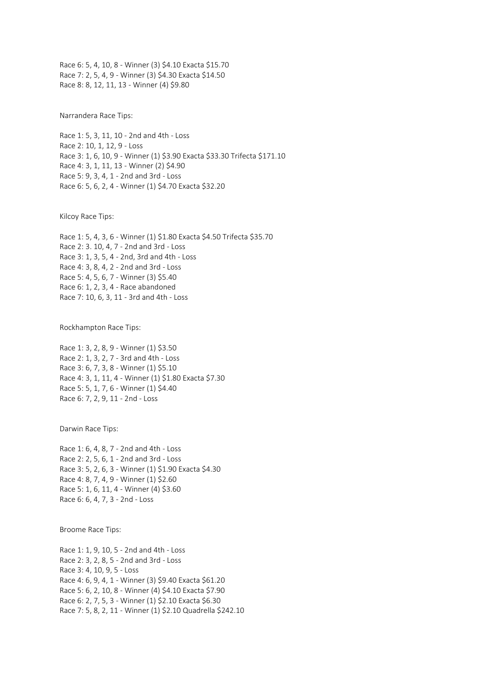Race 6: 5, 4, 10, 8 - Winner (3) \$4.10 Exacta \$15.70 Race 7: 2, 5, 4, 9 - Winner (3) \$4.30 Exacta \$14.50 Race 8: 8, 12, 11, 13 - Winner (4) \$9.80

Narrandera Race Tips:

Race 1: 5, 3, 11, 10 - 2nd and 4th - Loss Race 2: 10, 1, 12, 9 - Loss Race 3: 1, 6, 10, 9 - Winner (1) \$3.90 Exacta \$33.30 Trifecta \$171.10 Race 4: 3, 1, 11, 13 - Winner (2) \$4.90 Race 5: 9, 3, 4, 1 - 2nd and 3rd - Loss Race 6: 5, 6, 2, 4 - Winner (1) \$4.70 Exacta \$32.20

Kilcoy Race Tips:

Race 1: 5, 4, 3, 6 - Winner (1) \$1.80 Exacta \$4.50 Trifecta \$35.70 Race 2: 3. 10, 4, 7 - 2nd and 3rd - Loss Race 3: 1, 3, 5, 4 - 2nd, 3rd and 4th - Loss Race 4: 3, 8, 4, 2 - 2nd and 3rd - Loss Race 5: 4, 5, 6, 7 - Winner (3) \$5.40 Race 6: 1, 2, 3, 4 - Race abandoned Race 7: 10, 6, 3, 11 - 3rd and 4th - Loss

Rockhampton Race Tips:

Race 1: 3, 2, 8, 9 - Winner (1) \$3.50 Race 2: 1, 3, 2, 7 - 3rd and 4th - Loss Race 3: 6, 7, 3, 8 - Winner (1) \$5.10 Race 4: 3, 1, 11, 4 - Winner (1) \$1.80 Exacta \$7.30 Race 5: 5, 1, 7, 6 - Winner (1) \$4.40 Race 6: 7, 2, 9, 11 - 2nd - Loss

Darwin Race Tips:

Race 1: 6, 4, 8, 7 - 2nd and 4th - Loss Race 2: 2, 5, 6, 1 - 2nd and 3rd - Loss Race 3: 5, 2, 6, 3 - Winner (1) \$1.90 Exacta \$4.30 Race 4: 8, 7, 4, 9 - Winner (1) \$2.60 Race 5: 1, 6, 11, 4 - Winner (4) \$3.60 Race 6: 6, 4, 7, 3 - 2nd - Loss

Broome Race Tips:

Race 1: 1, 9, 10, 5 - 2nd and 4th - Loss Race 2: 3, 2, 8, 5 - 2nd and 3rd - Loss Race 3: 4, 10, 9, 5 - Loss Race 4: 6, 9, 4, 1 - Winner (3) \$9.40 Exacta \$61.20 Race 5: 6, 2, 10, 8 - Winner (4) \$4.10 Exacta \$7.90 Race 6: 2, 7, 5, 3 - Winner (1) \$2.10 Exacta \$6.30 Race 7: 5, 8, 2, 11 - Winner (1) \$2.10 Quadrella \$242.10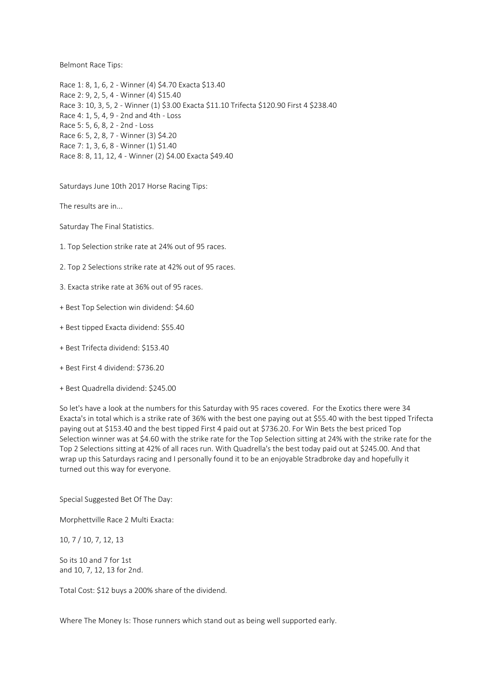Belmont Race Tips:

Race 1: 8, 1, 6, 2 - Winner (4) \$4.70 Exacta \$13.40 Race 2: 9, 2, 5, 4 - Winner (4) \$15.40 Race 3: 10, 3, 5, 2 - Winner (1) \$3.00 Exacta \$11.10 Trifecta \$120.90 First 4 \$238.40 Race 4: 1, 5, 4, 9 - 2nd and 4th - Loss Race 5: 5, 6, 8, 2 - 2nd - Loss Race 6: 5, 2, 8, 7 - Winner (3) \$4.20 Race 7: 1, 3, 6, 8 - Winner (1) \$1.40 Race 8: 8, 11, 12, 4 - Winner (2) \$4.00 Exacta \$49.40

Saturdays June 10th 2017 Horse Racing Tips:

The results are in...

Saturday The Final Statistics.

- 1. Top Selection strike rate at 24% out of 95 races.
- 2. Top 2 Selections strike rate at 42% out of 95 races.
- 3. Exacta strike rate at 36% out of 95 races.
- + Best Top Selection win dividend: \$4.60
- + Best tipped Exacta dividend: \$55.40
- + Best Trifecta dividend: \$153.40
- + Best First 4 dividend: \$736.20
- + Best Quadrella dividend: \$245.00

So let's have a look at the numbers for this Saturday with 95 races covered. For the Exotics there were 34 Exacta's in total which is a strike rate of 36% with the best one paying out at \$55.40 with the best tipped Trifecta paying out at \$153.40 and the best tipped First 4 paid out at \$736.20. For Win Bets the best priced Top Selection winner was at \$4.60 with the strike rate for the Top Selection sitting at 24% with the strike rate for the Top 2 Selections sitting at 42% of all races run. With Quadrella's the best today paid out at \$245.00. And that wrap up this Saturdays racing and I personally found it to be an enjoyable Stradbroke day and hopefully it turned out this way for everyone.

Special Suggested Bet Of The Day:

Morphettville Race 2 Multi Exacta:

10, 7 / 10, 7, 12, 13

So its 10 and 7 for 1st and 10, 7, 12, 13 for 2nd.

Total Cost: \$12 buys a 200% share of the dividend.

Where The Money Is: Those runners which stand out as being well supported early.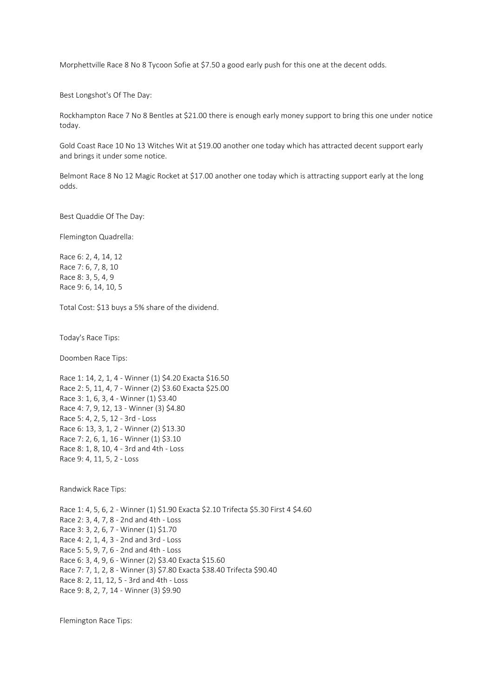Morphettville Race 8 No 8 Tycoon Sofie at \$7.50 a good early push for this one at the decent odds.

Best Longshot's Of The Day:

Rockhampton Race 7 No 8 Bentles at \$21.00 there is enough early money support to bring this one under notice today.

Gold Coast Race 10 No 13 Witches Wit at \$19.00 another one today which has attracted decent support early and brings it under some notice.

Belmont Race 8 No 12 Magic Rocket at \$17.00 another one today which is attracting support early at the long odds.

Best Quaddie Of The Day:

Flemington Quadrella:

Race 6: 2, 4, 14, 12 Race 7: 6, 7, 8, 10 Race 8: 3, 5, 4, 9 Race 9: 6, 14, 10, 5

Total Cost: \$13 buys a 5% share of the dividend.

Today's Race Tips:

Doomben Race Tips:

Race 1: 14, 2, 1, 4 - Winner (1) \$4.20 Exacta \$16.50 Race 2: 5, 11, 4, 7 - Winner (2) \$3.60 Exacta \$25.00 Race 3: 1, 6, 3, 4 - Winner (1) \$3.40 Race 4: 7, 9, 12, 13 - Winner (3) \$4.80 Race 5: 4, 2, 5, 12 - 3rd - Loss Race 6: 13, 3, 1, 2 - Winner (2) \$13.30 Race 7: 2, 6, 1, 16 - Winner (1) \$3.10 Race 8: 1, 8, 10, 4 - 3rd and 4th - Loss Race 9: 4, 11, 5, 2 - Loss

Randwick Race Tips:

Race 1: 4, 5, 6, 2 - Winner (1) \$1.90 Exacta \$2.10 Trifecta \$5.30 First 4 \$4.60 Race 2: 3, 4, 7, 8 - 2nd and 4th - Loss Race 3: 3, 2, 6, 7 - Winner (1) \$1.70 Race 4: 2, 1, 4, 3 - 2nd and 3rd - Loss Race 5: 5, 9, 7, 6 - 2nd and 4th - Loss Race 6: 3, 4, 9, 6 - Winner (2) \$3.40 Exacta \$15.60 Race 7: 7, 1, 2, 8 - Winner (3) \$7.80 Exacta \$38.40 Trifecta \$90.40 Race 8: 2, 11, 12, 5 - 3rd and 4th - Loss Race 9: 8, 2, 7, 14 - Winner (3) \$9.90

Flemington Race Tips: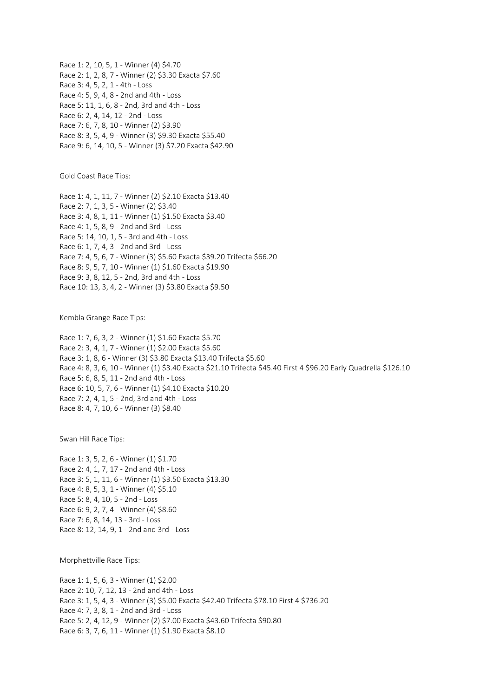Race 1: 2, 10, 5, 1 - Winner (4) \$4.70 Race 2: 1, 2, 8, 7 - Winner (2) \$3.30 Exacta \$7.60 Race 3: 4, 5, 2, 1 - 4th - Loss Race 4: 5, 9, 4, 8 - 2nd and 4th - Loss Race 5: 11, 1, 6, 8 - 2nd, 3rd and 4th - Loss Race 6: 2, 4, 14, 12 - 2nd - Loss Race 7: 6, 7, 8, 10 - Winner (2) \$3.90 Race 8: 3, 5, 4, 9 - Winner (3) \$9.30 Exacta \$55.40 Race 9: 6, 14, 10, 5 - Winner (3) \$7.20 Exacta \$42.90

Gold Coast Race Tips:

Race 1: 4, 1, 11, 7 - Winner (2) \$2.10 Exacta \$13.40 Race 2: 7, 1, 3, 5 - Winner (2) \$3.40 Race 3: 4, 8, 1, 11 - Winner (1) \$1.50 Exacta \$3.40 Race 4: 1, 5, 8, 9 - 2nd and 3rd - Loss Race 5: 14, 10, 1, 5 - 3rd and 4th - Loss Race 6: 1, 7, 4, 3 - 2nd and 3rd - Loss Race 7: 4, 5, 6, 7 - Winner (3) \$5.60 Exacta \$39.20 Trifecta \$66.20 Race 8: 9, 5, 7, 10 - Winner (1) \$1.60 Exacta \$19.90 Race 9: 3, 8, 12, 5 - 2nd, 3rd and 4th - Loss Race 10: 13, 3, 4, 2 - Winner (3) \$3.80 Exacta \$9.50

Kembla Grange Race Tips:

Race 1: 7, 6, 3, 2 - Winner (1) \$1.60 Exacta \$5.70 Race 2: 3, 4, 1, 7 - Winner (1) \$2.00 Exacta \$5.60 Race 3: 1, 8, 6 - Winner (3) \$3.80 Exacta \$13.40 Trifecta \$5.60 Race 4: 8, 3, 6, 10 - Winner (1) \$3.40 Exacta \$21.10 Trifecta \$45.40 First 4 \$96.20 Early Quadrella \$126.10 Race 5: 6, 8, 5, 11 - 2nd and 4th - Loss Race 6: 10, 5, 7, 6 - Winner (1) \$4.10 Exacta \$10.20 Race 7: 2, 4, 1, 5 - 2nd, 3rd and 4th - Loss Race 8: 4, 7, 10, 6 - Winner (3) \$8.40

Swan Hill Race Tips:

Race 1: 3, 5, 2, 6 - Winner (1) \$1.70 Race 2: 4, 1, 7, 17 - 2nd and 4th - Loss Race 3: 5, 1, 11, 6 - Winner (1) \$3.50 Exacta \$13.30 Race 4: 8, 5, 3, 1 - Winner (4) \$5.10 Race 5: 8, 4, 10, 5 - 2nd - Loss Race 6: 9, 2, 7, 4 - Winner (4) \$8.60 Race 7: 6, 8, 14, 13 - 3rd - Loss Race 8: 12, 14, 9, 1 - 2nd and 3rd - Loss

Morphettville Race Tips:

Race 1: 1, 5, 6, 3 - Winner (1) \$2.00 Race 2: 10, 7, 12, 13 - 2nd and 4th - Loss Race 3: 1, 5, 4, 3 - Winner (3) \$5.00 Exacta \$42.40 Trifecta \$78.10 First 4 \$736.20 Race 4: 7, 3, 8, 1 - 2nd and 3rd - Loss Race 5: 2, 4, 12, 9 - Winner (2) \$7.00 Exacta \$43.60 Trifecta \$90.80 Race 6: 3, 7, 6, 11 - Winner (1) \$1.90 Exacta \$8.10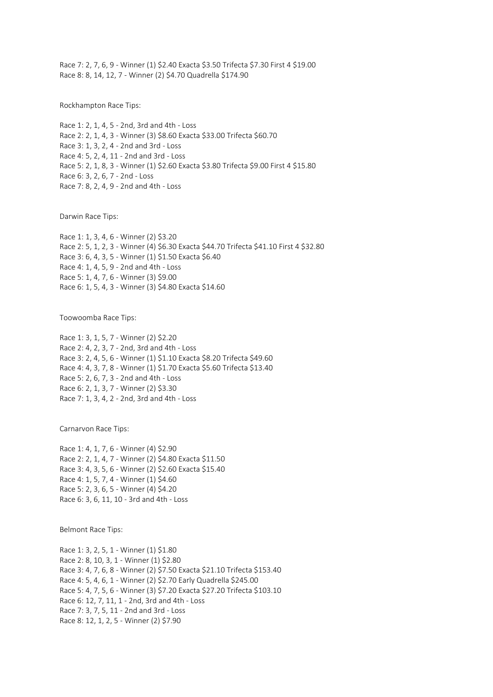Race 7: 2, 7, 6, 9 - Winner (1) \$2.40 Exacta \$3.50 Trifecta \$7.30 First 4 \$19.00 Race 8: 8, 14, 12, 7 - Winner (2) \$4.70 Quadrella \$174.90

Rockhampton Race Tips:

Race 1: 2, 1, 4, 5 - 2nd, 3rd and 4th - Loss Race 2: 2, 1, 4, 3 - Winner (3) \$8.60 Exacta \$33.00 Trifecta \$60.70 Race 3: 1, 3, 2, 4 - 2nd and 3rd - Loss Race 4: 5, 2, 4, 11 - 2nd and 3rd - Loss Race 5: 2, 1, 8, 3 - Winner (1) \$2.60 Exacta \$3.80 Trifecta \$9.00 First 4 \$15.80 Race 6: 3, 2, 6, 7 - 2nd - Loss Race 7: 8, 2, 4, 9 - 2nd and 4th - Loss

Darwin Race Tips:

Race 1: 1, 3, 4, 6 - Winner (2) \$3.20 Race 2: 5, 1, 2, 3 - Winner (4) \$6.30 Exacta \$44.70 Trifecta \$41.10 First 4 \$32.80 Race 3: 6, 4, 3, 5 - Winner (1) \$1.50 Exacta \$6.40 Race 4: 1, 4, 5, 9 - 2nd and 4th - Loss Race 5: 1, 4, 7, 6 - Winner (3) \$9.00 Race 6: 1, 5, 4, 3 - Winner (3) \$4.80 Exacta \$14.60

Toowoomba Race Tips:

Race 1: 3, 1, 5, 7 - Winner (2) \$2.20 Race 2: 4, 2, 3, 7 - 2nd, 3rd and 4th - Loss Race 3: 2, 4, 5, 6 - Winner (1) \$1.10 Exacta \$8.20 Trifecta \$49.60 Race 4: 4, 3, 7, 8 - Winner (1) \$1.70 Exacta \$5.60 Trifecta \$13.40 Race 5: 2, 6, 7, 3 - 2nd and 4th - Loss Race 6: 2, 1, 3, 7 - Winner (2) \$3.30 Race 7: 1, 3, 4, 2 - 2nd, 3rd and 4th - Loss

Carnarvon Race Tips:

Race 1: 4, 1, 7, 6 - Winner (4) \$2.90 Race 2: 2, 1, 4, 7 - Winner (2) \$4.80 Exacta \$11.50 Race 3: 4, 3, 5, 6 - Winner (2) \$2.60 Exacta \$15.40 Race 4: 1, 5, 7, 4 - Winner (1) \$4.60 Race 5: 2, 3, 6, 5 - Winner (4) \$4.20 Race 6: 3, 6, 11, 10 - 3rd and 4th - Loss

Belmont Race Tips:

Race 1: 3, 2, 5, 1 - Winner (1) \$1.80 Race 2: 8, 10, 3, 1 - Winner (1) \$2.80 Race 3: 4, 7, 6, 8 - Winner (2) \$7.50 Exacta \$21.10 Trifecta \$153.40 Race 4: 5, 4, 6, 1 - Winner (2) \$2.70 Early Quadrella \$245.00 Race 5: 4, 7, 5, 6 - Winner (3) \$7.20 Exacta \$27.20 Trifecta \$103.10 Race 6: 12, 7, 11, 1 - 2nd, 3rd and 4th - Loss Race 7: 3, 7, 5, 11 - 2nd and 3rd - Loss Race 8: 12, 1, 2, 5 - Winner (2) \$7.90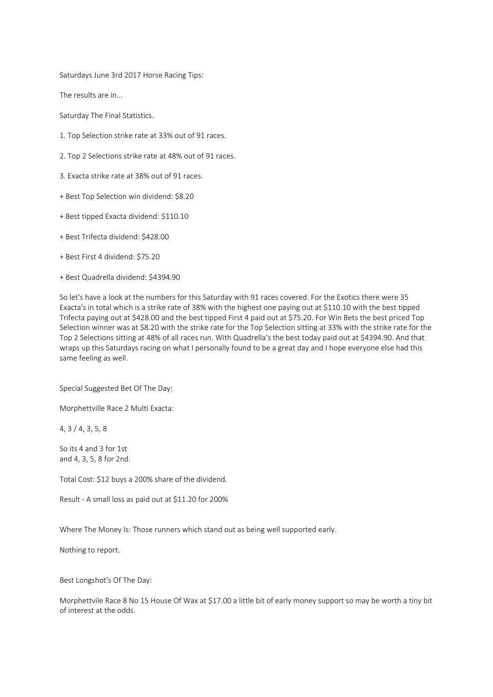Saturdays June 3rd 2017 Horse Racing Tips:

The results are in...

Saturday The Final Statistics.

- 1. Top Selection strike rate at 33% out of 91 races.
- 2. Top 2 Selections strike rate at 48% out of 91 races.
- 3. Exacta strike rate at 38% out of 91 races.
- + Best Top Selection win dividend: \$8.20
- + Best tipped Exacta dividend: \$110.10
- + Best Trifecta dividend: \$428.00
- + Best First 4 dividend: \$75.20
- + Best Quadrella dividend: \$4394.90

So let's have a look at the numbers for this Saturday with 91 races covered. For the Exotics there were 35 Exacta's in total which is a strike rate of 38% with the highest one paying out at \$110.10 with the best tipped Trifecta paying out at \$428.00 and the best tipped First 4 paid out at \$75.20. For Win Bets the best priced Top Selection winner was at \$8.20 with the strike rate for the Top Selection sitting at 33% with the strike rate for the Top 2 Selections sitting at 48% of all races run. With Quadrella's the best today paid out at \$4394.90. And that wraps up this Saturdays racing on what I personally found to be a great day and I hope everyone else had this same feeling as well.

Special Suggested Bet Of The Day:

Morphettville Race 2 Multi Exacta:

4, 3 / 4, 3, 5, 8

So its 4 and 3 for 1st and 4, 3, 5, 8 for 2nd.

Total Cost: \$12 buys a 200% share of the dividend.

Result - A small loss as paid out at \$11.20 for 200%

Where The Money Is: Those runners which stand out as being well supported early.

Nothing to report.

Best Longshot's Of The Day:

Morphettvile Race 8 No 15 House Of Wax at \$17.00 a little bit of early money support so may be worth a tiny bit of interest at the odds.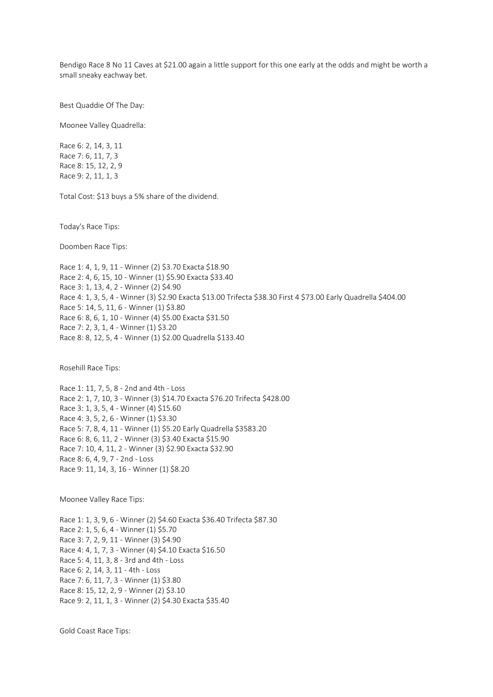Bendigo Race 8 No 11 Caves at \$21.00 again a little support for this one early at the odds and might be worth a small sneaky eachway bet.

Best Quaddie Of The Day:

Moonee Valley Quadrella:

Race 6: 2, 14, 3, 11 Race 7: 6, 11, 7, 3 Race 8: 15, 12, 2, 9 Race 9: 2, 11, 1, 3

Total Cost: \$13 buys a 5% share of the dividend.

Today's Race Tips:

Doomben Race Tips:

Race 1: 4, 1, 9, 11 - Winner (2) \$3.70 Exacta \$18.90 Race 2: 4, 6, 15, 10 - Winner (1) \$5.90 Exacta \$33.40 Race 3: 1, 13, 4, 2 - Winner (2) \$4.90 Race 4: 1, 3, 5, 4 - Winner (3) \$2.90 Exacta \$13.00 Trifecta \$38.30 First 4 \$73.00 Early Quadrella \$404.00 Race 5: 14, 5, 11, 6 - Winner (1) \$3.80 Race 6: 8, 6, 1, 10 - Winner (4) \$5.00 Exacta \$31.50 Race 7: 2, 3, 1, 4 - Winner (1) \$3.20 Race 8: 8, 12, 5, 4 - Winner (1) \$2.00 Quadrella \$133.40

Rosehill Race Tips:

Race 1: 11, 7, 5, 8 - 2nd and 4th - Loss Race 2: 1, 7, 10, 3 - Winner (3) \$14.70 Exacta \$76.20 Trifecta \$428.00 Race 3: 1, 3, 5, 4 - Winner (4) \$15.60 Race 4: 3, 5, 2, 6 - Winner (1) \$3.30 Race 5: 7, 8, 4, 11 - Winner (1) \$5.20 Early Quadrella \$3583.20 Race 6: 8, 6, 11, 2 - Winner (3) \$3.40 Exacta \$15.90 Race 7: 10, 4, 11, 2 - Winner (3) \$2.90 Exacta \$32.90 Race 8: 6, 4, 9, 7 - 2nd - Loss Race 9: 11, 14, 3, 16 - Winner (1) \$8.20

Moonee Valley Race Tips:

Race 1: 1, 3, 9, 6 - Winner (2) \$4.60 Exacta \$36.40 Trifecta \$87.30 Race 2: 1, 5, 6, 4 - Winner (1) \$5.70 Race 3: 7, 2, 9, 11 - Winner (3) \$4.90 Race 4: 4, 1, 7, 3 - Winner (4) \$4.10 Exacta \$16.50 Race 5: 4, 11, 3, 8 - 3rd and 4th - Loss Race 6: 2, 14, 3, 11 - 4th - Loss Race 7: 6, 11, 7, 3 - Winner (1) \$3.80 Race 8: 15, 12, 2, 9 - Winner (2) \$3.10 Race 9: 2, 11, 1, 3 - Winner (2) \$4.30 Exacta \$35.40

Gold Coast Race Tips: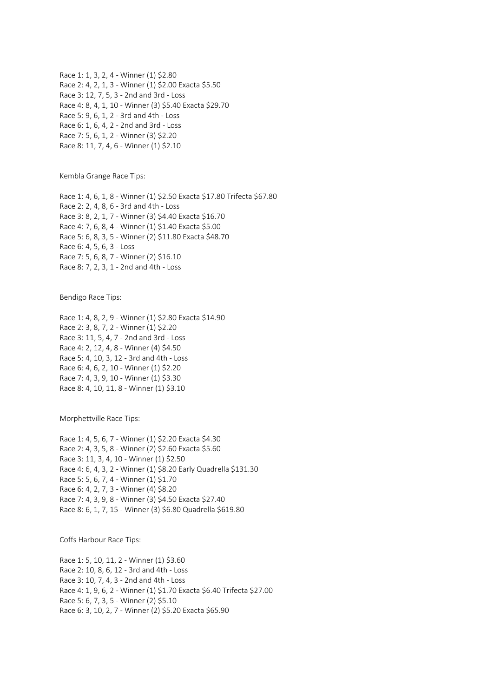Race 1: 1, 3, 2, 4 - Winner (1) \$2.80 Race 2: 4, 2, 1, 3 - Winner (1) \$2.00 Exacta \$5.50 Race 3: 12, 7, 5, 3 - 2nd and 3rd - Loss Race 4: 8, 4, 1, 10 - Winner (3) \$5.40 Exacta \$29.70 Race 5: 9, 6, 1, 2 - 3rd and 4th - Loss Race 6: 1, 6, 4, 2 - 2nd and 3rd - Loss Race 7: 5, 6, 1, 2 - Winner (3) \$2.20 Race 8: 11, 7, 4, 6 - Winner (1) \$2.10

Kembla Grange Race Tips:

Race 1: 4, 6, 1, 8 - Winner (1) \$2.50 Exacta \$17.80 Trifecta \$67.80 Race 2: 2, 4, 8, 6 - 3rd and 4th - Loss Race 3: 8, 2, 1, 7 - Winner (3) \$4.40 Exacta \$16.70 Race 4: 7, 6, 8, 4 - Winner (1) \$1.40 Exacta \$5.00 Race 5: 6, 8, 3, 5 - Winner (2) \$11.80 Exacta \$48.70 Race 6: 4, 5, 6, 3 - Loss Race 7: 5, 6, 8, 7 - Winner (2) \$16.10 Race 8: 7, 2, 3, 1 - 2nd and 4th - Loss

Bendigo Race Tips:

Race 1: 4, 8, 2, 9 - Winner (1) \$2.80 Exacta \$14.90 Race 2: 3, 8, 7, 2 - Winner (1) \$2.20 Race 3: 11, 5, 4, 7 - 2nd and 3rd - Loss Race 4: 2, 12, 4, 8 - Winner (4) \$4.50 Race 5: 4, 10, 3, 12 - 3rd and 4th - Loss Race 6: 4, 6, 2, 10 - Winner (1) \$2.20 Race 7: 4, 3, 9, 10 - Winner (1) \$3.30 Race 8: 4, 10, 11, 8 - Winner (1) \$3.10

Morphettville Race Tips:

Race 1: 4, 5, 6, 7 - Winner (1) \$2.20 Exacta \$4.30 Race 2: 4, 3, 5, 8 - Winner (2) \$2.60 Exacta \$5.60 Race 3: 11, 3, 4, 10 - Winner (1) \$2.50 Race 4: 6, 4, 3, 2 - Winner (1) \$8.20 Early Quadrella \$131.30 Race 5: 5, 6, 7, 4 - Winner (1) \$1.70 Race 6: 4, 2, 7, 3 - Winner (4) \$8.20 Race 7: 4, 3, 9, 8 - Winner (3) \$4.50 Exacta \$27.40 Race 8: 6, 1, 7, 15 - Winner (3) \$6.80 Quadrella \$619.80

Coffs Harbour Race Tips:

Race 1: 5, 10, 11, 2 - Winner (1) \$3.60 Race 2: 10, 8, 6, 12 - 3rd and 4th - Loss Race 3: 10, 7, 4, 3 - 2nd and 4th - Loss Race 4: 1, 9, 6, 2 - Winner (1) \$1.70 Exacta \$6.40 Trifecta \$27.00 Race 5: 6, 7, 3, 5 - Winner (2) \$5.10 Race 6: 3, 10, 2, 7 - Winner (2) \$5.20 Exacta \$65.90